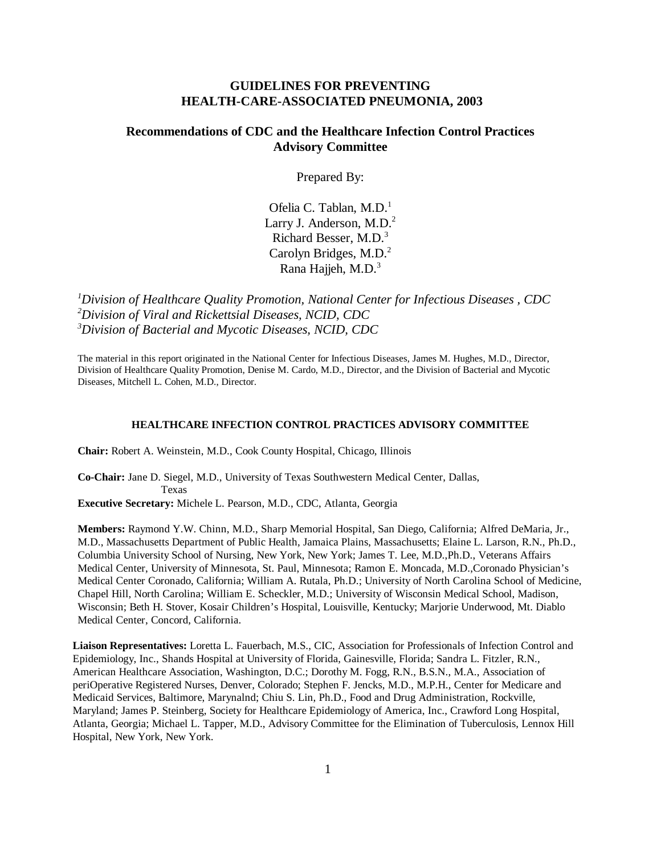### **GUIDELINES FOR PREVENTING HEALTH-CARE-ASSOCIATED PNEUMONIA, 2003**

### **Recommendations of CDC and the Healthcare Infection Control Practices Advisory Committee**

Prepared By:

Ofelia C. Tablan, M.D.<sup>1</sup> Larry J. Anderson, M.D.<sup>2</sup> Richard Besser, M.D.3 Carolyn Bridges, M.D.<sup>2</sup> Rana Hajjeh, M.D.<sup>3</sup>

*1 Division of Healthcare Quality Promotion, National Center for Infectious Diseases , CDC 2 Division of Viral and Rickettsial Diseases, NCID, CDC 3 Division of Bacterial and Mycotic Diseases, NCID, CDC*

The material in this report originated in the National Center for Infectious Diseases, James M. Hughes, M.D., Director, Division of Healthcare Quality Promotion, Denise M. Cardo, M.D., Director, and the Division of Bacterial and Mycotic Diseases, Mitchell L. Cohen, M.D., Director.

#### **HEALTHCARE INFECTION CONTROL PRACTICES ADVISORY COMMITTEE**

**Chair:** Robert A. Weinstein, M.D., Cook County Hospital, Chicago, Illinois

**Co-Chair:** Jane D. Siegel, M.D., University of Texas Southwestern Medical Center, Dallas, Texas **Executive Secretary:** Michele L. Pearson, M.D., CDC, Atlanta, Georgia

**Members:** Raymond Y.W. Chinn, M.D., Sharp Memorial Hospital, San Diego, California; Alfred DeMaria, Jr., M.D., Massachusetts Department of Public Health, Jamaica Plains, Massachusetts; Elaine L. Larson, R.N., Ph.D., Columbia University School of Nursing, New York, New York; James T. Lee, M.D.,Ph.D., Veterans Affairs Medical Center, University of Minnesota, St. Paul, Minnesota; Ramon E. Moncada, M.D.,Coronado Physician's Medical Center Coronado, California; William A. Rutala, Ph.D.; University of North Carolina School of Medicine, Chapel Hill, North Carolina; William E. Scheckler, M.D.; University of Wisconsin Medical School, Madison, Wisconsin; Beth H. Stover, Kosair Children's Hospital, Louisville, Kentucky; Marjorie Underwood, Mt. Diablo Medical Center, Concord, California.

**Liaison Representatives:** Loretta L. Fauerbach, M.S., CIC, Association for Professionals of Infection Control and Epidemiology, Inc., Shands Hospital at University of Florida, Gainesville, Florida; Sandra L. Fitzler, R.N., American Healthcare Association, Washington, D.C.; Dorothy M. Fogg, R.N., B.S.N., M.A., Association of periOperative Registered Nurses, Denver, Colorado; Stephen F. Jencks, M.D., M.P.H., Center for Medicare and Medicaid Services, Baltimore, Marynalnd; Chiu S. Lin, Ph.D., Food and Drug Administration, Rockville, Maryland; James P. Steinberg, Society for Healthcare Epidemiology of America, Inc., Crawford Long Hospital, Atlanta, Georgia; Michael L. Tapper, M.D., Advisory Committee for the Elimination of Tuberculosis, Lennox Hill Hospital, New York, New York.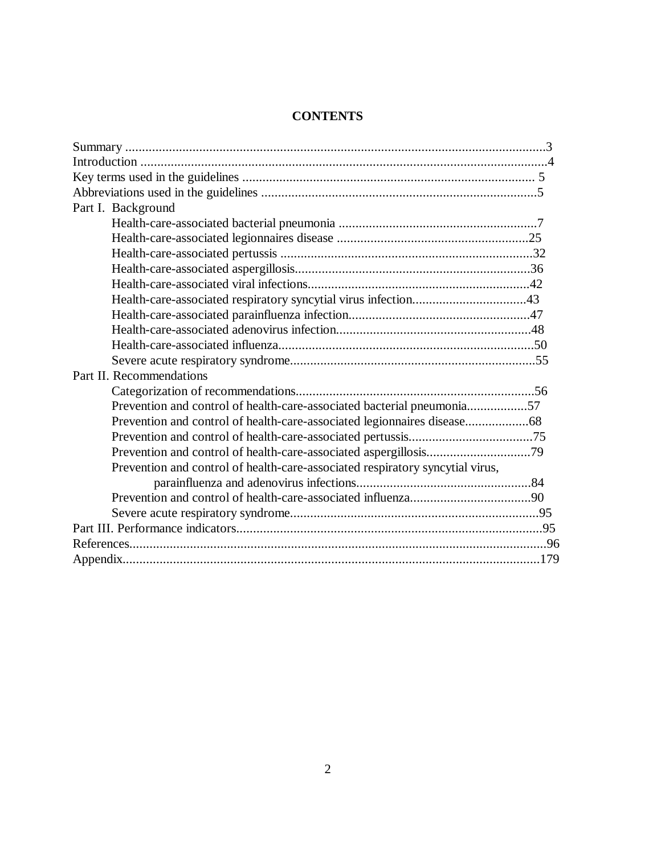# **CONTENTS**

| Part I. Background                                                            |  |
|-------------------------------------------------------------------------------|--|
|                                                                               |  |
|                                                                               |  |
|                                                                               |  |
|                                                                               |  |
|                                                                               |  |
|                                                                               |  |
|                                                                               |  |
|                                                                               |  |
|                                                                               |  |
|                                                                               |  |
| Part II. Recommendations                                                      |  |
|                                                                               |  |
| Prevention and control of health-care-associated bacterial pneumonia57        |  |
|                                                                               |  |
|                                                                               |  |
|                                                                               |  |
| Prevention and control of health-care-associated respiratory syncytial virus, |  |
|                                                                               |  |
|                                                                               |  |
|                                                                               |  |
|                                                                               |  |
|                                                                               |  |
|                                                                               |  |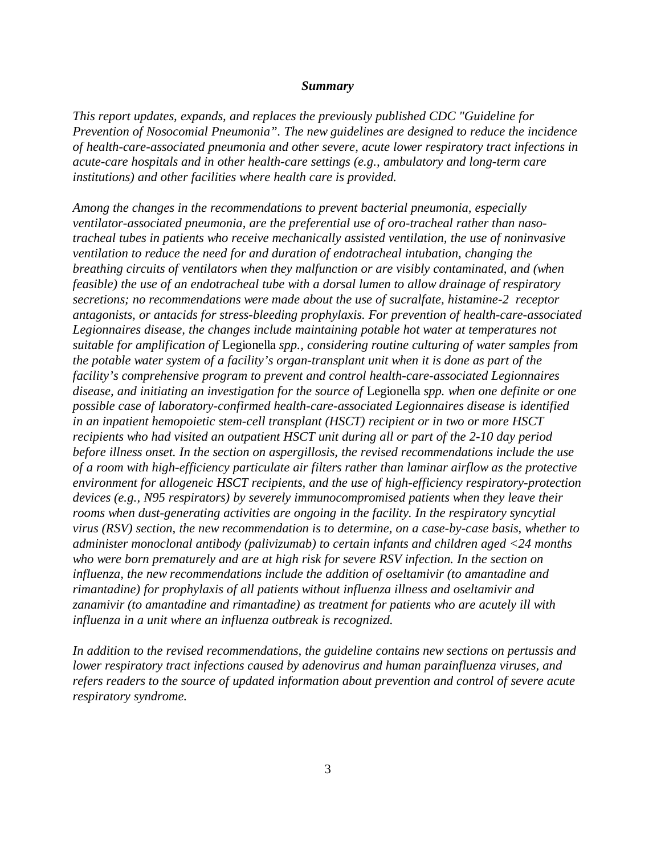#### *Summary*

*This report updates, expands, and replaces the previously published CDC "Guideline for Prevention of Nosocomial Pneumonia". The new guidelines are designed to reduce the incidence of health-care-associated pneumonia and other severe, acute lower respiratory tract infections in acute-care hospitals and in other health-care settings (e.g., ambulatory and long-term care institutions) and other facilities where health care is provided.* 

*Among the changes in the recommendations to prevent bacterial pneumonia, especially ventilator-associated pneumonia, are the preferential use of oro-tracheal rather than nasotracheal tubes in patients who receive mechanically assisted ventilation, the use of noninvasive ventilation to reduce the need for and duration of endotracheal intubation, changing the breathing circuits of ventilators when they malfunction or are visibly contaminated, and (when feasible) the use of an endotracheal tube with a dorsal lumen to allow drainage of respiratory secretions; no recommendations were made about the use of sucralfate, histamine-2 receptor antagonists, or antacids for stress-bleeding prophylaxis. For prevention of health-care-associated Legionnaires disease, the changes include maintaining potable hot water at temperatures not suitable for amplification of* Legionella *spp., considering routine culturing of water samples from the potable water system of a facility's organ-transplant unit when it is done as part of the facility's comprehensive program to prevent and control health-care-associated Legionnaires disease, and initiating an investigation for the source of* Legionella *spp. when one definite or one possible case of laboratory-confirmed health-care-associated Legionnaires disease is identified in an inpatient hemopoietic stem-cell transplant (HSCT) recipient or in two or more HSCT recipients who had visited an outpatient HSCT unit during all or part of the 2-10 day period before illness onset. In the section on aspergillosis, the revised recommendations include the use of a room with high-efficiency particulate air filters rather than laminar airflow as the protective environment for allogeneic HSCT recipients, and the use of high-efficiency respiratory-protection devices (e.g., N95 respirators) by severely immunocompromised patients when they leave their rooms when dust-generating activities are ongoing in the facility. In the respiratory syncytial virus (RSV) section, the new recommendation is to determine, on a case-by-case basis, whether to administer monoclonal antibody (palivizumab) to certain infants and children aged <24 months who were born prematurely and are at high risk for severe RSV infection. In the section on influenza, the new recommendations include the addition of oseltamivir (to amantadine and rimantadine) for prophylaxis of all patients without influenza illness and oseltamivir and zanamivir (to amantadine and rimantadine) as treatment for patients who are acutely ill with influenza in a unit where an influenza outbreak is recognized.*

*In addition to the revised recommendations, the guideline contains new sections on pertussis and lower respiratory tract infections caused by adenovirus and human parainfluenza viruses, and refers readers to the source of updated information about prevention and control of severe acute respiratory syndrome.*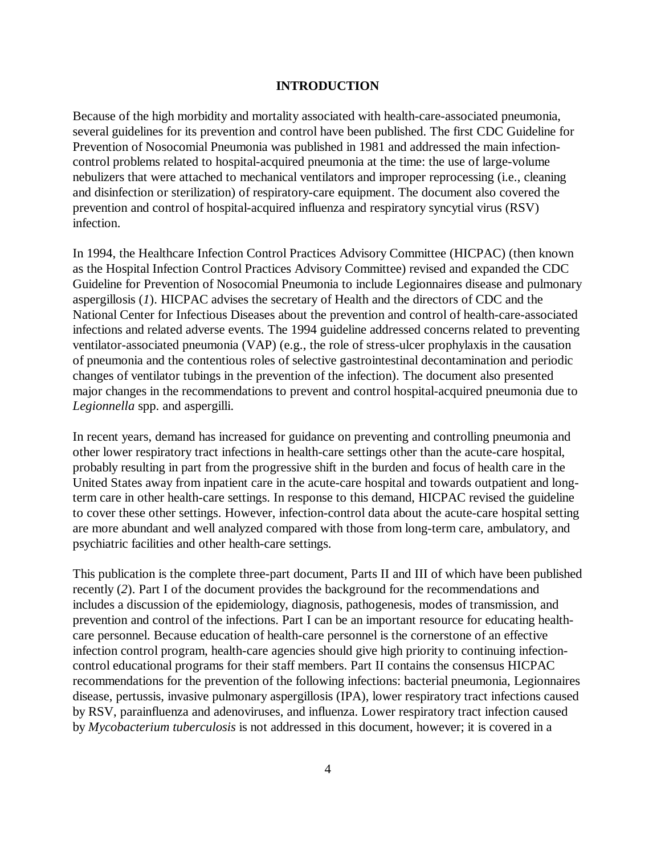### **INTRODUCTION**

Because of the high morbidity and mortality associated with health-care-associated pneumonia, several guidelines for its prevention and control have been published. The first CDC Guideline for Prevention of Nosocomial Pneumonia was published in 1981 and addressed the main infectioncontrol problems related to hospital-acquired pneumonia at the time: the use of large-volume nebulizers that were attached to mechanical ventilators and improper reprocessing (i.e., cleaning and disinfection or sterilization) of respiratory-care equipment. The document also covered the prevention and control of hospital-acquired influenza and respiratory syncytial virus (RSV) infection.

In 1994, the Healthcare Infection Control Practices Advisory Committee (HICPAC) (then known as the Hospital Infection Control Practices Advisory Committee) revised and expanded the CDC Guideline for Prevention of Nosocomial Pneumonia to include Legionnaires disease and pulmonary aspergillosis (*1*). HICPAC advises the secretary of Health and the directors of CDC and the National Center for Infectious Diseases about the prevention and control of health-care-associated infections and related adverse events. The 1994 guideline addressed concerns related to preventing ventilator-associated pneumonia (VAP) (e.g., the role of stress-ulcer prophylaxis in the causation of pneumonia and the contentious roles of selective gastrointestinal decontamination and periodic changes of ventilator tubings in the prevention of the infection). The document also presented major changes in the recommendations to prevent and control hospital-acquired pneumonia due to *Legionnella* spp. and aspergilli.

In recent years, demand has increased for guidance on preventing and controlling pneumonia and other lower respiratory tract infections in health-care settings other than the acute-care hospital, probably resulting in part from the progressive shift in the burden and focus of health care in the United States away from inpatient care in the acute-care hospital and towards outpatient and longterm care in other health-care settings. In response to this demand, HICPAC revised the guideline to cover these other settings. However, infection-control data about the acute-care hospital setting are more abundant and well analyzed compared with those from long-term care, ambulatory, and psychiatric facilities and other health-care settings.

This publication is the complete three-part document, Parts II and III of which have been published recently (*2*). Part I of the document provides the background for the recommendations and includes a discussion of the epidemiology, diagnosis, pathogenesis, modes of transmission, and prevention and control of the infections. Part I can be an important resource for educating healthcare personnel. Because education of health-care personnel is the cornerstone of an effective infection control program, health-care agencies should give high priority to continuing infectioncontrol educational programs for their staff members. Part II contains the consensus HICPAC recommendations for the prevention of the following infections: bacterial pneumonia, Legionnaires disease, pertussis, invasive pulmonary aspergillosis (IPA), lower respiratory tract infections caused by RSV, parainfluenza and adenoviruses, and influenza. Lower respiratory tract infection caused by *Mycobacterium tuberculosis* is not addressed in this document, however; it is covered in a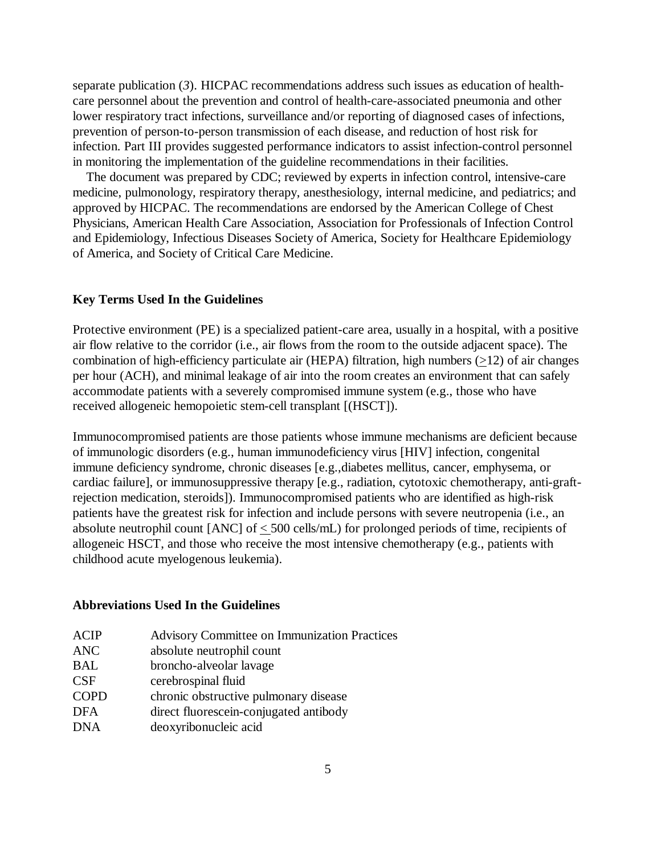separate publication (*3*). HICPAC recommendations address such issues as education of healthcare personnel about the prevention and control of health-care-associated pneumonia and other lower respiratory tract infections, surveillance and/or reporting of diagnosed cases of infections, prevention of person-to-person transmission of each disease, and reduction of host risk for infection. Part III provides suggested performance indicators to assist infection-control personnel in monitoring the implementation of the guideline recommendations in their facilities.

 The document was prepared by CDC; reviewed by experts in infection control, intensive-care medicine, pulmonology, respiratory therapy, anesthesiology, internal medicine, and pediatrics; and approved by HICPAC. The recommendations are endorsed by the American College of Chest Physicians, American Health Care Association, Association for Professionals of Infection Control and Epidemiology, Infectious Diseases Society of America, Society for Healthcare Epidemiology of America, and Society of Critical Care Medicine.

### **Key Terms Used In the Guidelines**

Protective environment (PE) is a specialized patient-care area, usually in a hospital, with a positive air flow relative to the corridor (i.e., air flows from the room to the outside adjacent space). The combination of high-efficiency particulate air (HEPA) filtration, high numbers  $(≥12)$  of air changes per hour (ACH), and minimal leakage of air into the room creates an environment that can safely accommodate patients with a severely compromised immune system (e.g., those who have received allogeneic hemopoietic stem-cell transplant [(HSCT]).

Immunocompromised patients are those patients whose immune mechanisms are deficient because of immunologic disorders (e.g., human immunodeficiency virus [HIV] infection, congenital immune deficiency syndrome, chronic diseases [e.g.,diabetes mellitus, cancer, emphysema, or cardiac failure], or immunosuppressive therapy [e.g., radiation, cytotoxic chemotherapy, anti-graftrejection medication, steroids]). Immunocompromised patients who are identified as high-risk patients have the greatest risk for infection and include persons with severe neutropenia (i.e., an absolute neutrophil count [ANC] of < 500 cells/mL) for prolonged periods of time, recipients of allogeneic HSCT, and those who receive the most intensive chemotherapy (e.g., patients with childhood acute myelogenous leukemia).

## **Abbreviations Used In the Guidelines**

| <b>ACIP</b> | <b>Advisory Committee on Immunization Practices</b> |
|-------------|-----------------------------------------------------|
| <b>ANC</b>  | absolute neutrophil count                           |
| <b>BAL</b>  | broncho-alveolar lavage                             |
| CSF         | cerebrospinal fluid                                 |
| <b>COPD</b> | chronic obstructive pulmonary disease               |
| <b>DFA</b>  | direct fluorescein-conjugated antibody              |
| <b>DNA</b>  | deoxyribonucleic acid                               |
|             |                                                     |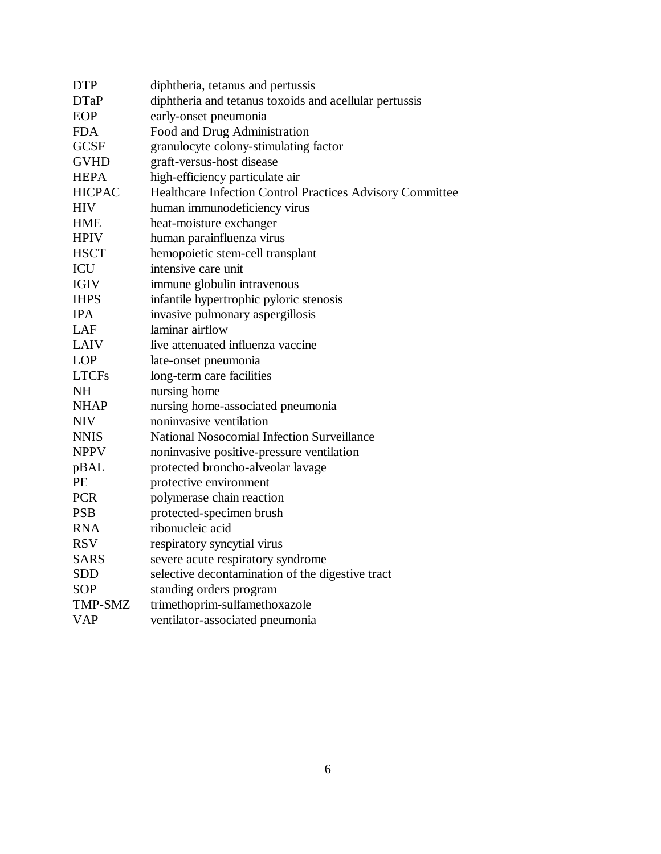| <b>DTP</b>    | diphtheria, tetanus and pertussis                         |
|---------------|-----------------------------------------------------------|
| <b>DTaP</b>   | diphtheria and tetanus toxoids and acellular pertussis    |
| EOP           | early-onset pneumonia                                     |
| <b>FDA</b>    | Food and Drug Administration                              |
| <b>GCSF</b>   | granulocyte colony-stimulating factor                     |
| <b>GVHD</b>   | graft-versus-host disease                                 |
| <b>HEPA</b>   | high-efficiency particulate air                           |
| <b>HICPAC</b> | Healthcare Infection Control Practices Advisory Committee |
| <b>HIV</b>    | human immunodeficiency virus                              |
| <b>HME</b>    | heat-moisture exchanger                                   |
| <b>HPIV</b>   | human parainfluenza virus                                 |
| <b>HSCT</b>   | hemopoietic stem-cell transplant                          |
| ICU           | intensive care unit                                       |
| <b>IGIV</b>   | immune globulin intravenous                               |
| <b>IHPS</b>   | infantile hypertrophic pyloric stenosis                   |
| <b>IPA</b>    | invasive pulmonary aspergillosis                          |
| LAF           | laminar airflow                                           |
| <b>LAIV</b>   | live attenuated influenza vaccine                         |
| <b>LOP</b>    | late-onset pneumonia                                      |
| <b>LTCFs</b>  | long-term care facilities                                 |
| <b>NH</b>     | nursing home                                              |
| <b>NHAP</b>   | nursing home-associated pneumonia                         |
| <b>NIV</b>    | noninvasive ventilation                                   |
| <b>NNIS</b>   | <b>National Nosocomial Infection Surveillance</b>         |
| <b>NPPV</b>   | noninvasive positive-pressure ventilation                 |
| pBAL          | protected broncho-alveolar lavage                         |
| <b>PE</b>     | protective environment                                    |
| <b>PCR</b>    | polymerase chain reaction                                 |
| <b>PSB</b>    | protected-specimen brush                                  |
| <b>RNA</b>    | ribonucleic acid                                          |
| <b>RSV</b>    | respiratory syncytial virus                               |
| <b>SARS</b>   | severe acute respiratory syndrome                         |
| <b>SDD</b>    | selective decontamination of the digestive tract          |
| <b>SOP</b>    | standing orders program                                   |
| TMP-SMZ       | trimethoprim-sulfamethoxazole                             |
| <b>VAP</b>    | ventilator-associated pneumonia                           |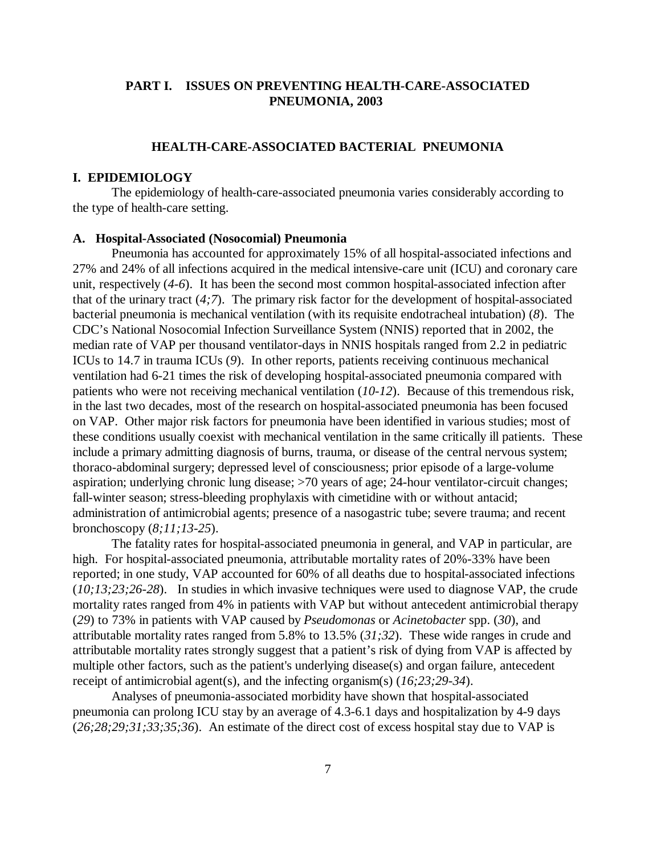# **PART I. ISSUES ON PREVENTING HEALTH-CARE-ASSOCIATED PNEUMONIA, 2003**

### **HEALTH-CARE-ASSOCIATED BACTERIAL PNEUMONIA**

### **I. EPIDEMIOLOGY**

The epidemiology of health-care-associated pneumonia varies considerably according to the type of health-care setting.

### **A. Hospital-Associated (Nosocomial) Pneumonia**

Pneumonia has accounted for approximately 15% of all hospital-associated infections and 27% and 24% of all infections acquired in the medical intensive-care unit (ICU) and coronary care unit, respectively (*4-6*). It has been the second most common hospital-associated infection after that of the urinary tract (*4;7*). The primary risk factor for the development of hospital-associated bacterial pneumonia is mechanical ventilation (with its requisite endotracheal intubation) (*8*). The CDC's National Nosocomial Infection Surveillance System (NNIS) reported that in 2002, the median rate of VAP per thousand ventilator-days in NNIS hospitals ranged from 2.2 in pediatric ICUs to 14.7 in trauma ICUs (*9*). In other reports, patients receiving continuous mechanical ventilation had 6-21 times the risk of developing hospital-associated pneumonia compared with patients who were not receiving mechanical ventilation (*10-12*). Because of this tremendous risk, in the last two decades, most of the research on hospital-associated pneumonia has been focused on VAP. Other major risk factors for pneumonia have been identified in various studies; most of these conditions usually coexist with mechanical ventilation in the same critically ill patients. These include a primary admitting diagnosis of burns, trauma, or disease of the central nervous system; thoraco-abdominal surgery; depressed level of consciousness; prior episode of a large-volume aspiration; underlying chronic lung disease; >70 years of age; 24-hour ventilator-circuit changes; fall-winter season; stress-bleeding prophylaxis with cimetidine with or without antacid; administration of antimicrobial agents; presence of a nasogastric tube; severe trauma; and recent bronchoscopy (*8;11;13-25*).

The fatality rates for hospital-associated pneumonia in general, and VAP in particular, are high. For hospital-associated pneumonia, attributable mortality rates of 20%-33% have been reported; in one study, VAP accounted for 60% of all deaths due to hospital-associated infections (*10;13;23;26-28*). In studies in which invasive techniques were used to diagnose VAP, the crude mortality rates ranged from 4% in patients with VAP but without antecedent antimicrobial therapy (*29*) to 73% in patients with VAP caused by *Pseudomonas* or *Acinetobacter* spp. (*30*), and attributable mortality rates ranged from 5.8% to 13.5% (*31;32*). These wide ranges in crude and attributable mortality rates strongly suggest that a patient's risk of dying from VAP is affected by multiple other factors, such as the patient's underlying disease(s) and organ failure, antecedent receipt of antimicrobial agent(s), and the infecting organism(s) (*16;23;29-34*).

Analyses of pneumonia-associated morbidity have shown that hospital-associated pneumonia can prolong ICU stay by an average of 4.3-6.1 days and hospitalization by 4-9 days (*26;28;29;31;33;35;36*). An estimate of the direct cost of excess hospital stay due to VAP is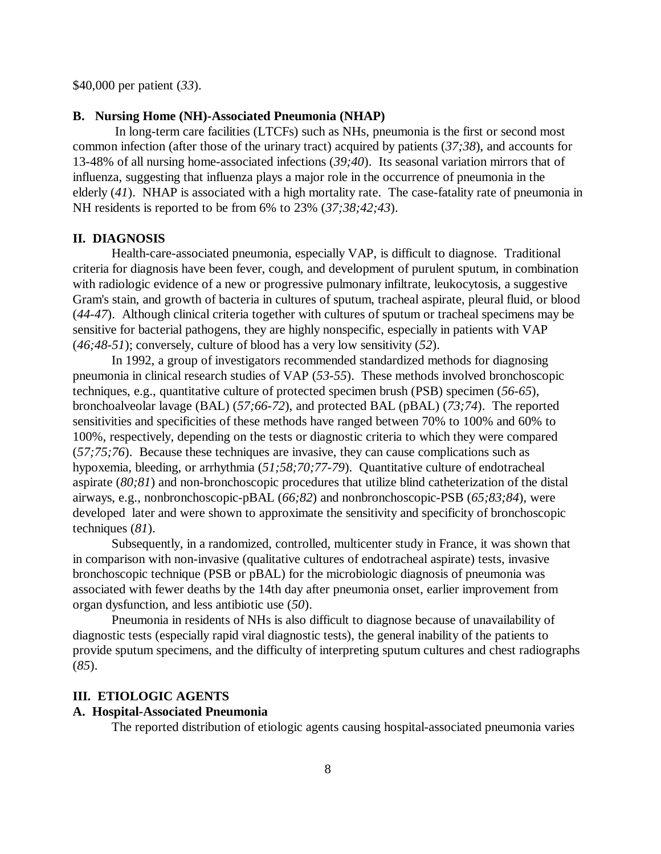\$40,000 per patient (*33*).

#### **B. Nursing Home (NH)-Associated Pneumonia (NHAP)**

 In long-term care facilities (LTCFs) such as NHs, pneumonia is the first or second most common infection (after those of the urinary tract) acquired by patients (*37;38*), and accounts for 13-48% of all nursing home-associated infections (*39;40*). Its seasonal variation mirrors that of influenza, suggesting that influenza plays a major role in the occurrence of pneumonia in the elderly (*41*). NHAP is associated with a high mortality rate. The case-fatality rate of pneumonia in NH residents is reported to be from 6% to 23% (*37;38;42;43*).

### **II. DIAGNOSIS**

Health-care-associated pneumonia, especially VAP, is difficult to diagnose. Traditional criteria for diagnosis have been fever, cough, and development of purulent sputum, in combination with radiologic evidence of a new or progressive pulmonary infiltrate, leukocytosis, a suggestive Gram's stain, and growth of bacteria in cultures of sputum, tracheal aspirate, pleural fluid, or blood (*44-47*). Although clinical criteria together with cultures of sputum or tracheal specimens may be sensitive for bacterial pathogens, they are highly nonspecific, especially in patients with VAP (*46;48-51*); conversely, culture of blood has a very low sensitivity (*52*).

In 1992, a group of investigators recommended standardized methods for diagnosing pneumonia in clinical research studies of VAP (*53-55*). These methods involved bronchoscopic techniques, e.g., quantitative culture of protected specimen brush (PSB) specimen (*56-65*), bronchoalveolar lavage (BAL) (*57;66-72*), and protected BAL (pBAL) (*73;74*). The reported sensitivities and specificities of these methods have ranged between 70% to 100% and 60% to 100%, respectively, depending on the tests or diagnostic criteria to which they were compared (*57;75;76*). Because these techniques are invasive, they can cause complications such as hypoxemia, bleeding, or arrhythmia (*51;58;70;77-79*). Quantitative culture of endotracheal aspirate (*80;81*) and non-bronchoscopic procedures that utilize blind catheterization of the distal airways, e.g., nonbronchoscopic-pBAL (*66;82*) and nonbronchoscopic-PSB (*65;83;84*), were developed later and were shown to approximate the sensitivity and specificity of bronchoscopic techniques (*81*).

Subsequently, in a randomized, controlled, multicenter study in France, it was shown that in comparison with non-invasive (qualitative cultures of endotracheal aspirate) tests, invasive bronchoscopic technique (PSB or pBAL) for the microbiologic diagnosis of pneumonia was associated with fewer deaths by the 14th day after pneumonia onset, earlier improvement from organ dysfunction, and less antibiotic use (*50*).

Pneumonia in residents of NHs is also difficult to diagnose because of unavailability of diagnostic tests (especially rapid viral diagnostic tests), the general inability of the patients to provide sputum specimens, and the difficulty of interpreting sputum cultures and chest radiographs (*85*).

### **III. ETIOLOGIC AGENTS**

# **A. Hospital-Associated Pneumonia**

The reported distribution of etiologic agents causing hospital-associated pneumonia varies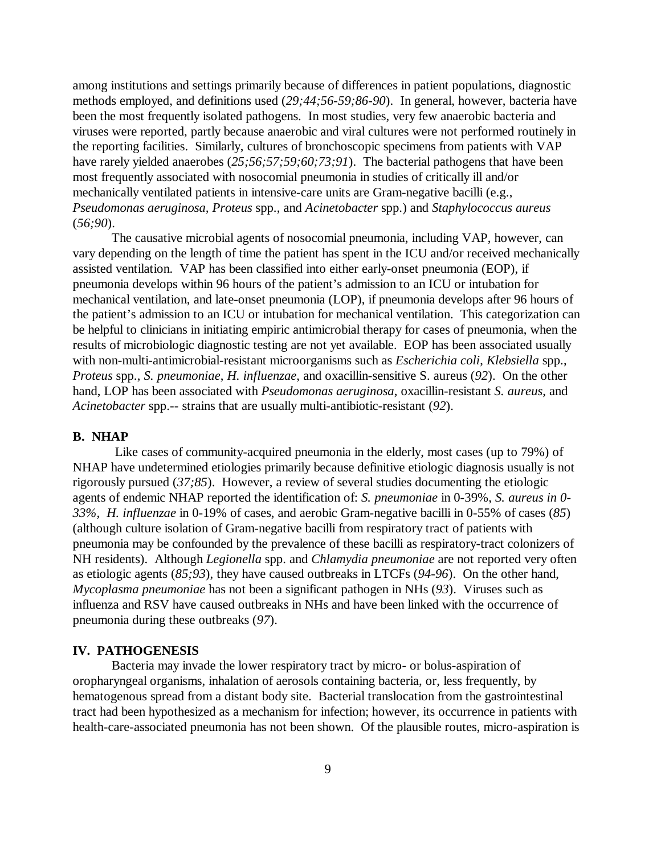among institutions and settings primarily because of differences in patient populations, diagnostic methods employed, and definitions used (*29;44;56-59;86-90*). In general, however, bacteria have been the most frequently isolated pathogens. In most studies, very few anaerobic bacteria and viruses were reported, partly because anaerobic and viral cultures were not performed routinely in the reporting facilities. Similarly, cultures of bronchoscopic specimens from patients with VAP have rarely yielded anaerobes (*25;56;57;59;60;73;91*). The bacterial pathogens that have been most frequently associated with nosocomial pneumonia in studies of critically ill and/or mechanically ventilated patients in intensive-care units are Gram-negative bacilli (e.g., *Pseudomonas aeruginosa, Proteus* spp., and *Acinetobacter* spp.) and *Staphylococcus aureus* (*56;90*).

The causative microbial agents of nosocomial pneumonia, including VAP, however, can vary depending on the length of time the patient has spent in the ICU and/or received mechanically assisted ventilation. VAP has been classified into either early-onset pneumonia (EOP), if pneumonia develops within 96 hours of the patient's admission to an ICU or intubation for mechanical ventilation, and late-onset pneumonia (LOP), if pneumonia develops after 96 hours of the patient's admission to an ICU or intubation for mechanical ventilation. This categorization can be helpful to clinicians in initiating empiric antimicrobial therapy for cases of pneumonia, when the results of microbiologic diagnostic testing are not yet available. EOP has been associated usually with non-multi-antimicrobial-resistant microorganisms such as *Escherichia coli*, *Klebsiella* spp., *Proteus* spp., *S. pneumoniae*, *H. influenzae*, and oxacillin-sensitive S. aureus (*92*). On the other hand, LOP has been associated with *Pseudomonas aeruginosa*, oxacillin-resistant *S. aureus*, and *Acinetobacter* spp.-- strains that are usually multi-antibiotic-resistant (*92*).

#### **B. NHAP**

 Like cases of community-acquired pneumonia in the elderly, most cases (up to 79%) of NHAP have undetermined etiologies primarily because definitive etiologic diagnosis usually is not rigorously pursued (*37;85*). However, a review of several studies documenting the etiologic agents of endemic NHAP reported the identification of: *S. pneumoniae* in 0-39%, *S. aureus in 0- 33%, H. influenzae* in 0-19% of cases, and aerobic Gram-negative bacilli in 0-55% of cases (*85*) (although culture isolation of Gram-negative bacilli from respiratory tract of patients with pneumonia may be confounded by the prevalence of these bacilli as respiratory-tract colonizers of NH residents). Although *Legionella* spp. and *Chlamydia pneumoniae* are not reported very often as etiologic agents (*85;93*), they have caused outbreaks in LTCFs (*94-96*). On the other hand, *Mycoplasma pneumoniae* has not been a significant pathogen in NHs (*93*). Viruses such as influenza and RSV have caused outbreaks in NHs and have been linked with the occurrence of pneumonia during these outbreaks (*97*).

### **IV. PATHOGENESIS**

Bacteria may invade the lower respiratory tract by micro- or bolus-aspiration of oropharyngeal organisms, inhalation of aerosols containing bacteria, or, less frequently, by hematogenous spread from a distant body site. Bacterial translocation from the gastrointestinal tract had been hypothesized as a mechanism for infection; however, its occurrence in patients with health-care-associated pneumonia has not been shown. Of the plausible routes, micro-aspiration is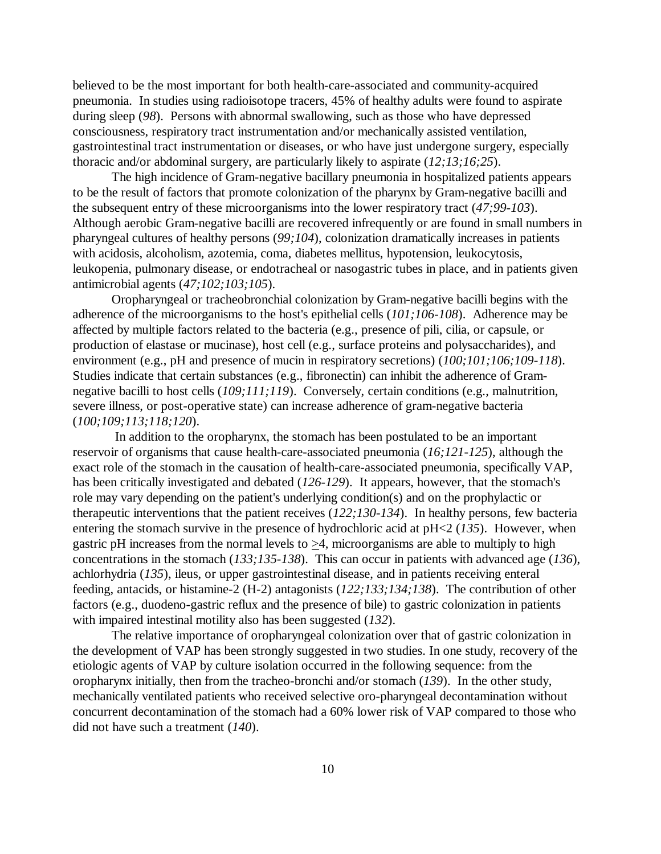believed to be the most important for both health-care-associated and community-acquired pneumonia. In studies using radioisotope tracers, 45% of healthy adults were found to aspirate during sleep (*98*). Persons with abnormal swallowing, such as those who have depressed consciousness, respiratory tract instrumentation and/or mechanically assisted ventilation, gastrointestinal tract instrumentation or diseases, or who have just undergone surgery, especially thoracic and/or abdominal surgery, are particularly likely to aspirate (*12;13;16;25*).

The high incidence of Gram-negative bacillary pneumonia in hospitalized patients appears to be the result of factors that promote colonization of the pharynx by Gram-negative bacilli and the subsequent entry of these microorganisms into the lower respiratory tract (*47;99-103*). Although aerobic Gram-negative bacilli are recovered infrequently or are found in small numbers in pharyngeal cultures of healthy persons (*99;104*), colonization dramatically increases in patients with acidosis, alcoholism, azotemia, coma, diabetes mellitus, hypotension, leukocytosis, leukopenia, pulmonary disease, or endotracheal or nasogastric tubes in place, and in patients given antimicrobial agents (*47;102;103;105*).

Oropharyngeal or tracheobronchial colonization by Gram-negative bacilli begins with the adherence of the microorganisms to the host's epithelial cells (*101;106-108*). Adherence may be affected by multiple factors related to the bacteria (e.g., presence of pili, cilia, or capsule, or production of elastase or mucinase), host cell (e.g., surface proteins and polysaccharides), and environment (e.g., pH and presence of mucin in respiratory secretions) (*100;101;106;109-118*). Studies indicate that certain substances (e.g., fibronectin) can inhibit the adherence of Gramnegative bacilli to host cells (*109;111;119*). Conversely, certain conditions (e.g., malnutrition, severe illness, or post-operative state) can increase adherence of gram-negative bacteria (*100;109;113;118;120*).

 In addition to the oropharynx, the stomach has been postulated to be an important reservoir of organisms that cause health-care-associated pneumonia (*16;121-125*), although the exact role of the stomach in the causation of health-care-associated pneumonia, specifically VAP, has been critically investigated and debated (*126-129*). It appears, however, that the stomach's role may vary depending on the patient's underlying condition(s) and on the prophylactic or therapeutic interventions that the patient receives (*122;130-134*). In healthy persons, few bacteria entering the stomach survive in the presence of hydrochloric acid at pH<2 (*135*). However, when gastric pH increases from the normal levels to >4, microorganisms are able to multiply to high concentrations in the stomach (*133;135-138*). This can occur in patients with advanced age (*136*), achlorhydria (*135*), ileus, or upper gastrointestinal disease, and in patients receiving enteral feeding, antacids, or histamine-2 (H-2) antagonists (*122;133;134;138*). The contribution of other factors (e.g., duodeno-gastric reflux and the presence of bile) to gastric colonization in patients with impaired intestinal motility also has been suggested (*132*).

The relative importance of oropharyngeal colonization over that of gastric colonization in the development of VAP has been strongly suggested in two studies. In one study, recovery of the etiologic agents of VAP by culture isolation occurred in the following sequence: from the oropharynx initially, then from the tracheo-bronchi and/or stomach (*139*). In the other study, mechanically ventilated patients who received selective oro-pharyngeal decontamination without concurrent decontamination of the stomach had a 60% lower risk of VAP compared to those who did not have such a treatment (*140*).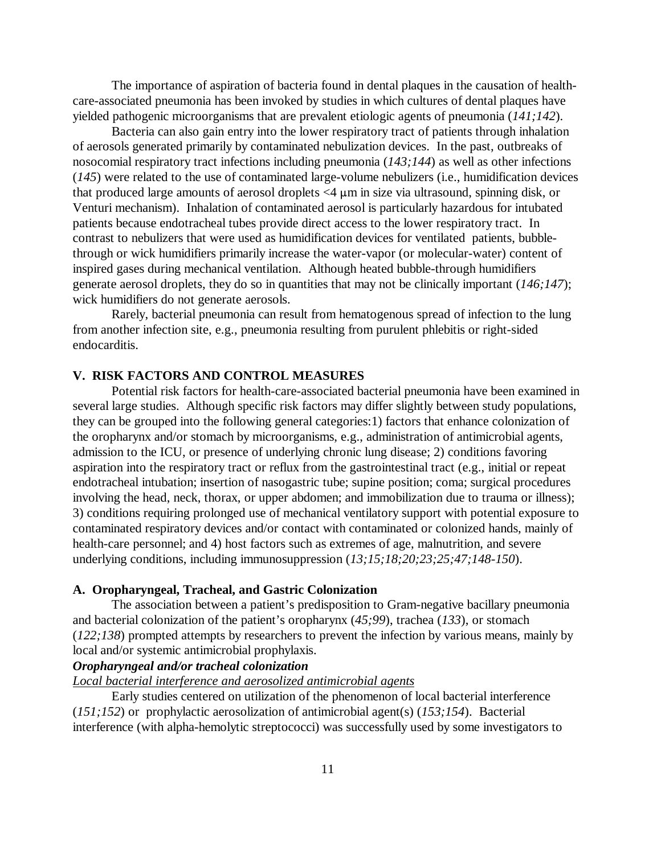The importance of aspiration of bacteria found in dental plaques in the causation of healthcare-associated pneumonia has been invoked by studies in which cultures of dental plaques have yielded pathogenic microorganisms that are prevalent etiologic agents of pneumonia (*141;142*).

Bacteria can also gain entry into the lower respiratory tract of patients through inhalation of aerosols generated primarily by contaminated nebulization devices. In the past, outbreaks of nosocomial respiratory tract infections including pneumonia (*143;144*) as well as other infections (*145*) were related to the use of contaminated large-volume nebulizers (i.e., humidification devices that produced large amounts of aerosol droplets  $\langle 4 \mu m \rangle$  in size via ultrasound, spinning disk, or Venturi mechanism). Inhalation of contaminated aerosol is particularly hazardous for intubated patients because endotracheal tubes provide direct access to the lower respiratory tract. In contrast to nebulizers that were used as humidification devices for ventilated patients, bubblethrough or wick humidifiers primarily increase the water-vapor (or molecular-water) content of inspired gases during mechanical ventilation. Although heated bubble-through humidifiers generate aerosol droplets, they do so in quantities that may not be clinically important (*146;147*); wick humidifiers do not generate aerosols.

Rarely, bacterial pneumonia can result from hematogenous spread of infection to the lung from another infection site, e.g., pneumonia resulting from purulent phlebitis or right-sided endocarditis.

### **V. RISK FACTORS AND CONTROL MEASURES**

Potential risk factors for health-care-associated bacterial pneumonia have been examined in several large studies. Although specific risk factors may differ slightly between study populations, they can be grouped into the following general categories:1) factors that enhance colonization of the oropharynx and/or stomach by microorganisms, e.g., administration of antimicrobial agents, admission to the ICU, or presence of underlying chronic lung disease; 2) conditions favoring aspiration into the respiratory tract or reflux from the gastrointestinal tract (e.g., initial or repeat endotracheal intubation; insertion of nasogastric tube; supine position; coma; surgical procedures involving the head, neck, thorax, or upper abdomen; and immobilization due to trauma or illness); 3) conditions requiring prolonged use of mechanical ventilatory support with potential exposure to contaminated respiratory devices and/or contact with contaminated or colonized hands, mainly of health-care personnel; and 4) host factors such as extremes of age, malnutrition, and severe underlying conditions, including immunosuppression (*13;15;18;20;23;25;47;148-150*).

### **A. Oropharyngeal, Tracheal, and Gastric Colonization**

The association between a patient's predisposition to Gram-negative bacillary pneumonia and bacterial colonization of the patient's oropharynx (*45;99*), trachea (*133*), or stomach (*122;138*) prompted attempts by researchers to prevent the infection by various means, mainly by local and/or systemic antimicrobial prophylaxis.

### *Oropharyngeal and/or tracheal colonization*

### *Local bacterial interference and aerosolized antimicrobial agents*

Early studies centered on utilization of the phenomenon of local bacterial interference (*151;152*) or prophylactic aerosolization of antimicrobial agent(s) (*153;154*). Bacterial interference (with alpha-hemolytic streptococci) was successfully used by some investigators to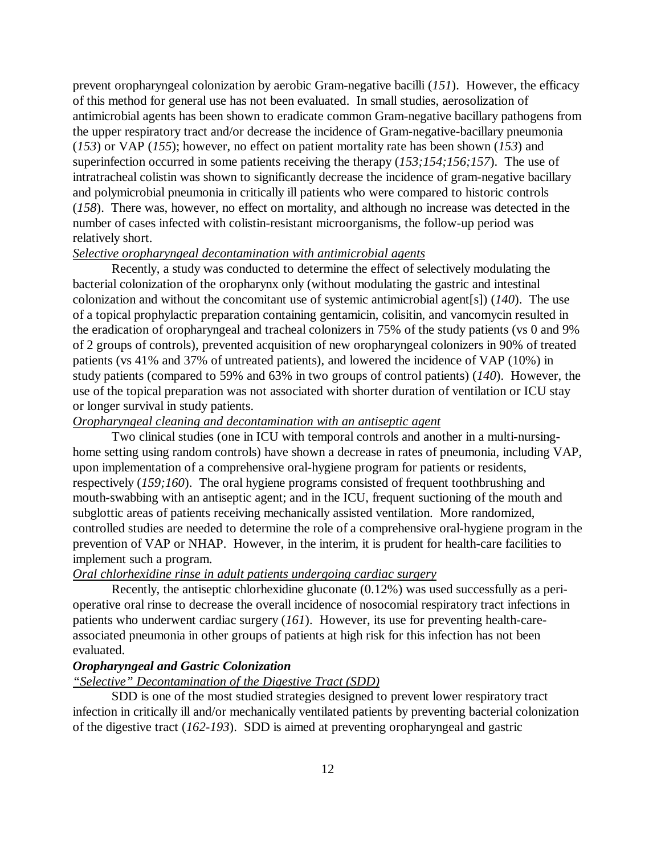prevent oropharyngeal colonization by aerobic Gram-negative bacilli (*151*). However, the efficacy of this method for general use has not been evaluated. In small studies, aerosolization of antimicrobial agents has been shown to eradicate common Gram-negative bacillary pathogens from the upper respiratory tract and/or decrease the incidence of Gram-negative-bacillary pneumonia (*153*) or VAP (*155*); however, no effect on patient mortality rate has been shown (*153*) and superinfection occurred in some patients receiving the therapy (*153;154;156;157*). The use of intratracheal colistin was shown to significantly decrease the incidence of gram-negative bacillary and polymicrobial pneumonia in critically ill patients who were compared to historic controls (*158*). There was, however, no effect on mortality, and although no increase was detected in the number of cases infected with colistin-resistant microorganisms, the follow-up period was relatively short.

### *Selective oropharyngeal decontamination with antimicrobial agents*

Recently, a study was conducted to determine the effect of selectively modulating the bacterial colonization of the oropharynx only (without modulating the gastric and intestinal colonization and without the concomitant use of systemic antimicrobial agent[s]) (*140*). The use of a topical prophylactic preparation containing gentamicin, colisitin, and vancomycin resulted in the eradication of oropharyngeal and tracheal colonizers in 75% of the study patients (vs 0 and 9% of 2 groups of controls), prevented acquisition of new oropharyngeal colonizers in 90% of treated patients (vs 41% and 37% of untreated patients), and lowered the incidence of VAP (10%) in study patients (compared to 59% and 63% in two groups of control patients) (*140*). However, the use of the topical preparation was not associated with shorter duration of ventilation or ICU stay or longer survival in study patients.

### *Oropharyngeal cleaning and decontamination with an antiseptic agent*

Two clinical studies (one in ICU with temporal controls and another in a multi-nursinghome setting using random controls) have shown a decrease in rates of pneumonia, including VAP, upon implementation of a comprehensive oral-hygiene program for patients or residents, respectively (*159;160*). The oral hygiene programs consisted of frequent toothbrushing and mouth-swabbing with an antiseptic agent; and in the ICU, frequent suctioning of the mouth and subglottic areas of patients receiving mechanically assisted ventilation. More randomized, controlled studies are needed to determine the role of a comprehensive oral-hygiene program in the prevention of VAP or NHAP. However, in the interim, it is prudent for health-care facilities to implement such a program.

### *Oral chlorhexidine rinse in adult patients undergoing cardiac surgery*

Recently, the antiseptic chlorhexidine gluconate (0.12%) was used successfully as a perioperative oral rinse to decrease the overall incidence of nosocomial respiratory tract infections in patients who underwent cardiac surgery (*161*). However, its use for preventing health-careassociated pneumonia in other groups of patients at high risk for this infection has not been evaluated.

#### *Oropharyngeal and Gastric Colonization*

### *"Selective" Decontamination of the Digestive Tract (SDD)*

SDD is one of the most studied strategies designed to prevent lower respiratory tract infection in critically ill and/or mechanically ventilated patients by preventing bacterial colonization of the digestive tract (*162-193*). SDD is aimed at preventing oropharyngeal and gastric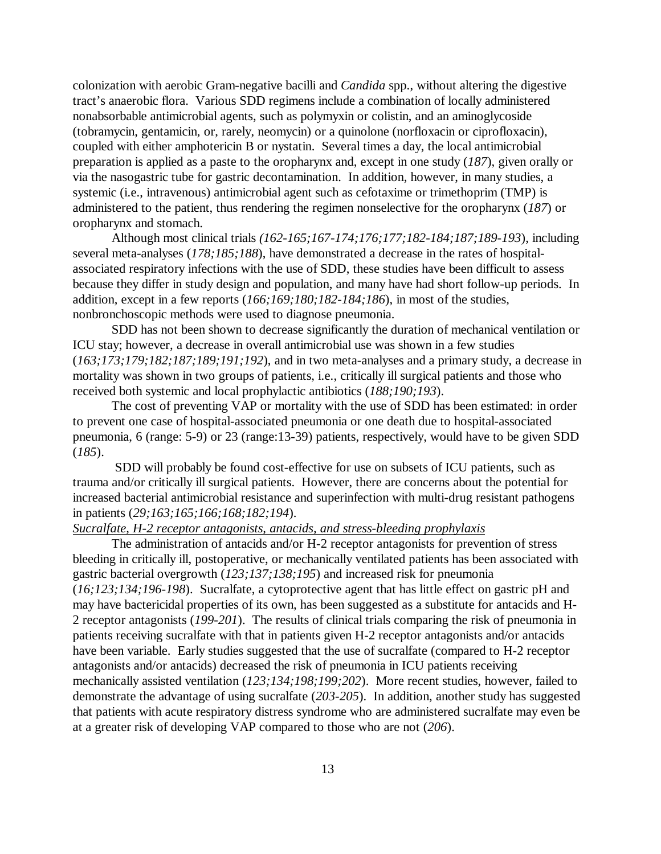colonization with aerobic Gram-negative bacilli and *Candida* spp., without altering the digestive tract's anaerobic flora. Various SDD regimens include a combination of locally administered nonabsorbable antimicrobial agents, such as polymyxin or colistin, and an aminoglycoside (tobramycin, gentamicin, or, rarely, neomycin) or a quinolone (norfloxacin or ciprofloxacin), coupled with either amphotericin B or nystatin. Several times a day, the local antimicrobial preparation is applied as a paste to the oropharynx and, except in one study (*187*), given orally or via the nasogastric tube for gastric decontamination. In addition, however, in many studies, a systemic (i.e., intravenous) antimicrobial agent such as cefotaxime or trimethoprim (TMP) is administered to the patient, thus rendering the regimen nonselective for the oropharynx (*187*) or oropharynx and stomach.

Although most clinical trials *(162-165;167-174;176;177;182-184;187;189-193*), including several meta-analyses (*178;185;188*), have demonstrated a decrease in the rates of hospitalassociated respiratory infections with the use of SDD, these studies have been difficult to assess because they differ in study design and population, and many have had short follow-up periods. In addition, except in a few reports (*166;169;180;182-184;186*), in most of the studies, nonbronchoscopic methods were used to diagnose pneumonia.

SDD has not been shown to decrease significantly the duration of mechanical ventilation or ICU stay; however, a decrease in overall antimicrobial use was shown in a few studies (*163;173;179;182;187;189;191;192*), and in two meta-analyses and a primary study, a decrease in mortality was shown in two groups of patients, i.e., critically ill surgical patients and those who received both systemic and local prophylactic antibiotics (*188;190;193*).

The cost of preventing VAP or mortality with the use of SDD has been estimated: in order to prevent one case of hospital-associated pneumonia or one death due to hospital-associated pneumonia, 6 (range: 5-9) or 23 (range:13-39) patients, respectively, would have to be given SDD (*185*).

 SDD will probably be found cost-effective for use on subsets of ICU patients, such as trauma and/or critically ill surgical patients. However, there are concerns about the potential for increased bacterial antimicrobial resistance and superinfection with multi-drug resistant pathogens in patients (*29;163;165;166;168;182;194*).

### *Sucralfate, H-2 receptor antagonists, antacids, and stress-bleeding prophylaxis*

The administration of antacids and/or H-2 receptor antagonists for prevention of stress bleeding in critically ill, postoperative, or mechanically ventilated patients has been associated with gastric bacterial overgrowth (*123;137;138;195*) and increased risk for pneumonia (*16;123;134;196-198*). Sucralfate, a cytoprotective agent that has little effect on gastric pH and may have bactericidal properties of its own, has been suggested as a substitute for antacids and H-2 receptor antagonists (*199-201*). The results of clinical trials comparing the risk of pneumonia in patients receiving sucralfate with that in patients given H-2 receptor antagonists and/or antacids have been variable. Early studies suggested that the use of sucralfate (compared to H-2 receptor antagonists and/or antacids) decreased the risk of pneumonia in ICU patients receiving mechanically assisted ventilation (*123;134;198;199;202*). More recent studies, however, failed to demonstrate the advantage of using sucralfate (*203-205*). In addition, another study has suggested that patients with acute respiratory distress syndrome who are administered sucralfate may even be at a greater risk of developing VAP compared to those who are not (*206*).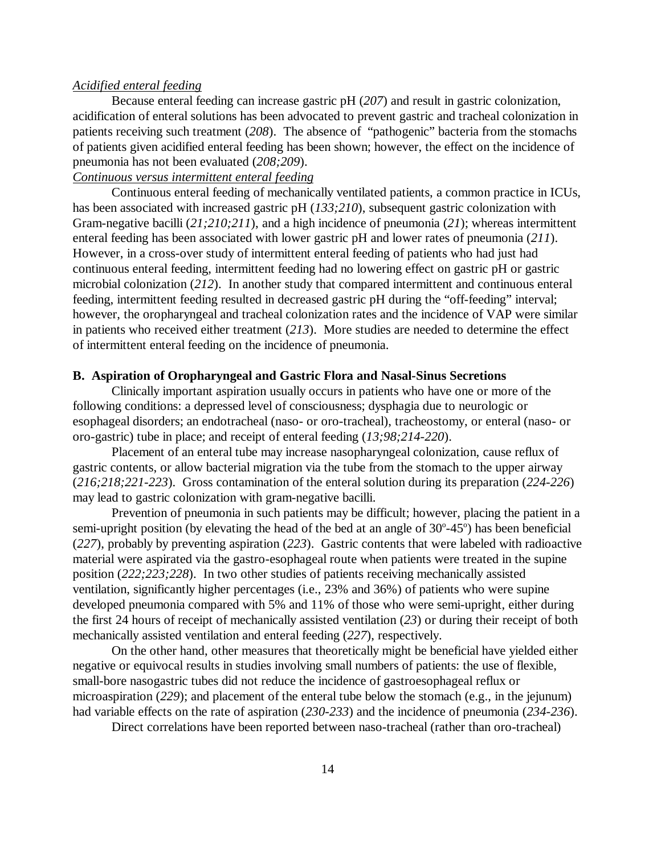#### *Acidified enteral feeding*

Because enteral feeding can increase gastric pH (*207*) and result in gastric colonization, acidification of enteral solutions has been advocated to prevent gastric and tracheal colonization in patients receiving such treatment (*208*). The absence of "pathogenic" bacteria from the stomachs of patients given acidified enteral feeding has been shown; however, the effect on the incidence of pneumonia has not been evaluated (*208;209*).

# *Continuous versus intermittent enteral feeding*

Continuous enteral feeding of mechanically ventilated patients, a common practice in ICUs, has been associated with increased gastric pH (*133;210*), subsequent gastric colonization with Gram-negative bacilli (*21;210;211*), and a high incidence of pneumonia (*21*); whereas intermittent enteral feeding has been associated with lower gastric pH and lower rates of pneumonia (*211*). However, in a cross-over study of intermittent enteral feeding of patients who had just had continuous enteral feeding, intermittent feeding had no lowering effect on gastric pH or gastric microbial colonization (*212*). In another study that compared intermittent and continuous enteral feeding, intermittent feeding resulted in decreased gastric pH during the "off-feeding" interval; however, the oropharyngeal and tracheal colonization rates and the incidence of VAP were similar in patients who received either treatment (*213*). More studies are needed to determine the effect of intermittent enteral feeding on the incidence of pneumonia.

### **B. Aspiration of Oropharyngeal and Gastric Flora and Nasal-Sinus Secretions**

Clinically important aspiration usually occurs in patients who have one or more of the following conditions: a depressed level of consciousness; dysphagia due to neurologic or esophageal disorders; an endotracheal (naso- or oro-tracheal), tracheostomy, or enteral (naso- or oro-gastric) tube in place; and receipt of enteral feeding (*13;98;214-220*).

Placement of an enteral tube may increase nasopharyngeal colonization, cause reflux of gastric contents, or allow bacterial migration via the tube from the stomach to the upper airway (*216;218;221-223*). Gross contamination of the enteral solution during its preparation (*224-226*) may lead to gastric colonization with gram-negative bacilli.

Prevention of pneumonia in such patients may be difficult; however, placing the patient in a semi-upright position (by elevating the head of the bed at an angle of  $30^{\circ}$ -45 $^{\circ}$ ) has been beneficial (*227*), probably by preventing aspiration (*223*). Gastric contents that were labeled with radioactive material were aspirated via the gastro-esophageal route when patients were treated in the supine position (*222;223;228*). In two other studies of patients receiving mechanically assisted ventilation, significantly higher percentages (i.e., 23% and 36%) of patients who were supine developed pneumonia compared with 5% and 11% of those who were semi-upright, either during the first 24 hours of receipt of mechanically assisted ventilation (*23*) or during their receipt of both mechanically assisted ventilation and enteral feeding (*227*), respectively.

On the other hand, other measures that theoretically might be beneficial have yielded either negative or equivocal results in studies involving small numbers of patients: the use of flexible, small-bore nasogastric tubes did not reduce the incidence of gastroesophageal reflux or microaspiration (*229*); and placement of the enteral tube below the stomach (e.g., in the jejunum) had variable effects on the rate of aspiration (*230-233*) and the incidence of pneumonia (*234-236*).

Direct correlations have been reported between naso-tracheal (rather than oro-tracheal)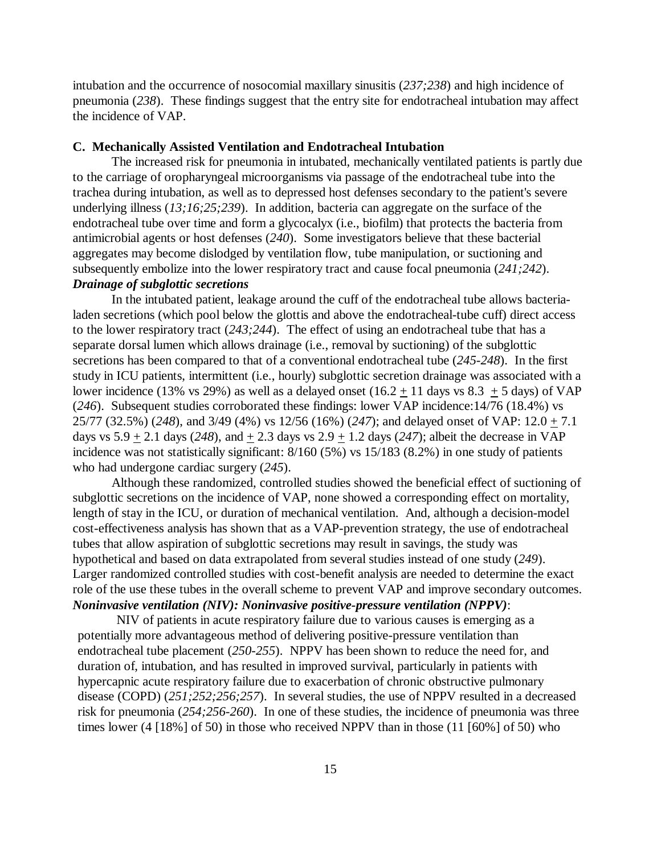intubation and the occurrence of nosocomial maxillary sinusitis (*237;238*) and high incidence of pneumonia (*238*). These findings suggest that the entry site for endotracheal intubation may affect the incidence of VAP.

#### **C. Mechanically Assisted Ventilation and Endotracheal Intubation**

The increased risk for pneumonia in intubated, mechanically ventilated patients is partly due to the carriage of oropharyngeal microorganisms via passage of the endotracheal tube into the trachea during intubation, as well as to depressed host defenses secondary to the patient's severe underlying illness (*13;16;25;239*). In addition, bacteria can aggregate on the surface of the endotracheal tube over time and form a glycocalyx (i.e., biofilm) that protects the bacteria from antimicrobial agents or host defenses (*240*). Some investigators believe that these bacterial aggregates may become dislodged by ventilation flow, tube manipulation, or suctioning and subsequently embolize into the lower respiratory tract and cause focal pneumonia (*241;242*). *Drainage of subglottic secretions*

In the intubated patient, leakage around the cuff of the endotracheal tube allows bacterialaden secretions (which pool below the glottis and above the endotracheal-tube cuff) direct access to the lower respiratory tract (*243;244*). The effect of using an endotracheal tube that has a separate dorsal lumen which allows drainage (i.e., removal by suctioning) of the subglottic secretions has been compared to that of a conventional endotracheal tube (*245-248*). In the first study in ICU patients, intermittent (i.e., hourly) subglottic secretion drainage was associated with a lower incidence (13% vs 29%) as well as a delayed onset (16.2  $\pm$  11 days vs 8.3  $\pm$  5 days) of VAP (*246*). Subsequent studies corroborated these findings: lower VAP incidence:14/76 (18.4%) vs 25/77 (32.5%) (248), and 3/49 (4%) vs 12/56 (16%) (247); and delayed onset of VAP:  $12.0 \pm 7.1$ days vs  $5.9 + 2.1$  days (248), and  $+ 2.3$  days vs  $2.9 + 1.2$  days (247); albeit the decrease in VAP incidence was not statistically significant: 8/160 (5%) vs 15/183 (8.2%) in one study of patients who had undergone cardiac surgery (*245*).

Although these randomized, controlled studies showed the beneficial effect of suctioning of subglottic secretions on the incidence of VAP, none showed a corresponding effect on mortality, length of stay in the ICU, or duration of mechanical ventilation. And, although a decision-model cost-effectiveness analysis has shown that as a VAP-prevention strategy, the use of endotracheal tubes that allow aspiration of subglottic secretions may result in savings, the study was hypothetical and based on data extrapolated from several studies instead of one study (*249*). Larger randomized controlled studies with cost-benefit analysis are needed to determine the exact role of the use these tubes in the overall scheme to prevent VAP and improve secondary outcomes. *Noninvasive ventilation (NIV): Noninvasive positive-pressure ventilation (NPPV)*:

NIV of patients in acute respiratory failure due to various causes is emerging as a potentially more advantageous method of delivering positive-pressure ventilation than endotracheal tube placement (*250-255*). NPPV has been shown to reduce the need for, and duration of, intubation, and has resulted in improved survival, particularly in patients with hypercapnic acute respiratory failure due to exacerbation of chronic obstructive pulmonary disease (COPD) (*251;252;256;257*). In several studies, the use of NPPV resulted in a decreased risk for pneumonia (*254;256-260*). In one of these studies, the incidence of pneumonia was three times lower (4 [18%] of 50) in those who received NPPV than in those (11 [60%] of 50) who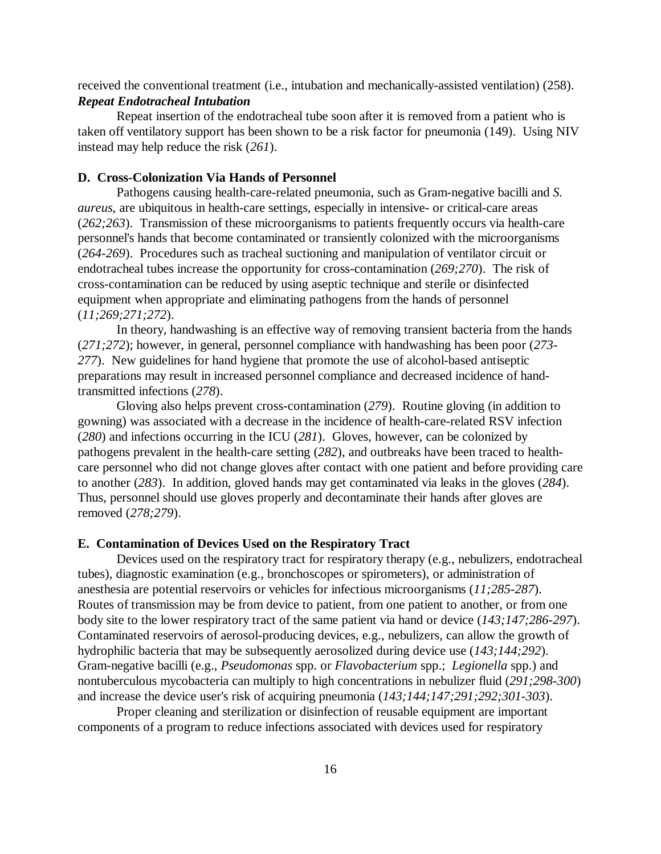received the conventional treatment (i.e., intubation and mechanically-assisted ventilation) (258). *Repeat Endotracheal Intubation*

Repeat insertion of the endotracheal tube soon after it is removed from a patient who is taken off ventilatory support has been shown to be a risk factor for pneumonia (149). Using NIV instead may help reduce the risk (*261*).

### **D. Cross-Colonization Via Hands of Personnel**

Pathogens causing health-care-related pneumonia, such as Gram-negative bacilli and *S. aureus*, are ubiquitous in health-care settings, especially in intensive- or critical-care areas (*262;263*). Transmission of these microorganisms to patients frequently occurs via health-care personnel's hands that become contaminated or transiently colonized with the microorganisms (*264-269*). Procedures such as tracheal suctioning and manipulation of ventilator circuit or endotracheal tubes increase the opportunity for cross-contamination (*269;270*). The risk of cross-contamination can be reduced by using aseptic technique and sterile or disinfected equipment when appropriate and eliminating pathogens from the hands of personnel (*11;269;271;272*).

In theory, handwashing is an effective way of removing transient bacteria from the hands (*271;272*); however, in general, personnel compliance with handwashing has been poor (*273*- *277*). New guidelines for hand hygiene that promote the use of alcohol-based antiseptic preparations may result in increased personnel compliance and decreased incidence of handtransmitted infections (*278*).

Gloving also helps prevent cross-contamination (*279*). Routine gloving (in addition to gowning) was associated with a decrease in the incidence of health-care-related RSV infection (*280*) and infections occurring in the ICU (*281*). Gloves, however, can be colonized by pathogens prevalent in the health-care setting (*282*), and outbreaks have been traced to healthcare personnel who did not change gloves after contact with one patient and before providing care to another (*283*). In addition, gloved hands may get contaminated via leaks in the gloves (*284*). Thus, personnel should use gloves properly and decontaminate their hands after gloves are removed (*278;279*).

#### **E. Contamination of Devices Used on the Respiratory Tract**

Devices used on the respiratory tract for respiratory therapy (e.g., nebulizers, endotracheal tubes), diagnostic examination (e.g., bronchoscopes or spirometers), or administration of anesthesia are potential reservoirs or vehicles for infectious microorganisms (*11;285-287*). Routes of transmission may be from device to patient, from one patient to another, or from one body site to the lower respiratory tract of the same patient via hand or device (*143;147;286-297*). Contaminated reservoirs of aerosol-producing devices, e.g., nebulizers, can allow the growth of hydrophilic bacteria that may be subsequently aerosolized during device use (*143;144;292*). Gram-negative bacilli (e.g., *Pseudomonas* spp. or *Flavobacterium* spp.; *Legionella* spp.) and nontuberculous mycobacteria can multiply to high concentrations in nebulizer fluid (*291;298-300*) and increase the device user's risk of acquiring pneumonia (*143;144;147;291;292;301-303*).

Proper cleaning and sterilization or disinfection of reusable equipment are important components of a program to reduce infections associated with devices used for respiratory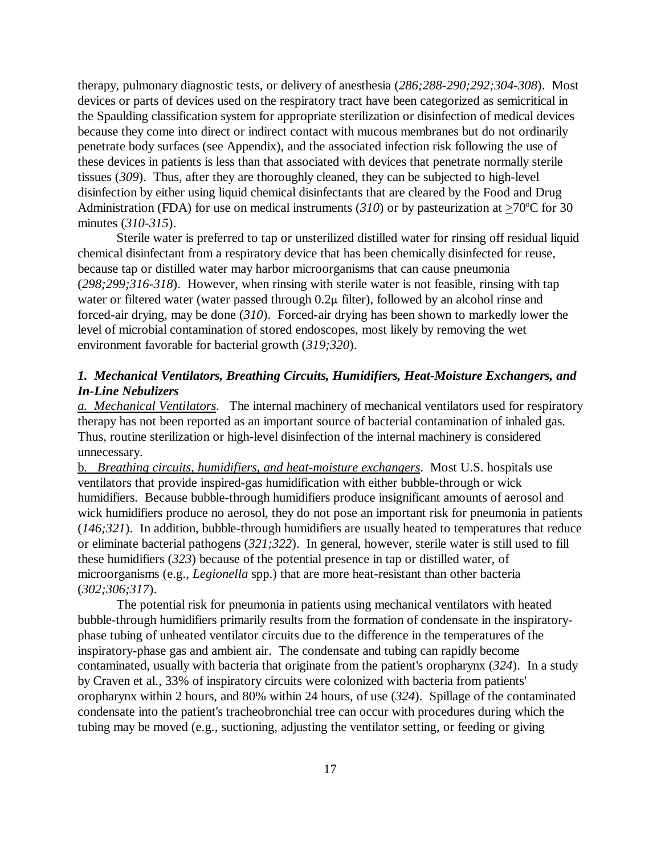therapy, pulmonary diagnostic tests, or delivery of anesthesia (*286;288-290;292;304-308*). Most devices or parts of devices used on the respiratory tract have been categorized as semicritical in the Spaulding classification system for appropriate sterilization or disinfection of medical devices because they come into direct or indirect contact with mucous membranes but do not ordinarily penetrate body surfaces (see Appendix), and the associated infection risk following the use of these devices in patients is less than that associated with devices that penetrate normally sterile tissues (*309*). Thus, after they are thoroughly cleaned, they can be subjected to high-level disinfection by either using liquid chemical disinfectants that are cleared by the Food and Drug Administration (FDA) for use on medical instruments (310) or by pasteurization at  $\geq 70^{\circ}$ C for 30 minutes (*310-315*).

Sterile water is preferred to tap or unsterilized distilled water for rinsing off residual liquid chemical disinfectant from a respiratory device that has been chemically disinfected for reuse, because tap or distilled water may harbor microorganisms that can cause pneumonia (*298;299;316-318*). However, when rinsing with sterile water is not feasible, rinsing with tap water or filtered water (water passed through  $0.2\mu$  filter), followed by an alcohol rinse and forced-air drying, may be done (*310*). Forced-air drying has been shown to markedly lower the level of microbial contamination of stored endoscopes, most likely by removing the wet environment favorable for bacterial growth (*319;320*).

# *1. Mechanical Ventilators, Breathing Circuits, Humidifiers, Heat-Moisture Exchangers, and In-Line Nebulizers*

*a. Mechanical Ventilators*. The internal machinery of mechanical ventilators used for respiratory therapy has not been reported as an important source of bacterial contamination of inhaled gas. Thus, routine sterilization or high-level disinfection of the internal machinery is considered unnecessary.

b. *Breathing circuits, humidifiers, and heat-moisture exchangers*. Most U.S. hospitals use ventilators that provide inspired-gas humidification with either bubble-through or wick humidifiers. Because bubble-through humidifiers produce insignificant amounts of aerosol and wick humidifiers produce no aerosol, they do not pose an important risk for pneumonia in patients (*146;321*). In addition, bubble-through humidifiers are usually heated to temperatures that reduce or eliminate bacterial pathogens (*321;322*). In general, however, sterile water is still used to fill these humidifiers (*323*) because of the potential presence in tap or distilled water, of microorganisms (e.g., *Legionella* spp.) that are more heat-resistant than other bacteria (*302;306;317*).

The potential risk for pneumonia in patients using mechanical ventilators with heated bubble-through humidifiers primarily results from the formation of condensate in the inspiratoryphase tubing of unheated ventilator circuits due to the difference in the temperatures of the inspiratory-phase gas and ambient air. The condensate and tubing can rapidly become contaminated, usually with bacteria that originate from the patient's oropharynx (*324*). In a study by Craven et al., 33% of inspiratory circuits were colonized with bacteria from patients' oropharynx within 2 hours, and 80% within 24 hours, of use (*324*). Spillage of the contaminated condensate into the patient's tracheobronchial tree can occur with procedures during which the tubing may be moved (e.g., suctioning, adjusting the ventilator setting, or feeding or giving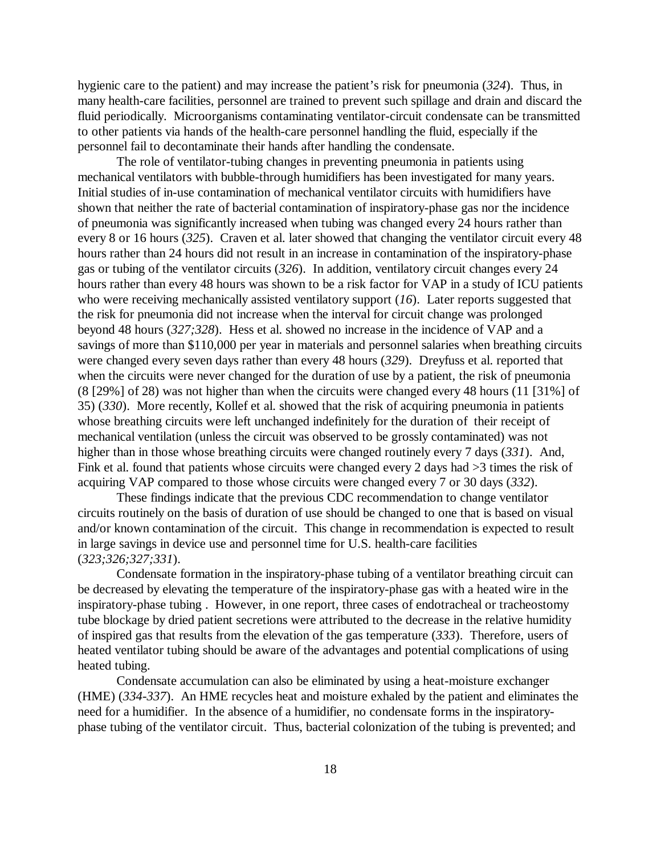hygienic care to the patient) and may increase the patient's risk for pneumonia (*324*). Thus, in many health-care facilities, personnel are trained to prevent such spillage and drain and discard the fluid periodically. Microorganisms contaminating ventilator-circuit condensate can be transmitted to other patients via hands of the health-care personnel handling the fluid, especially if the personnel fail to decontaminate their hands after handling the condensate.

The role of ventilator-tubing changes in preventing pneumonia in patients using mechanical ventilators with bubble-through humidifiers has been investigated for many years. Initial studies of in-use contamination of mechanical ventilator circuits with humidifiers have shown that neither the rate of bacterial contamination of inspiratory-phase gas nor the incidence of pneumonia was significantly increased when tubing was changed every 24 hours rather than every 8 or 16 hours (*325*). Craven et al. later showed that changing the ventilator circuit every 48 hours rather than 24 hours did not result in an increase in contamination of the inspiratory-phase gas or tubing of the ventilator circuits (*326*). In addition, ventilatory circuit changes every 24 hours rather than every 48 hours was shown to be a risk factor for VAP in a study of ICU patients who were receiving mechanically assisted ventilatory support (*16*). Later reports suggested that the risk for pneumonia did not increase when the interval for circuit change was prolonged beyond 48 hours (*327;328*). Hess et al. showed no increase in the incidence of VAP and a savings of more than \$110,000 per year in materials and personnel salaries when breathing circuits were changed every seven days rather than every 48 hours (*329*). Dreyfuss et al. reported that when the circuits were never changed for the duration of use by a patient, the risk of pneumonia (8 [29%] of 28) was not higher than when the circuits were changed every 48 hours (11 [31%] of 35) (*330*). More recently, Kollef et al. showed that the risk of acquiring pneumonia in patients whose breathing circuits were left unchanged indefinitely for the duration of their receipt of mechanical ventilation (unless the circuit was observed to be grossly contaminated) was not higher than in those whose breathing circuits were changed routinely every 7 days (*331*). And, Fink et al. found that patients whose circuits were changed every 2 days had  $>3$  times the risk of acquiring VAP compared to those whose circuits were changed every 7 or 30 days (*332*).

These findings indicate that the previous CDC recommendation to change ventilator circuits routinely on the basis of duration of use should be changed to one that is based on visual and/or known contamination of the circuit. This change in recommendation is expected to result in large savings in device use and personnel time for U.S. health-care facilities (*323;326;327;331*).

Condensate formation in the inspiratory-phase tubing of a ventilator breathing circuit can be decreased by elevating the temperature of the inspiratory-phase gas with a heated wire in the inspiratory-phase tubing . However, in one report, three cases of endotracheal or tracheostomy tube blockage by dried patient secretions were attributed to the decrease in the relative humidity of inspired gas that results from the elevation of the gas temperature (*333*). Therefore, users of heated ventilator tubing should be aware of the advantages and potential complications of using heated tubing.

Condensate accumulation can also be eliminated by using a heat-moisture exchanger (HME) (*334-337*). An HME recycles heat and moisture exhaled by the patient and eliminates the need for a humidifier. In the absence of a humidifier, no condensate forms in the inspiratoryphase tubing of the ventilator circuit. Thus, bacterial colonization of the tubing is prevented; and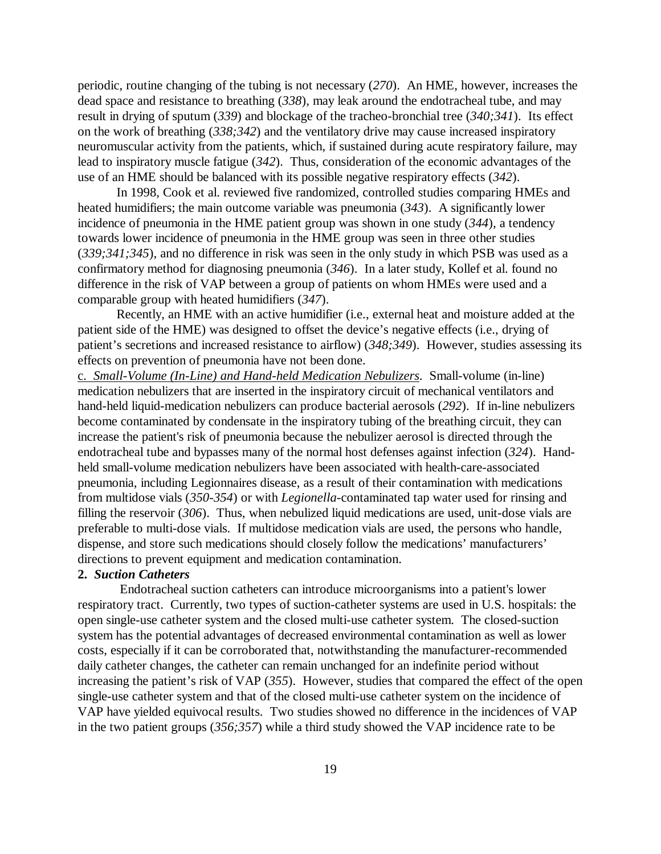periodic, routine changing of the tubing is not necessary (*270*). An HME, however, increases the dead space and resistance to breathing (*338*), may leak around the endotracheal tube, and may result in drying of sputum (*339*) and blockage of the tracheo-bronchial tree (*340;341*). Its effect on the work of breathing (*338;342*) and the ventilatory drive may cause increased inspiratory neuromuscular activity from the patients, which, if sustained during acute respiratory failure, may lead to inspiratory muscle fatigue (*342*). Thus, consideration of the economic advantages of the use of an HME should be balanced with its possible negative respiratory effects (*342*).

In 1998, Cook et al. reviewed five randomized, controlled studies comparing HMEs and heated humidifiers; the main outcome variable was pneumonia (*343*). A significantly lower incidence of pneumonia in the HME patient group was shown in one study (*344*), a tendency towards lower incidence of pneumonia in the HME group was seen in three other studies (*339;341;345*), and no difference in risk was seen in the only study in which PSB was used as a confirmatory method for diagnosing pneumonia (*346*). In a later study, Kollef et al. found no difference in the risk of VAP between a group of patients on whom HMEs were used and a comparable group with heated humidifiers (*347*).

Recently, an HME with an active humidifier (i.e., external heat and moisture added at the patient side of the HME) was designed to offset the device's negative effects (i.e., drying of patient's secretions and increased resistance to airflow) (*348;349*). However, studies assessing its effects on prevention of pneumonia have not been done.

c. *Small-Volume (In-Line) and Hand-held Medication Nebulizers*. Small-volume (in-line) medication nebulizers that are inserted in the inspiratory circuit of mechanical ventilators and hand-held liquid-medication nebulizers can produce bacterial aerosols (*292*). If in-line nebulizers become contaminated by condensate in the inspiratory tubing of the breathing circuit, they can increase the patient's risk of pneumonia because the nebulizer aerosol is directed through the endotracheal tube and bypasses many of the normal host defenses against infection (*324*). Handheld small-volume medication nebulizers have been associated with health-care-associated pneumonia, including Legionnaires disease, as a result of their contamination with medications from multidose vials (*350-354*) or with *Legionella*-contaminated tap water used for rinsing and filling the reservoir (*306*). Thus, when nebulized liquid medications are used, unit-dose vials are preferable to multi-dose vials. If multidose medication vials are used, the persons who handle, dispense, and store such medications should closely follow the medications' manufacturers' directions to prevent equipment and medication contamination.

### **2.** *Suction Catheters*

 Endotracheal suction catheters can introduce microorganisms into a patient's lower respiratory tract. Currently, two types of suction-catheter systems are used in U.S. hospitals: the open single-use catheter system and the closed multi-use catheter system. The closed-suction system has the potential advantages of decreased environmental contamination as well as lower costs, especially if it can be corroborated that, notwithstanding the manufacturer-recommended daily catheter changes, the catheter can remain unchanged for an indefinite period without increasing the patient's risk of VAP (*355*). However, studies that compared the effect of the open single-use catheter system and that of the closed multi-use catheter system on the incidence of VAP have yielded equivocal results. Two studies showed no difference in the incidences of VAP in the two patient groups (*356;357*) while a third study showed the VAP incidence rate to be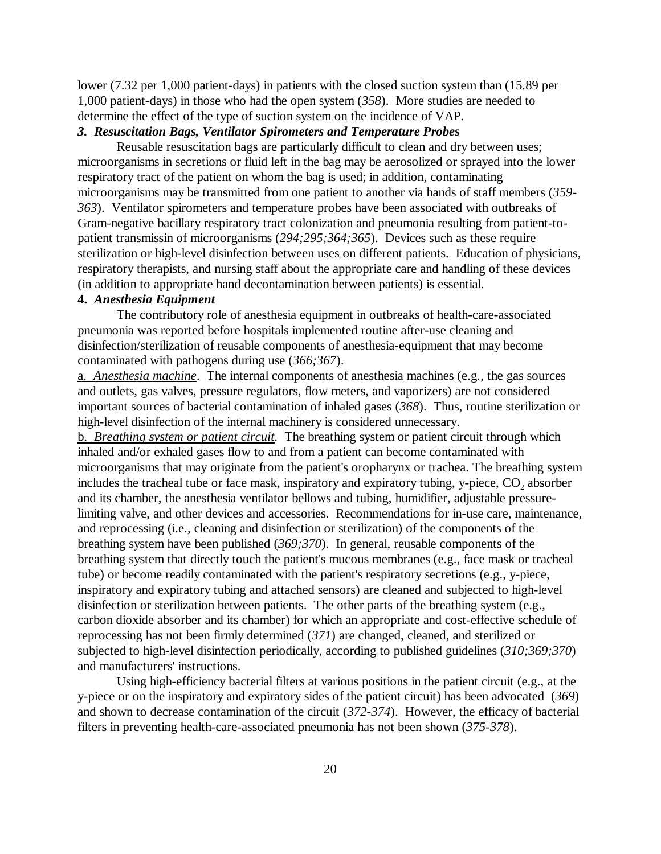lower (7.32 per 1,000 patient-days) in patients with the closed suction system than (15.89 per 1,000 patient-days) in those who had the open system (*358*). More studies are needed to determine the effect of the type of suction system on the incidence of VAP.

## *3. Resuscitation Bags, Ventilator Spirometers and Temperature Probes*

Reusable resuscitation bags are particularly difficult to clean and dry between uses; microorganisms in secretions or fluid left in the bag may be aerosolized or sprayed into the lower respiratory tract of the patient on whom the bag is used; in addition, contaminating microorganisms may be transmitted from one patient to another via hands of staff members (*359*- *363*). Ventilator spirometers and temperature probes have been associated with outbreaks of Gram-negative bacillary respiratory tract colonization and pneumonia resulting from patient-topatient transmissin of microorganisms (*294;295;364;365*). Devices such as these require sterilization or high-level disinfection between uses on different patients. Education of physicians, respiratory therapists, and nursing staff about the appropriate care and handling of these devices (in addition to appropriate hand decontamination between patients) is essential.

### **4.** *Anesthesia Equipment*

The contributory role of anesthesia equipment in outbreaks of health-care-associated pneumonia was reported before hospitals implemented routine after-use cleaning and disinfection/sterilization of reusable components of anesthesia-equipment that may become contaminated with pathogens during use (*366;367*).

a. *Anesthesia machine*. The internal components of anesthesia machines (e.g., the gas sources and outlets, gas valves, pressure regulators, flow meters, and vaporizers) are not considered important sources of bacterial contamination of inhaled gases (*368*). Thus, routine sterilization or high-level disinfection of the internal machinery is considered unnecessary.

b. *Breathing system or patient circuit.* The breathing system or patient circuit through which inhaled and/or exhaled gases flow to and from a patient can become contaminated with microorganisms that may originate from the patient's oropharynx or trachea. The breathing system includes the tracheal tube or face mask, inspiratory and expiratory tubing, y-piece,  $CO_2$  absorber and its chamber, the anesthesia ventilator bellows and tubing, humidifier, adjustable pressurelimiting valve, and other devices and accessories. Recommendations for in-use care, maintenance, and reprocessing (i.e., cleaning and disinfection or sterilization) of the components of the breathing system have been published (*369;370*). In general, reusable components of the breathing system that directly touch the patient's mucous membranes (e.g., face mask or tracheal tube) or become readily contaminated with the patient's respiratory secretions (e.g., y-piece, inspiratory and expiratory tubing and attached sensors) are cleaned and subjected to high-level disinfection or sterilization between patients. The other parts of the breathing system (e.g., carbon dioxide absorber and its chamber) for which an appropriate and cost-effective schedule of reprocessing has not been firmly determined (*371*) are changed, cleaned, and sterilized or subjected to high-level disinfection periodically, according to published guidelines (*310;369;370*) and manufacturers' instructions.

Using high-efficiency bacterial filters at various positions in the patient circuit (e.g., at the y-piece or on the inspiratory and expiratory sides of the patient circuit) has been advocated (*369*) and shown to decrease contamination of the circuit (*372-374*). However, the efficacy of bacterial filters in preventing health-care-associated pneumonia has not been shown (*375-378*).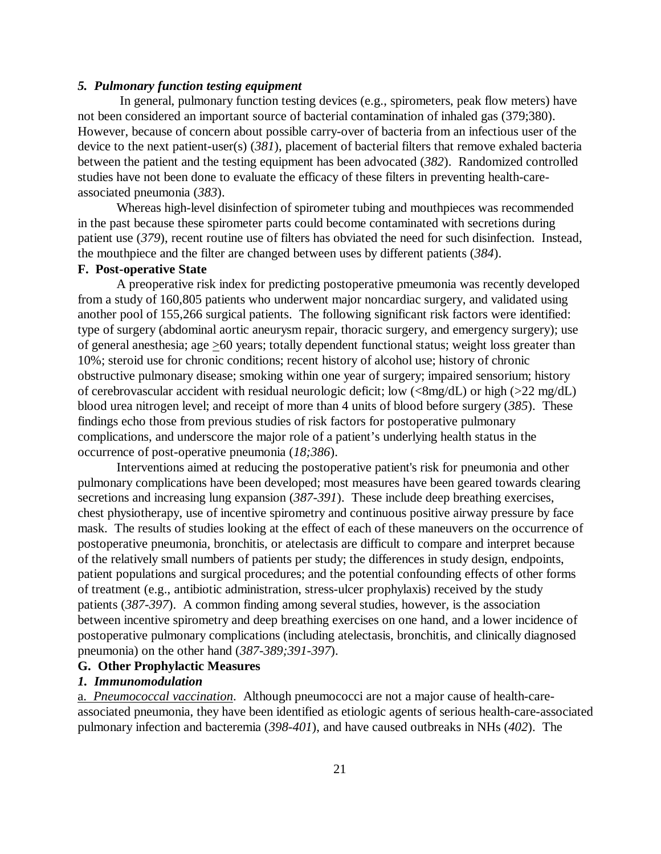#### *5. Pulmonary function testing equipment*

 In general, pulmonary function testing devices (e.g., spirometers, peak flow meters) have not been considered an important source of bacterial contamination of inhaled gas (379;380). However, because of concern about possible carry-over of bacteria from an infectious user of the device to the next patient-user(s) (*381*), placement of bacterial filters that remove exhaled bacteria between the patient and the testing equipment has been advocated (*382*). Randomized controlled studies have not been done to evaluate the efficacy of these filters in preventing health-careassociated pneumonia (*383*).

Whereas high-level disinfection of spirometer tubing and mouthpieces was recommended in the past because these spirometer parts could become contaminated with secretions during patient use (*379*), recent routine use of filters has obviated the need for such disinfection. Instead, the mouthpiece and the filter are changed between uses by different patients (*384*).

# **F. Post-operative State**

A preoperative risk index for predicting postoperative pmeumonia was recently developed from a study of 160,805 patients who underwent major noncardiac surgery, and validated using another pool of 155,266 surgical patients. The following significant risk factors were identified: type of surgery (abdominal aortic aneurysm repair, thoracic surgery, and emergency surgery); use of general anesthesia; age >60 years; totally dependent functional status; weight loss greater than 10%; steroid use for chronic conditions; recent history of alcohol use; history of chronic obstructive pulmonary disease; smoking within one year of surgery; impaired sensorium; history of cerebrovascular accident with residual neurologic deficit; low (<8mg/dL) or high (>22 mg/dL) blood urea nitrogen level; and receipt of more than 4 units of blood before surgery (*385*). These findings echo those from previous studies of risk factors for postoperative pulmonary complications, and underscore the major role of a patient's underlying health status in the occurrence of post-operative pneumonia (*18;386*).

Interventions aimed at reducing the postoperative patient's risk for pneumonia and other pulmonary complications have been developed; most measures have been geared towards clearing secretions and increasing lung expansion (*387-391*). These include deep breathing exercises, chest physiotherapy, use of incentive spirometry and continuous positive airway pressure by face mask. The results of studies looking at the effect of each of these maneuvers on the occurrence of postoperative pneumonia, bronchitis, or atelectasis are difficult to compare and interpret because of the relatively small numbers of patients per study; the differences in study design, endpoints, patient populations and surgical procedures; and the potential confounding effects of other forms of treatment (e.g., antibiotic administration, stress-ulcer prophylaxis) received by the study patients (*387-397*). A common finding among several studies, however, is the association between incentive spirometry and deep breathing exercises on one hand, and a lower incidence of postoperative pulmonary complications (including atelectasis, bronchitis, and clinically diagnosed pneumonia) on the other hand (*387-389;391-397*).

### **G. Other Prophylactic Measures**

### *1. Immunomodulation*

a. *Pneumococcal vaccination*. Although pneumococci are not a major cause of health-careassociated pneumonia, they have been identified as etiologic agents of serious health-care-associated pulmonary infection and bacteremia (*398-401*), and have caused outbreaks in NHs (*402*). The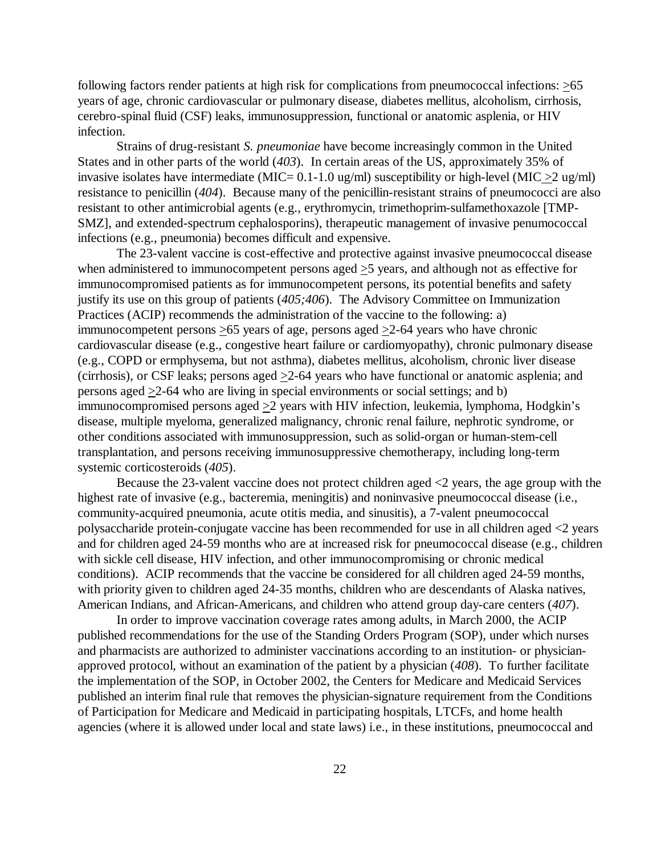following factors render patients at high risk for complications from pneumococcal infections:  $\geq 65$ years of age, chronic cardiovascular or pulmonary disease, diabetes mellitus, alcoholism, cirrhosis, cerebro-spinal fluid (CSF) leaks, immunosuppression, functional or anatomic asplenia, or HIV infection.

Strains of drug-resistant *S. pneumoniae* have become increasingly common in the United States and in other parts of the world (*403*). In certain areas of the US, approximately 35% of invasive isolates have intermediate (MIC=  $0.1$ - $1.0$  ug/ml) susceptibility or high-level (MIC  $>2$  ug/ml) resistance to penicillin (*404*). Because many of the penicillin-resistant strains of pneumococci are also resistant to other antimicrobial agents (e.g., erythromycin, trimethoprim-sulfamethoxazole [TMP-SMZ], and extended-spectrum cephalosporins), therapeutic management of invasive penumococcal infections (e.g., pneumonia) becomes difficult and expensive.

The 23-valent vaccine is cost-effective and protective against invasive pneumococcal disease when administered to immunocompetent persons aged >5 years, and although not as effective for immunocompromised patients as for immunocompetent persons, its potential benefits and safety justify its use on this group of patients (*405;406*). The Advisory Committee on Immunization Practices (ACIP) recommends the administration of the vaccine to the following: a) immunocompetent persons  $\geq 65$  years of age, persons aged  $\geq 2$ -64 years who have chronic cardiovascular disease (e.g., congestive heart failure or cardiomyopathy), chronic pulmonary disease (e.g., COPD or ermphysema, but not asthma), diabetes mellitus, alcoholism, chronic liver disease (cirrhosis), or CSF leaks; persons aged >2-64 years who have functional or anatomic asplenia; and persons aged  $\geq$ 2-64 who are living in special environments or social settings; and b) immunocompromised persons aged >2 years with HIV infection, leukemia, lymphoma, Hodgkin's disease, multiple myeloma, generalized malignancy, chronic renal failure, nephrotic syndrome, or other conditions associated with immunosuppression, such as solid-organ or human-stem-cell transplantation, and persons receiving immunosuppressive chemotherapy, including long-term systemic corticosteroids (*405*).

Because the 23-valent vaccine does not protect children aged <2 years, the age group with the highest rate of invasive (e.g., bacteremia, meningitis) and noninvasive pneumococcal disease (i.e., community-acquired pneumonia, acute otitis media, and sinusitis), a 7-valent pneumococcal polysaccharide protein-conjugate vaccine has been recommended for use in all children aged <2 years and for children aged 24-59 months who are at increased risk for pneumococcal disease (e.g., children with sickle cell disease, HIV infection, and other immunocompromising or chronic medical conditions). ACIP recommends that the vaccine be considered for all children aged 24-59 months, with priority given to children aged 24-35 months, children who are descendants of Alaska natives, American Indians, and African-Americans, and children who attend group day-care centers (*407*).

In order to improve vaccination coverage rates among adults, in March 2000, the ACIP published recommendations for the use of the Standing Orders Program (SOP), under which nurses and pharmacists are authorized to administer vaccinations according to an institution- or physicianapproved protocol, without an examination of the patient by a physician (*408*). To further facilitate the implementation of the SOP, in October 2002, the Centers for Medicare and Medicaid Services published an interim final rule that removes the physician-signature requirement from the Conditions of Participation for Medicare and Medicaid in participating hospitals, LTCFs, and home health agencies (where it is allowed under local and state laws) i.e., in these institutions, pneumococcal and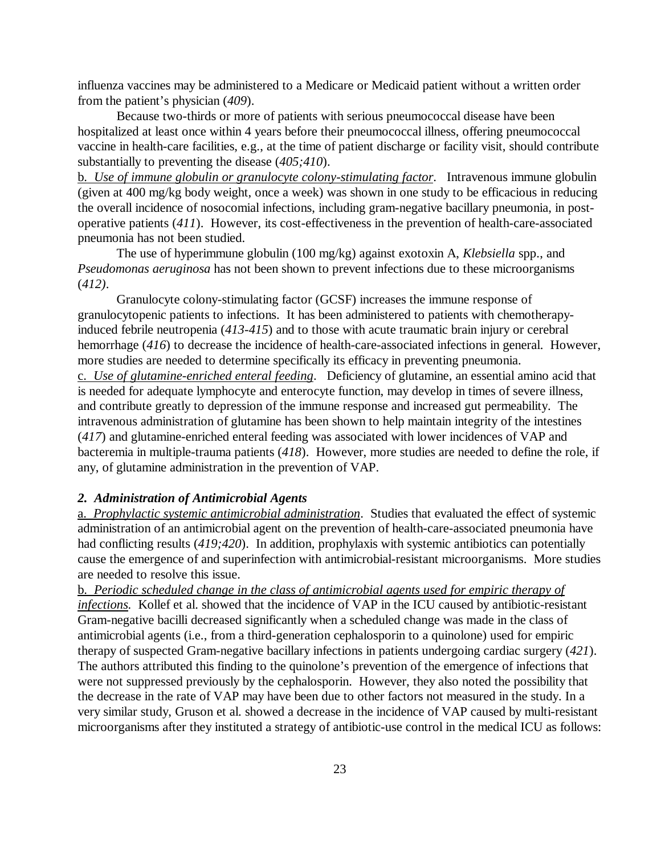influenza vaccines may be administered to a Medicare or Medicaid patient without a written order from the patient's physician (*409*).

Because two-thirds or more of patients with serious pneumococcal disease have been hospitalized at least once within 4 years before their pneumococcal illness, offering pneumococcal vaccine in health-care facilities, e.g., at the time of patient discharge or facility visit, should contribute substantially to preventing the disease (*405;410*).

b. *Use of immune globulin or granulocyte colony-stimulating factor*. Intravenous immune globulin (given at 400 mg/kg body weight, once a week) was shown in one study to be efficacious in reducing the overall incidence of nosocomial infections, including gram-negative bacillary pneumonia, in postoperative patients (*411*). However, its cost-effectiveness in the prevention of health-care-associated pneumonia has not been studied.

The use of hyperimmune globulin (100 mg/kg) against exotoxin A, *Klebsiella* spp., and *Pseudomonas aeruginosa* has not been shown to prevent infections due to these microorganisms (*412)*.

Granulocyte colony-stimulating factor (GCSF) increases the immune response of granulocytopenic patients to infections. It has been administered to patients with chemotherapyinduced febrile neutropenia (*413-415*) and to those with acute traumatic brain injury or cerebral hemorrhage (*416*) to decrease the incidence of health-care-associated infections in general. However, more studies are needed to determine specifically its efficacy in preventing pneumonia. c. *Use of glutamine-enriched enteral feeding*. Deficiency of glutamine, an essential amino acid that is needed for adequate lymphocyte and enterocyte function, may develop in times of severe illness, and contribute greatly to depression of the immune response and increased gut permeability. The intravenous administration of glutamine has been shown to help maintain integrity of the intestines (*417*) and glutamine-enriched enteral feeding was associated with lower incidences of VAP and bacteremia in multiple-trauma patients (*418*). However, more studies are needed to define the role, if any, of glutamine administration in the prevention of VAP.

### *2. Administration of Antimicrobial Agents*

a. *Prophylactic systemic antimicrobial administration*. Studies that evaluated the effect of systemic administration of an antimicrobial agent on the prevention of health-care-associated pneumonia have had conflicting results (*419;420*). In addition, prophylaxis with systemic antibiotics can potentially cause the emergence of and superinfection with antimicrobial-resistant microorganisms. More studies are needed to resolve this issue.

b. *Periodic scheduled change in the class of antimicrobial agents used for empiric therapy of infections.* Kollef et al. showed that the incidence of VAP in the ICU caused by antibiotic-resistant Gram-negative bacilli decreased significantly when a scheduled change was made in the class of antimicrobial agents (i.e., from a third-generation cephalosporin to a quinolone) used for empiric therapy of suspected Gram-negative bacillary infections in patients undergoing cardiac surgery (*421*). The authors attributed this finding to the quinolone's prevention of the emergence of infections that were not suppressed previously by the cephalosporin. However, they also noted the possibility that the decrease in the rate of VAP may have been due to other factors not measured in the study. In a very similar study, Gruson et al. showed a decrease in the incidence of VAP caused by multi-resistant microorganisms after they instituted a strategy of antibiotic-use control in the medical ICU as follows: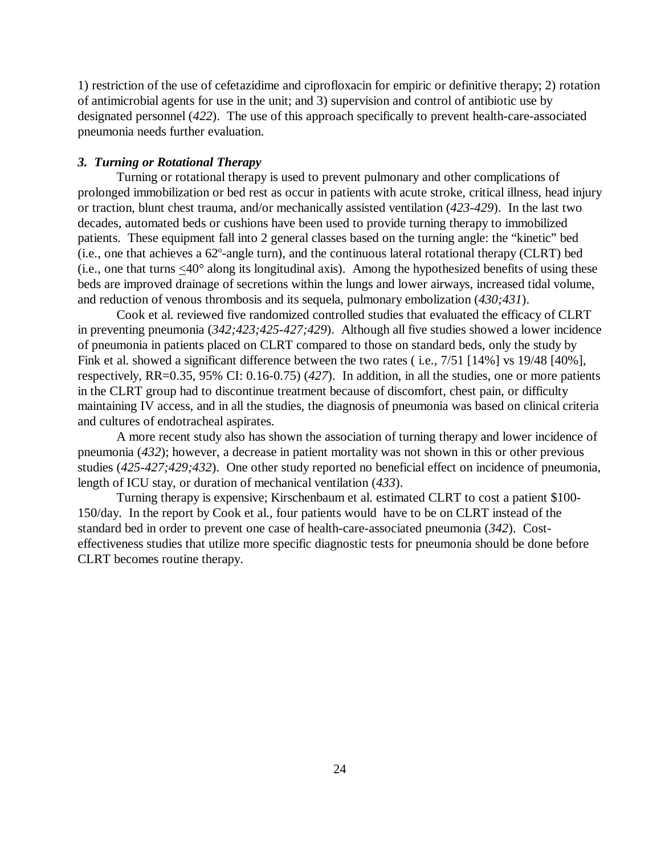1) restriction of the use of cefetazidime and ciprofloxacin for empiric or definitive therapy; 2) rotation of antimicrobial agents for use in the unit; and 3) supervision and control of antibiotic use by designated personnel (*422*). The use of this approach specifically to prevent health-care-associated pneumonia needs further evaluation.

### *3. Turning or Rotational Therapy*

Turning or rotational therapy is used to prevent pulmonary and other complications of prolonged immobilization or bed rest as occur in patients with acute stroke, critical illness, head injury or traction, blunt chest trauma, and/or mechanically assisted ventilation (*423-429*). In the last two decades, automated beds or cushions have been used to provide turning therapy to immobilized patients. These equipment fall into 2 general classes based on the turning angle: the "kinetic" bed (i.e., one that achieves a 62°-angle turn), and the continuous lateral rotational therapy (CLRT) bed (i.e., one that turns <40° along its longitudinal axis). Among the hypothesized benefits of using these beds are improved drainage of secretions within the lungs and lower airways, increased tidal volume, and reduction of venous thrombosis and its sequela, pulmonary embolization (*430;431*).

Cook et al. reviewed five randomized controlled studies that evaluated the efficacy of CLRT in preventing pneumonia (*342;423;425-427;429*). Although all five studies showed a lower incidence of pneumonia in patients placed on CLRT compared to those on standard beds, only the study by Fink et al. showed a significant difference between the two rates (i.e., 7/51 [14%] vs 19/48 [40%], respectively, RR=0.35, 95% CI: 0.16-0.75) (*427*). In addition, in all the studies, one or more patients in the CLRT group had to discontinue treatment because of discomfort, chest pain, or difficulty maintaining IV access, and in all the studies, the diagnosis of pneumonia was based on clinical criteria and cultures of endotracheal aspirates.

A more recent study also has shown the association of turning therapy and lower incidence of pneumonia (*432*); however, a decrease in patient mortality was not shown in this or other previous studies (*425-427;429;432*). One other study reported no beneficial effect on incidence of pneumonia, length of ICU stay, or duration of mechanical ventilation (*433*).

Turning therapy is expensive; Kirschenbaum et al. estimated CLRT to cost a patient \$100- 150/day. In the report by Cook et al., four patients would have to be on CLRT instead of the standard bed in order to prevent one case of health-care-associated pneumonia (*342*). Costeffectiveness studies that utilize more specific diagnostic tests for pneumonia should be done before CLRT becomes routine therapy.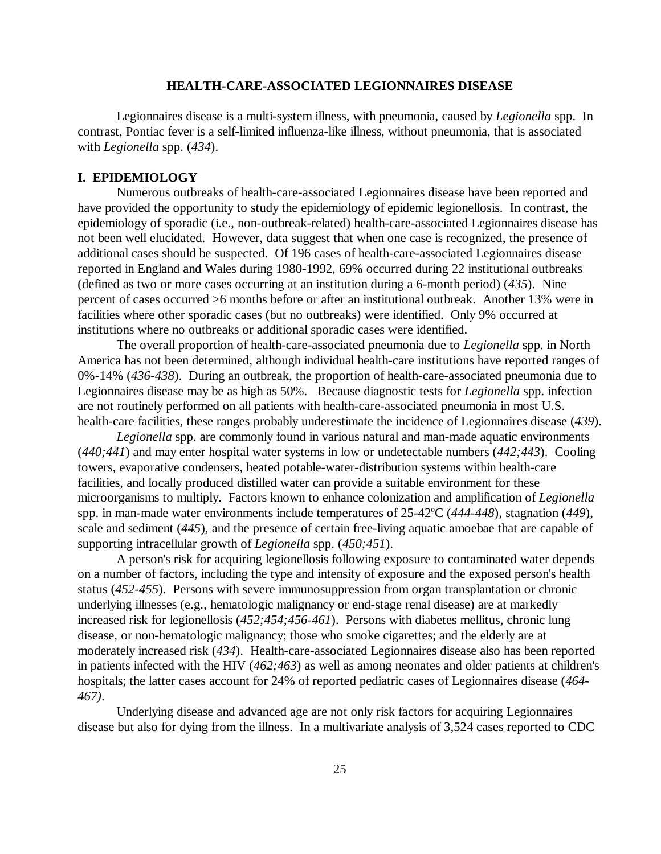### **HEALTH-CARE-ASSOCIATED LEGIONNAIRES DISEASE**

Legionnaires disease is a multi-system illness, with pneumonia, caused by *Legionella* spp. In contrast, Pontiac fever is a self-limited influenza-like illness, without pneumonia, that is associated with *Legionella* spp. (*434*).

### **I. EPIDEMIOLOGY**

Numerous outbreaks of health-care-associated Legionnaires disease have been reported and have provided the opportunity to study the epidemiology of epidemic legionellosis. In contrast, the epidemiology of sporadic (i.e., non-outbreak-related) health-care-associated Legionnaires disease has not been well elucidated. However, data suggest that when one case is recognized, the presence of additional cases should be suspected. Of 196 cases of health-care-associated Legionnaires disease reported in England and Wales during 1980-1992, 69% occurred during 22 institutional outbreaks (defined as two or more cases occurring at an institution during a 6-month period) (*435*). Nine percent of cases occurred >6 months before or after an institutional outbreak. Another 13% were in facilities where other sporadic cases (but no outbreaks) were identified. Only 9% occurred at institutions where no outbreaks or additional sporadic cases were identified.

The overall proportion of health-care-associated pneumonia due to *Legionella* spp. in North America has not been determined, although individual health-care institutions have reported ranges of 0%-14% (*436-438*). During an outbreak, the proportion of health-care-associated pneumonia due to Legionnaires disease may be as high as 50%. Because diagnostic tests for *Legionella* spp. infection are not routinely performed on all patients with health-care-associated pneumonia in most U.S. health-care facilities, these ranges probably underestimate the incidence of Legionnaires disease (*439*).

*Legionella* spp. are commonly found in various natural and man-made aquatic environments (*440;441*) and may enter hospital water systems in low or undetectable numbers (*442;443*). Cooling towers, evaporative condensers, heated potable-water-distribution systems within health-care facilities, and locally produced distilled water can provide a suitable environment for these microorganisms to multiply. Factors known to enhance colonization and amplification of *Legionella* spp. in man-made water environments include temperatures of 25-42°C (444-448), stagnation (449), scale and sediment (*445*), and the presence of certain free-living aquatic amoebae that are capable of supporting intracellular growth of *Legionella* spp. (*450;451*).

A person's risk for acquiring legionellosis following exposure to contaminated water depends on a number of factors, including the type and intensity of exposure and the exposed person's health status (*452-455*). Persons with severe immunosuppression from organ transplantation or chronic underlying illnesses (e.g., hematologic malignancy or end-stage renal disease) are at markedly increased risk for legionellosis (*452;454;456-461*). Persons with diabetes mellitus, chronic lung disease, or non-hematologic malignancy; those who smoke cigarettes; and the elderly are at moderately increased risk (*434*). Health-care-associated Legionnaires disease also has been reported in patients infected with the HIV (*462;463*) as well as among neonates and older patients at children's hospitals; the latter cases account for 24% of reported pediatric cases of Legionnaires disease (*464- 467)*.

Underlying disease and advanced age are not only risk factors for acquiring Legionnaires disease but also for dying from the illness. In a multivariate analysis of 3,524 cases reported to CDC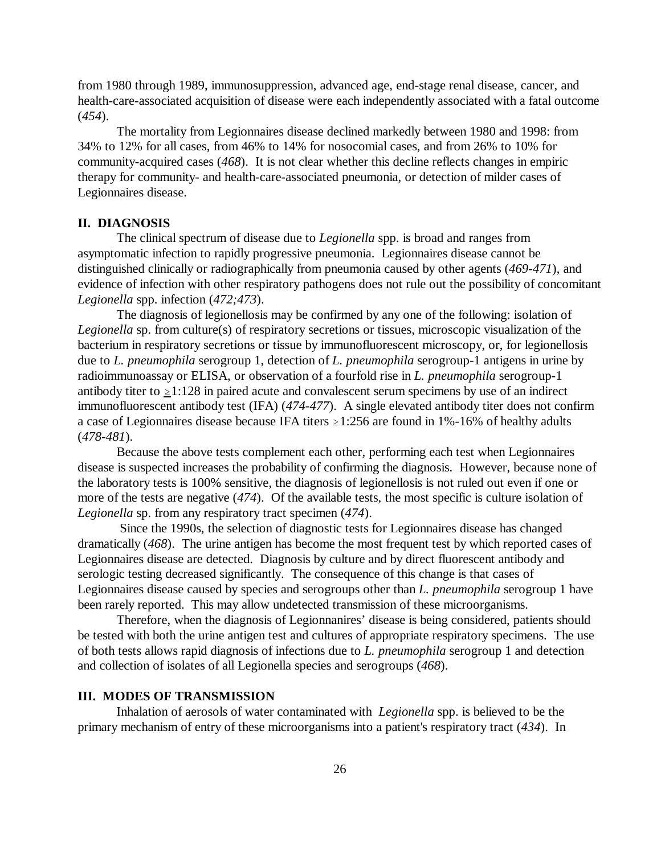from 1980 through 1989, immunosuppression, advanced age, end-stage renal disease, cancer, and health-care-associated acquisition of disease were each independently associated with a fatal outcome (*454*).

 The mortality from Legionnaires disease declined markedly between 1980 and 1998: from 34% to 12% for all cases, from 46% to 14% for nosocomial cases, and from 26% to 10% for community-acquired cases (*468*). It is not clear whether this decline reflects changes in empiric therapy for community- and health-care-associated pneumonia, or detection of milder cases of Legionnaires disease.

#### **II. DIAGNOSIS**

The clinical spectrum of disease due to *Legionella* spp. is broad and ranges from asymptomatic infection to rapidly progressive pneumonia. Legionnaires disease cannot be distinguished clinically or radiographically from pneumonia caused by other agents (*469-471*), and evidence of infection with other respiratory pathogens does not rule out the possibility of concomitant *Legionella* spp. infection (*472;473*).

The diagnosis of legionellosis may be confirmed by any one of the following: isolation of *Legionella* sp. from culture(s) of respiratory secretions or tissues, microscopic visualization of the bacterium in respiratory secretions or tissue by immunofluorescent microscopy, or, for legionellosis due to *L. pneumophila* serogroup 1, detection of *L. pneumophila* serogroup-1 antigens in urine by radioimmunoassay or ELISA, or observation of a fourfold rise in *L. pneumophila* serogroup-1 antibody titer to  $\geq$  1:128 in paired acute and convalescent serum specimens by use of an indirect immunofluorescent antibody test (IFA) (*474-477*). A single elevated antibody titer does not confirm a case of Legionnaires disease because IFA titers  $\geq$ 1:256 are found in 1%-16% of healthy adults (*478-481*).

Because the above tests complement each other, performing each test when Legionnaires disease is suspected increases the probability of confirming the diagnosis. However, because none of the laboratory tests is 100% sensitive, the diagnosis of legionellosis is not ruled out even if one or more of the tests are negative (*474*). Of the available tests, the most specific is culture isolation of *Legionella* sp. from any respiratory tract specimen (*474*).

 Since the 1990s, the selection of diagnostic tests for Legionnaires disease has changed dramatically (*468*). The urine antigen has become the most frequent test by which reported cases of Legionnaires disease are detected. Diagnosis by culture and by direct fluorescent antibody and serologic testing decreased significantly. The consequence of this change is that cases of Legionnaires disease caused by species and serogroups other than *L. pneumophila* serogroup 1 have been rarely reported. This may allow undetected transmission of these microorganisms.

Therefore, when the diagnosis of Legionnanires' disease is being considered, patients should be tested with both the urine antigen test and cultures of appropriate respiratory specimens. The use of both tests allows rapid diagnosis of infections due to *L. pneumophila* serogroup 1 and detection and collection of isolates of all Legionella species and serogroups (*468*).

### **III. MODES OF TRANSMISSION**

Inhalation of aerosols of water contaminated with *Legionella* spp. is believed to be the primary mechanism of entry of these microorganisms into a patient's respiratory tract (*434*). In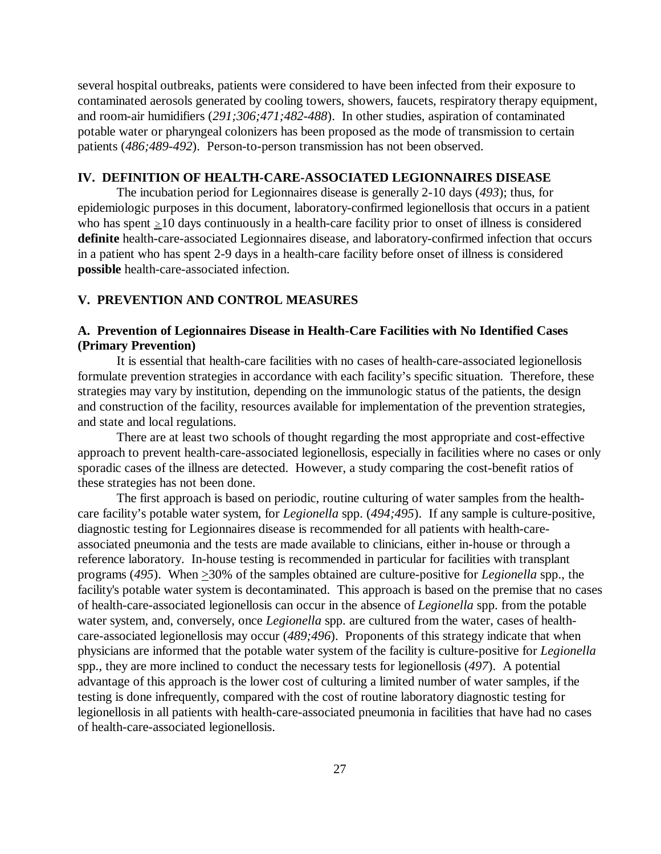several hospital outbreaks, patients were considered to have been infected from their exposure to contaminated aerosols generated by cooling towers, showers, faucets, respiratory therapy equipment, and room-air humidifiers (*291;306;471;482-488*). In other studies, aspiration of contaminated potable water or pharyngeal colonizers has been proposed as the mode of transmission to certain patients (*486;489-492*). Person-to-person transmission has not been observed.

### **IV. DEFINITION OF HEALTH-CARE-ASSOCIATED LEGIONNAIRES DISEASE**

The incubation period for Legionnaires disease is generally 2-10 days (*493*); thus, for epidemiologic purposes in this document, laboratory-confirmed legionellosis that occurs in a patient who has spent  $\geq$  10 days continuously in a health-care facility prior to onset of illness is considered **definite** health-care-associated Legionnaires disease, and laboratory-confirmed infection that occurs in a patient who has spent 2-9 days in a health-care facility before onset of illness is considered **possible** health-care-associated infection.

### **V. PREVENTION AND CONTROL MEASURES**

### **A. Prevention of Legionnaires Disease in Health-Care Facilities with No Identified Cases (Primary Prevention)**

It is essential that health-care facilities with no cases of health-care-associated legionellosis formulate prevention strategies in accordance with each facility's specific situation. Therefore, these strategies may vary by institution, depending on the immunologic status of the patients, the design and construction of the facility, resources available for implementation of the prevention strategies, and state and local regulations.

There are at least two schools of thought regarding the most appropriate and cost-effective approach to prevent health-care-associated legionellosis, especially in facilities where no cases or only sporadic cases of the illness are detected. However, a study comparing the cost-benefit ratios of these strategies has not been done.

The first approach is based on periodic, routine culturing of water samples from the healthcare facility's potable water system, for *Legionella* spp. (*494;495*). If any sample is culture-positive, diagnostic testing for Legionnaires disease is recommended for all patients with health-careassociated pneumonia and the tests are made available to clinicians, either in-house or through a reference laboratory. In-house testing is recommended in particular for facilities with transplant programs (*495*). When >30% of the samples obtained are culture-positive for *Legionella* spp., the facility's potable water system is decontaminated. This approach is based on the premise that no cases of health-care-associated legionellosis can occur in the absence of *Legionella* spp. from the potable water system, and, conversely, once *Legionella* spp. are cultured from the water, cases of healthcare-associated legionellosis may occur (*489;496*). Proponents of this strategy indicate that when physicians are informed that the potable water system of the facility is culture-positive for *Legionella* spp., they are more inclined to conduct the necessary tests for legionellosis (*497*). A potential advantage of this approach is the lower cost of culturing a limited number of water samples, if the testing is done infrequently, compared with the cost of routine laboratory diagnostic testing for legionellosis in all patients with health-care-associated pneumonia in facilities that have had no cases of health-care-associated legionellosis.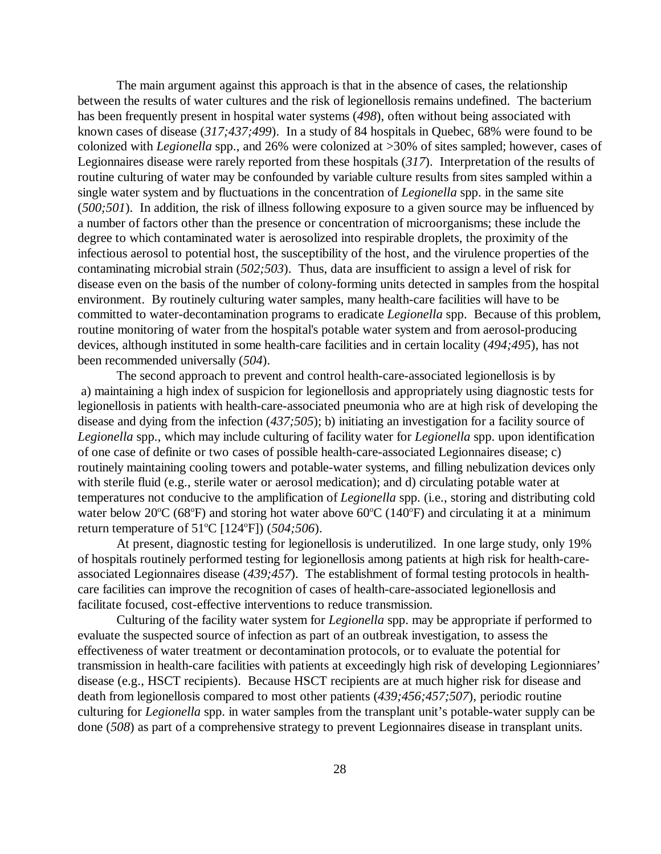The main argument against this approach is that in the absence of cases, the relationship between the results of water cultures and the risk of legionellosis remains undefined. The bacterium has been frequently present in hospital water systems (*498*), often without being associated with known cases of disease (*317;437;499*). In a study of 84 hospitals in Quebec, 68% were found to be colonized with *Legionella* spp., and 26% were colonized at >30% of sites sampled; however, cases of Legionnaires disease were rarely reported from these hospitals (*317*). Interpretation of the results of routine culturing of water may be confounded by variable culture results from sites sampled within a single water system and by fluctuations in the concentration of *Legionella* spp. in the same site (*500;501*). In addition, the risk of illness following exposure to a given source may be influenced by a number of factors other than the presence or concentration of microorganisms; these include the degree to which contaminated water is aerosolized into respirable droplets, the proximity of the infectious aerosol to potential host, the susceptibility of the host, and the virulence properties of the contaminating microbial strain (*502;503*). Thus, data are insufficient to assign a level of risk for disease even on the basis of the number of colony-forming units detected in samples from the hospital environment. By routinely culturing water samples, many health-care facilities will have to be committed to water-decontamination programs to eradicate *Legionella* spp. Because of this problem, routine monitoring of water from the hospital's potable water system and from aerosol-producing devices, although instituted in some health-care facilities and in certain locality (*494;495*), has not been recommended universally (*504*).

The second approach to prevent and control health-care-associated legionellosis is by a) maintaining a high index of suspicion for legionellosis and appropriately using diagnostic tests for legionellosis in patients with health-care-associated pneumonia who are at high risk of developing the disease and dying from the infection (*437;505*); b) initiating an investigation for a facility source of *Legionella* spp., which may include culturing of facility water for *Legionella* spp. upon identification of one case of definite or two cases of possible health-care-associated Legionnaires disease; c) routinely maintaining cooling towers and potable-water systems, and filling nebulization devices only with sterile fluid (e.g., sterile water or aerosol medication); and d) circulating potable water at temperatures not conducive to the amplification of *Legionella* spp. (i.e., storing and distributing cold water below 20°C (68°F) and storing hot water above 60°C (140°F) and circulating it at a minimum return temperature of 51<sup>o</sup>C [124<sup>o</sup>F]) (504;506).

At present, diagnostic testing for legionellosis is underutilized. In one large study, only 19% of hospitals routinely performed testing for legionellosis among patients at high risk for health-careassociated Legionnaires disease (*439;457*). The establishment of formal testing protocols in healthcare facilities can improve the recognition of cases of health-care-associated legionellosis and facilitate focused, cost-effective interventions to reduce transmission.

Culturing of the facility water system for *Legionella* spp. may be appropriate if performed to evaluate the suspected source of infection as part of an outbreak investigation, to assess the effectiveness of water treatment or decontamination protocols, or to evaluate the potential for transmission in health-care facilities with patients at exceedingly high risk of developing Legionniares' disease (e.g., HSCT recipients). Because HSCT recipients are at much higher risk for disease and death from legionellosis compared to most other patients (*439;456;457;507*), periodic routine culturing for *Legionella* spp. in water samples from the transplant unit's potable-water supply can be done (*508*) as part of a comprehensive strategy to prevent Legionnaires disease in transplant units.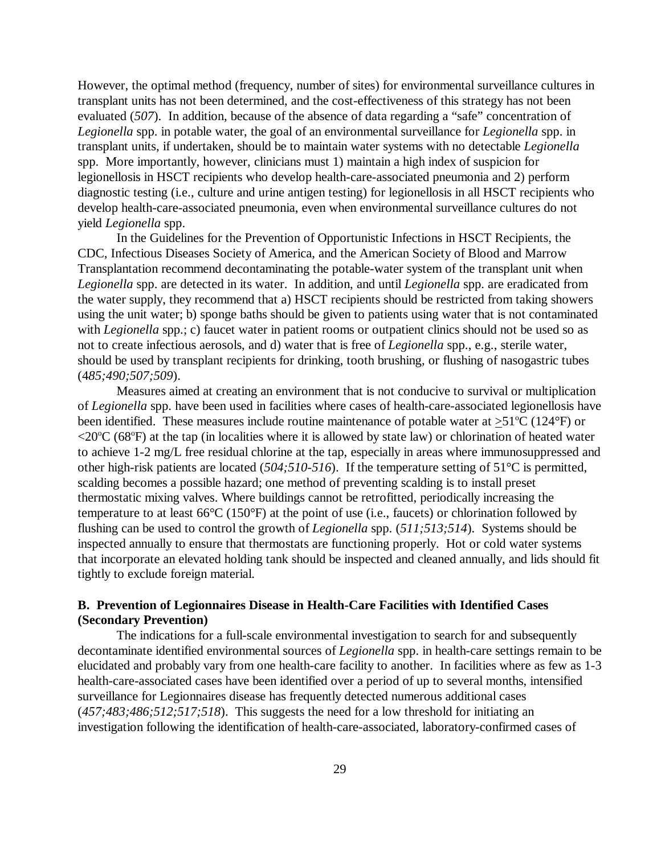However, the optimal method (frequency, number of sites) for environmental surveillance cultures in transplant units has not been determined, and the cost-effectiveness of this strategy has not been evaluated (*507*). In addition, because of the absence of data regarding a "safe" concentration of *Legionella* spp. in potable water, the goal of an environmental surveillance for *Legionella* spp. in transplant units, if undertaken, should be to maintain water systems with no detectable *Legionella* spp. More importantly, however, clinicians must 1) maintain a high index of suspicion for legionellosis in HSCT recipients who develop health-care-associated pneumonia and 2) perform diagnostic testing (i.e., culture and urine antigen testing) for legionellosis in all HSCT recipients who develop health-care-associated pneumonia, even when environmental surveillance cultures do not yield *Legionella* spp.

In the Guidelines for the Prevention of Opportunistic Infections in HSCT Recipients, the CDC, Infectious Diseases Society of America, and the American Society of Blood and Marrow Transplantation recommend decontaminating the potable-water system of the transplant unit when *Legionella* spp. are detected in its water. In addition, and until *Legionella* spp. are eradicated from the water supply, they recommend that a) HSCT recipients should be restricted from taking showers using the unit water; b) sponge baths should be given to patients using water that is not contaminated with *Legionella* spp.; c) faucet water in patient rooms or outpatient clinics should not be used so as not to create infectious aerosols, and d) water that is free of *Legionella* spp., e.g., sterile water, should be used by transplant recipients for drinking, tooth brushing, or flushing of nasogastric tubes (4*85;490;507;509*).

Measures aimed at creating an environment that is not conducive to survival or multiplication of *Legionella* spp. have been used in facilities where cases of health-care-associated legionellosis have been identified. These measures include routine maintenance of potable water at  $\geq 51^{\circ}$ C (124°F) or  $\langle 20^{\circ}$ C (68 $^{\circ}$ F) at the tap (in localities where it is allowed by state law) or chlorination of heated water to achieve 1-2 mg/L free residual chlorine at the tap, especially in areas where immunosuppressed and other high-risk patients are located (*504;510-516*). If the temperature setting of 51°C is permitted, scalding becomes a possible hazard; one method of preventing scalding is to install preset thermostatic mixing valves. Where buildings cannot be retrofitted, periodically increasing the temperature to at least 66°C (150°F) at the point of use (i.e., faucets) or chlorination followed by flushing can be used to control the growth of *Legionella* spp. (*511;513;514*). Systems should be inspected annually to ensure that thermostats are functioning properly. Hot or cold water systems that incorporate an elevated holding tank should be inspected and cleaned annually, and lids should fit tightly to exclude foreign material.

# **B. Prevention of Legionnaires Disease in Health-Care Facilities with Identified Cases (Secondary Prevention)**

The indications for a full-scale environmental investigation to search for and subsequently decontaminate identified environmental sources of *Legionella* spp. in health-care settings remain to be elucidated and probably vary from one health-care facility to another. In facilities where as few as 1-3 health-care-associated cases have been identified over a period of up to several months, intensified surveillance for Legionnaires disease has frequently detected numerous additional cases (*457;483;486;512;517;518*). This suggests the need for a low threshold for initiating an investigation following the identification of health-care-associated, laboratory-confirmed cases of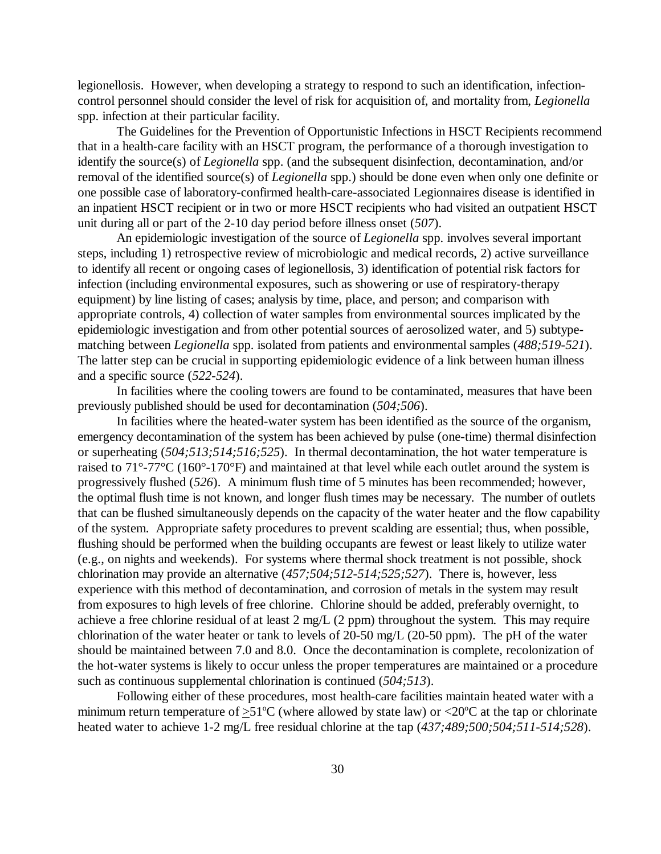legionellosis. However, when developing a strategy to respond to such an identification, infectioncontrol personnel should consider the level of risk for acquisition of, and mortality from, *Legionella* spp. infection at their particular facility.

The Guidelines for the Prevention of Opportunistic Infections in HSCT Recipients recommend that in a health-care facility with an HSCT program, the performance of a thorough investigation to identify the source(s) of *Legionella* spp. (and the subsequent disinfection, decontamination, and/or removal of the identified source(s) of *Legionella* spp.) should be done even when only one definite or one possible case of laboratory-confirmed health-care-associated Legionnaires disease is identified in an inpatient HSCT recipient or in two or more HSCT recipients who had visited an outpatient HSCT unit during all or part of the 2-10 day period before illness onset (*507*).

An epidemiologic investigation of the source of *Legionella* spp. involves several important steps, including 1) retrospective review of microbiologic and medical records, 2) active surveillance to identify all recent or ongoing cases of legionellosis, 3) identification of potential risk factors for infection (including environmental exposures, such as showering or use of respiratory-therapy equipment) by line listing of cases; analysis by time, place, and person; and comparison with appropriate controls, 4) collection of water samples from environmental sources implicated by the epidemiologic investigation and from other potential sources of aerosolized water, and 5) subtypematching between *Legionella* spp. isolated from patients and environmental samples (*488;519-521*). The latter step can be crucial in supporting epidemiologic evidence of a link between human illness and a specific source (*522-524*).

In facilities where the cooling towers are found to be contaminated, measures that have been previously published should be used for decontamination (*504;506*).

In facilities where the heated-water system has been identified as the source of the organism, emergency decontamination of the system has been achieved by pulse (one-time) thermal disinfection or superheating (*504;513;514;516;525*). In thermal decontamination, the hot water temperature is raised to 71°-77°C (160°-170°F) and maintained at that level while each outlet around the system is progressively flushed (*526*). A minimum flush time of 5 minutes has been recommended; however, the optimal flush time is not known, and longer flush times may be necessary. The number of outlets that can be flushed simultaneously depends on the capacity of the water heater and the flow capability of the system. Appropriate safety procedures to prevent scalding are essential; thus, when possible, flushing should be performed when the building occupants are fewest or least likely to utilize water (e.g., on nights and weekends). For systems where thermal shock treatment is not possible, shock chlorination may provide an alternative (*457;504;512-514;525;527*). There is, however, less experience with this method of decontamination, and corrosion of metals in the system may result from exposures to high levels of free chlorine. Chlorine should be added, preferably overnight, to achieve a free chlorine residual of at least 2 mg/L (2 ppm) throughout the system. This may require chlorination of the water heater or tank to levels of 20-50 mg/L (20-50 ppm). The pH of the water should be maintained between 7.0 and 8.0. Once the decontamination is complete, recolonization of the hot-water systems is likely to occur unless the proper temperatures are maintained or a procedure such as continuous supplemental chlorination is continued (*504;513*).

Following either of these procedures, most health-care facilities maintain heated water with a minimum return temperature of  $\geq 51^{\circ}$ C (where allowed by state law) or <20 $^{\circ}$ C at the tap or chlorinate heated water to achieve 1-2 mg/L free residual chlorine at the tap (*437;489;500;504;511-514;528*).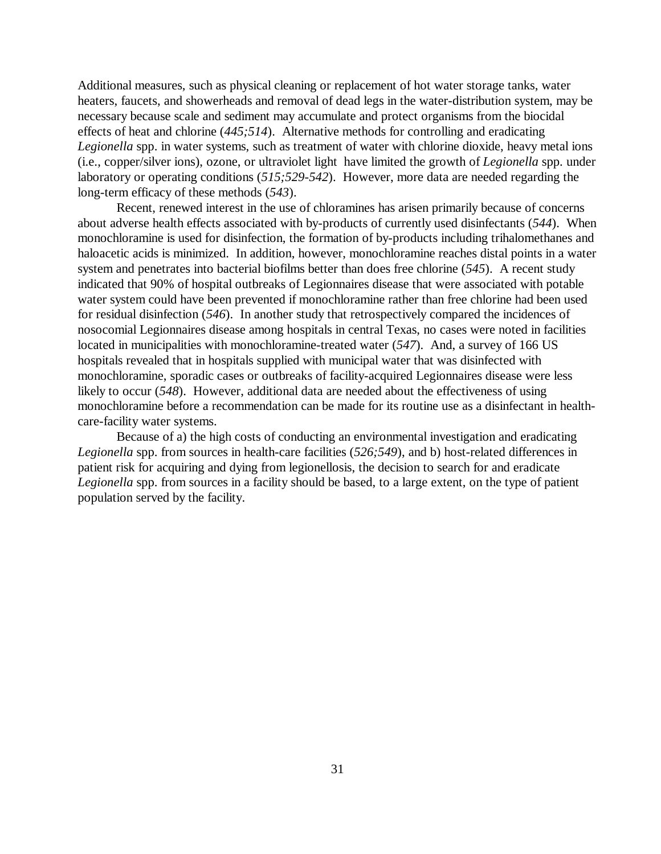Additional measures, such as physical cleaning or replacement of hot water storage tanks, water heaters, faucets, and showerheads and removal of dead legs in the water-distribution system, may be necessary because scale and sediment may accumulate and protect organisms from the biocidal effects of heat and chlorine (*445;514*). Alternative methods for controlling and eradicating *Legionella* spp. in water systems, such as treatment of water with chlorine dioxide, heavy metal ions (i.e., copper/silver ions), ozone, or ultraviolet light have limited the growth of *Legionella* spp. under laboratory or operating conditions (*515;529-542*). However, more data are needed regarding the long-term efficacy of these methods (*543*).

Recent, renewed interest in the use of chloramines has arisen primarily because of concerns about adverse health effects associated with by-products of currently used disinfectants (*544*). When monochloramine is used for disinfection, the formation of by-products including trihalomethanes and haloacetic acids is minimized. In addition, however, monochloramine reaches distal points in a water system and penetrates into bacterial biofilms better than does free chlorine (*545*). A recent study indicated that 90% of hospital outbreaks of Legionnaires disease that were associated with potable water system could have been prevented if monochloramine rather than free chlorine had been used for residual disinfection (*546*). In another study that retrospectively compared the incidences of nosocomial Legionnaires disease among hospitals in central Texas, no cases were noted in facilities located in municipalities with monochloramine-treated water (*547*). And, a survey of 166 US hospitals revealed that in hospitals supplied with municipal water that was disinfected with monochloramine, sporadic cases or outbreaks of facility-acquired Legionnaires disease were less likely to occur (*548*). However, additional data are needed about the effectiveness of using monochloramine before a recommendation can be made for its routine use as a disinfectant in healthcare-facility water systems.

Because of a) the high costs of conducting an environmental investigation and eradicating *Legionella* spp. from sources in health-care facilities (*526;549*), and b) host-related differences in patient risk for acquiring and dying from legionellosis, the decision to search for and eradicate *Legionella* spp. from sources in a facility should be based, to a large extent, on the type of patient population served by the facility.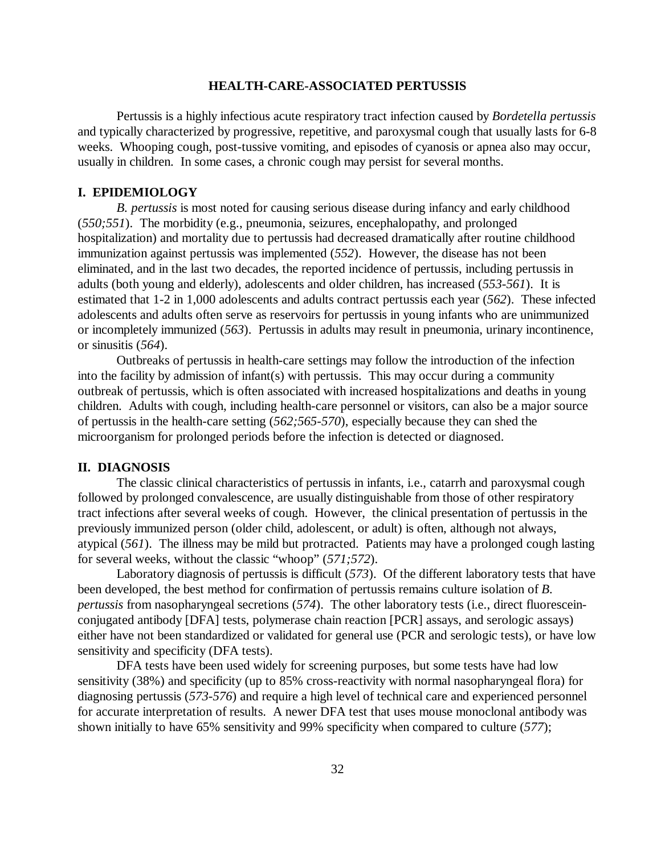#### **HEALTH-CARE-ASSOCIATED PERTUSSIS**

Pertussis is a highly infectious acute respiratory tract infection caused by *Bordetella pertussis* and typically characterized by progressive, repetitive, and paroxysmal cough that usually lasts for 6-8 weeks. Whooping cough, post-tussive vomiting, and episodes of cyanosis or apnea also may occur, usually in children. In some cases, a chronic cough may persist for several months.

### **I. EPIDEMIOLOGY**

*B. pertussis* is most noted for causing serious disease during infancy and early childhood (*550;551*). The morbidity (e.g., pneumonia, seizures, encephalopathy, and prolonged hospitalization) and mortality due to pertussis had decreased dramatically after routine childhood immunization against pertussis was implemented (*552*). However, the disease has not been eliminated, and in the last two decades, the reported incidence of pertussis, including pertussis in adults (both young and elderly), adolescents and older children, has increased (*553-561*). It is estimated that 1-2 in 1,000 adolescents and adults contract pertussis each year (*562*). These infected adolescents and adults often serve as reservoirs for pertussis in young infants who are unimmunized or incompletely immunized (*563*). Pertussis in adults may result in pneumonia, urinary incontinence, or sinusitis (*564*).

Outbreaks of pertussis in health-care settings may follow the introduction of the infection into the facility by admission of infant(s) with pertussis. This may occur during a community outbreak of pertussis, which is often associated with increased hospitalizations and deaths in young children. Adults with cough, including health-care personnel or visitors, can also be a major source of pertussis in the health-care setting (*562;565-570*), especially because they can shed the microorganism for prolonged periods before the infection is detected or diagnosed.

## **II. DIAGNOSIS**

The classic clinical characteristics of pertussis in infants, i.e., catarrh and paroxysmal cough followed by prolonged convalescence, are usually distinguishable from those of other respiratory tract infections after several weeks of cough. However, the clinical presentation of pertussis in the previously immunized person (older child, adolescent, or adult) is often, although not always, atypical (*561*). The illness may be mild but protracted. Patients may have a prolonged cough lasting for several weeks, without the classic "whoop" (*571;572*).

Laboratory diagnosis of pertussis is difficult (*573*). Of the different laboratory tests that have been developed, the best method for confirmation of pertussis remains culture isolation of *B. pertussis* from nasopharyngeal secretions (*574*). The other laboratory tests (i.e., direct fluoresceinconjugated antibody [DFA] tests, polymerase chain reaction [PCR] assays, and serologic assays) either have not been standardized or validated for general use (PCR and serologic tests), or have low sensitivity and specificity (DFA tests).

DFA tests have been used widely for screening purposes, but some tests have had low sensitivity (38%) and specificity (up to 85% cross-reactivity with normal nasopharyngeal flora) for diagnosing pertussis (*573-576*) and require a high level of technical care and experienced personnel for accurate interpretation of results. A newer DFA test that uses mouse monoclonal antibody was shown initially to have 65% sensitivity and 99% specificity when compared to culture (*577*);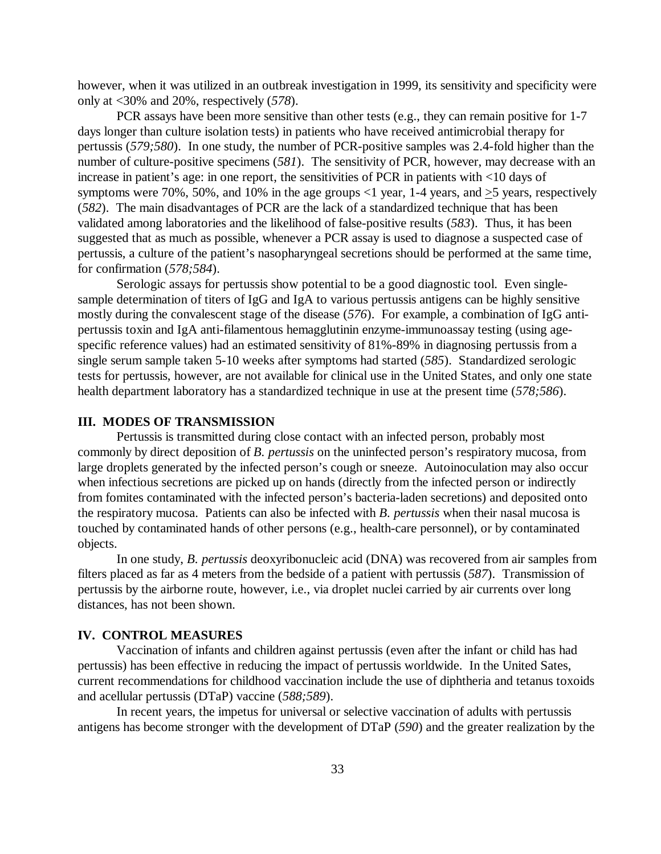however, when it was utilized in an outbreak investigation in 1999, its sensitivity and specificity were only at <30% and 20%, respectively (*578*).

PCR assays have been more sensitive than other tests (e.g., they can remain positive for 1-7 days longer than culture isolation tests) in patients who have received antimicrobial therapy for pertussis (*579;580*). In one study, the number of PCR-positive samples was 2.4-fold higher than the number of culture-positive specimens (*581*). The sensitivity of PCR, however, may decrease with an increase in patient's age: in one report, the sensitivities of PCR in patients with <10 days of symptoms were 70%, 50%, and 10% in the age groups <1 year, 1-4 years, and >5 years, respectively (*582*). The main disadvantages of PCR are the lack of a standardized technique that has been validated among laboratories and the likelihood of false-positive results (*583*). Thus, it has been suggested that as much as possible, whenever a PCR assay is used to diagnose a suspected case of pertussis, a culture of the patient's nasopharyngeal secretions should be performed at the same time, for confirmation (*578;584*).

Serologic assays for pertussis show potential to be a good diagnostic tool. Even singlesample determination of titers of IgG and IgA to various pertussis antigens can be highly sensitive mostly during the convalescent stage of the disease (*576*). For example, a combination of IgG antipertussis toxin and IgA anti-filamentous hemagglutinin enzyme-immunoassay testing (using agespecific reference values) had an estimated sensitivity of 81%-89% in diagnosing pertussis from a single serum sample taken 5-10 weeks after symptoms had started (*585*). Standardized serologic tests for pertussis, however, are not available for clinical use in the United States, and only one state health department laboratory has a standardized technique in use at the present time (*578;586*).

### **III. MODES OF TRANSMISSION**

Pertussis is transmitted during close contact with an infected person, probably most commonly by direct deposition of *B. pertussis* on the uninfected person's respiratory mucosa, from large droplets generated by the infected person's cough or sneeze. Autoinoculation may also occur when infectious secretions are picked up on hands (directly from the infected person or indirectly from fomites contaminated with the infected person's bacteria-laden secretions) and deposited onto the respiratory mucosa. Patients can also be infected with *B. pertussis* when their nasal mucosa is touched by contaminated hands of other persons (e.g., health-care personnel), or by contaminated objects.

In one study, *B. pertussis* deoxyribonucleic acid (DNA) was recovered from air samples from filters placed as far as 4 meters from the bedside of a patient with pertussis (*587*). Transmission of pertussis by the airborne route, however, i.e., via droplet nuclei carried by air currents over long distances, has not been shown.

### **IV. CONTROL MEASURES**

Vaccination of infants and children against pertussis (even after the infant or child has had pertussis) has been effective in reducing the impact of pertussis worldwide. In the United Sates, current recommendations for childhood vaccination include the use of diphtheria and tetanus toxoids and acellular pertussis (DTaP) vaccine (*588;589*).

In recent years, the impetus for universal or selective vaccination of adults with pertussis antigens has become stronger with the development of DTaP (*590*) and the greater realization by the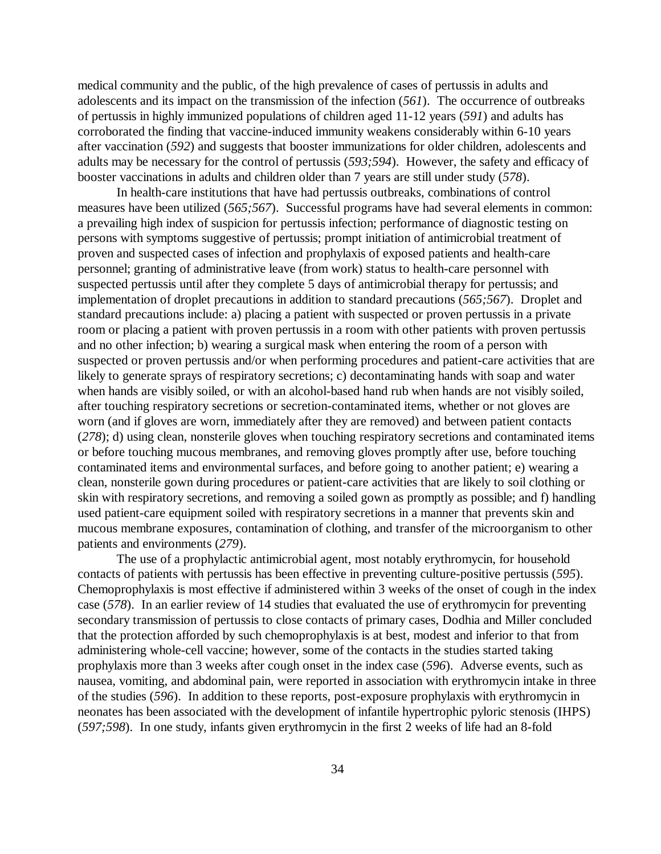medical community and the public, of the high prevalence of cases of pertussis in adults and adolescents and its impact on the transmission of the infection (*561*). The occurrence of outbreaks of pertussis in highly immunized populations of children aged 11-12 years (*591*) and adults has corroborated the finding that vaccine-induced immunity weakens considerably within 6-10 years after vaccination (*592*) and suggests that booster immunizations for older children, adolescents and adults may be necessary for the control of pertussis (*593;594*). However, the safety and efficacy of booster vaccinations in adults and children older than 7 years are still under study (*578*).

In health-care institutions that have had pertussis outbreaks, combinations of control measures have been utilized (*565;567*). Successful programs have had several elements in common: a prevailing high index of suspicion for pertussis infection; performance of diagnostic testing on persons with symptoms suggestive of pertussis; prompt initiation of antimicrobial treatment of proven and suspected cases of infection and prophylaxis of exposed patients and health-care personnel; granting of administrative leave (from work) status to health-care personnel with suspected pertussis until after they complete 5 days of antimicrobial therapy for pertussis; and implementation of droplet precautions in addition to standard precautions (*565;567*). Droplet and standard precautions include: a) placing a patient with suspected or proven pertussis in a private room or placing a patient with proven pertussis in a room with other patients with proven pertussis and no other infection; b) wearing a surgical mask when entering the room of a person with suspected or proven pertussis and/or when performing procedures and patient-care activities that are likely to generate sprays of respiratory secretions; c) decontaminating hands with soap and water when hands are visibly soiled, or with an alcohol-based hand rub when hands are not visibly soiled, after touching respiratory secretions or secretion-contaminated items, whether or not gloves are worn (and if gloves are worn, immediately after they are removed) and between patient contacts (*278*); d) using clean, nonsterile gloves when touching respiratory secretions and contaminated items or before touching mucous membranes, and removing gloves promptly after use, before touching contaminated items and environmental surfaces, and before going to another patient; e) wearing a clean, nonsterile gown during procedures or patient-care activities that are likely to soil clothing or skin with respiratory secretions, and removing a soiled gown as promptly as possible; and f) handling used patient-care equipment soiled with respiratory secretions in a manner that prevents skin and mucous membrane exposures, contamination of clothing, and transfer of the microorganism to other patients and environments (*279*).

The use of a prophylactic antimicrobial agent, most notably erythromycin, for household contacts of patients with pertussis has been effective in preventing culture-positive pertussis (*595*). Chemoprophylaxis is most effective if administered within 3 weeks of the onset of cough in the index case (*578*). In an earlier review of 14 studies that evaluated the use of erythromycin for preventing secondary transmission of pertussis to close contacts of primary cases, Dodhia and Miller concluded that the protection afforded by such chemoprophylaxis is at best, modest and inferior to that from administering whole-cell vaccine; however, some of the contacts in the studies started taking prophylaxis more than 3 weeks after cough onset in the index case (*596*). Adverse events, such as nausea, vomiting, and abdominal pain, were reported in association with erythromycin intake in three of the studies (*596*). In addition to these reports, post-exposure prophylaxis with erythromycin in neonates has been associated with the development of infantile hypertrophic pyloric stenosis (IHPS) (*597;598*). In one study, infants given erythromycin in the first 2 weeks of life had an 8-fold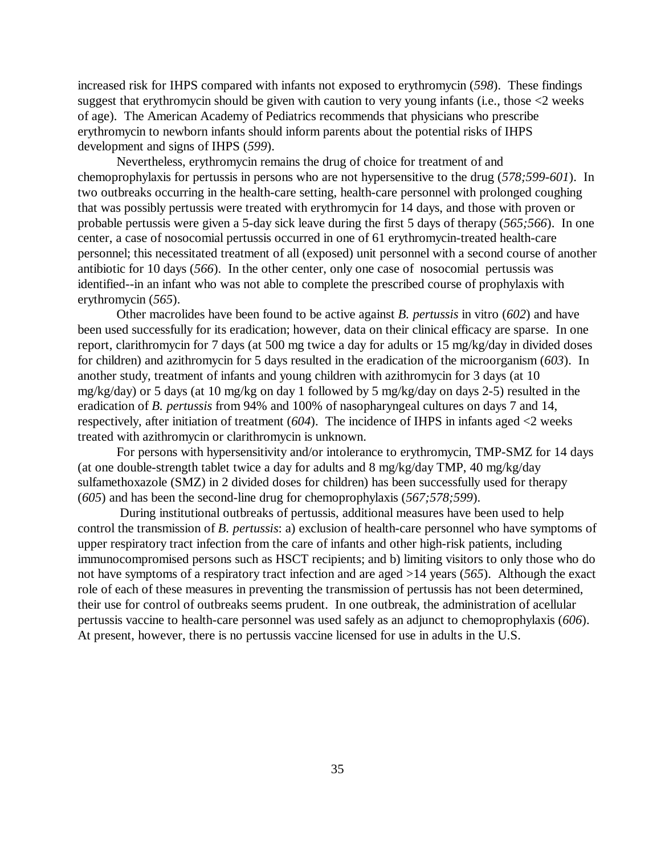increased risk for IHPS compared with infants not exposed to erythromycin (*598*). These findings suggest that erythromycin should be given with caution to very young infants (i.e., those <2 weeks of age). The American Academy of Pediatrics recommends that physicians who prescribe erythromycin to newborn infants should inform parents about the potential risks of IHPS development and signs of IHPS (*599*).

Nevertheless, erythromycin remains the drug of choice for treatment of and chemoprophylaxis for pertussis in persons who are not hypersensitive to the drug (*578;599-601*). In two outbreaks occurring in the health-care setting, health-care personnel with prolonged coughing that was possibly pertussis were treated with erythromycin for 14 days, and those with proven or probable pertussis were given a 5-day sick leave during the first 5 days of therapy (*565;566*). In one center, a case of nosocomial pertussis occurred in one of 61 erythromycin-treated health-care personnel; this necessitated treatment of all (exposed) unit personnel with a second course of another antibiotic for 10 days (*566*). In the other center, only one case of nosocomial pertussis was identified--in an infant who was not able to complete the prescribed course of prophylaxis with erythromycin (*565*).

Other macrolides have been found to be active against *B. pertussis* in vitro (*602*) and have been used successfully for its eradication; however, data on their clinical efficacy are sparse. In one report, clarithromycin for 7 days (at 500 mg twice a day for adults or 15 mg/kg/day in divided doses for children) and azithromycin for 5 days resulted in the eradication of the microorganism (*603*). In another study, treatment of infants and young children with azithromycin for 3 days (at 10 mg/kg/day) or 5 days (at 10 mg/kg on day 1 followed by 5 mg/kg/day on days 2-5) resulted in the eradication of *B. pertussis* from 94% and 100% of nasopharyngeal cultures on days 7 and 14, respectively, after initiation of treatment (*604*). The incidence of IHPS in infants aged <2 weeks treated with azithromycin or clarithromycin is unknown.

For persons with hypersensitivity and/or intolerance to erythromycin, TMP-SMZ for 14 days (at one double-strength tablet twice a day for adults and 8 mg/kg/day TMP, 40 mg/kg/day sulfamethoxazole (SMZ) in 2 divided doses for children) has been successfully used for therapy (*605*) and has been the second-line drug for chemoprophylaxis (*567;578;599*).

 During institutional outbreaks of pertussis, additional measures have been used to help control the transmission of *B. pertussis*: a) exclusion of health-care personnel who have symptoms of upper respiratory tract infection from the care of infants and other high-risk patients, including immunocompromised persons such as HSCT recipients; and b) limiting visitors to only those who do not have symptoms of a respiratory tract infection and are aged >14 years (*565*). Although the exact role of each of these measures in preventing the transmission of pertussis has not been determined, their use for control of outbreaks seems prudent. In one outbreak, the administration of acellular pertussis vaccine to health-care personnel was used safely as an adjunct to chemoprophylaxis (*606*). At present, however, there is no pertussis vaccine licensed for use in adults in the U.S.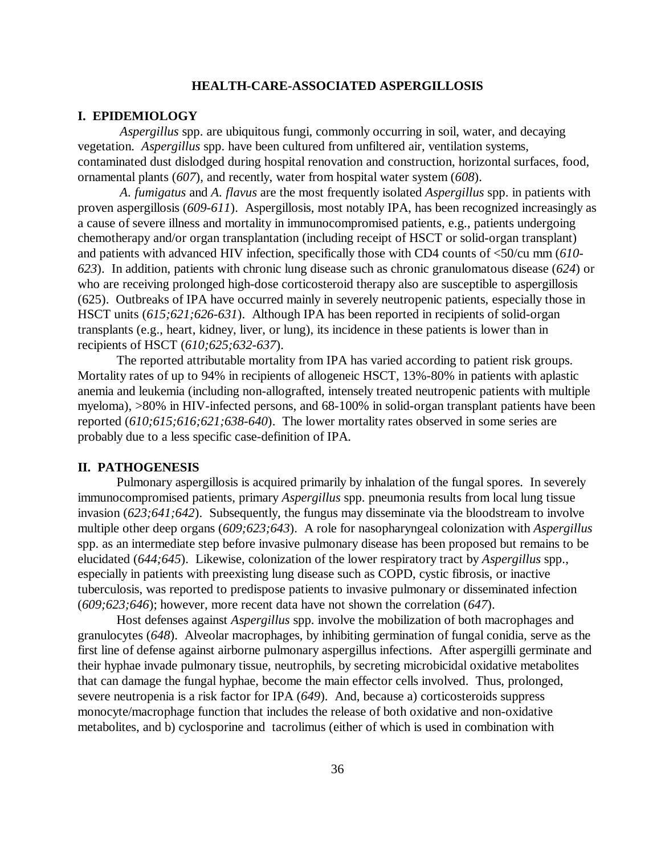### **HEALTH-CARE-ASSOCIATED ASPERGILLOSIS**

#### **I. EPIDEMIOLOGY**

*Aspergillus* spp. are ubiquitous fungi, commonly occurring in soil, water, and decaying vegetation. *Aspergillus* spp. have been cultured from unfiltered air, ventilation systems, contaminated dust dislodged during hospital renovation and construction, horizontal surfaces, food, ornamental plants (*607*), and recently, water from hospital water system (*608*).

*A. fumigatus* and *A. flavus* are the most frequently isolated *Aspergillus* spp. in patients with proven aspergillosis (*609-611*). Aspergillosis, most notably IPA, has been recognized increasingly as a cause of severe illness and mortality in immunocompromised patients, e.g., patients undergoing chemotherapy and/or organ transplantation (including receipt of HSCT or solid-organ transplant) and patients with advanced HIV infection, specifically those with CD4 counts of <50/cu mm (*610- 623*). In addition, patients with chronic lung disease such as chronic granulomatous disease (*624*) or who are receiving prolonged high-dose corticosteroid therapy also are susceptible to aspergillosis (625). Outbreaks of IPA have occurred mainly in severely neutropenic patients, especially those in HSCT units (*615;621;626-631*). Although IPA has been reported in recipients of solid-organ transplants (e.g., heart, kidney, liver, or lung), its incidence in these patients is lower than in recipients of HSCT (*610;625;632-637*).

The reported attributable mortality from IPA has varied according to patient risk groups. Mortality rates of up to 94% in recipients of allogeneic HSCT, 13%-80% in patients with aplastic anemia and leukemia (including non-allografted, intensely treated neutropenic patients with multiple myeloma), >80% in HIV-infected persons, and 68-100% in solid-organ transplant patients have been reported (*610;615;616;621;638-640*). The lower mortality rates observed in some series are probably due to a less specific case-definition of IPA.

#### **II. PATHOGENESIS**

Pulmonary aspergillosis is acquired primarily by inhalation of the fungal spores. In severely immunocompromised patients, primary *Aspergillus* spp. pneumonia results from local lung tissue invasion (*623;641;642*). Subsequently, the fungus may disseminate via the bloodstream to involve multiple other deep organs (*609;623;643*). A role for nasopharyngeal colonization with *Aspergillus* spp. as an intermediate step before invasive pulmonary disease has been proposed but remains to be elucidated (*644;645*). Likewise, colonization of the lower respiratory tract by *Aspergillus* spp., especially in patients with preexisting lung disease such as COPD, cystic fibrosis, or inactive tuberculosis, was reported to predispose patients to invasive pulmonary or disseminated infection (*609;623;646*); however, more recent data have not shown the correlation (*647*).

Host defenses against *Aspergillus* spp. involve the mobilization of both macrophages and granulocytes (*648*). Alveolar macrophages, by inhibiting germination of fungal conidia, serve as the first line of defense against airborne pulmonary aspergillus infections. After aspergilli germinate and their hyphae invade pulmonary tissue, neutrophils, by secreting microbicidal oxidative metabolites that can damage the fungal hyphae, become the main effector cells involved. Thus, prolonged, severe neutropenia is a risk factor for IPA (*649*). And, because a) corticosteroids suppress monocyte/macrophage function that includes the release of both oxidative and non-oxidative metabolites, and b) cyclosporine and tacrolimus (either of which is used in combination with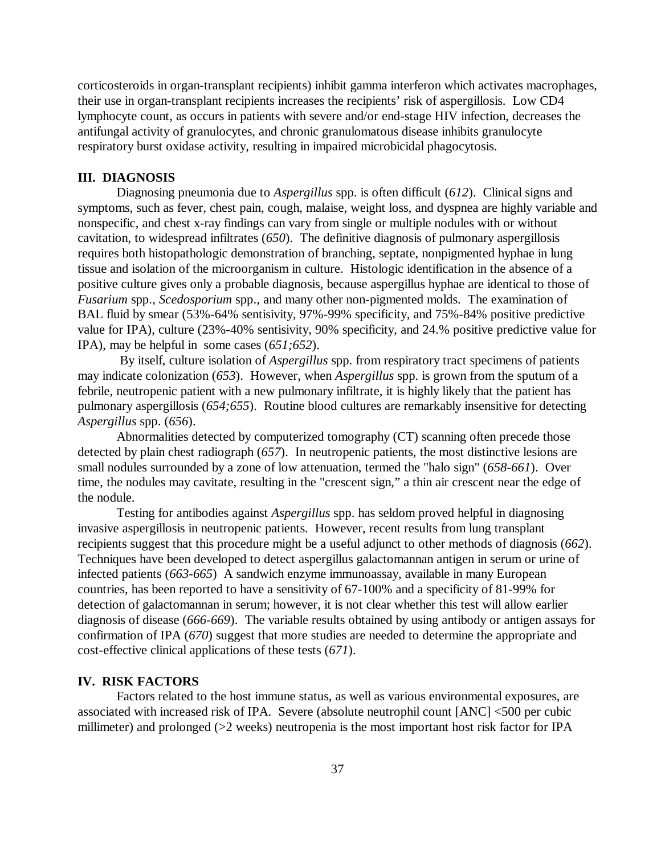corticosteroids in organ-transplant recipients) inhibit gamma interferon which activates macrophages, their use in organ-transplant recipients increases the recipients' risk of aspergillosis. Low CD4 lymphocyte count, as occurs in patients with severe and/or end-stage HIV infection, decreases the antifungal activity of granulocytes, and chronic granulomatous disease inhibits granulocyte respiratory burst oxidase activity, resulting in impaired microbicidal phagocytosis.

### **III. DIAGNOSIS**

Diagnosing pneumonia due to *Aspergillus* spp. is often difficult (*612*). Clinical signs and symptoms, such as fever, chest pain, cough, malaise, weight loss, and dyspnea are highly variable and nonspecific, and chest x-ray findings can vary from single or multiple nodules with or without cavitation, to widespread infiltrates (*650*). The definitive diagnosis of pulmonary aspergillosis requires both histopathologic demonstration of branching, septate, nonpigmented hyphae in lung tissue and isolation of the microorganism in culture. Histologic identification in the absence of a positive culture gives only a probable diagnosis, because aspergillus hyphae are identical to those of *Fusarium* spp., *Scedosporium* spp., and many other non-pigmented molds. The examination of BAL fluid by smear (53%-64% sentisivity, 97%-99% specificity, and 75%-84% positive predictive value for IPA), culture (23%-40% sentisivity, 90% specificity, and 24.% positive predictive value for IPA), may be helpful in some cases (*651;652*).

 By itself, culture isolation of *Aspergillus* spp. from respiratory tract specimens of patients may indicate colonization (*653*). However, when *Aspergillus* spp. is grown from the sputum of a febrile, neutropenic patient with a new pulmonary infiltrate, it is highly likely that the patient has pulmonary aspergillosis (*654;655*). Routine blood cultures are remarkably insensitive for detecting *Aspergillus* spp. (*656*).

Abnormalities detected by computerized tomography (CT) scanning often precede those detected by plain chest radiograph (*657*). In neutropenic patients, the most distinctive lesions are small nodules surrounded by a zone of low attenuation, termed the "halo sign" (*658-661*). Over time, the nodules may cavitate, resulting in the "crescent sign," a thin air crescent near the edge of the nodule.

Testing for antibodies against *Aspergillus* spp. has seldom proved helpful in diagnosing invasive aspergillosis in neutropenic patients. However, recent results from lung transplant recipients suggest that this procedure might be a useful adjunct to other methods of diagnosis (*662*). Techniques have been developed to detect aspergillus galactomannan antigen in serum or urine of infected patients (*663-665*) A sandwich enzyme immunoassay, available in many European countries, has been reported to have a sensitivity of 67-100% and a specificity of 81-99% for detection of galactomannan in serum; however, it is not clear whether this test will allow earlier diagnosis of disease (*666-669*). The variable results obtained by using antibody or antigen assays for confirmation of IPA (*670*) suggest that more studies are needed to determine the appropriate and cost-effective clinical applications of these tests (*671*).

#### **IV. RISK FACTORS**

Factors related to the host immune status, as well as various environmental exposures, are associated with increased risk of IPA. Severe (absolute neutrophil count [ANC] <500 per cubic millimeter) and prolonged (>2 weeks) neutropenia is the most important host risk factor for IPA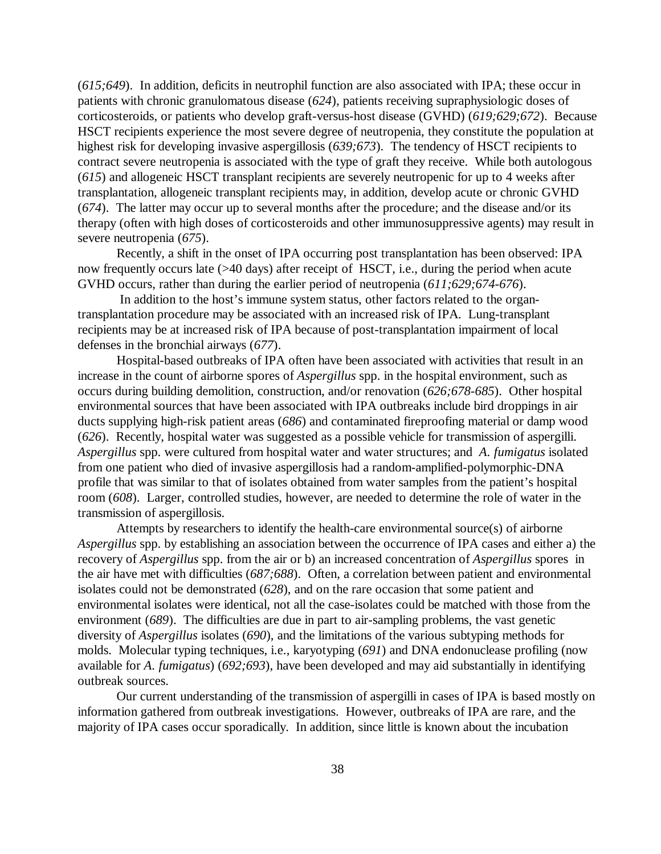(*615;649*). In addition, deficits in neutrophil function are also associated with IPA; these occur in patients with chronic granulomatous disease (*624*), patients receiving supraphysiologic doses of corticosteroids, or patients who develop graft-versus-host disease (GVHD) (*619;629;672*). Because HSCT recipients experience the most severe degree of neutropenia, they constitute the population at highest risk for developing invasive aspergillosis (*639;673*). The tendency of HSCT recipients to contract severe neutropenia is associated with the type of graft they receive. While both autologous (*615*) and allogeneic HSCT transplant recipients are severely neutropenic for up to 4 weeks after transplantation, allogeneic transplant recipients may, in addition, develop acute or chronic GVHD (*674*). The latter may occur up to several months after the procedure; and the disease and/or its therapy (often with high doses of corticosteroids and other immunosuppressive agents) may result in severe neutropenia (*675*).

Recently, a shift in the onset of IPA occurring post transplantation has been observed: IPA now frequently occurs late (>40 days) after receipt of HSCT, i.e., during the period when acute GVHD occurs, rather than during the earlier period of neutropenia (*611;629;674-676*).

 In addition to the host's immune system status, other factors related to the organtransplantation procedure may be associated with an increased risk of IPA. Lung-transplant recipients may be at increased risk of IPA because of post-transplantation impairment of local defenses in the bronchial airways (*677*).

Hospital-based outbreaks of IPA often have been associated with activities that result in an increase in the count of airborne spores of *Aspergillus* spp. in the hospital environment, such as occurs during building demolition, construction, and/or renovation (*626;678-685*). Other hospital environmental sources that have been associated with IPA outbreaks include bird droppings in air ducts supplying high-risk patient areas (*686*) and contaminated fireproofing material or damp wood (*626*). Recently, hospital water was suggested as a possible vehicle for transmission of aspergilli. *Aspergillus* spp. were cultured from hospital water and water structures; and *A. fumigatus* isolated from one patient who died of invasive aspergillosis had a random-amplified-polymorphic-DNA profile that was similar to that of isolates obtained from water samples from the patient's hospital room (*608*). Larger, controlled studies, however, are needed to determine the role of water in the transmission of aspergillosis.

Attempts by researchers to identify the health-care environmental source(s) of airborne *Aspergillus* spp. by establishing an association between the occurrence of IPA cases and either a) the recovery of *Aspergillus* spp. from the air or b) an increased concentration of *Aspergillus* spores in the air have met with difficulties (*687;688*). Often, a correlation between patient and environmental isolates could not be demonstrated (*628*), and on the rare occasion that some patient and environmental isolates were identical, not all the case-isolates could be matched with those from the environment (*689*). The difficulties are due in part to air-sampling problems, the vast genetic diversity of *Aspergillus* isolates (*690*), and the limitations of the various subtyping methods for molds. Molecular typing techniques, i.e., karyotyping (*691*) and DNA endonuclease profiling (now available for *A. fumigatus*) (*692;693*), have been developed and may aid substantially in identifying outbreak sources.

Our current understanding of the transmission of aspergilli in cases of IPA is based mostly on information gathered from outbreak investigations. However, outbreaks of IPA are rare, and the majority of IPA cases occur sporadically. In addition, since little is known about the incubation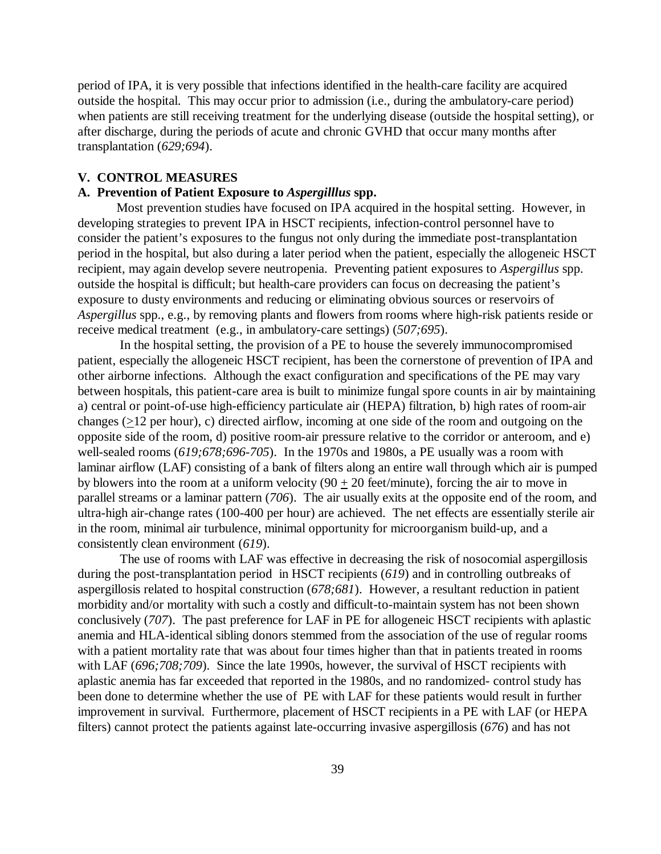period of IPA, it is very possible that infections identified in the health-care facility are acquired outside the hospital. This may occur prior to admission (i.e., during the ambulatory-care period) when patients are still receiving treatment for the underlying disease (outside the hospital setting), or after discharge, during the periods of acute and chronic GVHD that occur many months after transplantation (*629;694*).

### **V. CONTROL MEASURES**

#### **A. Prevention of Patient Exposure to** *Aspergilllus* **spp.**

Most prevention studies have focused on IPA acquired in the hospital setting. However, in developing strategies to prevent IPA in HSCT recipients, infection-control personnel have to consider the patient's exposures to the fungus not only during the immediate post-transplantation period in the hospital, but also during a later period when the patient, especially the allogeneic HSCT recipient, may again develop severe neutropenia. Preventing patient exposures to *Aspergillus* spp. outside the hospital is difficult; but health-care providers can focus on decreasing the patient's exposure to dusty environments and reducing or eliminating obvious sources or reservoirs of *Aspergillus* spp., e.g., by removing plants and flowers from rooms where high-risk patients reside or receive medical treatment (e.g., in ambulatory-care settings) (*507;695*).

 In the hospital setting, the provision of a PE to house the severely immunocompromised patient, especially the allogeneic HSCT recipient, has been the cornerstone of prevention of IPA and other airborne infections. Although the exact configuration and specifications of the PE may vary between hospitals, this patient-care area is built to minimize fungal spore counts in air by maintaining a) central or point-of-use high-efficiency particulate air (HEPA) filtration, b) high rates of room-air changes (>12 per hour), c) directed airflow, incoming at one side of the room and outgoing on the opposite side of the room, d) positive room-air pressure relative to the corridor or anteroom, and e) well-sealed rooms (*619;678;696-705*). In the 1970s and 1980s, a PE usually was a room with laminar airflow (LAF) consisting of a bank of filters along an entire wall through which air is pumped by blowers into the room at a uniform velocity  $(90 + 20 \text{ feet/minute})$ , forcing the air to move in parallel streams or a laminar pattern (*706*). The air usually exits at the opposite end of the room, and ultra-high air-change rates (100-400 per hour) are achieved. The net effects are essentially sterile air in the room, minimal air turbulence, minimal opportunity for microorganism build-up, and a consistently clean environment (*619*).

 The use of rooms with LAF was effective in decreasing the risk of nosocomial aspergillosis during the post-transplantation period in HSCT recipients (*619*) and in controlling outbreaks of aspergillosis related to hospital construction (*678;681*). However, a resultant reduction in patient morbidity and/or mortality with such a costly and difficult-to-maintain system has not been shown conclusively (*707*). The past preference for LAF in PE for allogeneic HSCT recipients with aplastic anemia and HLA-identical sibling donors stemmed from the association of the use of regular rooms with a patient mortality rate that was about four times higher than that in patients treated in rooms with LAF (696;708;709). Since the late 1990s, however, the survival of HSCT recipients with aplastic anemia has far exceeded that reported in the 1980s, and no randomized- control study has been done to determine whether the use of PE with LAF for these patients would result in further improvement in survival. Furthermore, placement of HSCT recipients in a PE with LAF (or HEPA filters) cannot protect the patients against late-occurring invasive aspergillosis (*676*) and has not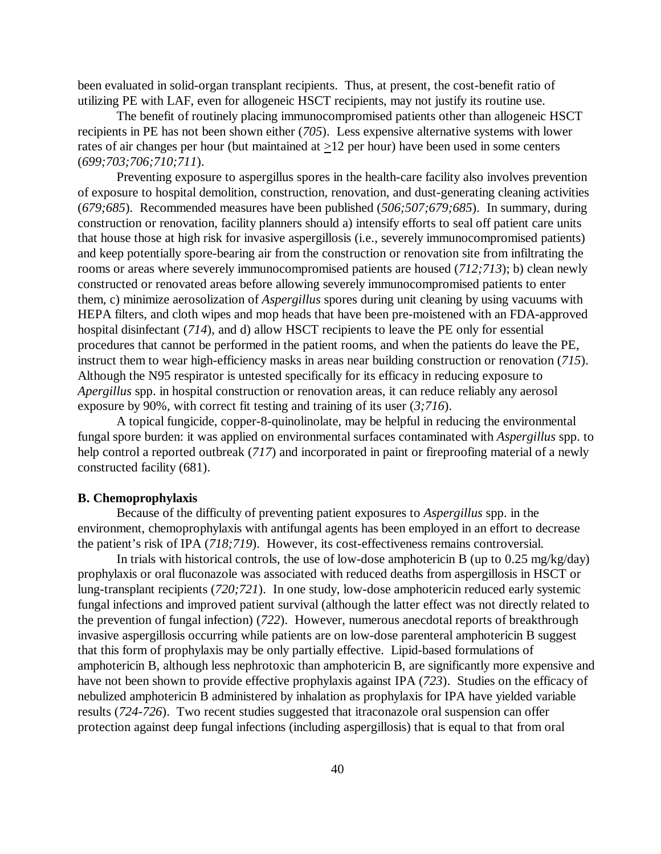been evaluated in solid-organ transplant recipients. Thus, at present, the cost-benefit ratio of utilizing PE with LAF, even for allogeneic HSCT recipients, may not justify its routine use.

The benefit of routinely placing immunocompromised patients other than allogeneic HSCT recipients in PE has not been shown either (*705*). Less expensive alternative systems with lower rates of air changes per hour (but maintained at  $\geq$ 12 per hour) have been used in some centers (*699;703;706;710;711*).

Preventing exposure to aspergillus spores in the health-care facility also involves prevention of exposure to hospital demolition, construction, renovation, and dust-generating cleaning activities (*679;685*). Recommended measures have been published (*506;507;679;685*). In summary, during construction or renovation, facility planners should a) intensify efforts to seal off patient care units that house those at high risk for invasive aspergillosis (i.e., severely immunocompromised patients) and keep potentially spore-bearing air from the construction or renovation site from infiltrating the rooms or areas where severely immunocompromised patients are housed (*712;713*); b) clean newly constructed or renovated areas before allowing severely immunocompromised patients to enter them, c) minimize aerosolization of *Aspergillus* spores during unit cleaning by using vacuums with HEPA filters, and cloth wipes and mop heads that have been pre-moistened with an FDA-approved hospital disinfectant (*714*), and d) allow HSCT recipients to leave the PE only for essential procedures that cannot be performed in the patient rooms, and when the patients do leave the PE, instruct them to wear high-efficiency masks in areas near building construction or renovation (*715*). Although the N95 respirator is untested specifically for its efficacy in reducing exposure to *Apergillus* spp. in hospital construction or renovation areas, it can reduce reliably any aerosol exposure by 90%, with correct fit testing and training of its user (*3;716*).

A topical fungicide, copper-8-quinolinolate, may be helpful in reducing the environmental fungal spore burden: it was applied on environmental surfaces contaminated with *Aspergillus* spp. to help control a reported outbreak (*717*) and incorporated in paint or fireproofing material of a newly constructed facility (681).

#### **B. Chemoprophylaxis**

Because of the difficulty of preventing patient exposures to *Aspergillus* spp. in the environment, chemoprophylaxis with antifungal agents has been employed in an effort to decrease the patient's risk of IPA (*718;719*). However, its cost-effectiveness remains controversial.

In trials with historical controls, the use of low-dose amphotericin B (up to  $0.25 \text{ mg/kg/day}$ ) prophylaxis or oral fluconazole was associated with reduced deaths from aspergillosis in HSCT or lung-transplant recipients (*720;721*). In one study, low-dose amphotericin reduced early systemic fungal infections and improved patient survival (although the latter effect was not directly related to the prevention of fungal infection) (*722*). However, numerous anecdotal reports of breakthrough invasive aspergillosis occurring while patients are on low-dose parenteral amphotericin B suggest that this form of prophylaxis may be only partially effective. Lipid-based formulations of amphotericin B, although less nephrotoxic than amphotericin B, are significantly more expensive and have not been shown to provide effective prophylaxis against IPA (*723*). Studies on the efficacy of nebulized amphotericin B administered by inhalation as prophylaxis for IPA have yielded variable results (*724-726*). Two recent studies suggested that itraconazole oral suspension can offer protection against deep fungal infections (including aspergillosis) that is equal to that from oral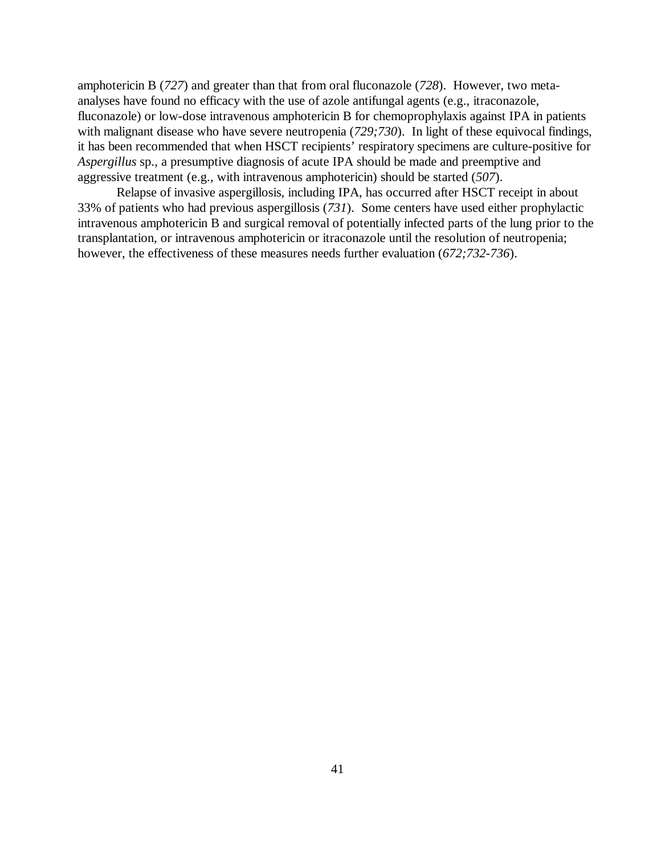amphotericin B (*727*) and greater than that from oral fluconazole (*728*). However, two metaanalyses have found no efficacy with the use of azole antifungal agents (e.g., itraconazole, fluconazole) or low-dose intravenous amphotericin B for chemoprophylaxis against IPA in patients with malignant disease who have severe neutropenia (*729;730*). In light of these equivocal findings, it has been recommended that when HSCT recipients' respiratory specimens are culture-positive for *Aspergillus* sp., a presumptive diagnosis of acute IPA should be made and preemptive and aggressive treatment (e.g., with intravenous amphotericin) should be started (*507*).

Relapse of invasive aspergillosis, including IPA, has occurred after HSCT receipt in about 33% of patients who had previous aspergillosis (*731*). Some centers have used either prophylactic intravenous amphotericin B and surgical removal of potentially infected parts of the lung prior to the transplantation, or intravenous amphotericin or itraconazole until the resolution of neutropenia; however, the effectiveness of these measures needs further evaluation (*672;732-736*).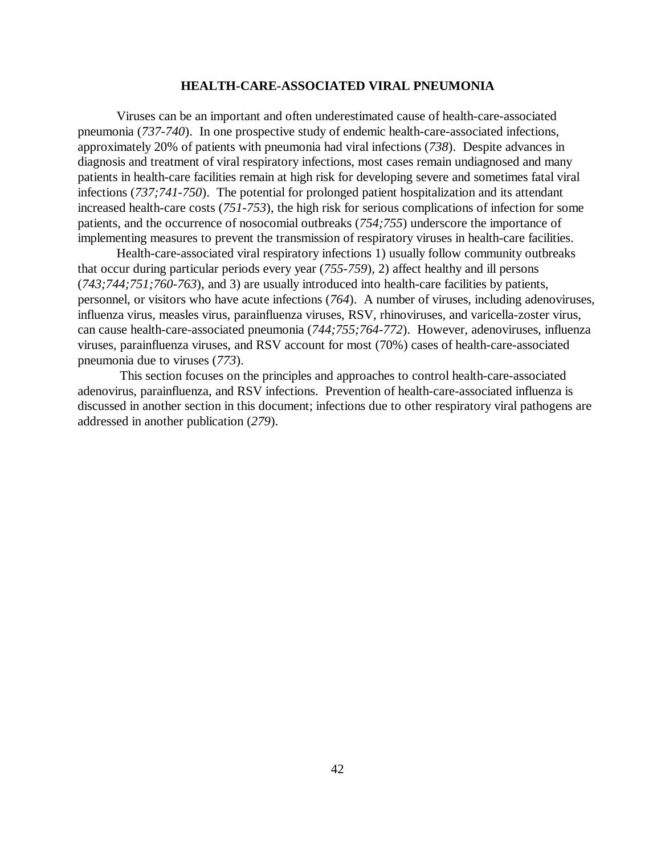#### **HEALTH-CARE-ASSOCIATED VIRAL PNEUMONIA**

Viruses can be an important and often underestimated cause of health-care-associated pneumonia (*737-740*). In one prospective study of endemic health-care-associated infections, approximately 20% of patients with pneumonia had viral infections (*738*). Despite advances in diagnosis and treatment of viral respiratory infections, most cases remain undiagnosed and many patients in health-care facilities remain at high risk for developing severe and sometimes fatal viral infections (*737;741-750*). The potential for prolonged patient hospitalization and its attendant increased health-care costs (*751-753*), the high risk for serious complications of infection for some patients, and the occurrence of nosocomial outbreaks (*754;755*) underscore the importance of implementing measures to prevent the transmission of respiratory viruses in health-care facilities.

Health-care-associated viral respiratory infections 1) usually follow community outbreaks that occur during particular periods every year (*755-759*), 2) affect healthy and ill persons (*743;744;751;760-763*), and 3) are usually introduced into health-care facilities by patients, personnel, or visitors who have acute infections (*764*). A number of viruses, including adenoviruses, influenza virus, measles virus, parainfluenza viruses, RSV, rhinoviruses, and varicella-zoster virus, can cause health-care-associated pneumonia (*744;755;764-772*). However, adenoviruses, influenza viruses, parainfluenza viruses, and RSV account for most (70%) cases of health-care-associated pneumonia due to viruses (*773*).

 This section focuses on the principles and approaches to control health-care-associated adenovirus, parainfluenza, and RSV infections. Prevention of health-care-associated influenza is discussed in another section in this document; infections due to other respiratory viral pathogens are addressed in another publication (*279*).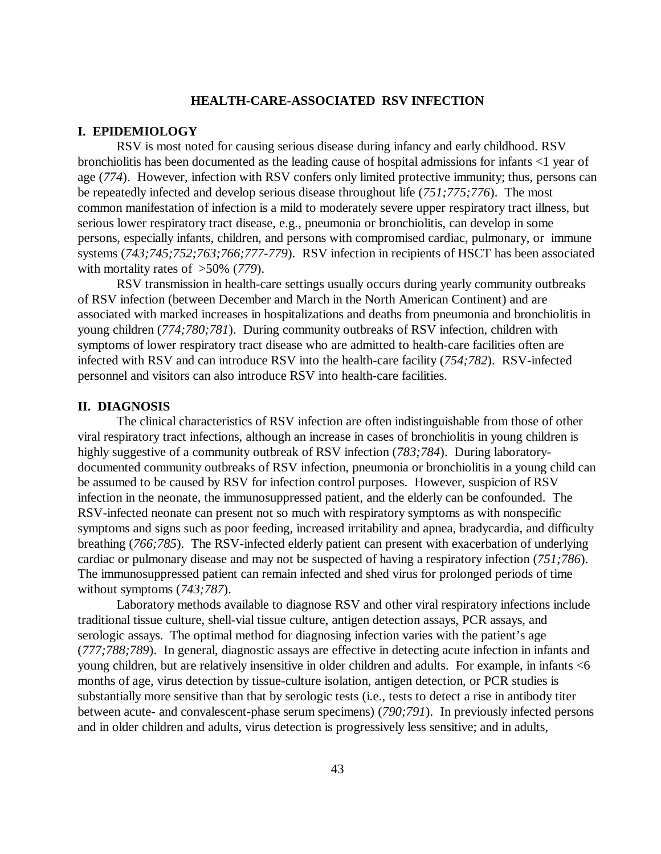#### **HEALTH-CARE-ASSOCIATED RSV INFECTION**

#### **I. EPIDEMIOLOGY**

RSV is most noted for causing serious disease during infancy and early childhood. RSV bronchiolitis has been documented as the leading cause of hospital admissions for infants <1 year of age (*774*). However, infection with RSV confers only limited protective immunity; thus, persons can be repeatedly infected and develop serious disease throughout life (*751;775;776*). The most common manifestation of infection is a mild to moderately severe upper respiratory tract illness, but serious lower respiratory tract disease, e.g., pneumonia or bronchiolitis, can develop in some persons, especially infants, children, and persons with compromised cardiac, pulmonary, or immune systems (*743;745;752;763;766;777-779*). RSV infection in recipients of HSCT has been associated with mortality rates of >50% (*779*).

RSV transmission in health-care settings usually occurs during yearly community outbreaks of RSV infection (between December and March in the North American Continent) and are associated with marked increases in hospitalizations and deaths from pneumonia and bronchiolitis in young children (*774;780;781*). During community outbreaks of RSV infection, children with symptoms of lower respiratory tract disease who are admitted to health-care facilities often are infected with RSV and can introduce RSV into the health-care facility (*754;782*). RSV-infected personnel and visitors can also introduce RSV into health-care facilities.

#### **II. DIAGNOSIS**

The clinical characteristics of RSV infection are often indistinguishable from those of other viral respiratory tract infections, although an increase in cases of bronchiolitis in young children is highly suggestive of a community outbreak of RSV infection (*783;784*). During laboratorydocumented community outbreaks of RSV infection, pneumonia or bronchiolitis in a young child can be assumed to be caused by RSV for infection control purposes. However, suspicion of RSV infection in the neonate, the immunosuppressed patient, and the elderly can be confounded. The RSV-infected neonate can present not so much with respiratory symptoms as with nonspecific symptoms and signs such as poor feeding, increased irritability and apnea, bradycardia, and difficulty breathing (*766;785*). The RSV-infected elderly patient can present with exacerbation of underlying cardiac or pulmonary disease and may not be suspected of having a respiratory infection (*751;786*). The immunosuppressed patient can remain infected and shed virus for prolonged periods of time without symptoms (*743;787*).

Laboratory methods available to diagnose RSV and other viral respiratory infections include traditional tissue culture, shell-vial tissue culture, antigen detection assays, PCR assays, and serologic assays. The optimal method for diagnosing infection varies with the patient's age (*777;788;789*). In general, diagnostic assays are effective in detecting acute infection in infants and young children, but are relatively insensitive in older children and adults. For example, in infants <6 months of age, virus detection by tissue-culture isolation, antigen detection, or PCR studies is substantially more sensitive than that by serologic tests (i.e., tests to detect a rise in antibody titer between acute- and convalescent-phase serum specimens) (*790;791*). In previously infected persons and in older children and adults, virus detection is progressively less sensitive; and in adults,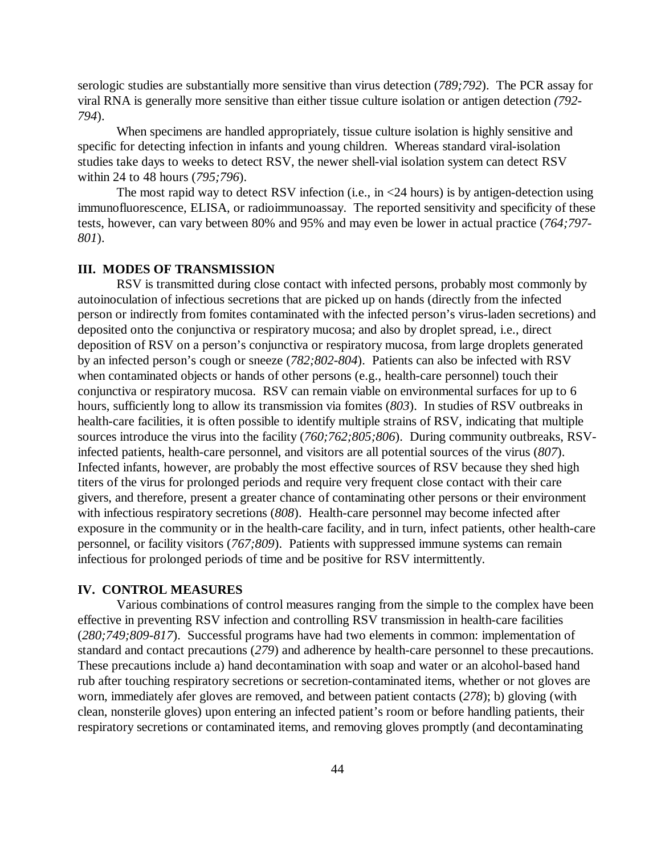serologic studies are substantially more sensitive than virus detection (*789;792*). The PCR assay for viral RNA is generally more sensitive than either tissue culture isolation or antigen detection *(792- 794*).

When specimens are handled appropriately, tissue culture isolation is highly sensitive and specific for detecting infection in infants and young children. Whereas standard viral-isolation studies take days to weeks to detect RSV, the newer shell-vial isolation system can detect RSV within 24 to 48 hours (*795;796*).

The most rapid way to detect RSV infection (i.e., in <24 hours) is by antigen-detection using immunofluorescence, ELISA, or radioimmunoassay. The reported sensitivity and specificity of these tests, however, can vary between 80% and 95% and may even be lower in actual practice (*764;797- 801*).

#### **III. MODES OF TRANSMISSION**

RSV is transmitted during close contact with infected persons, probably most commonly by autoinoculation of infectious secretions that are picked up on hands (directly from the infected person or indirectly from fomites contaminated with the infected person's virus-laden secretions) and deposited onto the conjunctiva or respiratory mucosa; and also by droplet spread, i.e., direct deposition of RSV on a person's conjunctiva or respiratory mucosa, from large droplets generated by an infected person's cough or sneeze (*782;802-804*). Patients can also be infected with RSV when contaminated objects or hands of other persons (e.g., health-care personnel) touch their conjunctiva or respiratory mucosa. RSV can remain viable on environmental surfaces for up to 6 hours, sufficiently long to allow its transmission via fomites (*803*). In studies of RSV outbreaks in health-care facilities, it is often possible to identify multiple strains of RSV, indicating that multiple sources introduce the virus into the facility (*760;762;805;806*). During community outbreaks, RSVinfected patients, health-care personnel, and visitors are all potential sources of the virus (*807*). Infected infants, however, are probably the most effective sources of RSV because they shed high titers of the virus for prolonged periods and require very frequent close contact with their care givers, and therefore, present a greater chance of contaminating other persons or their environment with infectious respiratory secretions (*808*). Health-care personnel may become infected after exposure in the community or in the health-care facility, and in turn, infect patients, other health-care personnel, or facility visitors (*767;809*). Patients with suppressed immune systems can remain infectious for prolonged periods of time and be positive for RSV intermittently.

#### **IV. CONTROL MEASURES**

Various combinations of control measures ranging from the simple to the complex have been effective in preventing RSV infection and controlling RSV transmission in health-care facilities (*280;749;809-817*). Successful programs have had two elements in common: implementation of standard and contact precautions (*279*) and adherence by health-care personnel to these precautions. These precautions include a) hand decontamination with soap and water or an alcohol-based hand rub after touching respiratory secretions or secretion-contaminated items, whether or not gloves are worn, immediately afer gloves are removed, and between patient contacts (*278*); b) gloving (with clean, nonsterile gloves) upon entering an infected patient's room or before handling patients, their respiratory secretions or contaminated items, and removing gloves promptly (and decontaminating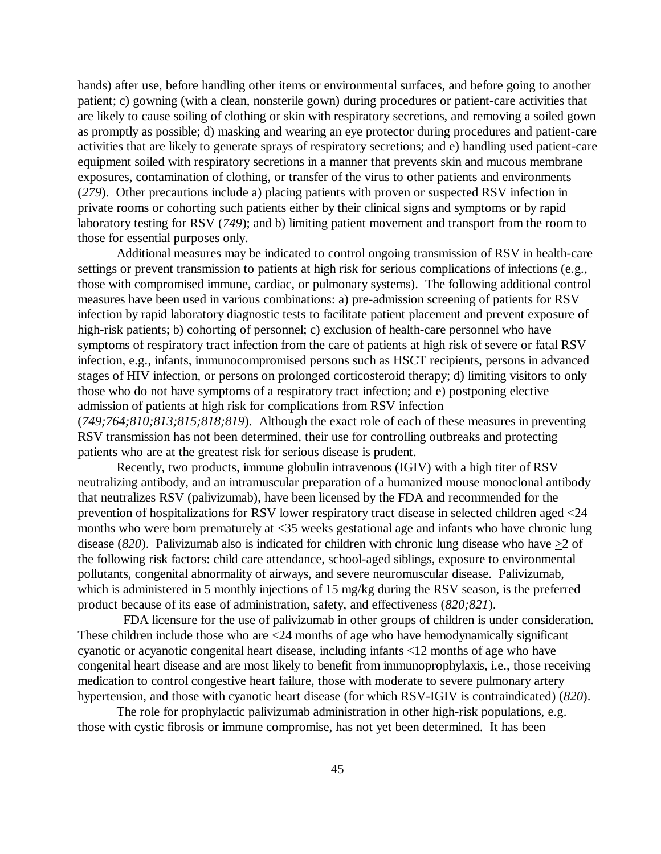hands) after use, before handling other items or environmental surfaces, and before going to another patient; c) gowning (with a clean, nonsterile gown) during procedures or patient-care activities that are likely to cause soiling of clothing or skin with respiratory secretions, and removing a soiled gown as promptly as possible; d) masking and wearing an eye protector during procedures and patient-care activities that are likely to generate sprays of respiratory secretions; and e) handling used patient-care equipment soiled with respiratory secretions in a manner that prevents skin and mucous membrane exposures, contamination of clothing, or transfer of the virus to other patients and environments (*279*). Other precautions include a) placing patients with proven or suspected RSV infection in private rooms or cohorting such patients either by their clinical signs and symptoms or by rapid laboratory testing for RSV (*749*); and b) limiting patient movement and transport from the room to those for essential purposes only.

Additional measures may be indicated to control ongoing transmission of RSV in health-care settings or prevent transmission to patients at high risk for serious complications of infections (e.g., those with compromised immune, cardiac, or pulmonary systems). The following additional control measures have been used in various combinations: a) pre-admission screening of patients for RSV infection by rapid laboratory diagnostic tests to facilitate patient placement and prevent exposure of high-risk patients; b) cohorting of personnel; c) exclusion of health-care personnel who have symptoms of respiratory tract infection from the care of patients at high risk of severe or fatal RSV infection, e.g., infants, immunocompromised persons such as HSCT recipients, persons in advanced stages of HIV infection, or persons on prolonged corticosteroid therapy; d) limiting visitors to only those who do not have symptoms of a respiratory tract infection; and e) postponing elective admission of patients at high risk for complications from RSV infection (*749;764;810;813;815;818;819*). Although the exact role of each of these measures in preventing RSV transmission has not been determined, their use for controlling outbreaks and protecting patients who are at the greatest risk for serious disease is prudent.

Recently, two products, immune globulin intravenous (IGIV) with a high titer of RSV neutralizing antibody, and an intramuscular preparation of a humanized mouse monoclonal antibody that neutralizes RSV (palivizumab), have been licensed by the FDA and recommended for the prevention of hospitalizations for RSV lower respiratory tract disease in selected children aged <24 months who were born prematurely at <35 weeks gestational age and infants who have chronic lung disease (*820*). Palivizumab also is indicated for children with chronic lung disease who have >2 of the following risk factors: child care attendance, school-aged siblings, exposure to environmental pollutants, congenital abnormality of airways, and severe neuromuscular disease. Palivizumab, which is administered in 5 monthly injections of 15 mg/kg during the RSV season, is the preferred product because of its ease of administration, safety, and effectiveness (*820;821*).

 FDA licensure for the use of palivizumab in other groups of children is under consideration. These children include those who are <24 months of age who have hemodynamically significant cyanotic or acyanotic congenital heart disease, including infants <12 months of age who have congenital heart disease and are most likely to benefit from immunoprophylaxis, i.e., those receiving medication to control congestive heart failure, those with moderate to severe pulmonary artery hypertension, and those with cyanotic heart disease (for which RSV-IGIV is contraindicated) (*820*).

The role for prophylactic palivizumab administration in other high-risk populations, e.g. those with cystic fibrosis or immune compromise, has not yet been determined. It has been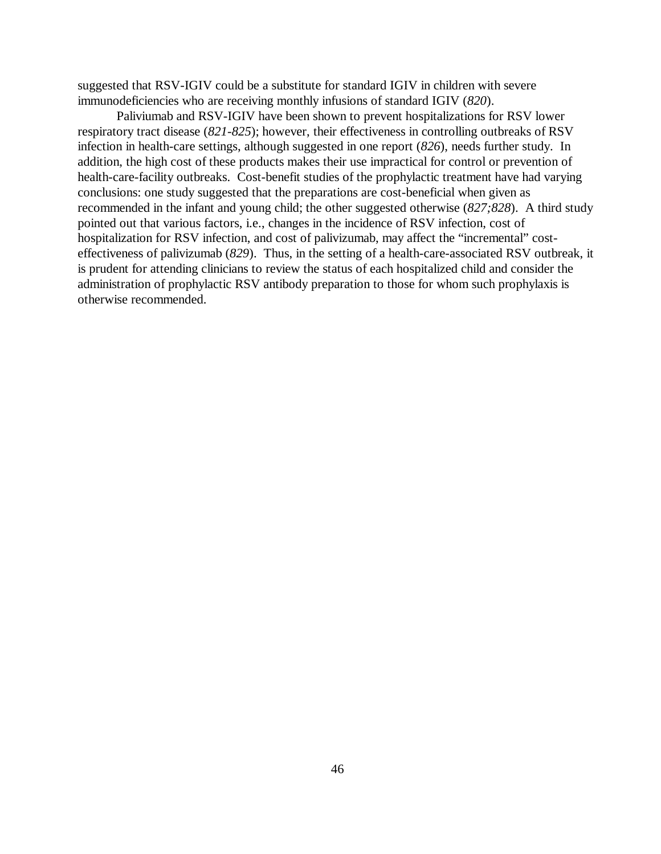suggested that RSV-IGIV could be a substitute for standard IGIV in children with severe immunodeficiencies who are receiving monthly infusions of standard IGIV (*820*).

Paliviumab and RSV-IGIV have been shown to prevent hospitalizations for RSV lower respiratory tract disease (*821-825*); however, their effectiveness in controlling outbreaks of RSV infection in health-care settings, although suggested in one report (*826*), needs further study. In addition, the high cost of these products makes their use impractical for control or prevention of health-care-facility outbreaks. Cost-benefit studies of the prophylactic treatment have had varying conclusions: one study suggested that the preparations are cost-beneficial when given as recommended in the infant and young child; the other suggested otherwise (*827;828*). A third study pointed out that various factors, i.e., changes in the incidence of RSV infection, cost of hospitalization for RSV infection, and cost of palivizumab, may affect the "incremental" costeffectiveness of palivizumab (*829*). Thus, in the setting of a health-care-associated RSV outbreak, it is prudent for attending clinicians to review the status of each hospitalized child and consider the administration of prophylactic RSV antibody preparation to those for whom such prophylaxis is otherwise recommended.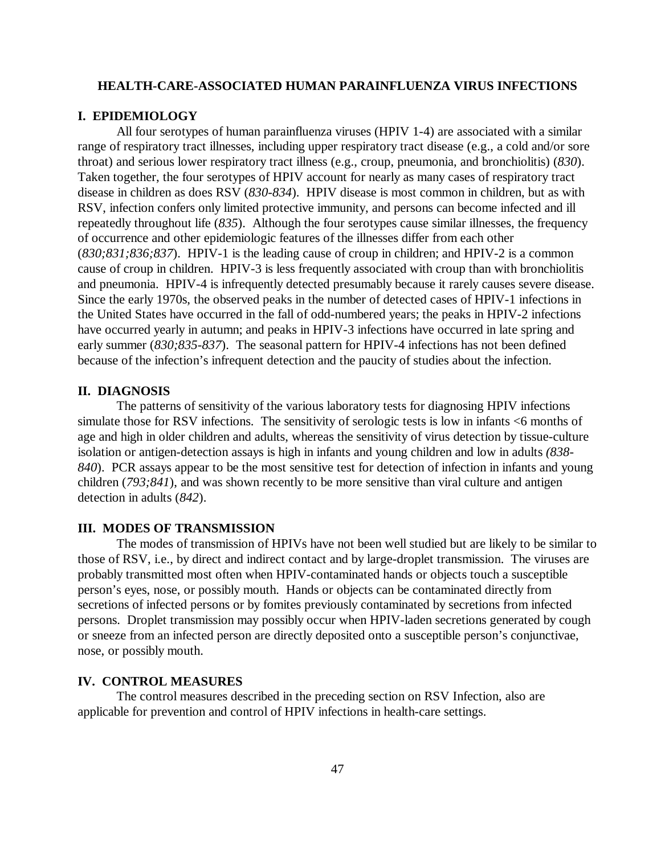#### **HEALTH-CARE-ASSOCIATED HUMAN PARAINFLUENZA VIRUS INFECTIONS**

#### **I. EPIDEMIOLOGY**

All four serotypes of human parainfluenza viruses (HPIV 1-4) are associated with a similar range of respiratory tract illnesses, including upper respiratory tract disease (e.g., a cold and/or sore throat) and serious lower respiratory tract illness (e.g., croup, pneumonia, and bronchiolitis) (*830*). Taken together, the four serotypes of HPIV account for nearly as many cases of respiratory tract disease in children as does RSV (*830-834*). HPIV disease is most common in children, but as with RSV, infection confers only limited protective immunity, and persons can become infected and ill repeatedly throughout life (*835*). Although the four serotypes cause similar illnesses, the frequency of occurrence and other epidemiologic features of the illnesses differ from each other (*830;831;836;837*). HPIV-1 is the leading cause of croup in children; and HPIV-2 is a common cause of croup in children. HPIV-3 is less frequently associated with croup than with bronchiolitis and pneumonia. HPIV-4 is infrequently detected presumably because it rarely causes severe disease. Since the early 1970s, the observed peaks in the number of detected cases of HPIV-1 infections in the United States have occurred in the fall of odd-numbered years; the peaks in HPIV-2 infections have occurred yearly in autumn; and peaks in HPIV-3 infections have occurred in late spring and early summer (*830;835-837*). The seasonal pattern for HPIV-4 infections has not been defined because of the infection's infrequent detection and the paucity of studies about the infection.

### **II. DIAGNOSIS**

The patterns of sensitivity of the various laboratory tests for diagnosing HPIV infections simulate those for RSV infections. The sensitivity of serologic tests is low in infants <6 months of age and high in older children and adults, whereas the sensitivity of virus detection by tissue-culture isolation or antigen-detection assays is high in infants and young children and low in adults *(838- 840*). PCR assays appear to be the most sensitive test for detection of infection in infants and young children (*793;841*), and was shown recently to be more sensitive than viral culture and antigen detection in adults (*842*).

#### **III. MODES OF TRANSMISSION**

The modes of transmission of HPIVs have not been well studied but are likely to be similar to those of RSV, i.e., by direct and indirect contact and by large-droplet transmission. The viruses are probably transmitted most often when HPIV-contaminated hands or objects touch a susceptible person's eyes, nose, or possibly mouth. Hands or objects can be contaminated directly from secretions of infected persons or by fomites previously contaminated by secretions from infected persons. Droplet transmission may possibly occur when HPIV-laden secretions generated by cough or sneeze from an infected person are directly deposited onto a susceptible person's conjunctivae, nose, or possibly mouth.

#### **IV. CONTROL MEASURES**

The control measures described in the preceding section on RSV Infection, also are applicable for prevention and control of HPIV infections in health-care settings.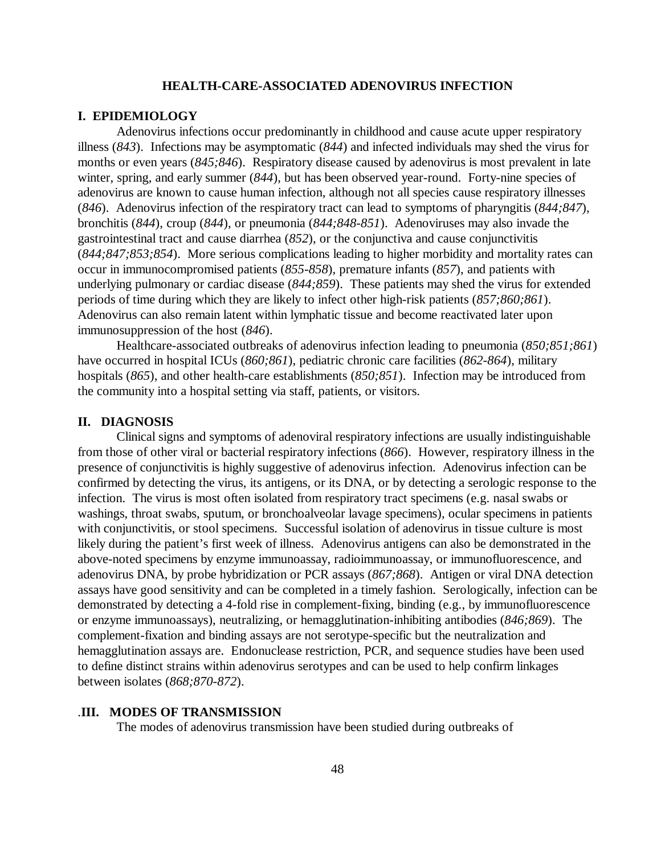#### **HEALTH-CARE-ASSOCIATED ADENOVIRUS INFECTION**

#### **I. EPIDEMIOLOGY**

Adenovirus infections occur predominantly in childhood and cause acute upper respiratory illness (*843*). Infections may be asymptomatic (*844*) and infected individuals may shed the virus for months or even years (*845;846*). Respiratory disease caused by adenovirus is most prevalent in late winter, spring, and early summer (*844*), but has been observed year-round. Forty-nine species of adenovirus are known to cause human infection, although not all species cause respiratory illnesses (*846*). Adenovirus infection of the respiratory tract can lead to symptoms of pharyngitis (*844;847*), bronchitis (*844*), croup (*844*), or pneumonia (*844;848-851*). Adenoviruses may also invade the gastrointestinal tract and cause diarrhea (*852*), or the conjunctiva and cause conjunctivitis (*844;847;853;854*). More serious complications leading to higher morbidity and mortality rates can occur in immunocompromised patients (*855-858*), premature infants (*857*), and patients with underlying pulmonary or cardiac disease (*844;859*). These patients may shed the virus for extended periods of time during which they are likely to infect other high-risk patients (*857;860;861*). Adenovirus can also remain latent within lymphatic tissue and become reactivated later upon immunosuppression of the host (*846*).

Healthcare-associated outbreaks of adenovirus infection leading to pneumonia (*850;851;861*) have occurred in hospital ICUs (*860;861*), pediatric chronic care facilities (*862-864*), military hospitals (*865*), and other health-care establishments (*850;851*). Infection may be introduced from the community into a hospital setting via staff, patients, or visitors.

#### **II. DIAGNOSIS**

Clinical signs and symptoms of adenoviral respiratory infections are usually indistinguishable from those of other viral or bacterial respiratory infections (*866*). However, respiratory illness in the presence of conjunctivitis is highly suggestive of adenovirus infection. Adenovirus infection can be confirmed by detecting the virus, its antigens, or its DNA, or by detecting a serologic response to the infection. The virus is most often isolated from respiratory tract specimens (e.g. nasal swabs or washings, throat swabs, sputum, or bronchoalveolar lavage specimens), ocular specimens in patients with conjunctivitis, or stool specimens. Successful isolation of adenovirus in tissue culture is most likely during the patient's first week of illness. Adenovirus antigens can also be demonstrated in the above-noted specimens by enzyme immunoassay, radioimmunoassay, or immunofluorescence, and adenovirus DNA, by probe hybridization or PCR assays (*867;868*). Antigen or viral DNA detection assays have good sensitivity and can be completed in a timely fashion. Serologically, infection can be demonstrated by detecting a 4-fold rise in complement-fixing, binding (e.g., by immunofluorescence or enzyme immunoassays), neutralizing, or hemagglutination-inhibiting antibodies (*846;869*). The complement-fixation and binding assays are not serotype-specific but the neutralization and hemagglutination assays are. Endonuclease restriction, PCR, and sequence studies have been used to define distinct strains within adenovirus serotypes and can be used to help confirm linkages between isolates (*868;870-872*).

#### .**III. MODES OF TRANSMISSION**

The modes of adenovirus transmission have been studied during outbreaks of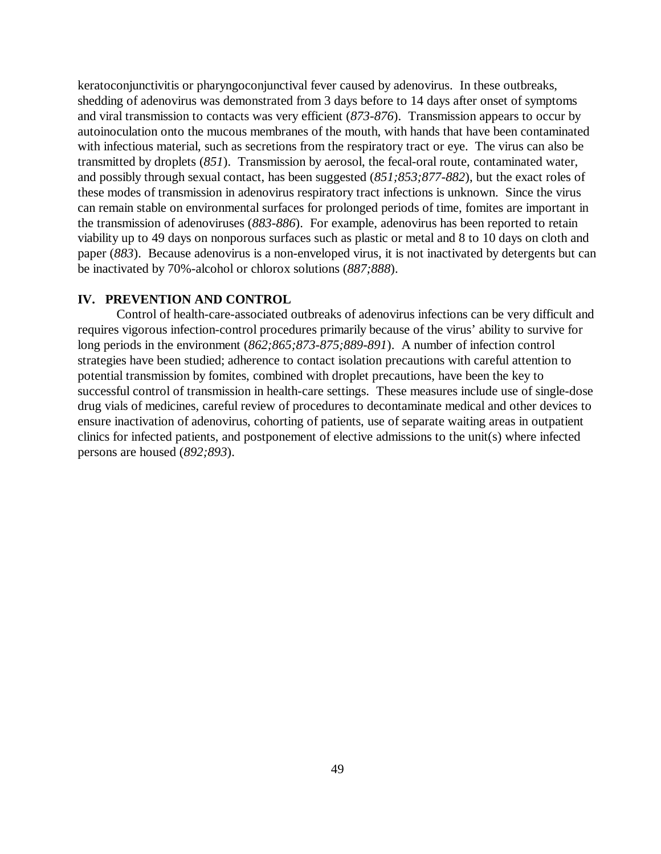keratoconjunctivitis or pharyngoconjunctival fever caused by adenovirus. In these outbreaks, shedding of adenovirus was demonstrated from 3 days before to 14 days after onset of symptoms and viral transmission to contacts was very efficient (*873-876*). Transmission appears to occur by autoinoculation onto the mucous membranes of the mouth, with hands that have been contaminated with infectious material, such as secretions from the respiratory tract or eye. The virus can also be transmitted by droplets (*851*). Transmission by aerosol, the fecal-oral route, contaminated water, and possibly through sexual contact, has been suggested (*851;853;877-882*), but the exact roles of these modes of transmission in adenovirus respiratory tract infections is unknown. Since the virus can remain stable on environmental surfaces for prolonged periods of time, fomites are important in the transmission of adenoviruses (*883-886*). For example, adenovirus has been reported to retain viability up to 49 days on nonporous surfaces such as plastic or metal and 8 to 10 days on cloth and paper (*883*). Because adenovirus is a non-enveloped virus, it is not inactivated by detergents but can be inactivated by 70%-alcohol or chlorox solutions (*887;888*).

### **IV. PREVENTION AND CONTROL**

Control of health-care-associated outbreaks of adenovirus infections can be very difficult and requires vigorous infection-control procedures primarily because of the virus' ability to survive for long periods in the environment (*862;865;873-875;889-891*). A number of infection control strategies have been studied; adherence to contact isolation precautions with careful attention to potential transmission by fomites, combined with droplet precautions, have been the key to successful control of transmission in health-care settings. These measures include use of single-dose drug vials of medicines, careful review of procedures to decontaminate medical and other devices to ensure inactivation of adenovirus, cohorting of patients, use of separate waiting areas in outpatient clinics for infected patients, and postponement of elective admissions to the unit(s) where infected persons are housed (*892;893*).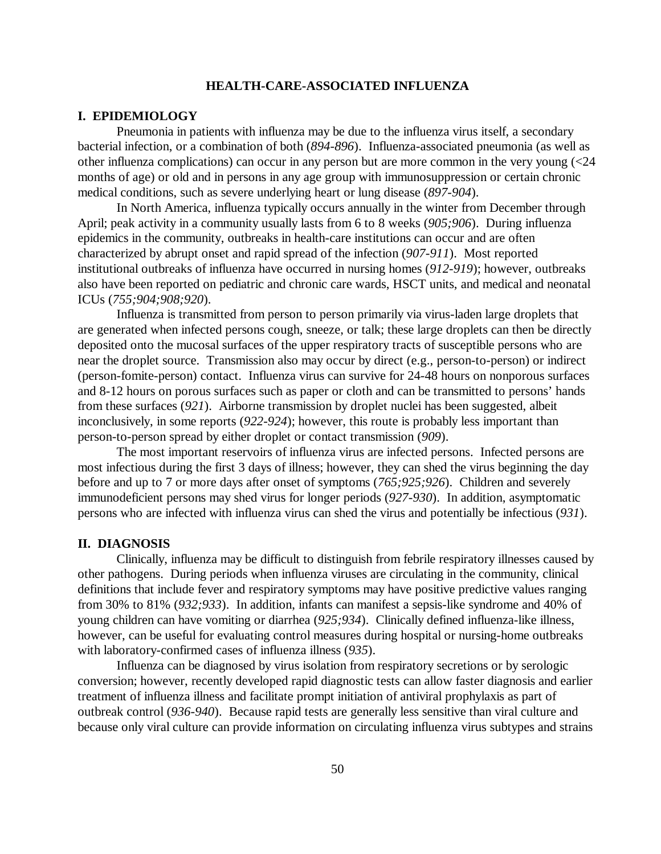#### **HEALTH-CARE-ASSOCIATED INFLUENZA**

#### **I. EPIDEMIOLOGY**

Pneumonia in patients with influenza may be due to the influenza virus itself, a secondary bacterial infection, or a combination of both (*894-896*). Influenza-associated pneumonia (as well as other influenza complications) can occur in any person but are more common in the very young (<24 months of age) or old and in persons in any age group with immunosuppression or certain chronic medical conditions, such as severe underlying heart or lung disease (*897-904*).

In North America, influenza typically occurs annually in the winter from December through April; peak activity in a community usually lasts from 6 to 8 weeks (*905;906*). During influenza epidemics in the community, outbreaks in health-care institutions can occur and are often characterized by abrupt onset and rapid spread of the infection (*907-911*). Most reported institutional outbreaks of influenza have occurred in nursing homes (*912-919*); however, outbreaks also have been reported on pediatric and chronic care wards, HSCT units, and medical and neonatal ICUs (*755;904;908;920*).

Influenza is transmitted from person to person primarily via virus-laden large droplets that are generated when infected persons cough, sneeze, or talk; these large droplets can then be directly deposited onto the mucosal surfaces of the upper respiratory tracts of susceptible persons who are near the droplet source. Transmission also may occur by direct (e.g., person-to-person) or indirect (person-fomite-person) contact. Influenza virus can survive for 24-48 hours on nonporous surfaces and 8-12 hours on porous surfaces such as paper or cloth and can be transmitted to persons' hands from these surfaces (*921*). Airborne transmission by droplet nuclei has been suggested, albeit inconclusively, in some reports (*922-924*); however, this route is probably less important than person-to-person spread by either droplet or contact transmission (*909*).

The most important reservoirs of influenza virus are infected persons. Infected persons are most infectious during the first 3 days of illness; however, they can shed the virus beginning the day before and up to 7 or more days after onset of symptoms (*765;925;926*). Children and severely immunodeficient persons may shed virus for longer periods (*927-930*). In addition, asymptomatic persons who are infected with influenza virus can shed the virus and potentially be infectious (*931*).

#### **II. DIAGNOSIS**

Clinically, influenza may be difficult to distinguish from febrile respiratory illnesses caused by other pathogens. During periods when influenza viruses are circulating in the community, clinical definitions that include fever and respiratory symptoms may have positive predictive values ranging from 30% to 81% (*932;933*). In addition, infants can manifest a sepsis-like syndrome and 40% of young children can have vomiting or diarrhea (*925;934*). Clinically defined influenza-like illness, however, can be useful for evaluating control measures during hospital or nursing-home outbreaks with laboratory-confirmed cases of influenza illness (*935*).

Influenza can be diagnosed by virus isolation from respiratory secretions or by serologic conversion; however, recently developed rapid diagnostic tests can allow faster diagnosis and earlier treatment of influenza illness and facilitate prompt initiation of antiviral prophylaxis as part of outbreak control (*936-940*). Because rapid tests are generally less sensitive than viral culture and because only viral culture can provide information on circulating influenza virus subtypes and strains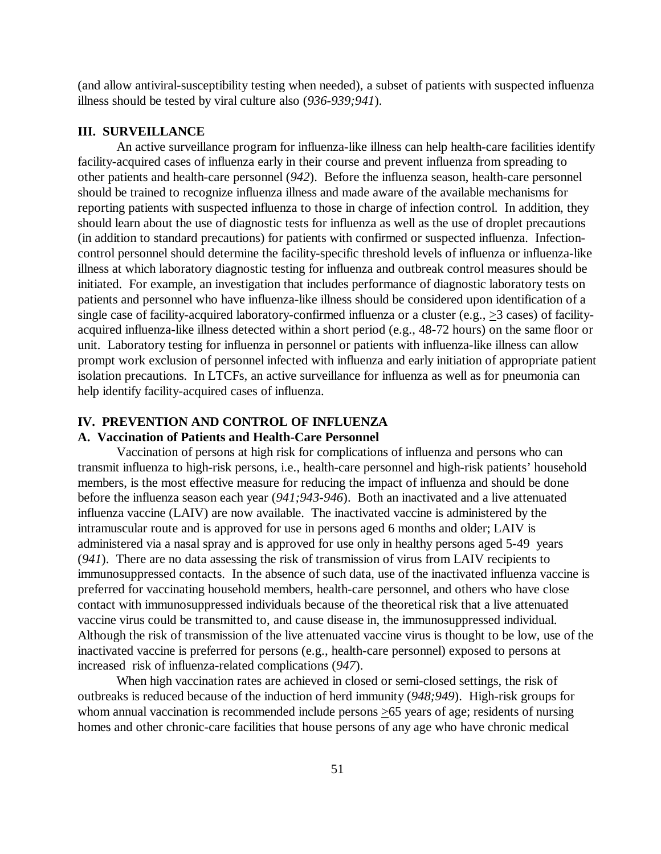(and allow antiviral-susceptibility testing when needed), a subset of patients with suspected influenza illness should be tested by viral culture also (*936-939;941*).

#### **III. SURVEILLANCE**

An active surveillance program for influenza-like illness can help health-care facilities identify facility-acquired cases of influenza early in their course and prevent influenza from spreading to other patients and health-care personnel (*942*). Before the influenza season, health-care personnel should be trained to recognize influenza illness and made aware of the available mechanisms for reporting patients with suspected influenza to those in charge of infection control. In addition, they should learn about the use of diagnostic tests for influenza as well as the use of droplet precautions (in addition to standard precautions) for patients with confirmed or suspected influenza. Infectioncontrol personnel should determine the facility-specific threshold levels of influenza or influenza-like illness at which laboratory diagnostic testing for influenza and outbreak control measures should be initiated. For example, an investigation that includes performance of diagnostic laboratory tests on patients and personnel who have influenza-like illness should be considered upon identification of a single case of facility-acquired laboratory-confirmed influenza or a cluster (e.g.,  $>3$  cases) of facilityacquired influenza-like illness detected within a short period (e.g., 48-72 hours) on the same floor or unit. Laboratory testing for influenza in personnel or patients with influenza-like illness can allow prompt work exclusion of personnel infected with influenza and early initiation of appropriate patient isolation precautions. In LTCFs, an active surveillance for influenza as well as for pneumonia can help identify facility-acquired cases of influenza.

### **IV. PREVENTION AND CONTROL OF INFLUENZA**

#### **A. Vaccination of Patients and Health-Care Personnel**

Vaccination of persons at high risk for complications of influenza and persons who can transmit influenza to high-risk persons, i.e., health-care personnel and high-risk patients' household members, is the most effective measure for reducing the impact of influenza and should be done before the influenza season each year (*941;943-946*). Both an inactivated and a live attenuated influenza vaccine (LAIV) are now available. The inactivated vaccine is administered by the intramuscular route and is approved for use in persons aged 6 months and older; LAIV is administered via a nasal spray and is approved for use only in healthy persons aged 5-49 years (*941*). There are no data assessing the risk of transmission of virus from LAIV recipients to immunosuppressed contacts. In the absence of such data, use of the inactivated influenza vaccine is preferred for vaccinating household members, health-care personnel, and others who have close contact with immunosuppressed individuals because of the theoretical risk that a live attenuated vaccine virus could be transmitted to, and cause disease in, the immunosuppressed individual. Although the risk of transmission of the live attenuated vaccine virus is thought to be low, use of the inactivated vaccine is preferred for persons (e.g., health-care personnel) exposed to persons at increased risk of influenza-related complications (*947*).

When high vaccination rates are achieved in closed or semi-closed settings, the risk of outbreaks is reduced because of the induction of herd immunity (*948;949*). High-risk groups for whom annual vaccination is recommended include persons  $\geq 65$  years of age; residents of nursing homes and other chronic-care facilities that house persons of any age who have chronic medical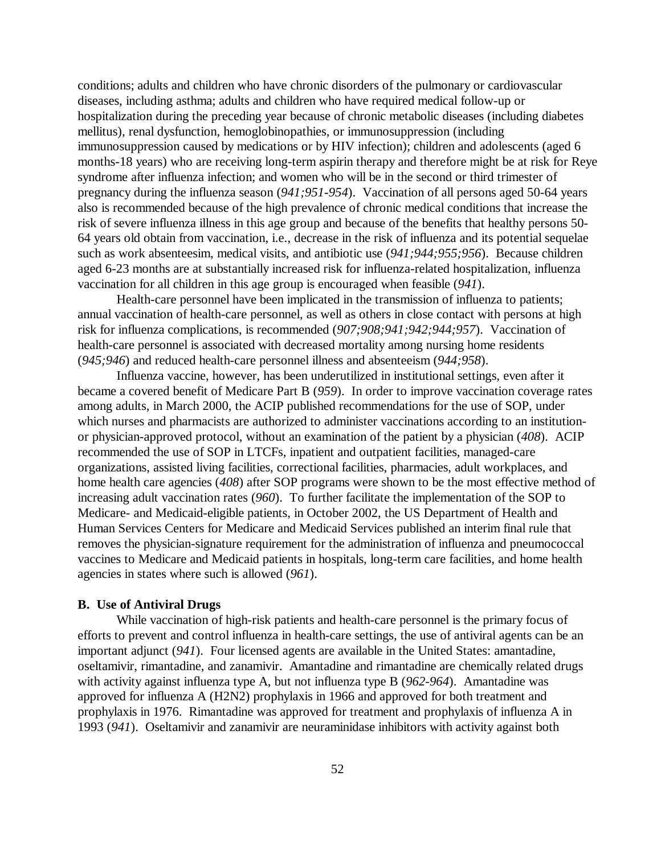conditions; adults and children who have chronic disorders of the pulmonary or cardiovascular diseases, including asthma; adults and children who have required medical follow-up or hospitalization during the preceding year because of chronic metabolic diseases (including diabetes mellitus), renal dysfunction, hemoglobinopathies, or immunosuppression (including immunosuppression caused by medications or by HIV infection); children and adolescents (aged 6 months-18 years) who are receiving long-term aspirin therapy and therefore might be at risk for Reye syndrome after influenza infection; and women who will be in the second or third trimester of pregnancy during the influenza season (*941;951-954*). Vaccination of all persons aged 50-64 years also is recommended because of the high prevalence of chronic medical conditions that increase the risk of severe influenza illness in this age group and because of the benefits that healthy persons 50- 64 years old obtain from vaccination, i.e., decrease in the risk of influenza and its potential sequelae such as work absenteesim, medical visits, and antibiotic use (*941;944;955;956*). Because children aged 6-23 months are at substantially increased risk for influenza-related hospitalization, influenza vaccination for all children in this age group is encouraged when feasible (*941*).

Health-care personnel have been implicated in the transmission of influenza to patients; annual vaccination of health-care personnel, as well as others in close contact with persons at high risk for influenza complications, is recommended (*907;908;941;942;944;957*). Vaccination of health-care personnel is associated with decreased mortality among nursing home residents (*945;946*) and reduced health-care personnel illness and absenteeism (*944;958*).

Influenza vaccine, however, has been underutilized in institutional settings, even after it became a covered benefit of Medicare Part B (*959*). In order to improve vaccination coverage rates among adults, in March 2000, the ACIP published recommendations for the use of SOP, under which nurses and pharmacists are authorized to administer vaccinations according to an institutionor physician-approved protocol, without an examination of the patient by a physician (*408*). ACIP recommended the use of SOP in LTCFs, inpatient and outpatient facilities, managed-care organizations, assisted living facilities, correctional facilities, pharmacies, adult workplaces, and home health care agencies (*408*) after SOP programs were shown to be the most effective method of increasing adult vaccination rates (*960*). To further facilitate the implementation of the SOP to Medicare- and Medicaid-eligible patients, in October 2002, the US Department of Health and Human Services Centers for Medicare and Medicaid Services published an interim final rule that removes the physician-signature requirement for the administration of influenza and pneumococcal vaccines to Medicare and Medicaid patients in hospitals, long-term care facilities, and home health agencies in states where such is allowed (*961*).

### **B. Use of Antiviral Drugs**

While vaccination of high-risk patients and health-care personnel is the primary focus of efforts to prevent and control influenza in health-care settings, the use of antiviral agents can be an important adjunct (*941*). Four licensed agents are available in the United States: amantadine, oseltamivir, rimantadine, and zanamivir. Amantadine and rimantadine are chemically related drugs with activity against influenza type A, but not influenza type B (*962-964*). Amantadine was approved for influenza A (H2N2) prophylaxis in 1966 and approved for both treatment and prophylaxis in 1976. Rimantadine was approved for treatment and prophylaxis of influenza A in 1993 (*941*). Oseltamivir and zanamivir are neuraminidase inhibitors with activity against both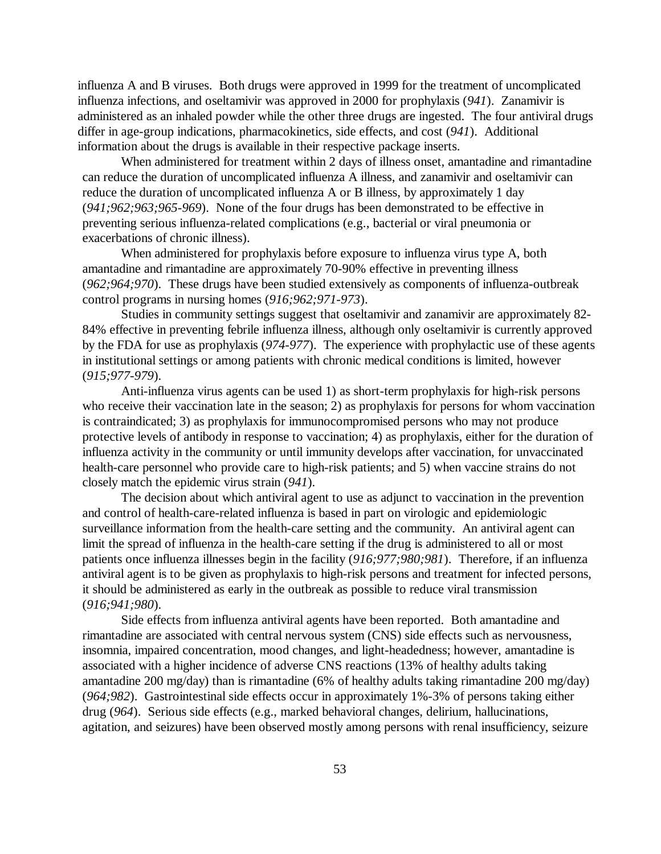influenza A and B viruses. Both drugs were approved in 1999 for the treatment of uncomplicated influenza infections, and oseltamivir was approved in 2000 for prophylaxis (*941*). Zanamivir is administered as an inhaled powder while the other three drugs are ingested. The four antiviral drugs differ in age-group indications, pharmacokinetics, side effects, and cost (*941*). Additional information about the drugs is available in their respective package inserts.

When administered for treatment within 2 days of illness onset, amantadine and rimantadine can reduce the duration of uncomplicated influenza A illness, and zanamivir and oseltamivir can reduce the duration of uncomplicated influenza A or B illness, by approximately 1 day (*941;962;963;965-969*). None of the four drugs has been demonstrated to be effective in preventing serious influenza-related complications (e.g., bacterial or viral pneumonia or exacerbations of chronic illness).

When administered for prophylaxis before exposure to influenza virus type A, both amantadine and rimantadine are approximately 70-90% effective in preventing illness (*962;964;970*). These drugs have been studied extensively as components of influenza-outbreak control programs in nursing homes (*916;962;971-973*).

Studies in community settings suggest that oseltamivir and zanamivir are approximately 82- 84% effective in preventing febrile influenza illness, although only oseltamivir is currently approved by the FDA for use as prophylaxis (*974-977*). The experience with prophylactic use of these agents in institutional settings or among patients with chronic medical conditions is limited, however (*915;977-979*).

Anti-influenza virus agents can be used 1) as short-term prophylaxis for high-risk persons who receive their vaccination late in the season; 2) as prophylaxis for persons for whom vaccination is contraindicated; 3) as prophylaxis for immunocompromised persons who may not produce protective levels of antibody in response to vaccination; 4) as prophylaxis, either for the duration of influenza activity in the community or until immunity develops after vaccination, for unvaccinated health-care personnel who provide care to high-risk patients; and 5) when vaccine strains do not closely match the epidemic virus strain (*941*).

The decision about which antiviral agent to use as adjunct to vaccination in the prevention and control of health-care-related influenza is based in part on virologic and epidemiologic surveillance information from the health-care setting and the community. An antiviral agent can limit the spread of influenza in the health-care setting if the drug is administered to all or most patients once influenza illnesses begin in the facility (*916;977;980;981*). Therefore, if an influenza antiviral agent is to be given as prophylaxis to high-risk persons and treatment for infected persons, it should be administered as early in the outbreak as possible to reduce viral transmission (*916;941;980*).

Side effects from influenza antiviral agents have been reported. Both amantadine and rimantadine are associated with central nervous system (CNS) side effects such as nervousness, insomnia, impaired concentration, mood changes, and light-headedness; however, amantadine is associated with a higher incidence of adverse CNS reactions (13% of healthy adults taking amantadine 200 mg/day) than is rimantadine (6% of healthy adults taking rimantadine 200 mg/day) (*964;982*). Gastrointestinal side effects occur in approximately 1%-3% of persons taking either drug (*964*). Serious side effects (e.g., marked behavioral changes, delirium, hallucinations, agitation, and seizures) have been observed mostly among persons with renal insufficiency, seizure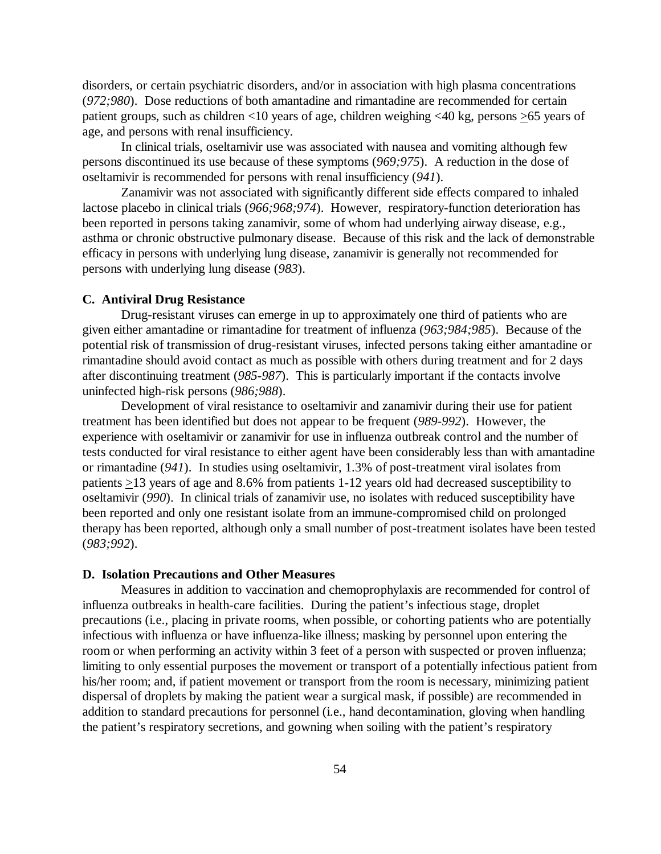disorders, or certain psychiatric disorders, and/or in association with high plasma concentrations (*972;980*). Dose reductions of both amantadine and rimantadine are recommended for certain patient groups, such as children <10 years of age, children weighing <40 kg, persons >65 years of age, and persons with renal insufficiency.

In clinical trials, oseltamivir use was associated with nausea and vomiting although few persons discontinued its use because of these symptoms (*969;975*). A reduction in the dose of oseltamivir is recommended for persons with renal insufficiency (*941*).

Zanamivir was not associated with significantly different side effects compared to inhaled lactose placebo in clinical trials (*966;968;974*). However, respiratory-function deterioration has been reported in persons taking zanamivir, some of whom had underlying airway disease, e.g., asthma or chronic obstructive pulmonary disease. Because of this risk and the lack of demonstrable efficacy in persons with underlying lung disease, zanamivir is generally not recommended for persons with underlying lung disease (*983*).

#### **C. Antiviral Drug Resistance**

Drug-resistant viruses can emerge in up to approximately one third of patients who are given either amantadine or rimantadine for treatment of influenza (*963;984;985*). Because of the potential risk of transmission of drug-resistant viruses, infected persons taking either amantadine or rimantadine should avoid contact as much as possible with others during treatment and for 2 days after discontinuing treatment (*985-987*). This is particularly important if the contacts involve uninfected high-risk persons (*986;988*).

Development of viral resistance to oseltamivir and zanamivir during their use for patient treatment has been identified but does not appear to be frequent (*989-992*). However, the experience with oseltamivir or zanamivir for use in influenza outbreak control and the number of tests conducted for viral resistance to either agent have been considerably less than with amantadine or rimantadine (*941*). In studies using oseltamivir, 1.3% of post-treatment viral isolates from patients >13 years of age and 8.6% from patients 1-12 years old had decreased susceptibility to oseltamivir (*990*). In clinical trials of zanamivir use, no isolates with reduced susceptibility have been reported and only one resistant isolate from an immune-compromised child on prolonged therapy has been reported, although only a small number of post-treatment isolates have been tested (*983;992*).

#### **D. Isolation Precautions and Other Measures**

Measures in addition to vaccination and chemoprophylaxis are recommended for control of influenza outbreaks in health-care facilities. During the patient's infectious stage, droplet precautions (i.e., placing in private rooms, when possible, or cohorting patients who are potentially infectious with influenza or have influenza-like illness; masking by personnel upon entering the room or when performing an activity within 3 feet of a person with suspected or proven influenza; limiting to only essential purposes the movement or transport of a potentially infectious patient from his/her room; and, if patient movement or transport from the room is necessary, minimizing patient dispersal of droplets by making the patient wear a surgical mask, if possible) are recommended in addition to standard precautions for personnel (i.e., hand decontamination, gloving when handling the patient's respiratory secretions, and gowning when soiling with the patient's respiratory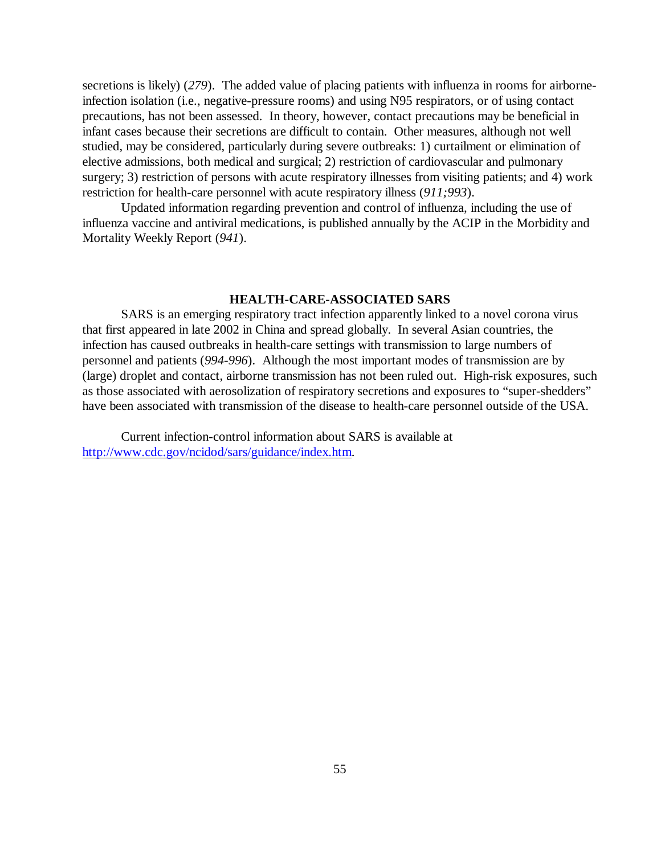secretions is likely) (*279*). The added value of placing patients with influenza in rooms for airborneinfection isolation (i.e., negative-pressure rooms) and using N95 respirators, or of using contact precautions, has not been assessed. In theory, however, contact precautions may be beneficial in infant cases because their secretions are difficult to contain. Other measures, although not well studied, may be considered, particularly during severe outbreaks: 1) curtailment or elimination of elective admissions, both medical and surgical; 2) restriction of cardiovascular and pulmonary surgery; 3) restriction of persons with acute respiratory illnesses from visiting patients; and 4) work restriction for health-care personnel with acute respiratory illness (*911;993*).

Updated information regarding prevention and control of influenza, including the use of influenza vaccine and antiviral medications, is published annually by the ACIP in the Morbidity and Mortality Weekly Report (*941*).

#### **HEALTH-CARE-ASSOCIATED SARS**

SARS is an emerging respiratory tract infection apparently linked to a novel corona virus that first appeared in late 2002 in China and spread globally. In several Asian countries, the infection has caused outbreaks in health-care settings with transmission to large numbers of personnel and patients (*994-996*). Although the most important modes of transmission are by (large) droplet and contact, airborne transmission has not been ruled out. High-risk exposures, such as those associated with aerosolization of respiratory secretions and exposures to "super-shedders" have been associated with transmission of the disease to health-care personnel outside of the USA.

Current infection-control information about SARS is available at http://www.cdc.gov/ncidod/sars/guidance/index.htm.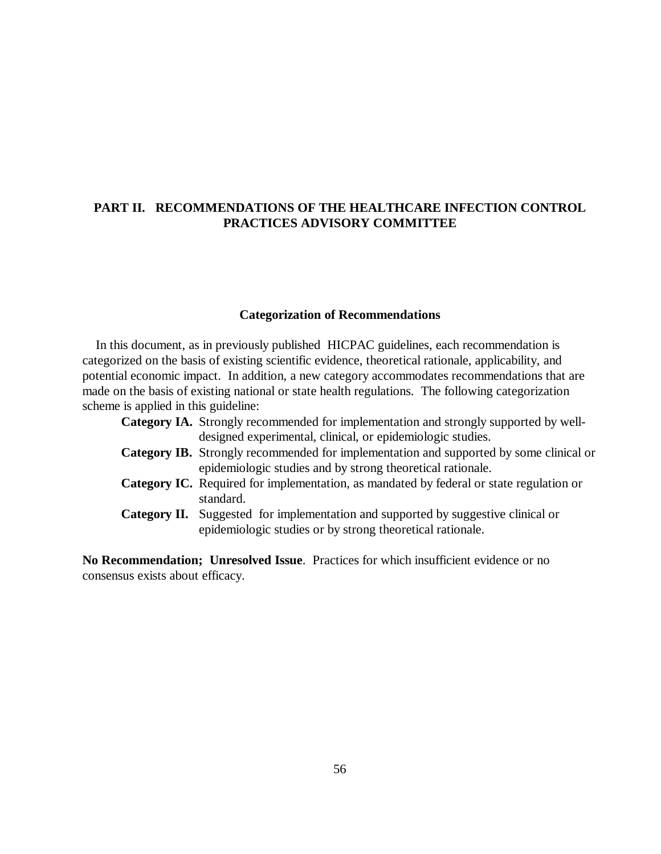## **PART II. RECOMMENDATIONS OF THE HEALTHCARE INFECTION CONTROL PRACTICES ADVISORY COMMITTEE**

#### **Categorization of Recommendations**

 In this document, as in previously published HICPAC guidelines, each recommendation is categorized on the basis of existing scientific evidence, theoretical rationale, applicability, and potential economic impact. In addition, a new category accommodates recommendations that are made on the basis of existing national or state health regulations. The following categorization scheme is applied in this guideline:

| <b>Category IA.</b> Strongly recommended for implementation and strongly supported by well-    |
|------------------------------------------------------------------------------------------------|
| designed experimental, clinical, or epidemiologic studies.                                     |
| <b>Category IB.</b> Strongly recommended for implementation and supported by some clinical or  |
| epidemiologic studies and by strong theoretical rationale.                                     |
| <b>Category IC.</b> Required for implementation, as mandated by federal or state regulation or |
| standard.                                                                                      |
| <b>Category II.</b> Suggested for implementation and supported by suggestive clinical or       |
| epidemiologic studies or by strong theoretical rationale.                                      |

**No Recommendation; Unresolved Issue**. Practices for which insufficient evidence or no consensus exists about efficacy.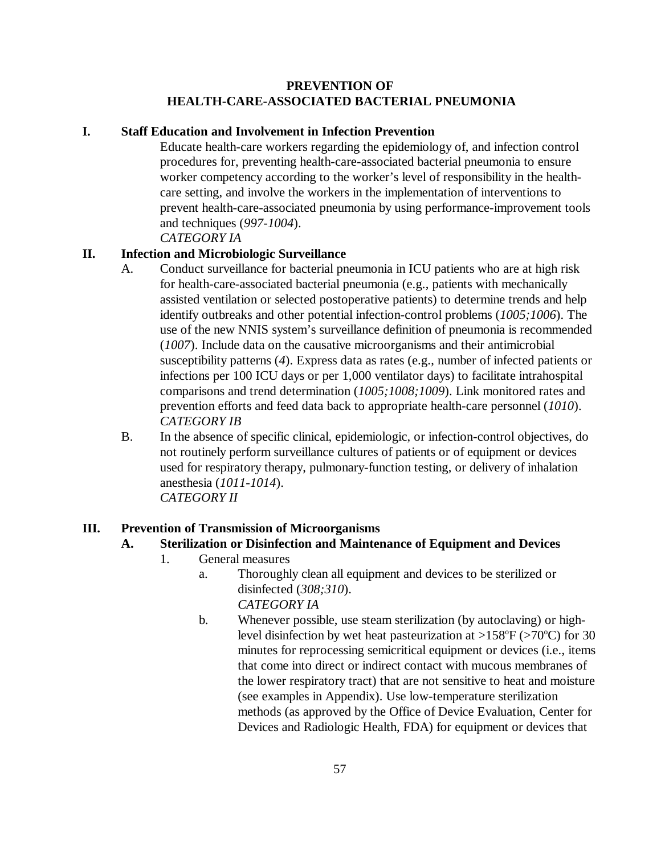### **PREVENTION OF HEALTH-CARE-ASSOCIATED BACTERIAL PNEUMONIA**

### **I. Staff Education and Involvement in Infection Prevention**

Educate health-care workers regarding the epidemiology of, and infection control procedures for, preventing health-care-associated bacterial pneumonia to ensure worker competency according to the worker's level of responsibility in the healthcare setting, and involve the workers in the implementation of interventions to prevent health-care-associated pneumonia by using performance-improvement tools and techniques (*997-1004*).

*CATEGORY IA*

## **II. Infection and Microbiologic Surveillance**

- A. Conduct surveillance for bacterial pneumonia in ICU patients who are at high risk for health-care-associated bacterial pneumonia (e.g., patients with mechanically assisted ventilation or selected postoperative patients) to determine trends and help identify outbreaks and other potential infection-control problems (*1005;1006*). The use of the new NNIS system's surveillance definition of pneumonia is recommended (*1007*). Include data on the causative microorganisms and their antimicrobial susceptibility patterns (*4*). Express data as rates (e.g., number of infected patients or infections per 100 ICU days or per 1,000 ventilator days) to facilitate intrahospital comparisons and trend determination (*1005;1008;1009*). Link monitored rates and prevention efforts and feed data back to appropriate health-care personnel (*1010*). *CATEGORY IB*
- B. In the absence of specific clinical, epidemiologic, or infection-control objectives, do not routinely perform surveillance cultures of patients or of equipment or devices used for respiratory therapy, pulmonary-function testing, or delivery of inhalation anesthesia (*1011-1014*). *CATEGORY II*

### **III. Prevention of Transmission of Microorganisms**

### **A. Sterilization or Disinfection and Maintenance of Equipment and Devices**

- 1. General measures
	- a. Thoroughly clean all equipment and devices to be sterilized or disinfected (*308;310*).
		- *CATEGORY IA*
	- b. Whenever possible, use steam sterilization (by autoclaving) or highlevel disinfection by wet heat pasteurization at  $>158^\circ$ F ( $>70^\circ$ C) for 30 minutes for reprocessing semicritical equipment or devices (i.e., items that come into direct or indirect contact with mucous membranes of the lower respiratory tract) that are not sensitive to heat and moisture (see examples in Appendix). Use low-temperature sterilization methods (as approved by the Office of Device Evaluation, Center for Devices and Radiologic Health, FDA) for equipment or devices that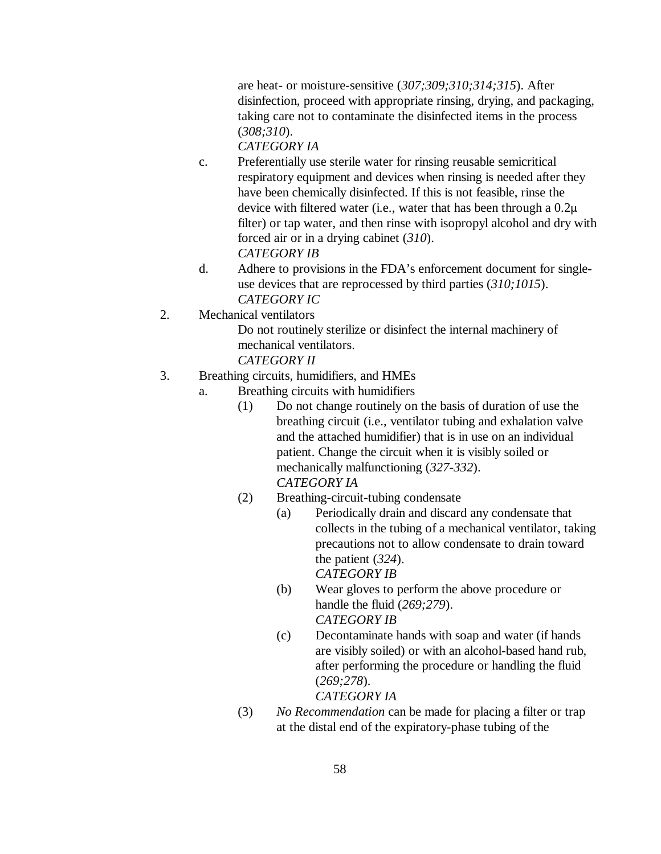are heat- or moisture-sensitive (*307;309;310;314;315*). After disinfection, proceed with appropriate rinsing, drying, and packaging, taking care not to contaminate the disinfected items in the process (*308;310*).

*CATEGORY IA*

- c. Preferentially use sterile water for rinsing reusable semicritical respiratory equipment and devices when rinsing is needed after they have been chemically disinfected. If this is not feasible, rinse the device with filtered water (i.e., water that has been through a  $0.2\mu$ ) filter) or tap water, and then rinse with isopropyl alcohol and dry with forced air or in a drying cabinet (*310*). *CATEGORY IB*
- d. Adhere to provisions in the FDA's enforcement document for singleuse devices that are reprocessed by third parties (*310;1015*). *CATEGORY IC*
- 2. Mechanical ventilators

Do not routinely sterilize or disinfect the internal machinery of mechanical ventilators.

*CATEGORY II*

- 3. Breathing circuits, humidifiers, and HMEs
	- a. Breathing circuits with humidifiers
		- (1) Do not change routinely on the basis of duration of use the breathing circuit (i.e., ventilator tubing and exhalation valve and the attached humidifier) that is in use on an individual patient. Change the circuit when it is visibly soiled or mechanically malfunctioning (*327-332*). *CATEGORY IA*
		- (2) Breathing-circuit-tubing condensate
			- (a) Periodically drain and discard any condensate that collects in the tubing of a mechanical ventilator, taking precautions not to allow condensate to drain toward the patient (*324*). *CATEGORY IB*
			- (b) Wear gloves to perform the above procedure or handle the fluid (*269;279*). *CATEGORY IB*
			- (c) Decontaminate hands with soap and water (if hands are visibly soiled) or with an alcohol-based hand rub, after performing the procedure or handling the fluid (*269;278*).

### *CATEGORY IA*

 (3) *No Recommendation* can be made for placing a filter or trap at the distal end of the expiratory-phase tubing of the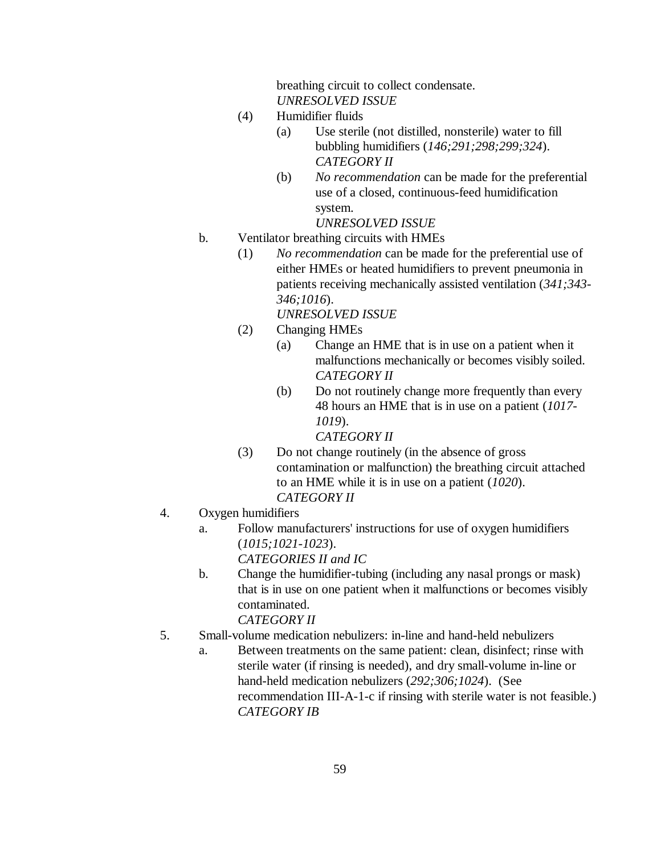breathing circuit to collect condensate. *UNRESOLVED ISSUE*

- (4) Humidifier fluids
	- (a) Use sterile (not distilled, nonsterile) water to fill bubbling humidifiers (*146;291;298;299;324*). *CATEGORY II*
	- (b) *No recommendation* can be made for the preferential use of a closed, continuous-feed humidification system.

*UNRESOLVED ISSUE*

- b. Ventilator breathing circuits with HMEs
	- (1) *No recommendation* can be made for the preferential use of either HMEs or heated humidifiers to prevent pneumonia in patients receiving mechanically assisted ventilation (*341;343- 346;1016*).

*UNRESOLVED ISSUE*

- (2) Changing HMEs
	- (a) Change an HME that is in use on a patient when it malfunctions mechanically or becomes visibly soiled. *CATEGORY II*
	- (b) Do not routinely change more frequently than every 48 hours an HME that is in use on a patient (*1017- 1019*).

## *CATEGORY II*

- (3) Do not change routinely (in the absence of gross contamination or malfunction) the breathing circuit attached to an HME while it is in use on a patient (*1020*). *CATEGORY II*
- 4. Oxygen humidifiers
	- a. Follow manufacturers' instructions for use of oxygen humidifiers (*1015;1021-1023*).

*CATEGORIES II and IC*

b. Change the humidifier-tubing (including any nasal prongs or mask) that is in use on one patient when it malfunctions or becomes visibly contaminated.

*CATEGORY II*

- 5. Small-volume medication nebulizers: in-line and hand-held nebulizers
	- a. Between treatments on the same patient: clean, disinfect; rinse with sterile water (if rinsing is needed), and dry small-volume in-line or hand-held medication nebulizers (*292;306;1024*). (See recommendation III-A-1-c if rinsing with sterile water is not feasible.) *CATEGORY IB*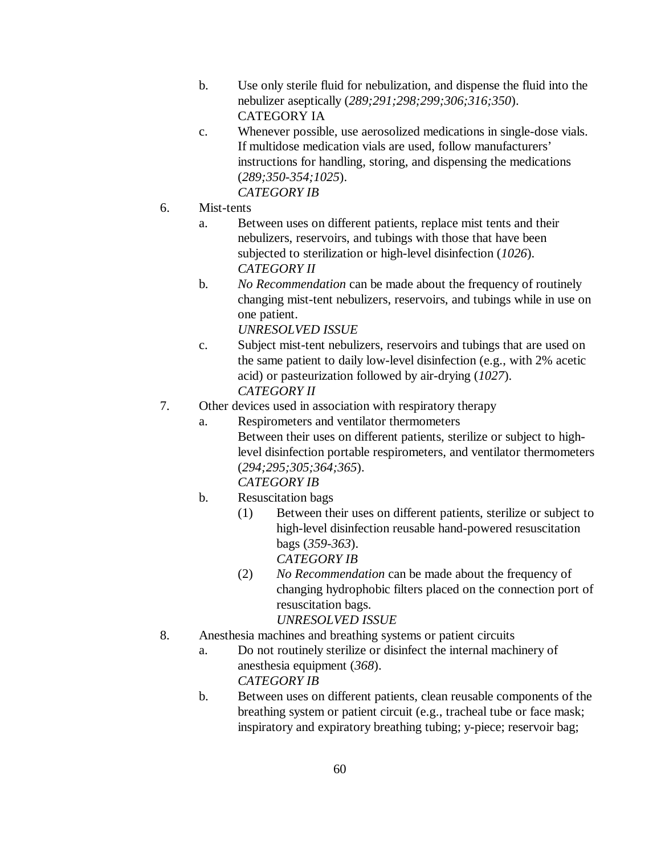- b. Use only sterile fluid for nebulization, and dispense the fluid into the nebulizer aseptically (*289;291;298;299;306;316;350*). CATEGORY IA
- c. Whenever possible, use aerosolized medications in single-dose vials. If multidose medication vials are used, follow manufacturers' instructions for handling, storing, and dispensing the medications (*289;350-354;1025*). *CATEGORY IB*
- 6. Mist-tents
	- a. Between uses on different patients, replace mist tents and their nebulizers, reservoirs, and tubings with those that have been subjected to sterilization or high-level disinfection (*1026*). *CATEGORY II*
	- b. *No Recommendation* can be made about the frequency of routinely changing mist-tent nebulizers, reservoirs, and tubings while in use on one patient.

*UNRESOLVED ISSUE*

- c. Subject mist-tent nebulizers, reservoirs and tubings that are used on the same patient to daily low-level disinfection (e.g., with 2% acetic acid) or pasteurization followed by air-drying (*1027*). *CATEGORY II*
- 7. Other devices used in association with respiratory therapy
	- a. Respirometers and ventilator thermometers Between their uses on different patients, sterilize or subject to highlevel disinfection portable respirometers, and ventilator thermometers (*294;295;305;364;365*).

*CATEGORY IB*

- b. Resuscitation bags
	- (1) Between their uses on different patients, sterilize or subject to high-level disinfection reusable hand-powered resuscitation bags (*359-363*). *CATEGORY IB*
	- (2) *No Recommendation* can be made about the frequency of changing hydrophobic filters placed on the connection port of resuscitation bags. *UNRESOLVED ISSUE*
- 8. Anesthesia machines and breathing systems or patient circuits
	- a. Do not routinely sterilize or disinfect the internal machinery of anesthesia equipment (*368*). *CATEGORY IB*
	- b. Between uses on different patients, clean reusable components of the breathing system or patient circuit (e.g., tracheal tube or face mask; inspiratory and expiratory breathing tubing; y-piece; reservoir bag;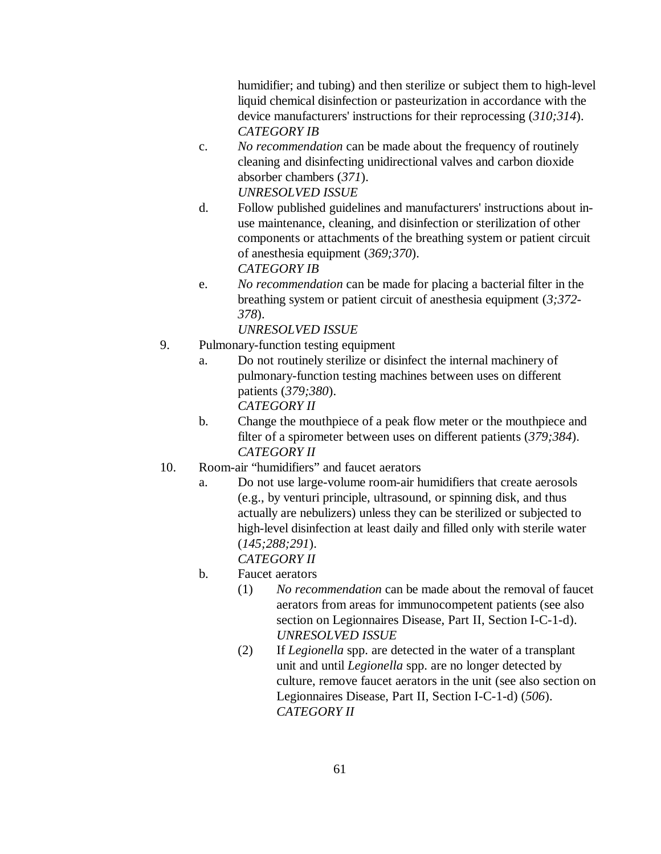humidifier; and tubing) and then sterilize or subject them to high-level liquid chemical disinfection or pasteurization in accordance with the device manufacturers' instructions for their reprocessing (*310;314*). *CATEGORY IB*

- c. *No recommendation* can be made about the frequency of routinely cleaning and disinfecting unidirectional valves and carbon dioxide absorber chambers (*371*). *UNRESOLVED ISSUE*
- d. Follow published guidelines and manufacturers' instructions about inuse maintenance, cleaning, and disinfection or sterilization of other components or attachments of the breathing system or patient circuit of anesthesia equipment (*369;370*). *CATEGORY IB*
- e. *No recommendation* can be made for placing a bacterial filter in the breathing system or patient circuit of anesthesia equipment (*3;372- 378*).

*UNRESOLVED ISSUE*

- 9. Pulmonary-function testing equipment
	- a. Do not routinely sterilize or disinfect the internal machinery of pulmonary-function testing machines between uses on different patients (*379;380*).
		- *CATEGORY II*
	- b. Change the mouthpiece of a peak flow meter or the mouthpiece and filter of a spirometer between uses on different patients (*379;384*). *CATEGORY II*
- 10. Room-air "humidifiers" and faucet aerators
	- a. Do not use large-volume room-air humidifiers that create aerosols (e.g., by venturi principle, ultrasound, or spinning disk, and thus actually are nebulizers) unless they can be sterilized or subjected to high-level disinfection at least daily and filled only with sterile water (*145;288;291*).

*CATEGORY II*

- b. Faucet aerators
	- (1) *No recommendation* can be made about the removal of faucet aerators from areas for immunocompetent patients (see also section on Legionnaires Disease, Part II, Section I-C-1-d). *UNRESOLVED ISSUE*
	- (2) If *Legionella* spp. are detected in the water of a transplant unit and until *Legionella* spp. are no longer detected by culture, remove faucet aerators in the unit (see also section on Legionnaires Disease, Part II, Section I-C-1-d) (*506*). *CATEGORY II*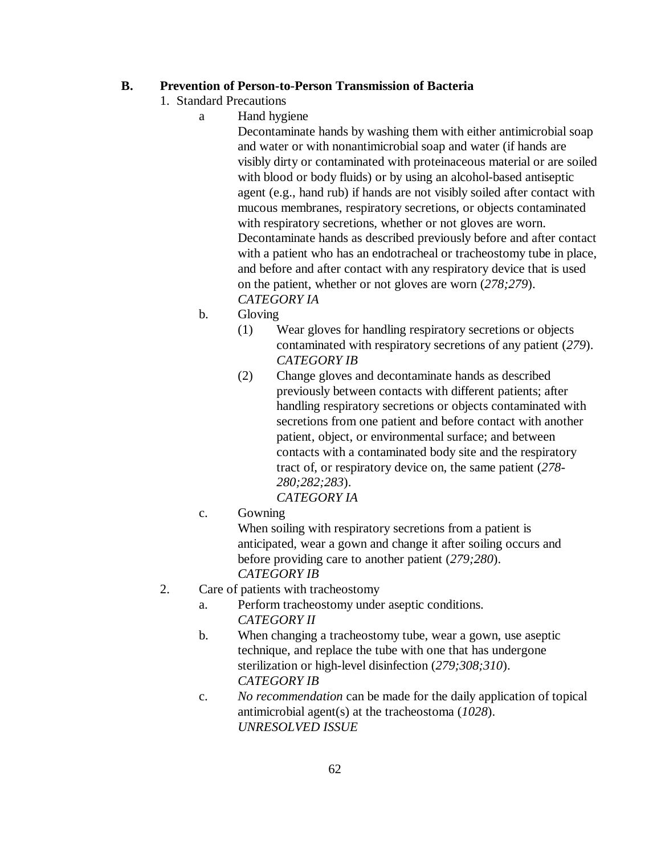### **B. Prevention of Person-to-Person Transmission of Bacteria**

- 1. Standard Precautions
	- a Hand hygiene

Decontaminate hands by washing them with either antimicrobial soap and water or with nonantimicrobial soap and water (if hands are visibly dirty or contaminated with proteinaceous material or are soiled with blood or body fluids) or by using an alcohol-based antiseptic agent (e.g., hand rub) if hands are not visibly soiled after contact with mucous membranes, respiratory secretions, or objects contaminated with respiratory secretions, whether or not gloves are worn. Decontaminate hands as described previously before and after contact with a patient who has an endotracheal or tracheostomy tube in place, and before and after contact with any respiratory device that is used on the patient, whether or not gloves are worn (*278;279*). *CATEGORY IA*

- b. Gloving
	- (1) Wear gloves for handling respiratory secretions or objects contaminated with respiratory secretions of any patient (*279*). *CATEGORY IB*
	- (2) Change gloves and decontaminate hands as described previously between contacts with different patients; after handling respiratory secretions or objects contaminated with secretions from one patient and before contact with another patient, object, or environmental surface; and between contacts with a contaminated body site and the respiratory tract of, or respiratory device on, the same patient (*278- 280;282;283*).

*CATEGORY IA*

c. Gowning

When soiling with respiratory secretions from a patient is anticipated, wear a gown and change it after soiling occurs and before providing care to another patient (*279;280*). *CATEGORY IB*

- 2. Care of patients with tracheostomy
	- a. Perform tracheostomy under aseptic conditions. *CATEGORY II*
	- b. When changing a tracheostomy tube, wear a gown, use aseptic technique, and replace the tube with one that has undergone sterilization or high-level disinfection (*279;308;310*). *CATEGORY IB*
	- c. *No recommendation* can be made for the daily application of topical antimicrobial agent(s) at the tracheostoma (*1028*). *UNRESOLVED ISSUE*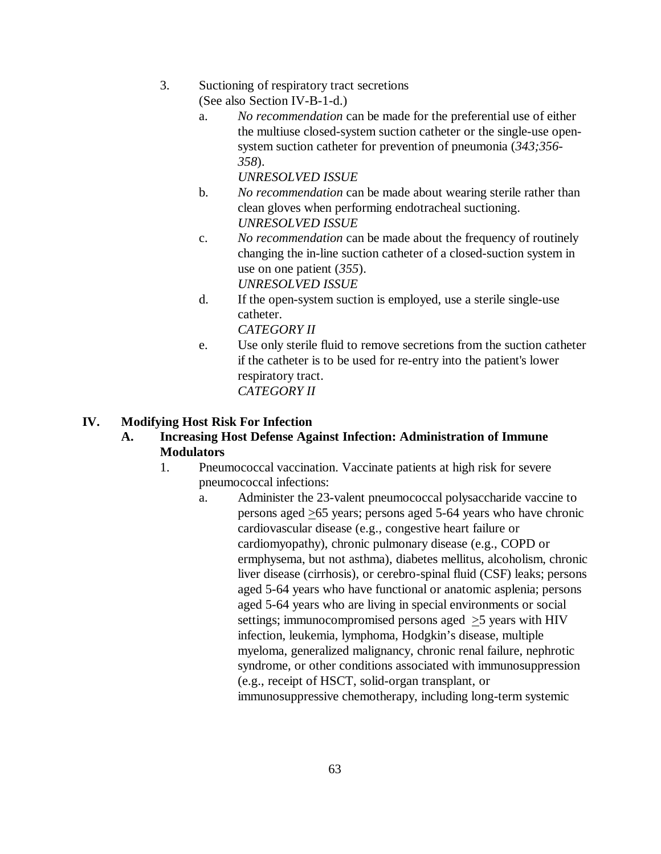3. Suctioning of respiratory tract secretions

(See also Section IV-B-1-d.)

a. *No recommendation* can be made for the preferential use of either the multiuse closed-system suction catheter or the single-use opensystem suction catheter for prevention of pneumonia (*343;356- 358*).

*UNRESOLVED ISSUE*

- b. *No recommendation* can be made about wearing sterile rather than clean gloves when performing endotracheal suctioning. *UNRESOLVED ISSUE*
- c. *No recommendation* can be made about the frequency of routinely changing the in-line suction catheter of a closed-suction system in use on one patient (*355*). *UNRESOLVED ISSUE*
- d. If the open-system suction is employed, use a sterile single-use catheter. *CATEGORY II*
- e. Use only sterile fluid to remove secretions from the suction catheter if the catheter is to be used for re-entry into the patient's lower respiratory tract. *CATEGORY II*

## **IV. Modifying Host Risk For Infection**

## **A. Increasing Host Defense Against Infection: Administration of Immune Modulators**

- 1. Pneumococcal vaccination. Vaccinate patients at high risk for severe pneumococcal infections:
	- a. Administer the 23-valent pneumococcal polysaccharide vaccine to persons aged >65 years; persons aged 5-64 years who have chronic cardiovascular disease (e.g., congestive heart failure or cardiomyopathy), chronic pulmonary disease (e.g., COPD or ermphysema, but not asthma), diabetes mellitus, alcoholism, chronic liver disease (cirrhosis), or cerebro-spinal fluid (CSF) leaks; persons aged 5-64 years who have functional or anatomic asplenia; persons aged 5-64 years who are living in special environments or social settings; immunocompromised persons aged >5 years with HIV infection, leukemia, lymphoma, Hodgkin's disease, multiple myeloma, generalized malignancy, chronic renal failure, nephrotic syndrome, or other conditions associated with immunosuppression (e.g., receipt of HSCT, solid-organ transplant, or immunosuppressive chemotherapy, including long-term systemic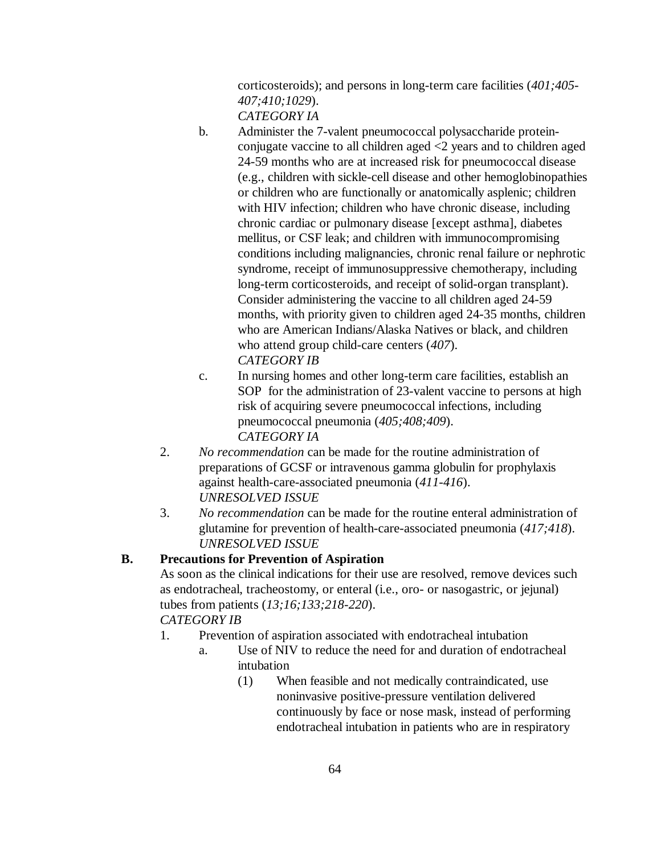corticosteroids); and persons in long-term care facilities (*401;405- 407;410;1029*).

- *CATEGORY IA*
- b. Administer the 7-valent pneumococcal polysaccharide proteinconjugate vaccine to all children aged <2 years and to children aged 24-59 months who are at increased risk for pneumococcal disease (e.g., children with sickle-cell disease and other hemoglobinopathies or children who are functionally or anatomically asplenic; children with HIV infection; children who have chronic disease, including chronic cardiac or pulmonary disease [except asthma], diabetes mellitus, or CSF leak; and children with immunocompromising conditions including malignancies, chronic renal failure or nephrotic syndrome, receipt of immunosuppressive chemotherapy, including long-term corticosteroids, and receipt of solid-organ transplant). Consider administering the vaccine to all children aged 24-59 months, with priority given to children aged 24-35 months, children who are American Indians/Alaska Natives or black, and children who attend group child-care centers (*407*). *CATEGORY IB*
- c. In nursing homes and other long-term care facilities, establish an SOP for the administration of 23-valent vaccine to persons at high risk of acquiring severe pneumococcal infections, including pneumococcal pneumonia (*405;408;409*). *CATEGORY IA*
- 2. *No recommendation* can be made for the routine administration of preparations of GCSF or intravenous gamma globulin for prophylaxis against health-care-associated pneumonia (*411-416*). *UNRESOLVED ISSUE*
- 3. *No recommendation* can be made for the routine enteral administration of glutamine for prevention of health-care-associated pneumonia (*417;418*). *UNRESOLVED ISSUE*

# **B. Precautions for Prevention of Aspiration**

As soon as the clinical indications for their use are resolved, remove devices such as endotracheal, tracheostomy, or enteral (i.e., oro- or nasogastric, or jejunal) tubes from patients (*13;16;133;218-220*). *CATEGORY IB*

- 1. Prevention of aspiration associated with endotracheal intubation
	- a. Use of NIV to reduce the need for and duration of endotracheal intubation
		- (1) When feasible and not medically contraindicated, use noninvasive positive-pressure ventilation delivered continuously by face or nose mask, instead of performing endotracheal intubation in patients who are in respiratory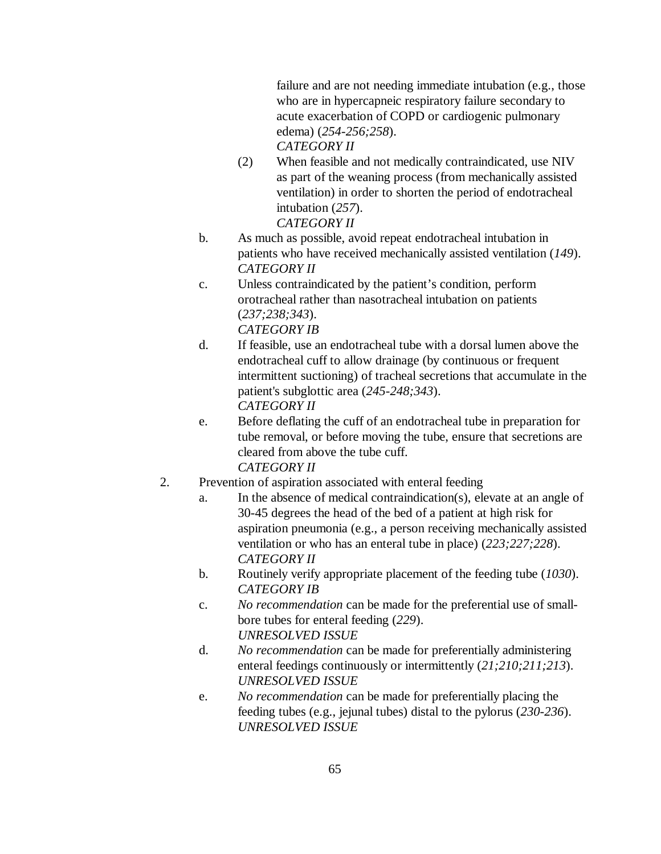failure and are not needing immediate intubation (e.g., those who are in hypercapneic respiratory failure secondary to acute exacerbation of COPD or cardiogenic pulmonary edema) (*254-256;258*). *CATEGORY II*

- (2) When feasible and not medically contraindicated, use NIV as part of the weaning process (from mechanically assisted ventilation) in order to shorten the period of endotracheal intubation (*257*). *CATEGORY II*
- b. As much as possible, avoid repeat endotracheal intubation in patients who have received mechanically assisted ventilation (*149*). *CATEGORY II*
- c. Unless contraindicated by the patient's condition, perform orotracheal rather than nasotracheal intubation on patients (*237;238;343*). *CATEGORY IB*
- d. If feasible, use an endotracheal tube with a dorsal lumen above the endotracheal cuff to allow drainage (by continuous or frequent intermittent suctioning) of tracheal secretions that accumulate in the patient's subglottic area (*245-248;343*). *CATEGORY II*
- e. Before deflating the cuff of an endotracheal tube in preparation for tube removal, or before moving the tube, ensure that secretions are cleared from above the tube cuff. *CATEGORY II*
- 2. Prevention of aspiration associated with enteral feeding
	- a. In the absence of medical contraindication(s), elevate at an angle of 30-45 degrees the head of the bed of a patient at high risk for aspiration pneumonia (e.g., a person receiving mechanically assisted ventilation or who has an enteral tube in place) (*223;227;228*). *CATEGORY II*
	- b. Routinely verify appropriate placement of the feeding tube (*1030*). *CATEGORY IB*
	- c. *No recommendation* can be made for the preferential use of smallbore tubes for enteral feeding (*229*). *UNRESOLVED ISSUE*
	- d. *No recommendation* can be made for preferentially administering enteral feedings continuously or intermittently (*21;210;211;213*). *UNRESOLVED ISSUE*
	- e. *No recommendation* can be made for preferentially placing the feeding tubes (e.g., jejunal tubes) distal to the pylorus (*230-236*). *UNRESOLVED ISSUE*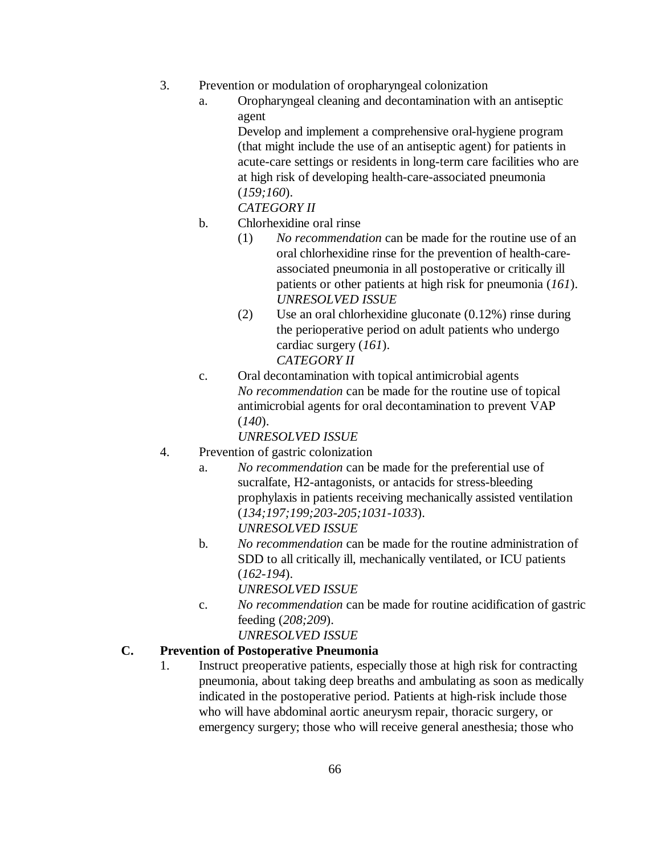- 3. Prevention or modulation of oropharyngeal colonization
	- a. Oropharyngeal cleaning and decontamination with an antiseptic agent

Develop and implement a comprehensive oral-hygiene program (that might include the use of an antiseptic agent) for patients in acute-care settings or residents in long-term care facilities who are at high risk of developing health-care-associated pneumonia (*159;160*).

*CATEGORY II*

- b. Chlorhexidine oral rinse
	- (1) *No recommendation* can be made for the routine use of an oral chlorhexidine rinse for the prevention of health-careassociated pneumonia in all postoperative or critically ill patients or other patients at high risk for pneumonia (*161*). *UNRESOLVED ISSUE*
	- (2) Use an oral chlorhexidine gluconate (0.12%) rinse during the perioperative period on adult patients who undergo cardiac surgery (*161*). *CATEGORY II*
- c. Oral decontamination with topical antimicrobial agents *No recommendation* can be made for the routine use of topical antimicrobial agents for oral decontamination to prevent VAP (*140*).

*UNRESOLVED ISSUE*

- 4. Prevention of gastric colonization
	- a. *No recommendation* can be made for the preferential use of sucralfate, H2-antagonists, or antacids for stress-bleeding prophylaxis in patients receiving mechanically assisted ventilation (*134;197;199;203-205;1031-1033*). *UNRESOLVED ISSUE*
	- b. *No recommendation* can be made for the routine administration of SDD to all critically ill, mechanically ventilated, or ICU patients (*162-194*).

*UNRESOLVED ISSUE*

c. *No recommendation* can be made for routine acidification of gastric feeding (*208;209*).

*UNRESOLVED ISSUE*

### **C. Prevention of Postoperative Pneumonia**

1. Instruct preoperative patients, especially those at high risk for contracting pneumonia, about taking deep breaths and ambulating as soon as medically indicated in the postoperative period. Patients at high-risk include those who will have abdominal aortic aneurysm repair, thoracic surgery, or emergency surgery; those who will receive general anesthesia; those who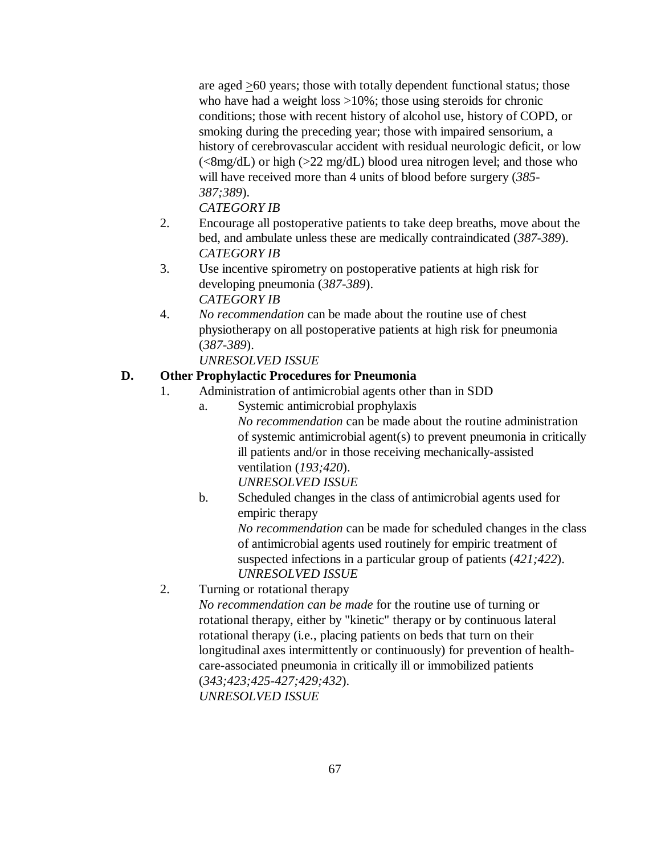are aged  $\geq 60$  years; those with totally dependent functional status; those who have had a weight loss >10%; those using steroids for chronic conditions; those with recent history of alcohol use, history of COPD, or smoking during the preceding year; those with impaired sensorium, a history of cerebrovascular accident with residual neurologic deficit, or low  $\langle \langle 8mg/dL \rangle$  or high ( $>22 \text{ mg/d}L$ ) blood urea nitrogen level; and those who will have received more than 4 units of blood before surgery (*385- 387;389*).

## *CATEGORY IB*

- 2. Encourage all postoperative patients to take deep breaths, move about the bed, and ambulate unless these are medically contraindicated (*387-389*). *CATEGORY IB*
- 3. Use incentive spirometry on postoperative patients at high risk for developing pneumonia (*387-389*). *CATEGORY IB*
- 4. *No recommendation* can be made about the routine use of chest physiotherapy on all postoperative patients at high risk for pneumonia (*387-389*).

*UNRESOLVED ISSUE*

## **D. Other Prophylactic Procedures for Pneumonia**

- 1. Administration of antimicrobial agents other than in SDD
	- a. Systemic antimicrobial prophylaxis *No recommendation* can be made about the routine administration of systemic antimicrobial agent(s) to prevent pneumonia in critically ill patients and/or in those receiving mechanically-assisted ventilation (*193;420*). *UNRESOLVED ISSUE*
	- b. Scheduled changes in the class of antimicrobial agents used for empiric therapy *No recommendation* can be made for scheduled changes in the class of antimicrobial agents used routinely for empiric treatment of suspected infections in a particular group of patients (*421;422*). *UNRESOLVED ISSUE*
- 2. Turning or rotational therapy

*No recommendation can be made* for the routine use of turning or rotational therapy, either by "kinetic" therapy or by continuous lateral rotational therapy (i.e., placing patients on beds that turn on their longitudinal axes intermittently or continuously) for prevention of healthcare-associated pneumonia in critically ill or immobilized patients (*343;423;425-427;429;432*). *UNRESOLVED ISSUE*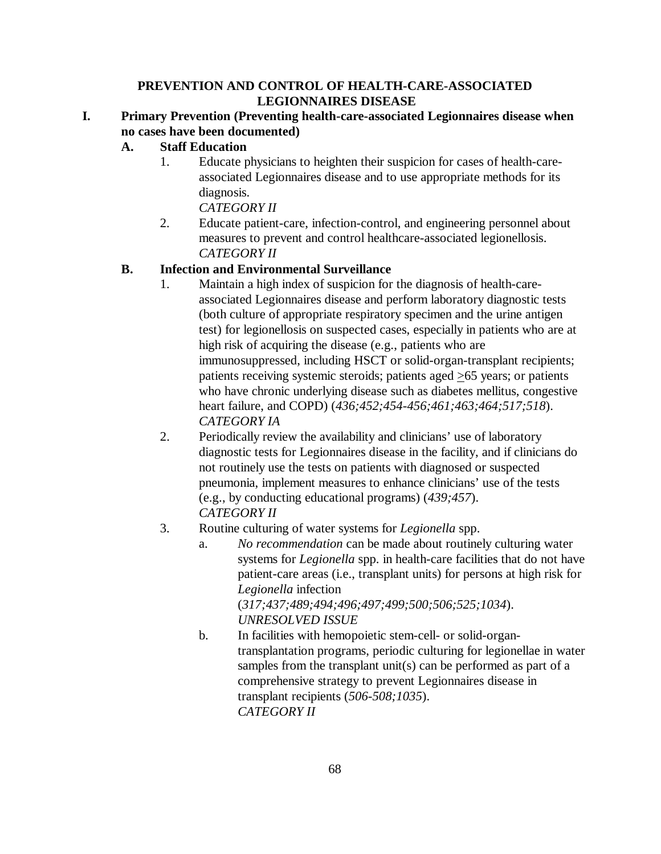## **PREVENTION AND CONTROL OF HEALTH-CARE-ASSOCIATED LEGIONNAIRES DISEASE**

## **I. Primary Prevention (Preventing health-care-associated Legionnaires disease when no cases have been documented)**

## **A. Staff Education**

1. Educate physicians to heighten their suspicion for cases of health-careassociated Legionnaires disease and to use appropriate methods for its diagnosis.

*CATEGORY II*

2. Educate patient-care, infection-control, and engineering personnel about measures to prevent and control healthcare-associated legionellosis. *CATEGORY II*

## **B. Infection and Environmental Surveillance**

- 1. Maintain a high index of suspicion for the diagnosis of health-careassociated Legionnaires disease and perform laboratory diagnostic tests (both culture of appropriate respiratory specimen and the urine antigen test) for legionellosis on suspected cases, especially in patients who are at high risk of acquiring the disease (e.g., patients who are immunosuppressed, including HSCT or solid-organ-transplant recipients; patients receiving systemic steroids; patients aged >65 years; or patients who have chronic underlying disease such as diabetes mellitus, congestive heart failure, and COPD) (*436;452;454-456;461;463;464;517;518*). *CATEGORY IA*
- 2. Periodically review the availability and clinicians' use of laboratory diagnostic tests for Legionnaires disease in the facility, and if clinicians do not routinely use the tests on patients with diagnosed or suspected pneumonia, implement measures to enhance clinicians' use of the tests (e.g., by conducting educational programs) (*439;457*). *CATEGORY II*

# 3. Routine culturing of water systems for *Legionella* spp.

- a. *No recommendation* can be made about routinely culturing water systems for *Legionella* spp. in health-care facilities that do not have patient-care areas (i.e., transplant units) for persons at high risk for *Legionella* infection (*317;437;489;494;496;497;499;500;506;525;1034*). *UNRESOLVED ISSUE*
- b. In facilities with hemopoietic stem-cell- or solid-organtransplantation programs, periodic culturing for legionellae in water samples from the transplant unit(s) can be performed as part of a comprehensive strategy to prevent Legionnaires disease in transplant recipients (*506-508;1035*). *CATEGORY II*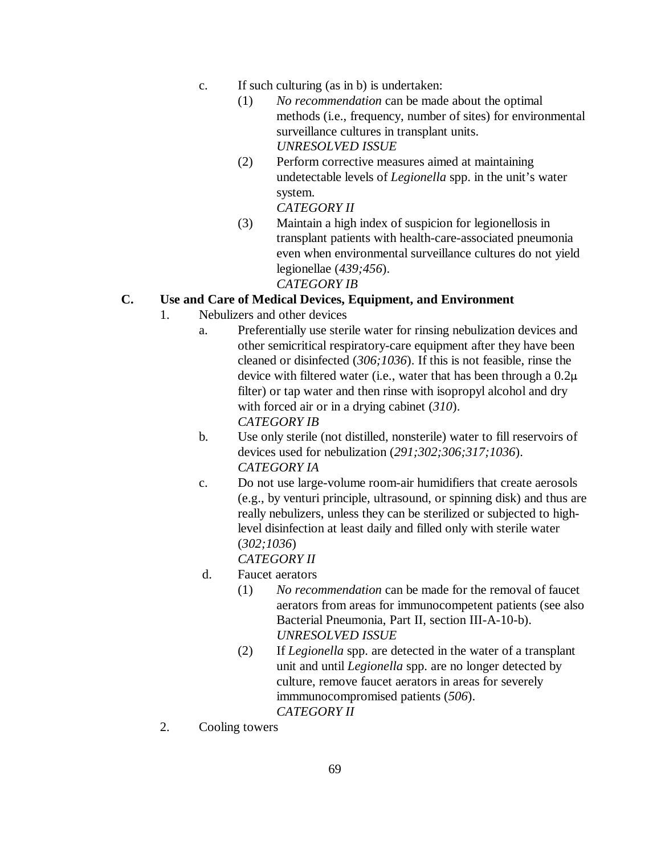- c. If such culturing (as in b) is undertaken:
	- (1) *No recommendation* can be made about the optimal methods (i.e., frequency, number of sites) for environmental surveillance cultures in transplant units. *UNRESOLVED ISSUE*
	- (2) Perform corrective measures aimed at maintaining undetectable levels of *Legionella* spp. in the unit's water system.

*CATEGORY II*

(3) Maintain a high index of suspicion for legionellosis in transplant patients with health-care-associated pneumonia even when environmental surveillance cultures do not yield legionellae (*439;456*). *CATEGORY IB*

## **C. Use and Care of Medical Devices, Equipment, and Environment**

- 1. Nebulizers and other devices
	- a. Preferentially use sterile water for rinsing nebulization devices and other semicritical respiratory-care equipment after they have been cleaned or disinfected (*306;1036*). If this is not feasible, rinse the device with filtered water (i.e., water that has been through a  $0.2\mu$ ) filter) or tap water and then rinse with isopropyl alcohol and dry with forced air or in a drying cabinet (*310*). *CATEGORY IB*
	- b. Use only sterile (not distilled, nonsterile) water to fill reservoirs of devices used for nebulization (*291;302;306;317;1036*). *CATEGORY IA*
	- c. Do not use large-volume room-air humidifiers that create aerosols (e.g., by venturi principle, ultrasound, or spinning disk) and thus are really nebulizers, unless they can be sterilized or subjected to highlevel disinfection at least daily and filled only with sterile water (*302;1036*)

*CATEGORY II*

- d. Faucet aerators
	- (1) *No recommendation* can be made for the removal of faucet aerators from areas for immunocompetent patients (see also Bacterial Pneumonia, Part II, section III-A-10-b). *UNRESOLVED ISSUE*
	- (2) If *Legionella* spp. are detected in the water of a transplant unit and until *Legionella* spp. are no longer detected by culture, remove faucet aerators in areas for severely immmunocompromised patients (*506*). *CATEGORY II*
- 2. Cooling towers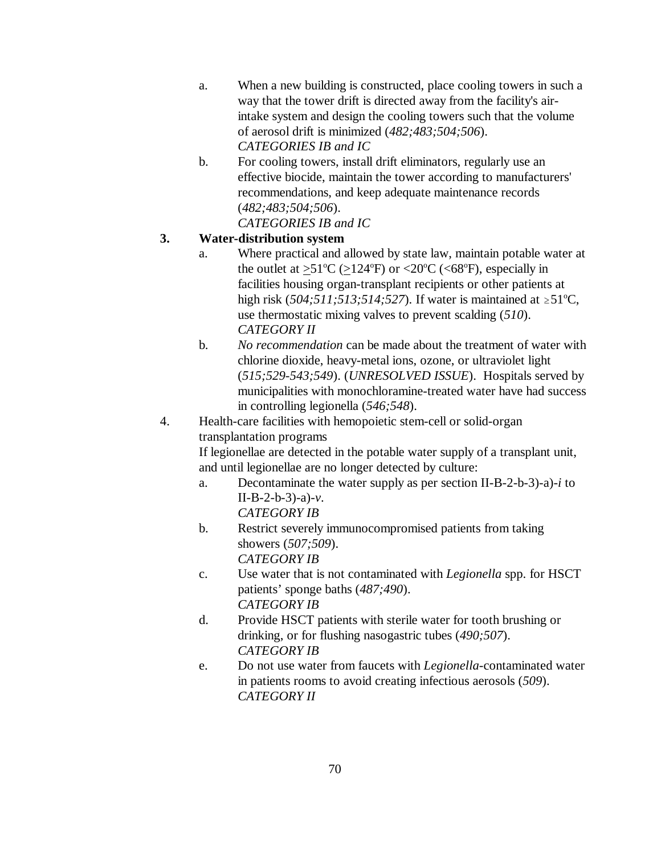- a. When a new building is constructed, place cooling towers in such a way that the tower drift is directed away from the facility's airintake system and design the cooling towers such that the volume of aerosol drift is minimized (*482;483;504;506*). *CATEGORIES IB and IC*
- b. For cooling towers, install drift eliminators, regularly use an effective biocide, maintain the tower according to manufacturers' recommendations, and keep adequate maintenance records (*482;483;504;506*). *CATEGORIES IB and IC*

# **3. Water-distribution system**

- a. Where practical and allowed by state law, maintain potable water at the outlet at  $\geq 51^{\circ}C$  ( $\geq 124^{\circ}F$ ) or <20°C (<68°F), especially in facilities housing organ-transplant recipients or other patients at high risk  $(504; 511; 513; 514; 527)$ . If water is maintained at  $\geq 51^{\circ}$ C, use thermostatic mixing valves to prevent scalding (*510*). *CATEGORY II*
- b. *No recommendation* can be made about the treatment of water with chlorine dioxide, heavy-metal ions, ozone, or ultraviolet light (*515;529-543;549*). (*UNRESOLVED ISSUE*). Hospitals served by municipalities with monochloramine-treated water have had success in controlling legionella (*546;548*).
- 4. Health-care facilities with hemopoietic stem-cell or solid-organ transplantation programs If legionellae are detected in the potable water supply of a transplant unit, and until legionellae are no longer detected by culture:
	- a. Decontaminate the water supply as per section II-B-2-b-3)-a)-*i* to II-B-2-b-3)-a)-*v*. *CATEGORY IB*
	- b. Restrict severely immunocompromised patients from taking showers (*507;509*). *CATEGORY IB*
	- c. Use water that is not contaminated with *Legionella* spp. for HSCT patients' sponge baths (*487;490*). *CATEGORY IB*
	- d. Provide HSCT patients with sterile water for tooth brushing or drinking, or for flushing nasogastric tubes (*490;507*). *CATEGORY IB*
	- e. Do not use water from faucets with *Legionella*-contaminated water in patients rooms to avoid creating infectious aerosols (*509*). *CATEGORY II*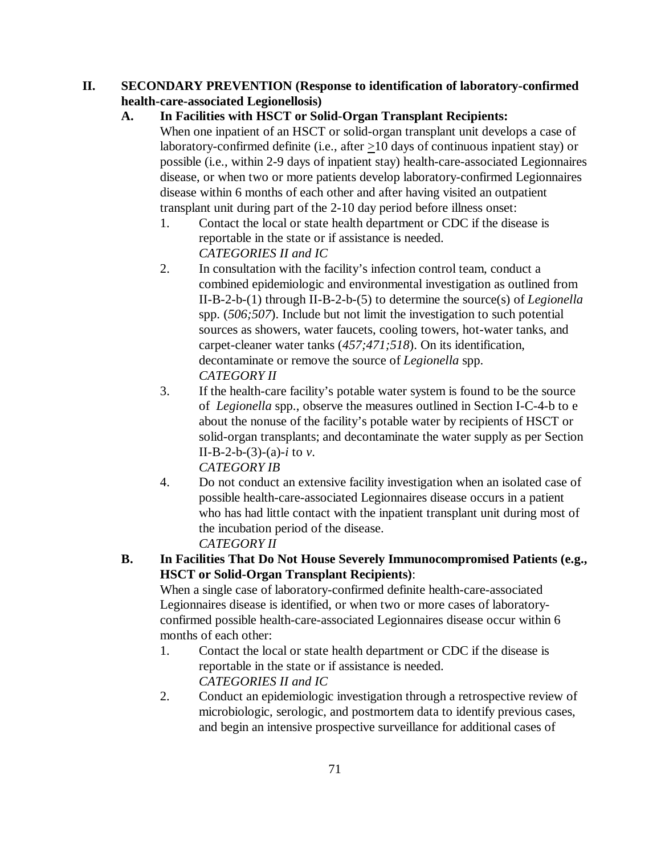## **II. SECONDARY PREVENTION (Response to identification of laboratory-confirmed health-care-associated Legionellosis)**

## **A. In Facilities with HSCT or Solid-Organ Transplant Recipients:**

When one inpatient of an HSCT or solid-organ transplant unit develops a case of laboratory-confirmed definite (i.e., after >10 days of continuous inpatient stay) or possible (i.e., within 2-9 days of inpatient stay) health-care-associated Legionnaires disease, or when two or more patients develop laboratory-confirmed Legionnaires disease within 6 months of each other and after having visited an outpatient transplant unit during part of the 2-10 day period before illness onset:

- 1. Contact the local or state health department or CDC if the disease is reportable in the state or if assistance is needed. *CATEGORIES II and IC*
- 2. In consultation with the facility's infection control team, conduct a combined epidemiologic and environmental investigation as outlined from II-B-2-b-(1) through II-B-2-b-(5) to determine the source(s) of *Legionella* spp. (*506;507*). Include but not limit the investigation to such potential sources as showers, water faucets, cooling towers, hot-water tanks, and carpet-cleaner water tanks (*457;471;518*). On its identification, decontaminate or remove the source of *Legionella* spp. *CATEGORY II*
- 3. If the health-care facility's potable water system is found to be the source of *Legionella* spp., observe the measures outlined in Section I-C-4-b to e about the nonuse of the facility's potable water by recipients of HSCT or solid-organ transplants; and decontaminate the water supply as per Section II-B-2-b-(3)-(a)-*i* to *v*. *CATEGORY IB*
- 4. Do not conduct an extensive facility investigation when an isolated case of possible health-care-associated Legionnaires disease occurs in a patient who has had little contact with the inpatient transplant unit during most of the incubation period of the disease. *CATEGORY II*
- **B. In Facilities That Do Not House Severely Immunocompromised Patients (e.g., HSCT or Solid-Organ Transplant Recipients)**:

When a single case of laboratory-confirmed definite health-care-associated Legionnaires disease is identified, or when two or more cases of laboratoryconfirmed possible health-care-associated Legionnaires disease occur within 6 months of each other:

- 1. Contact the local or state health department or CDC if the disease is reportable in the state or if assistance is needed. *CATEGORIES II and IC*
- 2. Conduct an epidemiologic investigation through a retrospective review of microbiologic, serologic, and postmortem data to identify previous cases, and begin an intensive prospective surveillance for additional cases of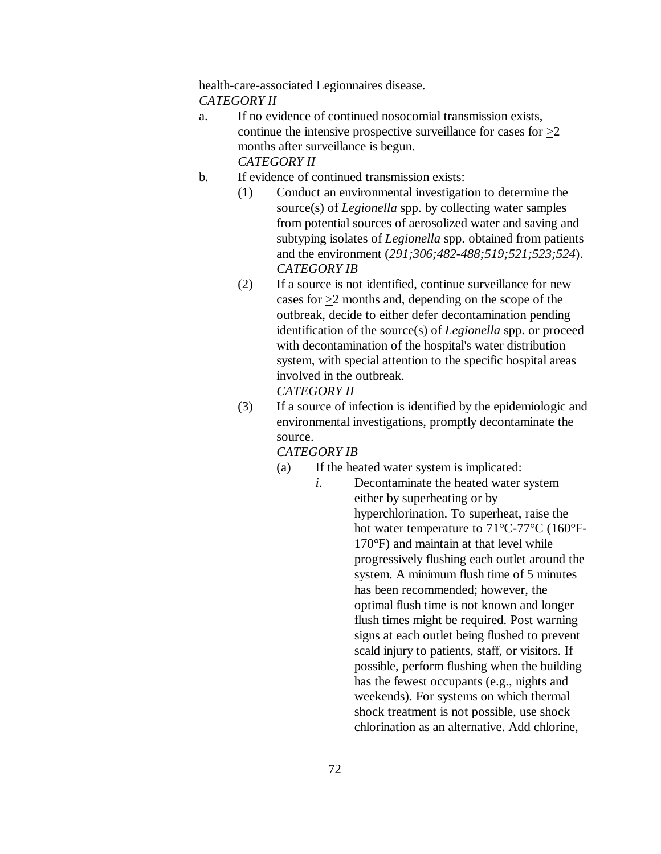health-care-associated Legionnaires disease. *CATEGORY II*

- a. If no evidence of continued nosocomial transmission exists, continue the intensive prospective surveillance for cases for  $>2$ months after surveillance is begun. *CATEGORY II*
- b. If evidence of continued transmission exists:
	- (1) Conduct an environmental investigation to determine the source(s) of *Legionella* spp. by collecting water samples from potential sources of aerosolized water and saving and subtyping isolates of *Legionella* spp. obtained from patients and the environment (*291;306;482-488;519;521;523;524*). *CATEGORY IB*
	- (2) If a source is not identified, continue surveillance for new cases for  $\geq$  months and, depending on the scope of the outbreak, decide to either defer decontamination pending identification of the source(s) of *Legionella* spp. or proceed with decontamination of the hospital's water distribution system, with special attention to the specific hospital areas involved in the outbreak. *CATEGORY II*
	- (3) If a source of infection is identified by the epidemiologic and environmental investigations, promptly decontaminate the source.
		- *CATEGORY IB*
		- (a) If the heated water system is implicated:
			- *i*. Decontaminate the heated water system either by superheating or by hyperchlorination. To superheat, raise the hot water temperature to 71°C-77°C (160°F-170°F) and maintain at that level while progressively flushing each outlet around the system. A minimum flush time of 5 minutes has been recommended; however, the optimal flush time is not known and longer flush times might be required. Post warning signs at each outlet being flushed to prevent scald injury to patients, staff, or visitors. If possible, perform flushing when the building has the fewest occupants (e.g., nights and weekends). For systems on which thermal shock treatment is not possible, use shock chlorination as an alternative. Add chlorine,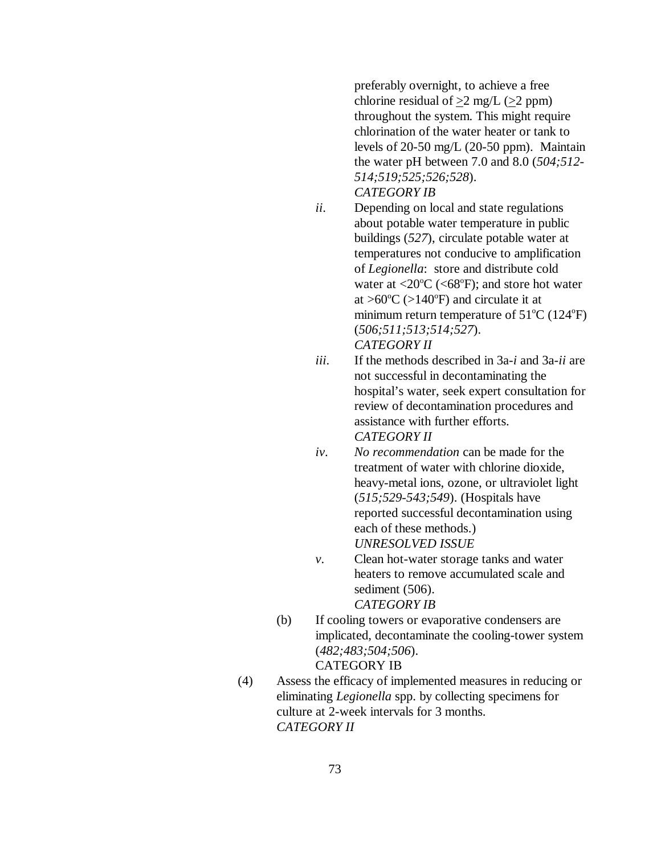preferably overnight, to achieve a free chlorine residual of  $\geq$ 2 mg/L ( $\geq$ 2 ppm) throughout the system. This might require chlorination of the water heater or tank to levels of 20-50 mg/L (20-50 ppm). Maintain the water pH between 7.0 and 8.0 (*504;512- 514;519;525;526;528*). *CATEGORY IB*

- *ii*. Depending on local and state regulations about potable water temperature in public buildings (*527*), circulate potable water at temperatures not conducive to amplification of *Legionella*: store and distribute cold water at  $\langle 20^{\circ}$ C ( $\langle 68^{\circ}$ F); and store hot water at >60 $\degree$ C (>140 $\degree$ F) and circulate it at minimum return temperature of  $51^{\circ}$ C (124 $^{\circ}$ F) (*506;511;513;514;527*). *CATEGORY II*
- *iii*. If the methods described in 3a-*i* and 3a-*ii* are not successful in decontaminating the hospital's water, seek expert consultation for review of decontamination procedures and assistance with further efforts. *CATEGORY II*
- *iv*. *No recommendation* can be made for the treatment of water with chlorine dioxide, heavy-metal ions, ozone, or ultraviolet light (*515;529-543;549*). (Hospitals have reported successful decontamination using each of these methods.) *UNRESOLVED ISSUE*
- *v*. Clean hot-water storage tanks and water heaters to remove accumulated scale and sediment (506). *CATEGORY IB*
- (b) If cooling towers or evaporative condensers are implicated, decontaminate the cooling-tower system (*482;483;504;506*). CATEGORY IB
- (4) Assess the efficacy of implemented measures in reducing or eliminating *Legionella* spp. by collecting specimens for culture at 2-week intervals for 3 months. *CATEGORY II*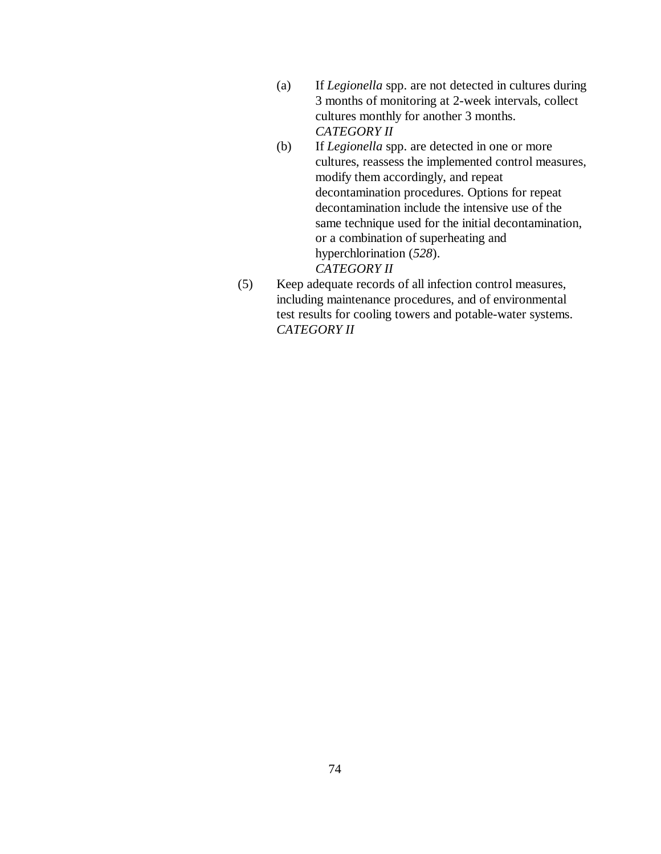- (a) If *Legionella* spp. are not detected in cultures during 3 months of monitoring at 2-week intervals, collect cultures monthly for another 3 months. *CATEGORY II*
- (b) If *Legionella* spp. are detected in one or more cultures, reassess the implemented control measures, modify them accordingly, and repeat decontamination procedures. Options for repeat decontamination include the intensive use of the same technique used for the initial decontamination, or a combination of superheating and hyperchlorination (*528*).
	- *CATEGORY II*
- (5) Keep adequate records of all infection control measures, including maintenance procedures, and of environmental test results for cooling towers and potable-water systems. *CATEGORY II*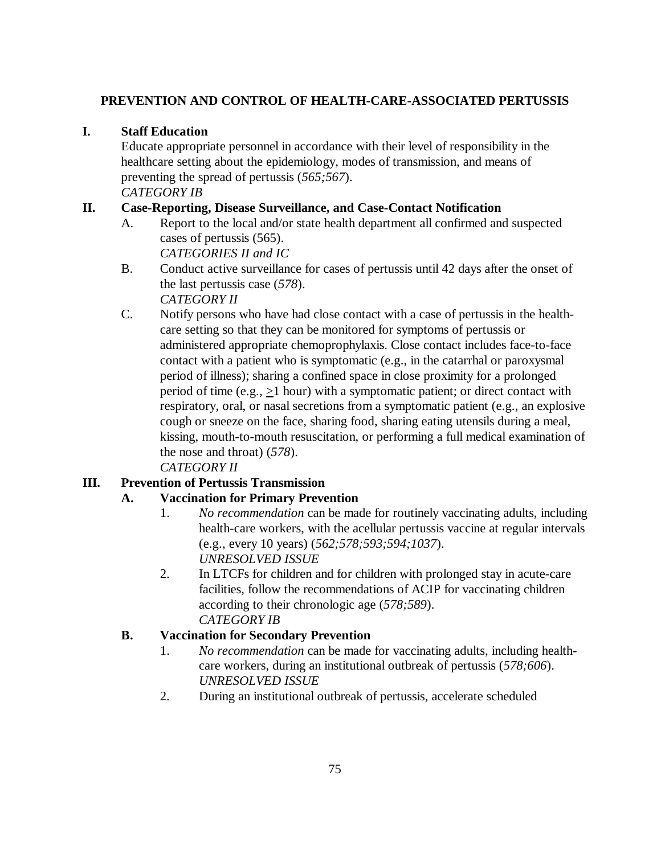### **PREVENTION AND CONTROL OF HEALTH-CARE-ASSOCIATED PERTUSSIS**

#### **I. Staff Education**

Educate appropriate personnel in accordance with their level of responsibility in the healthcare setting about the epidemiology, modes of transmission, and means of preventing the spread of pertussis (*565;567*). *CATEGORY IB*

### **II. Case-Reporting, Disease Surveillance, and Case-Contact Notification**

- A. Report to the local and/or state health department all confirmed and suspected cases of pertussis (565). *CATEGORIES II and IC*
- B. Conduct active surveillance for cases of pertussis until 42 days after the onset of the last pertussis case (*578*). *CATEGORY II*
- C. Notify persons who have had close contact with a case of pertussis in the healthcare setting so that they can be monitored for symptoms of pertussis or administered appropriate chemoprophylaxis. Close contact includes face-to-face contact with a patient who is symptomatic (e.g., in the catarrhal or paroxysmal period of illness); sharing a confined space in close proximity for a prolonged period of time (e.g.,  $\geq$ 1 hour) with a symptomatic patient; or direct contact with respiratory, oral, or nasal secretions from a symptomatic patient (e.g., an explosive cough or sneeze on the face, sharing food, sharing eating utensils during a meal, kissing, mouth-to-mouth resuscitation, or performing a full medical examination of the nose and throat) (*578*).

*CATEGORY II*

## **III. Prevention of Pertussis Transmission**

## **A. Vaccination for Primary Prevention**

- 1. *No recommendation* can be made for routinely vaccinating adults, including health-care workers, with the acellular pertussis vaccine at regular intervals (e.g., every 10 years) (*562;578;593;594;1037*). *UNRESOLVED ISSUE*
- 2. In LTCFs for children and for children with prolonged stay in acute-care facilities, follow the recommendations of ACIP for vaccinating children according to their chronologic age (*578;589*). *CATEGORY IB*

## **B. Vaccination for Secondary Prevention**

- 1. *No recommendation* can be made for vaccinating adults, including healthcare workers, during an institutional outbreak of pertussis (*578;606*). *UNRESOLVED ISSUE*
- 2. During an institutional outbreak of pertussis, accelerate scheduled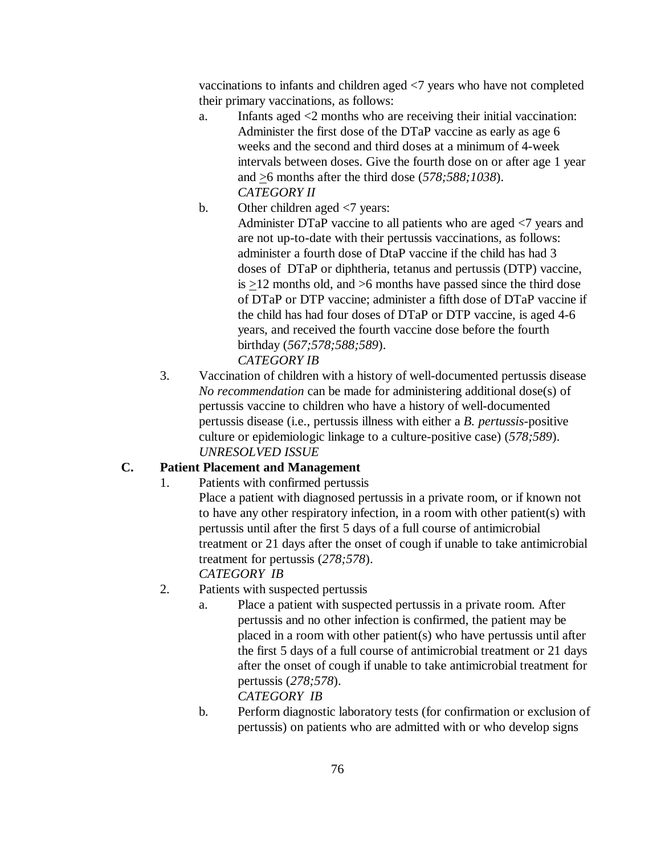vaccinations to infants and children aged <7 years who have not completed their primary vaccinations, as follows:

- a. Infants aged <2 months who are receiving their initial vaccination: Administer the first dose of the DTaP vaccine as early as age 6 weeks and the second and third doses at a minimum of 4-week intervals between doses. Give the fourth dose on or after age 1 year and >6 months after the third dose (*578;588;1038*). *CATEGORY II*
- b. Other children aged <7 years:

Administer DTaP vaccine to all patients who are aged <7 years and are not up-to-date with their pertussis vaccinations, as follows: administer a fourth dose of DtaP vaccine if the child has had 3 doses of DTaP or diphtheria, tetanus and pertussis (DTP) vaccine, is  $>12$  months old, and  $>6$  months have passed since the third dose of DTaP or DTP vaccine; administer a fifth dose of DTaP vaccine if the child has had four doses of DTaP or DTP vaccine, is aged 4-6 years, and received the fourth vaccine dose before the fourth birthday (*567;578;588;589*). *CATEGORY IB*

3. Vaccination of children with a history of well-documented pertussis disease *No recommendation* can be made for administering additional dose(s) of pertussis vaccine to children who have a history of well-documented pertussis disease (i.e., pertussis illness with either a *B. pertussis*-positive culture or epidemiologic linkage to a culture-positive case) (*578;589*). *UNRESOLVED ISSUE*

# **C. Patient Placement and Management**

- 1. Patients with confirmed pertussis
	- Place a patient with diagnosed pertussis in a private room, or if known not to have any other respiratory infection, in a room with other patient(s) with pertussis until after the first 5 days of a full course of antimicrobial treatment or 21 days after the onset of cough if unable to take antimicrobial treatment for pertussis (*278;578*). *CATEGORY IB*
- 2. Patients with suspected pertussis
	- a. Place a patient with suspected pertussis in a private room. After pertussis and no other infection is confirmed, the patient may be placed in a room with other patient(s) who have pertussis until after the first 5 days of a full course of antimicrobial treatment or 21 days after the onset of cough if unable to take antimicrobial treatment for pertussis (*278;578*).
		- *CATEGORY IB*
	- b. Perform diagnostic laboratory tests (for confirmation or exclusion of pertussis) on patients who are admitted with or who develop signs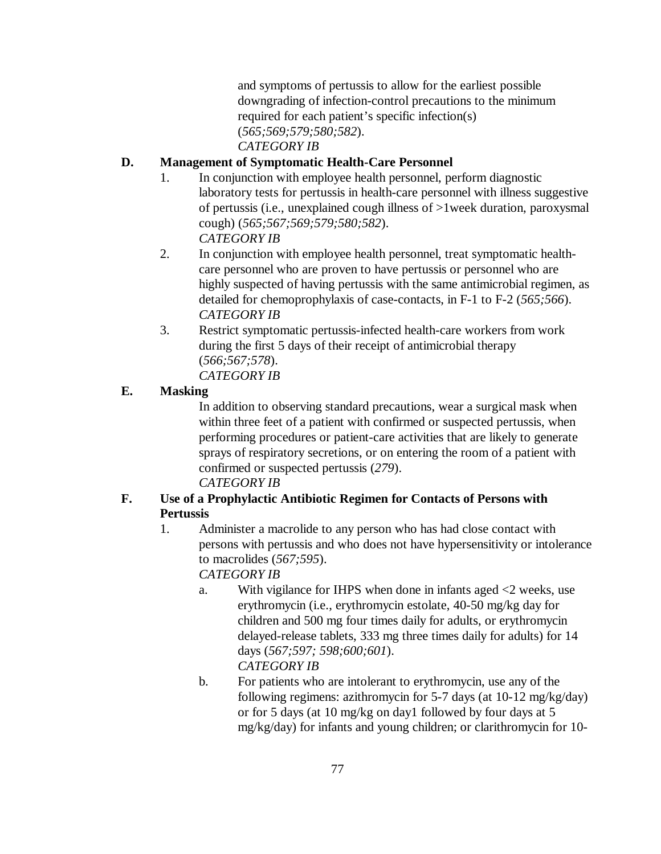and symptoms of pertussis to allow for the earliest possible downgrading of infection-control precautions to the minimum required for each patient's specific infection(s) (*565;569;579;580;582*). *CATEGORY IB*

# **D. Management of Symptomatic Health-Care Personnel**

- 1. In conjunction with employee health personnel, perform diagnostic laboratory tests for pertussis in health-care personnel with illness suggestive of pertussis (i.e., unexplained cough illness of >1week duration, paroxysmal cough) (*565;567;569;579;580;582*). *CATEGORY IB*
- 2. In conjunction with employee health personnel, treat symptomatic healthcare personnel who are proven to have pertussis or personnel who are highly suspected of having pertussis with the same antimicrobial regimen, as detailed for chemoprophylaxis of case-contacts, in F-1 to F-2 (*565;566*). *CATEGORY IB*
- 3. Restrict symptomatic pertussis-infected health-care workers from work during the first 5 days of their receipt of antimicrobial therapy (*566;567;578*). *CATEGORY IB*

# **E. Masking**

In addition to observing standard precautions, wear a surgical mask when within three feet of a patient with confirmed or suspected pertussis, when performing procedures or patient-care activities that are likely to generate sprays of respiratory secretions, or on entering the room of a patient with confirmed or suspected pertussis (*279*).

## *CATEGORY IB*

# **F. Use of a Prophylactic Antibiotic Regimen for Contacts of Persons with Pertussis**

1. Administer a macrolide to any person who has had close contact with persons with pertussis and who does not have hypersensitivity or intolerance to macrolides (*567;595*).

*CATEGORY IB*

- a. With vigilance for IHPS when done in infants aged <2 weeks, use erythromycin (i.e., erythromycin estolate, 40-50 mg/kg day for children and 500 mg four times daily for adults, or erythromycin delayed-release tablets, 333 mg three times daily for adults) for 14 days (*567;597; 598;600;601*). *CATEGORY IB*
- b. For patients who are intolerant to erythromycin, use any of the following regimens: azithromycin for 5-7 days (at 10-12 mg/kg/day) or for 5 days (at 10 mg/kg on day1 followed by four days at 5 mg/kg/day) for infants and young children; or clarithromycin for 10-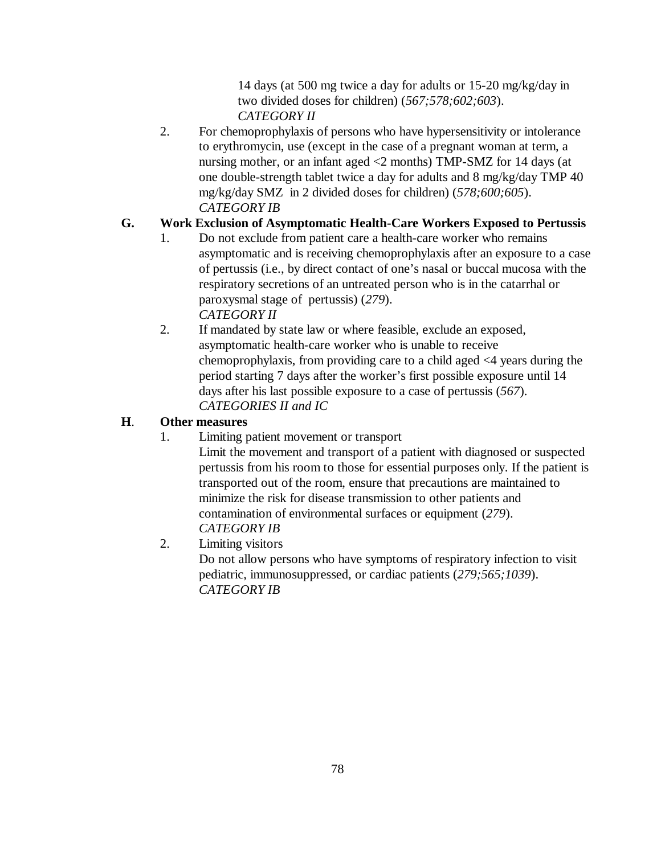14 days (at 500 mg twice a day for adults or 15-20 mg/kg/day in two divided doses for children) (*567;578;602;603*). *CATEGORY II*

2. For chemoprophylaxis of persons who have hypersensitivity or intolerance to erythromycin, use (except in the case of a pregnant woman at term, a nursing mother, or an infant aged <2 months) TMP-SMZ for 14 days (at one double-strength tablet twice a day for adults and 8 mg/kg/day TMP 40 mg/kg/day SMZ in 2 divided doses for children) (*578;600;605*). *CATEGORY IB*

# **G. Work Exclusion of Asymptomatic Health-Care Workers Exposed to Pertussis**

- 1. Do not exclude from patient care a health-care worker who remains asymptomatic and is receiving chemoprophylaxis after an exposure to a case of pertussis (i.e., by direct contact of one's nasal or buccal mucosa with the respiratory secretions of an untreated person who is in the catarrhal or paroxysmal stage of pertussis) (*279*). *CATEGORY II*
- 2. If mandated by state law or where feasible, exclude an exposed, asymptomatic health-care worker who is unable to receive chemoprophylaxis, from providing care to a child aged <4 years during the period starting 7 days after the worker's first possible exposure until 14 days after his last possible exposure to a case of pertussis (*567*). *CATEGORIES II and IC*

# **H**. **Other measures**

- 1. Limiting patient movement or transport
	- Limit the movement and transport of a patient with diagnosed or suspected pertussis from his room to those for essential purposes only. If the patient is transported out of the room, ensure that precautions are maintained to minimize the risk for disease transmission to other patients and contamination of environmental surfaces or equipment (*279*). *CATEGORY IB*
- 2. Limiting visitors

Do not allow persons who have symptoms of respiratory infection to visit pediatric, immunosuppressed, or cardiac patients (*279;565;1039*). *CATEGORY IB*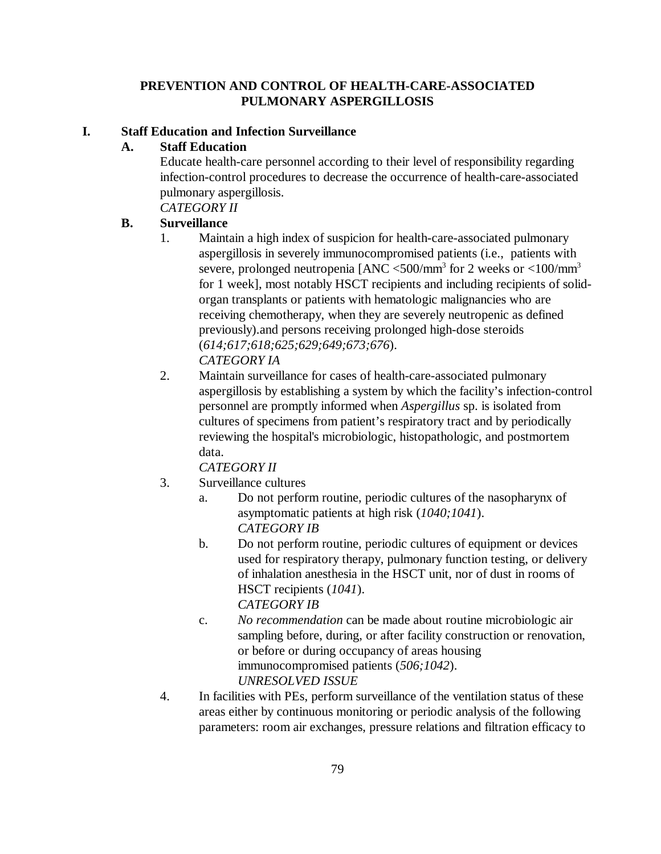### **PREVENTION AND CONTROL OF HEALTH-CARE-ASSOCIATED PULMONARY ASPERGILLOSIS**

### **I. Staff Education and Infection Surveillance**

### **A. Staff Education**

Educate health-care personnel according to their level of responsibility regarding infection-control procedures to decrease the occurrence of health-care-associated pulmonary aspergillosis.

*CATEGORY II*

### **B. Surveillance**

- 1. Maintain a high index of suspicion for health-care-associated pulmonary aspergillosis in severely immunocompromised patients (i.e., patients with severe, prolonged neutropenia [ANC <500/mm<sup>3</sup> for 2 weeks or <100/mm<sup>3</sup> for 1 week], most notably HSCT recipients and including recipients of solidorgan transplants or patients with hematologic malignancies who are receiving chemotherapy, when they are severely neutropenic as defined previously).and persons receiving prolonged high-dose steroids (*614;617;618;625;629;649;673;676*). *CATEGORY IA*
- 2. Maintain surveillance for cases of health-care-associated pulmonary aspergillosis by establishing a system by which the facility's infection-control personnel are promptly informed when *Aspergillus* sp. is isolated from cultures of specimens from patient's respiratory tract and by periodically reviewing the hospital's microbiologic, histopathologic, and postmortem data.

*CATEGORY II*

- 3. Surveillance cultures
	- a. Do not perform routine, periodic cultures of the nasopharynx of asymptomatic patients at high risk (*1040;1041*). *CATEGORY IB*
	- b. Do not perform routine, periodic cultures of equipment or devices used for respiratory therapy, pulmonary function testing, or delivery of inhalation anesthesia in the HSCT unit, nor of dust in rooms of HSCT recipients (*1041*). *CATEGORY IB*
	- c. *No recommendation* can be made about routine microbiologic air sampling before, during, or after facility construction or renovation, or before or during occupancy of areas housing immunocompromised patients (*506;1042*). *UNRESOLVED ISSUE*
- 4. In facilities with PEs, perform surveillance of the ventilation status of these areas either by continuous monitoring or periodic analysis of the following parameters: room air exchanges, pressure relations and filtration efficacy to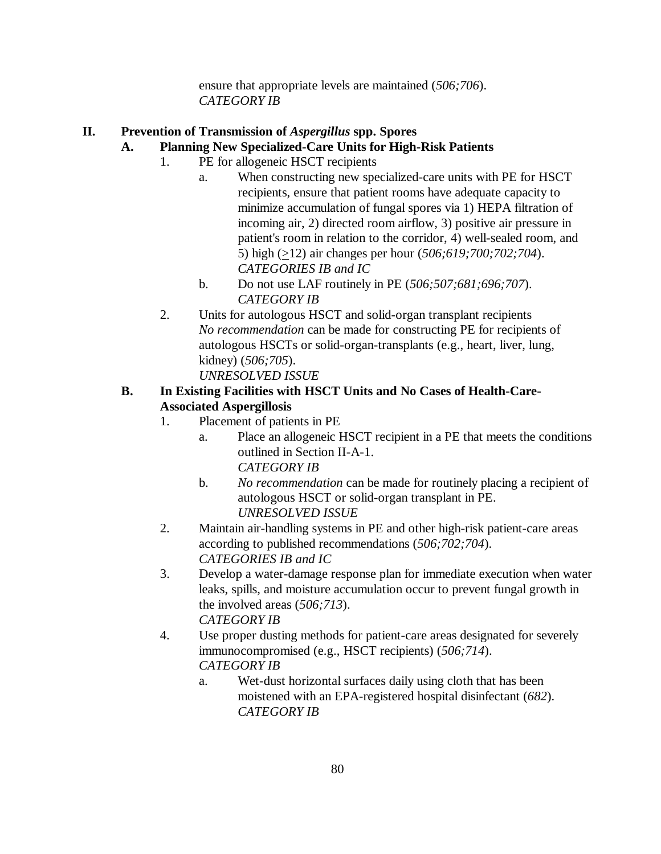ensure that appropriate levels are maintained (*506;706*). *CATEGORY IB*

# **II. Prevention of Transmission of** *Aspergillus* **spp. Spores**

# **A. Planning New Specialized-Care Units for High-Risk Patients**

- 1. PE for allogeneic HSCT recipients
	- a. When constructing new specialized-care units with PE for HSCT recipients, ensure that patient rooms have adequate capacity to minimize accumulation of fungal spores via 1) HEPA filtration of incoming air, 2) directed room airflow, 3) positive air pressure in patient's room in relation to the corridor, 4) well-sealed room, and 5) high (>12) air changes per hour (*506;619;700;702;704*). *CATEGORIES IB and IC*
	- b. Do not use LAF routinely in PE (*506;507;681;696;707*). *CATEGORY IB*
- 2. Units for autologous HSCT and solid-organ transplant recipients *No recommendation* can be made for constructing PE for recipients of autologous HSCTs or solid-organ-transplants (e.g., heart, liver, lung, kidney) (*506;705*). *UNRESOLVED ISSUE*

# **B. In Existing Facilities with HSCT Units and No Cases of Health-Care-Associated Aspergillosis**

- 1. Placement of patients in PE
	- a. Place an allogeneic HSCT recipient in a PE that meets the conditions outlined in Section II-A-1. *CATEGORY IB*
	- b. *No recommendation* can be made for routinely placing a recipient of autologous HSCT or solid-organ transplant in PE. *UNRESOLVED ISSUE*
- 2. Maintain air-handling systems in PE and other high-risk patient-care areas according to published recommendations (*506;702;704*). *CATEGORIES IB and IC*
- 3. Develop a water-damage response plan for immediate execution when water leaks, spills, and moisture accumulation occur to prevent fungal growth in the involved areas (*506;713*). *CATEGORY IB*
- 4. Use proper dusting methods for patient-care areas designated for severely immunocompromised (e.g., HSCT recipients) (*506;714*). *CATEGORY IB*
	- a. Wet-dust horizontal surfaces daily using cloth that has been moistened with an EPA-registered hospital disinfectant (*682*). *CATEGORY IB*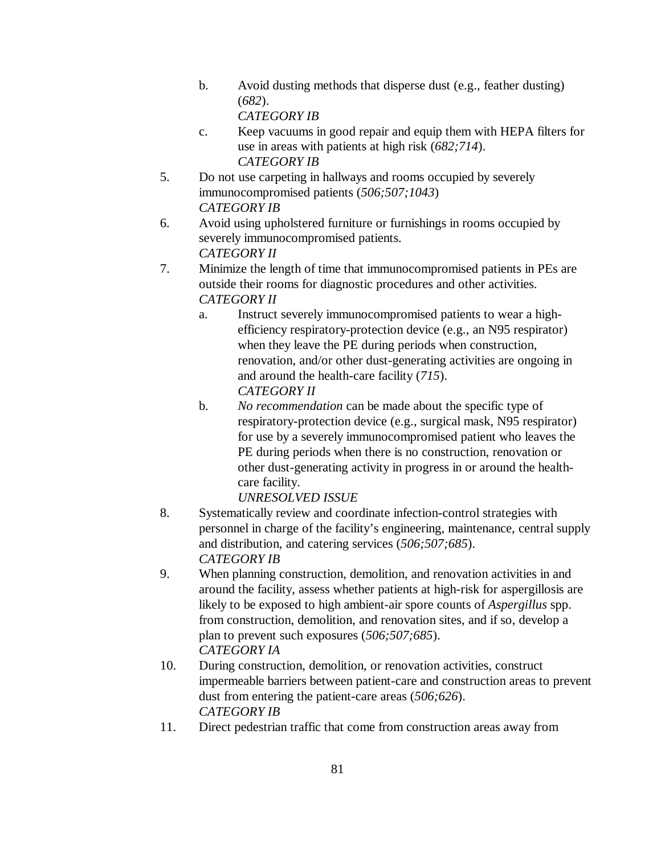- b. Avoid dusting methods that disperse dust (e.g., feather dusting) (*682*). *CATEGORY IB*
- c. Keep vacuums in good repair and equip them with HEPA filters for use in areas with patients at high risk (*682;714*). *CATEGORY IB*
- 5. Do not use carpeting in hallways and rooms occupied by severely immunocompromised patients (*506;507;1043*) *CATEGORY IB*
- 6. Avoid using upholstered furniture or furnishings in rooms occupied by severely immunocompromised patients. *CATEGORY II*
- 7. Minimize the length of time that immunocompromised patients in PEs are outside their rooms for diagnostic procedures and other activities. *CATEGORY II*
	- a. Instruct severely immunocompromised patients to wear a highefficiency respiratory-protection device (e.g., an N95 respirator) when they leave the PE during periods when construction, renovation, and/or other dust-generating activities are ongoing in and around the health-care facility (*715*). *CATEGORY II*
	- b. *No recommendation* can be made about the specific type of respiratory-protection device (e.g., surgical mask, N95 respirator) for use by a severely immunocompromised patient who leaves the PE during periods when there is no construction, renovation or other dust-generating activity in progress in or around the healthcare facility.

*UNRESOLVED ISSUE*

- 8. Systematically review and coordinate infection-control strategies with personnel in charge of the facility's engineering, maintenance, central supply and distribution, and catering services (*506;507;685*). *CATEGORY IB*
- 9. When planning construction, demolition, and renovation activities in and around the facility, assess whether patients at high-risk for aspergillosis are likely to be exposed to high ambient-air spore counts of *Aspergillus* spp. from construction, demolition, and renovation sites, and if so, develop a plan to prevent such exposures (*506;507;685*). *CATEGORY IA*
- 10. During construction, demolition, or renovation activities, construct impermeable barriers between patient-care and construction areas to prevent dust from entering the patient-care areas (*506;626*). *CATEGORY IB*
- 11. Direct pedestrian traffic that come from construction areas away from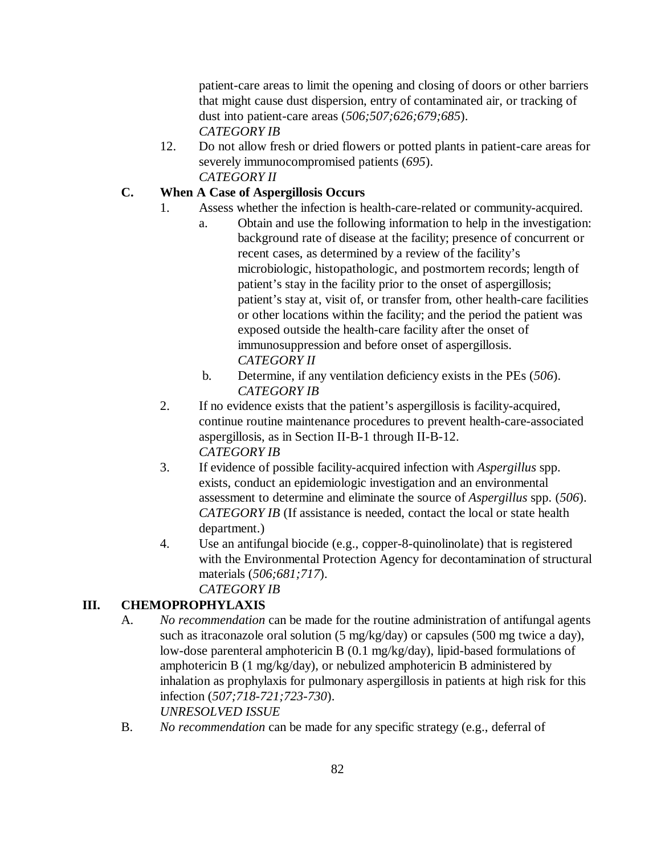patient-care areas to limit the opening and closing of doors or other barriers that might cause dust dispersion, entry of contaminated air, or tracking of dust into patient-care areas (*506;507;626;679;685*). *CATEGORY IB*

12. Do not allow fresh or dried flowers or potted plants in patient-care areas for severely immunocompromised patients (*695*). *CATEGORY II*

# **C. When A Case of Aspergillosis Occurs**

- 1. Assess whether the infection is health-care-related or community-acquired.
	- a. Obtain and use the following information to help in the investigation: background rate of disease at the facility; presence of concurrent or recent cases, as determined by a review of the facility's microbiologic, histopathologic, and postmortem records; length of patient's stay in the facility prior to the onset of aspergillosis; patient's stay at, visit of, or transfer from, other health-care facilities or other locations within the facility; and the period the patient was exposed outside the health-care facility after the onset of immunosuppression and before onset of aspergillosis. *CATEGORY II*
	- b. Determine, if any ventilation deficiency exists in the PEs (*506*). *CATEGORY IB*
- 2. If no evidence exists that the patient's aspergillosis is facility-acquired, continue routine maintenance procedures to prevent health-care-associated aspergillosis, as in Section II-B-1 through II-B-12. *CATEGORY IB*
- 3. If evidence of possible facility-acquired infection with *Aspergillus* spp. exists, conduct an epidemiologic investigation and an environmental assessment to determine and eliminate the source of *Aspergillus* spp. (*506*). *CATEGORY IB* (If assistance is needed, contact the local or state health department.)
- 4. Use an antifungal biocide (e.g., copper-8-quinolinolate) that is registered with the Environmental Protection Agency for decontamination of structural materials (*506;681;717*).

# *CATEGORY IB*

## **III. CHEMOPROPHYLAXIS**

- A. *No recommendation* can be made for the routine administration of antifungal agents such as itraconazole oral solution (5 mg/kg/day) or capsules (500 mg twice a day), low-dose parenteral amphotericin B (0.1 mg/kg/day), lipid-based formulations of amphotericin B (1 mg/kg/day), or nebulized amphotericin B administered by inhalation as prophylaxis for pulmonary aspergillosis in patients at high risk for this infection (*507;718-721;723-730*). *UNRESOLVED ISSUE*
- B. *No recommendation* can be made for any specific strategy (e.g., deferral of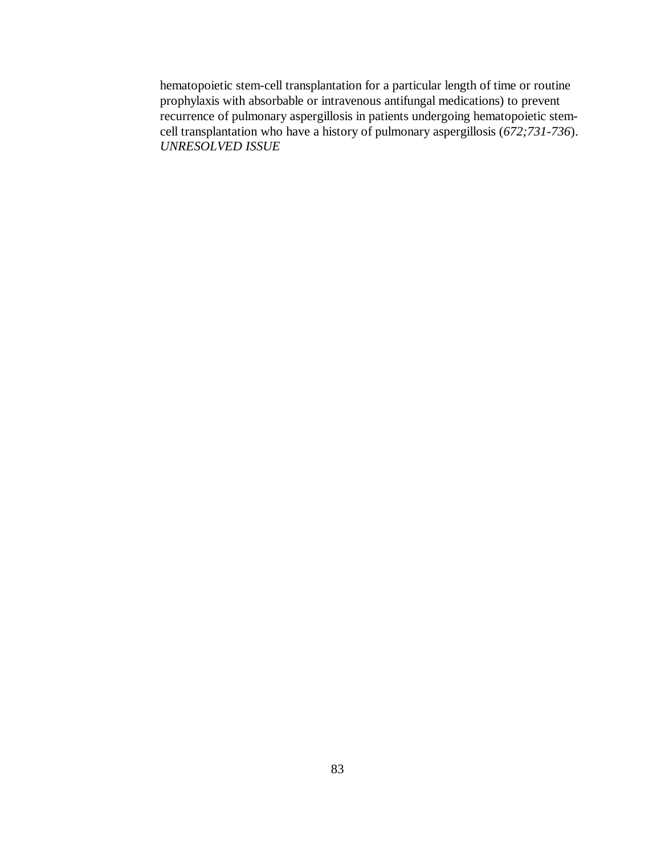hematopoietic stem-cell transplantation for a particular length of time or routine prophylaxis with absorbable or intravenous antifungal medications) to prevent recurrence of pulmonary aspergillosis in patients undergoing hematopoietic stemcell transplantation who have a history of pulmonary aspergillosis (*672;731-736*). *UNRESOLVED ISSUE*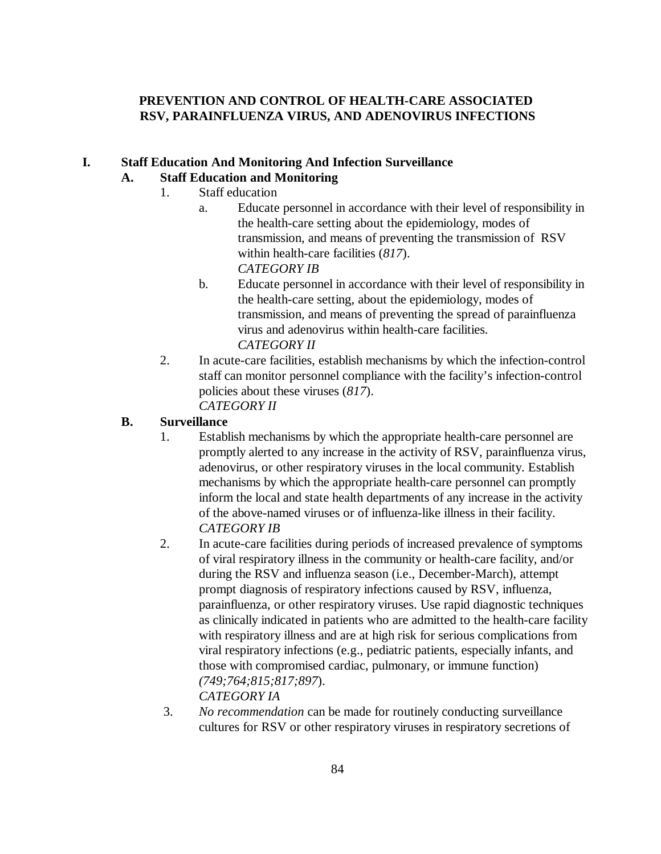## **PREVENTION AND CONTROL OF HEALTH-CARE ASSOCIATED RSV, PARAINFLUENZA VIRUS, AND ADENOVIRUS INFECTIONS**

# **I. Staff Education And Monitoring And Infection Surveillance**

### **A. Staff Education and Monitoring**

- 1. Staff education
	- a. Educate personnel in accordance with their level of responsibility in the health-care setting about the epidemiology, modes of transmission, and means of preventing the transmission of RSV within health-care facilities (*817*). *CATEGORY IB*
	- b. Educate personnel in accordance with their level of responsibility in the health-care setting, about the epidemiology, modes of transmission, and means of preventing the spread of parainfluenza virus and adenovirus within health-care facilities. *CATEGORY II*
- 2. In acute-care facilities, establish mechanisms by which the infection-control staff can monitor personnel compliance with the facility's infection-control policies about these viruses (*817*). *CATEGORY II*

### **B. Surveillance**

- 1. Establish mechanisms by which the appropriate health-care personnel are promptly alerted to any increase in the activity of RSV, parainfluenza virus, adenovirus, or other respiratory viruses in the local community. Establish mechanisms by which the appropriate health-care personnel can promptly inform the local and state health departments of any increase in the activity of the above-named viruses or of influenza-like illness in their facility. *CATEGORY IB*
- 2. In acute-care facilities during periods of increased prevalence of symptoms of viral respiratory illness in the community or health-care facility, and/or during the RSV and influenza season (i.e., December-March), attempt prompt diagnosis of respiratory infections caused by RSV, influenza, parainfluenza, or other respiratory viruses. Use rapid diagnostic techniques as clinically indicated in patients who are admitted to the health-care facility with respiratory illness and are at high risk for serious complications from viral respiratory infections (e.g., pediatric patients, especially infants, and those with compromised cardiac, pulmonary, or immune function) *(749;764;815;817;897*).

#### *CATEGORY IA*

 3. *No recommendation* can be made for routinely conducting surveillance cultures for RSV or other respiratory viruses in respiratory secretions of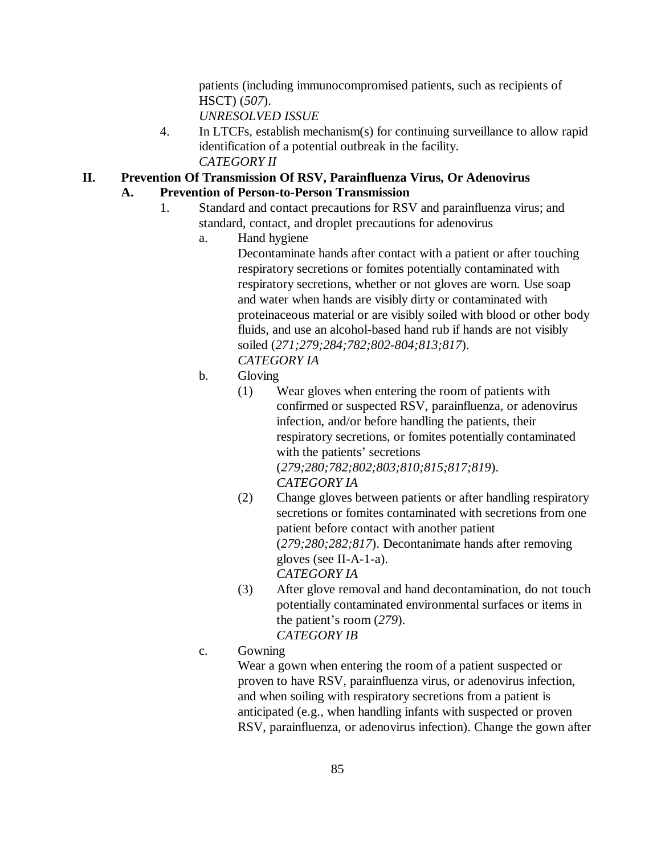patients (including immunocompromised patients, such as recipients of HSCT) (*507*).

*UNRESOLVED ISSUE*

- 4. In LTCFs, establish mechanism(s) for continuing surveillance to allow rapid identification of a potential outbreak in the facility. *CATEGORY II*
- **II. Prevention Of Transmission Of RSV, Parainfluenza Virus, Or Adenovirus A. Prevention of Person-to-Person Transmission**
	- 1. Standard and contact precautions for RSV and parainfluenza virus; and standard, contact, and droplet precautions for adenovirus
		- a. Hand hygiene

Decontaminate hands after contact with a patient or after touching respiratory secretions or fomites potentially contaminated with respiratory secretions, whether or not gloves are worn. Use soap and water when hands are visibly dirty or contaminated with proteinaceous material or are visibly soiled with blood or other body fluids, and use an alcohol-based hand rub if hands are not visibly soiled (*271;279;284;782;802-804;813;817*).

*CATEGORY IA*

- b. Gloving
	- (1) Wear gloves when entering the room of patients with confirmed or suspected RSV, parainfluenza, or adenovirus infection, and/or before handling the patients, their respiratory secretions, or fomites potentially contaminated with the patients' secretions (*279;280;782;802;803;810;815;817;819*). *CATEGORY IA*
	- (2) Change gloves between patients or after handling respiratory secretions or fomites contaminated with secretions from one patient before contact with another patient (*279;280;282;817*). Decontanimate hands after removing gloves (see II-A-1-a). *CATEGORY IA*
	- (3) After glove removal and hand decontamination, do not touch potentially contaminated environmental surfaces or items in the patient's room (*279*). *CATEGORY IB*
- c. Gowning

Wear a gown when entering the room of a patient suspected or proven to have RSV, parainfluenza virus, or adenovirus infection, and when soiling with respiratory secretions from a patient is anticipated (e.g., when handling infants with suspected or proven RSV, parainfluenza, or adenovirus infection). Change the gown after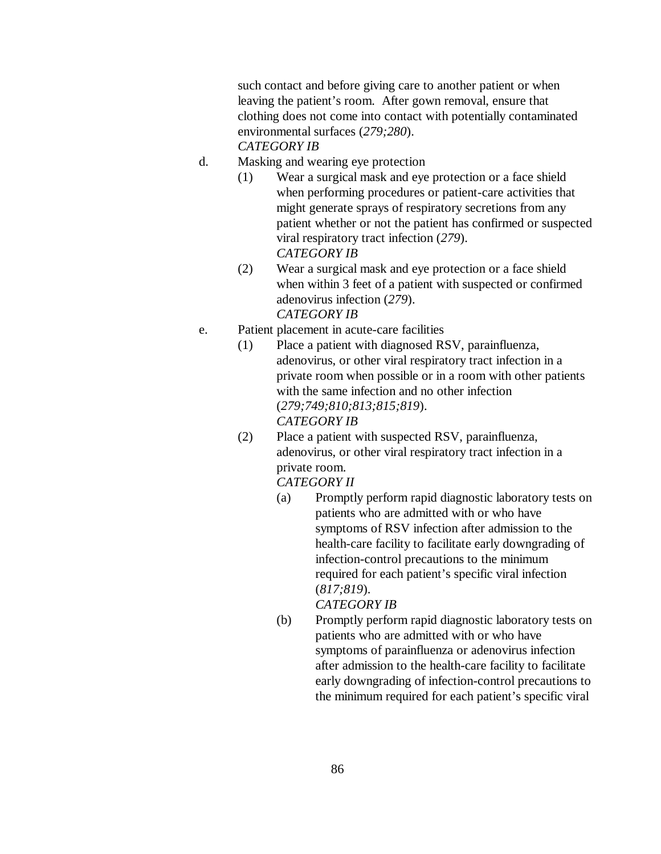such contact and before giving care to another patient or when leaving the patient's room. After gown removal, ensure that clothing does not come into contact with potentially contaminated environmental surfaces (*279;280*).

- *CATEGORY IB*
- d. Masking and wearing eye protection
	- (1) Wear a surgical mask and eye protection or a face shield when performing procedures or patient-care activities that might generate sprays of respiratory secretions from any patient whether or not the patient has confirmed or suspected viral respiratory tract infection (*279*). *CATEGORY IB*
	- (2) Wear a surgical mask and eye protection or a face shield when within 3 feet of a patient with suspected or confirmed adenovirus infection (*279*). *CATEGORY IB*
- e. Patient placement in acute-care facilities
	- (1) Place a patient with diagnosed RSV, parainfluenza, adenovirus, or other viral respiratory tract infection in a private room when possible or in a room with other patients with the same infection and no other infection (*279;749;810;813;815;819*). *CATEGORY IB*
	- (2) Place a patient with suspected RSV, parainfluenza, adenovirus, or other viral respiratory tract infection in a private room.

*CATEGORY II*

(a) Promptly perform rapid diagnostic laboratory tests on patients who are admitted with or who have symptoms of RSV infection after admission to the health-care facility to facilitate early downgrading of infection-control precautions to the minimum required for each patient's specific viral infection (*817;819*).

*CATEGORY IB*

(b) Promptly perform rapid diagnostic laboratory tests on patients who are admitted with or who have symptoms of parainfluenza or adenovirus infection after admission to the health-care facility to facilitate early downgrading of infection-control precautions to the minimum required for each patient's specific viral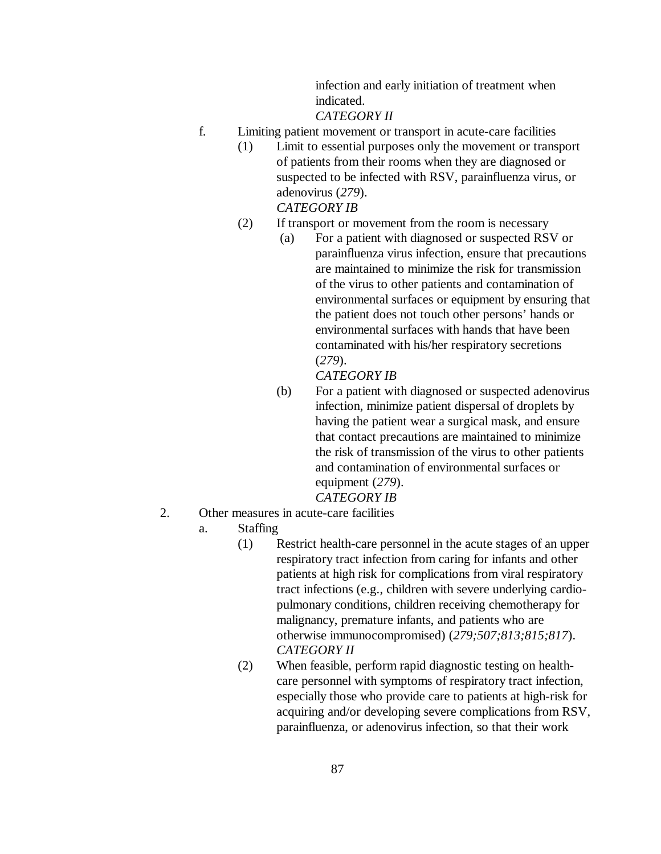infection and early initiation of treatment when indicated.

#### *CATEGORY II*

- f. Limiting patient movement or transport in acute-care facilities
	- (1) Limit to essential purposes only the movement or transport of patients from their rooms when they are diagnosed or suspected to be infected with RSV, parainfluenza virus, or adenovirus (*279*).

*CATEGORY IB*

- (2) If transport or movement from the room is necessary
	- (a) For a patient with diagnosed or suspected RSV or parainfluenza virus infection, ensure that precautions are maintained to minimize the risk for transmission of the virus to other patients and contamination of environmental surfaces or equipment by ensuring that the patient does not touch other persons' hands or environmental surfaces with hands that have been contaminated with his/her respiratory secretions (*279*).

#### *CATEGORY IB*

(b) For a patient with diagnosed or suspected adenovirus infection, minimize patient dispersal of droplets by having the patient wear a surgical mask, and ensure that contact precautions are maintained to minimize the risk of transmission of the virus to other patients and contamination of environmental surfaces or equipment (*279*).

# *CATEGORY IB*

- 2. Other measures in acute-care facilities
	- a. Staffing
		- (1) Restrict health-care personnel in the acute stages of an upper respiratory tract infection from caring for infants and other patients at high risk for complications from viral respiratory tract infections (e.g., children with severe underlying cardiopulmonary conditions, children receiving chemotherapy for malignancy, premature infants, and patients who are otherwise immunocompromised) (*279;507;813;815;817*). *CATEGORY II*
		- (2) When feasible, perform rapid diagnostic testing on healthcare personnel with symptoms of respiratory tract infection, especially those who provide care to patients at high-risk for acquiring and/or developing severe complications from RSV, parainfluenza, or adenovirus infection, so that their work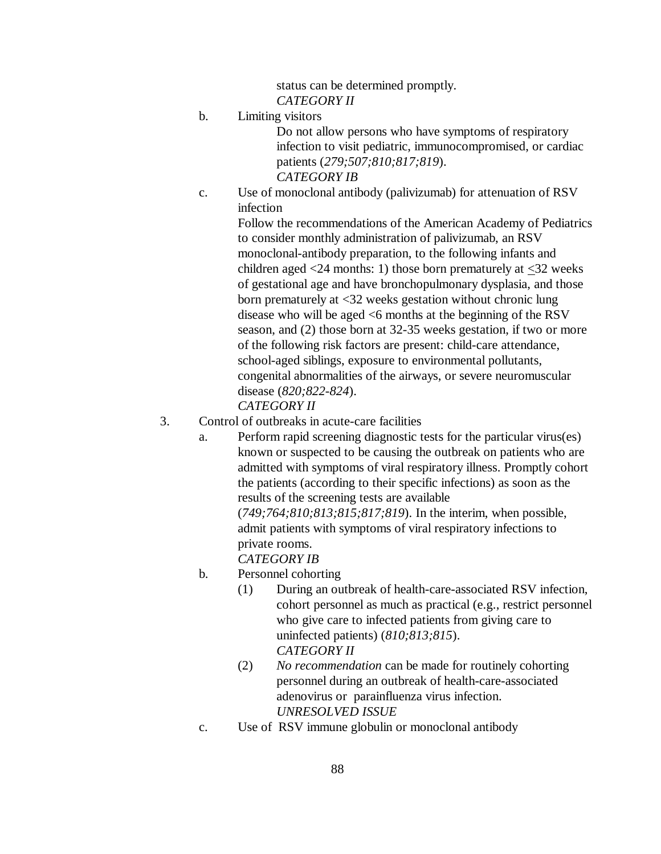status can be determined promptly. *CATEGORY II*

b. Limiting visitors

Do not allow persons who have symptoms of respiratory infection to visit pediatric, immunocompromised, or cardiac patients (*279;507;810;817;819*). *CATEGORY IB*

c. Use of monoclonal antibody (palivizumab) for attenuation of RSV infection

Follow the recommendations of the American Academy of Pediatrics to consider monthly administration of palivizumab, an RSV monoclonal-antibody preparation, to the following infants and children aged  $\langle 24 \text{ months: } 1 \rangle$  those born prematurely at  $\langle 32 \text{ weeks} \rangle$ of gestational age and have bronchopulmonary dysplasia, and those born prematurely at <32 weeks gestation without chronic lung disease who will be aged <6 months at the beginning of the RSV season, and (2) those born at 32-35 weeks gestation, if two or more of the following risk factors are present: child-care attendance, school-aged siblings, exposure to environmental pollutants, congenital abnormalities of the airways, or severe neuromuscular disease (*820;822-824*).

- *CATEGORY II*
- 3. Control of outbreaks in acute-care facilities
	- a. Perform rapid screening diagnostic tests for the particular virus(es) known or suspected to be causing the outbreak on patients who are admitted with symptoms of viral respiratory illness. Promptly cohort the patients (according to their specific infections) as soon as the results of the screening tests are available

(*749;764;810;813;815;817;819*). In the interim, when possible, admit patients with symptoms of viral respiratory infections to private rooms.

*CATEGORY IB*

- b. Personnel cohorting
	- (1) During an outbreak of health-care-associated RSV infection, cohort personnel as much as practical (e.g., restrict personnel who give care to infected patients from giving care to uninfected patients) (*810;813;815*). *CATEGORY II*
	- (2) *No recommendation* can be made for routinely cohorting personnel during an outbreak of health-care-associated adenovirus or parainfluenza virus infection. *UNRESOLVED ISSUE*
- c. Use of RSV immune globulin or monoclonal antibody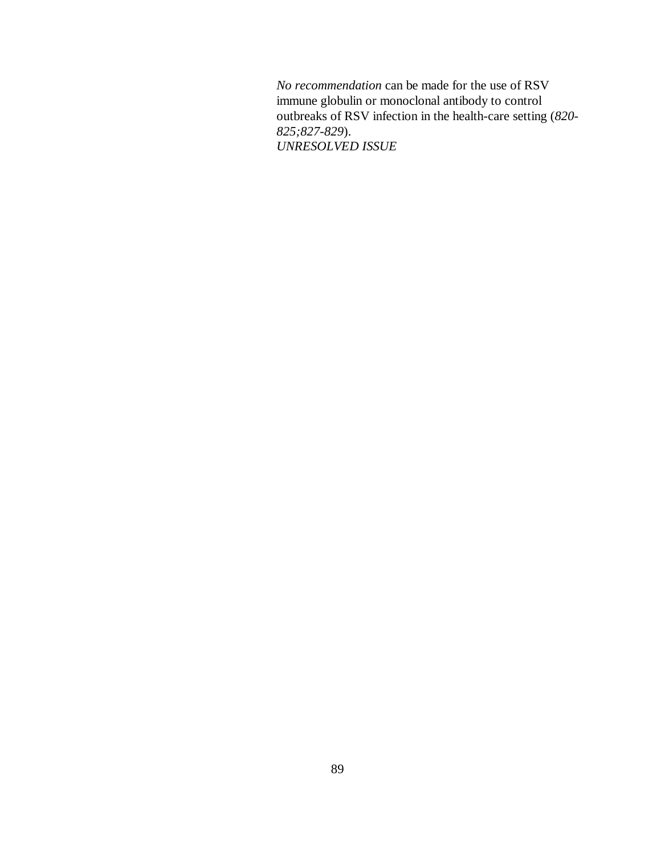*No recommendation* can be made for the use of RSV immune globulin or monoclonal antibody to control outbreaks of RSV infection in the health-care setting (*820- 825;827-829*). *UNRESOLVED ISSUE*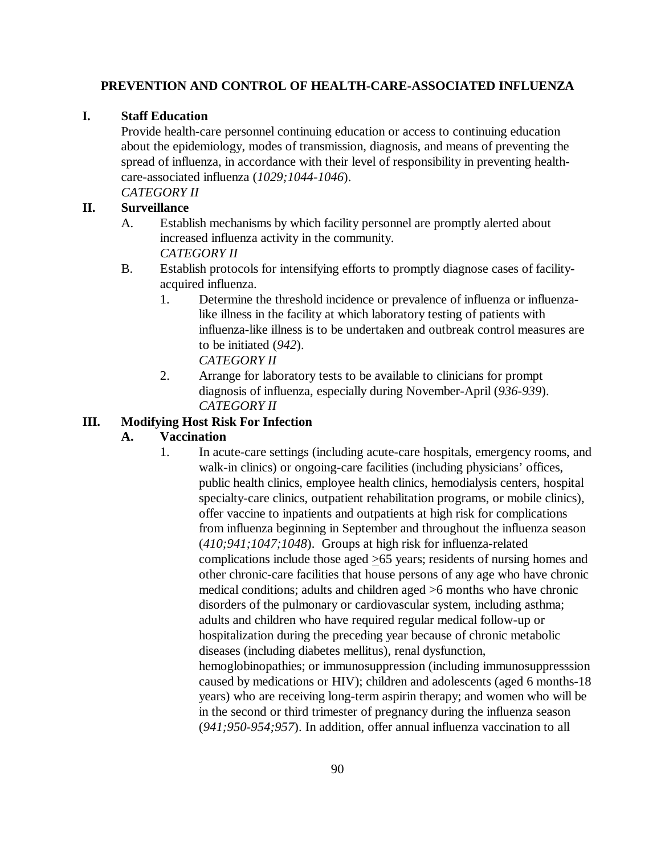#### **PREVENTION AND CONTROL OF HEALTH-CARE-ASSOCIATED INFLUENZA**

#### **I. Staff Education**

Provide health-care personnel continuing education or access to continuing education about the epidemiology, modes of transmission, diagnosis, and means of preventing the spread of influenza, in accordance with their level of responsibility in preventing healthcare-associated influenza (*1029;1044-1046*).

*CATEGORY II*

## **II. Surveillance**

- A. Establish mechanisms by which facility personnel are promptly alerted about increased influenza activity in the community. *CATEGORY II*
- B. Establish protocols for intensifying efforts to promptly diagnose cases of facilityacquired influenza.
	- 1. Determine the threshold incidence or prevalence of influenza or influenzalike illness in the facility at which laboratory testing of patients with influenza-like illness is to be undertaken and outbreak control measures are to be initiated (*942*). *CATEGORY II*
	- 2. Arrange for laboratory tests to be available to clinicians for prompt diagnosis of influenza, especially during November-April (*936-939*). *CATEGORY II*

## **III. Modifying Host Risk For Infection**

## **A. Vaccination**

1. In acute-care settings (including acute-care hospitals, emergency rooms, and walk-in clinics) or ongoing-care facilities (including physicians' offices, public health clinics, employee health clinics, hemodialysis centers, hospital specialty-care clinics, outpatient rehabilitation programs, or mobile clinics), offer vaccine to inpatients and outpatients at high risk for complications from influenza beginning in September and throughout the influenza season (*410;941;1047;1048*). Groups at high risk for influenza-related complications include those aged >65 years; residents of nursing homes and other chronic-care facilities that house persons of any age who have chronic medical conditions; adults and children aged >6 months who have chronic disorders of the pulmonary or cardiovascular system, including asthma; adults and children who have required regular medical follow-up or hospitalization during the preceding year because of chronic metabolic diseases (including diabetes mellitus), renal dysfunction, hemoglobinopathies; or immunosuppression (including immunosuppresssion caused by medications or HIV); children and adolescents (aged 6 months-18

years) who are receiving long-term aspirin therapy; and women who will be in the second or third trimester of pregnancy during the influenza season (*941;950-954;957*). In addition, offer annual influenza vaccination to all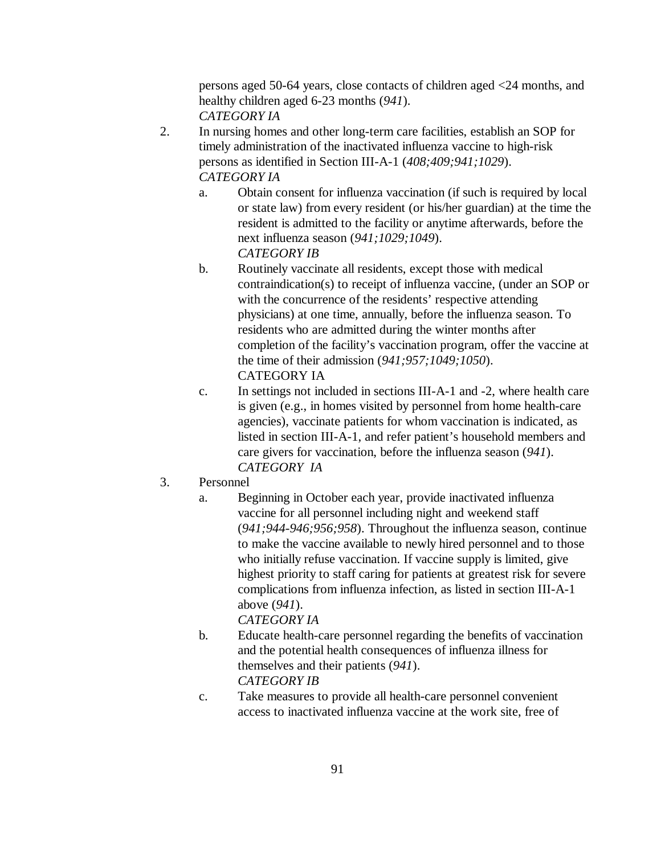persons aged 50-64 years, close contacts of children aged <24 months, and healthy children aged 6-23 months (*941*). *CATEGORY IA* 

- 2. In nursing homes and other long-term care facilities, establish an SOP for timely administration of the inactivated influenza vaccine to high-risk persons as identified in Section III-A-1 (*408;409;941;1029*). *CATEGORY IA*
	- a. Obtain consent for influenza vaccination (if such is required by local or state law) from every resident (or his/her guardian) at the time the resident is admitted to the facility or anytime afterwards, before the next influenza season (*941;1029;1049*). *CATEGORY IB*
	- b. Routinely vaccinate all residents, except those with medical contraindication(s) to receipt of influenza vaccine, (under an SOP or with the concurrence of the residents' respective attending physicians) at one time, annually, before the influenza season. To residents who are admitted during the winter months after completion of the facility's vaccination program, offer the vaccine at the time of their admission (*941;957;1049;1050*). CATEGORY IA
	- c. In settings not included in sections III-A-1 and -2, where health care is given (e.g., in homes visited by personnel from home health-care agencies), vaccinate patients for whom vaccination is indicated, as listed in section III-A-1, and refer patient's household members and care givers for vaccination, before the influenza season (*941*). *CATEGORY IA*
- 3. Personnel
	- a. Beginning in October each year, provide inactivated influenza vaccine for all personnel including night and weekend staff (*941;944-946;956;958*). Throughout the influenza season, continue to make the vaccine available to newly hired personnel and to those who initially refuse vaccination. If vaccine supply is limited, give highest priority to staff caring for patients at greatest risk for severe complications from influenza infection, as listed in section III-A-1 above (*941*).

#### *CATEGORY IA*

- b. Educate health-care personnel regarding the benefits of vaccination and the potential health consequences of influenza illness for themselves and their patients (*941*). *CATEGORY IB*
- c. Take measures to provide all health-care personnel convenient access to inactivated influenza vaccine at the work site, free of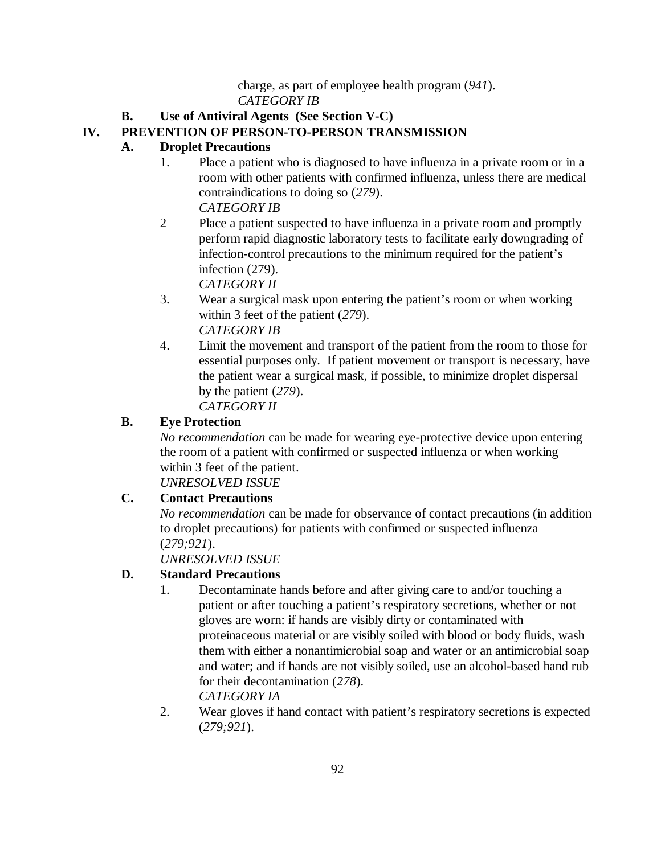### charge, as part of employee health program (*941*). *CATEGORY IB*

# **B. Use of Antiviral Agents (See Section V-C)**

# **IV. PREVENTION OF PERSON-TO-PERSON TRANSMISSION**

# **A. Droplet Precautions**

- 1. Place a patient who is diagnosed to have influenza in a private room or in a room with other patients with confirmed influenza, unless there are medical contraindications to doing so (*279*). *CATEGORY IB*
- 2 Place a patient suspected to have influenza in a private room and promptly perform rapid diagnostic laboratory tests to facilitate early downgrading of infection-control precautions to the minimum required for the patient's infection (279).

*CATEGORY II*

- 3. Wear a surgical mask upon entering the patient's room or when working within 3 feet of the patient (*279*). *CATEGORY IB*
- 4. Limit the movement and transport of the patient from the room to those for essential purposes only. If patient movement or transport is necessary, have the patient wear a surgical mask, if possible, to minimize droplet dispersal by the patient (*279*). *CATEGORY II*

# **B. Eye Protection**

*No recommendation* can be made for wearing eye-protective device upon entering the room of a patient with confirmed or suspected influenza or when working within 3 feet of the patient.

*UNRESOLVED ISSUE*

# **C. Contact Precautions**

*No recommendation* can be made for observance of contact precautions (in addition to droplet precautions) for patients with confirmed or suspected influenza (*279;921*).

*UNRESOLVED ISSUE*

# **D. Standard Precautions**

1. Decontaminate hands before and after giving care to and/or touching a patient or after touching a patient's respiratory secretions, whether or not gloves are worn: if hands are visibly dirty or contaminated with proteinaceous material or are visibly soiled with blood or body fluids, wash them with either a nonantimicrobial soap and water or an antimicrobial soap and water; and if hands are not visibly soiled, use an alcohol-based hand rub for their decontamination (*278*).

*CATEGORY IA*

2. Wear gloves if hand contact with patient's respiratory secretions is expected (*279;921*).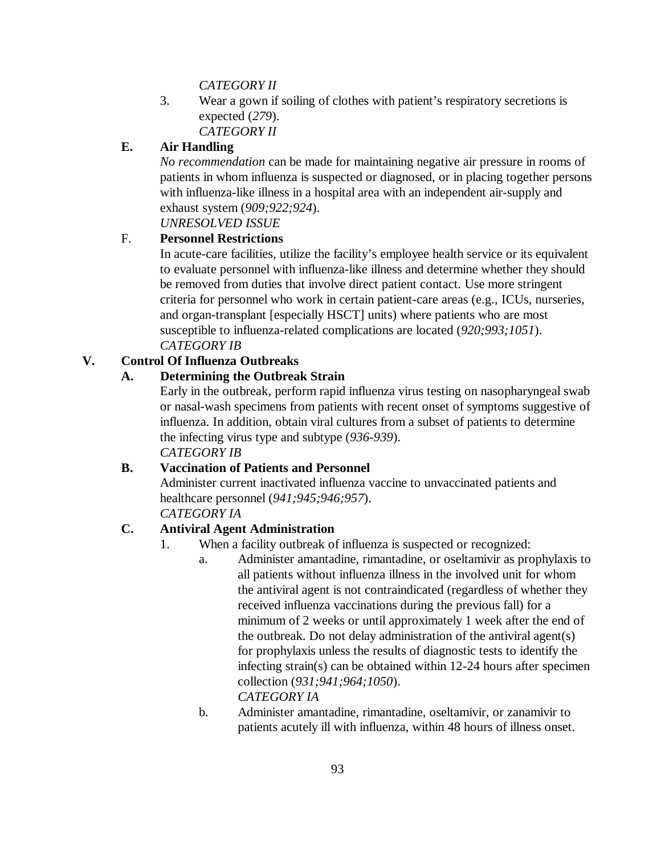#### *CATEGORY II*

3. Wear a gown if soiling of clothes with patient's respiratory secretions is expected (*279*). *CATEGORY II*

#### **E. Air Handling**

*No recommendation* can be made for maintaining negative air pressure in rooms of patients in whom influenza is suspected or diagnosed, or in placing together persons with influenza-like illness in a hospital area with an independent air-supply and exhaust system (*909;922;924*).

#### *UNRESOLVED ISSUE* F. **Personnel Restrictions**

In acute-care facilities, utilize the facility's employee health service or its equivalent to evaluate personnel with influenza-like illness and determine whether they should be removed from duties that involve direct patient contact. Use more stringent criteria for personnel who work in certain patient-care areas (e.g., ICUs, nurseries, and organ-transplant [especially HSCT] units) where patients who are most susceptible to influenza-related complications are located (*920;993;1051*). *CATEGORY IB*

### **V. Control Of Influenza Outbreaks**

#### **A. Determining the Outbreak Strain**

Early in the outbreak, perform rapid influenza virus testing on nasopharyngeal swab or nasal-wash specimens from patients with recent onset of symptoms suggestive of influenza. In addition, obtain viral cultures from a subset of patients to determine the infecting virus type and subtype (*936-939*).

### *CATEGORY IB*

### **B. Vaccination of Patients and Personnel**

Administer current inactivated influenza vaccine to unvaccinated patients and healthcare personnel (*941;945;946;957*).

## *CATEGORY IA*

# **C. Antiviral Agent Administration**

- 1. When a facility outbreak of influenza is suspected or recognized:
	- a. Administer amantadine, rimantadine, or oseltamivir as prophylaxis to all patients without influenza illness in the involved unit for whom the antiviral agent is not contraindicated (regardless of whether they received influenza vaccinations during the previous fall) for a minimum of 2 weeks or until approximately 1 week after the end of the outbreak. Do not delay administration of the antiviral agent(s) for prophylaxis unless the results of diagnostic tests to identify the infecting strain(s) can be obtained within 12-24 hours after specimen collection (*931;941;964;1050*).

### *CATEGORY IA*

b. Administer amantadine, rimantadine, oseltamivir, or zanamivir to patients acutely ill with influenza, within 48 hours of illness onset.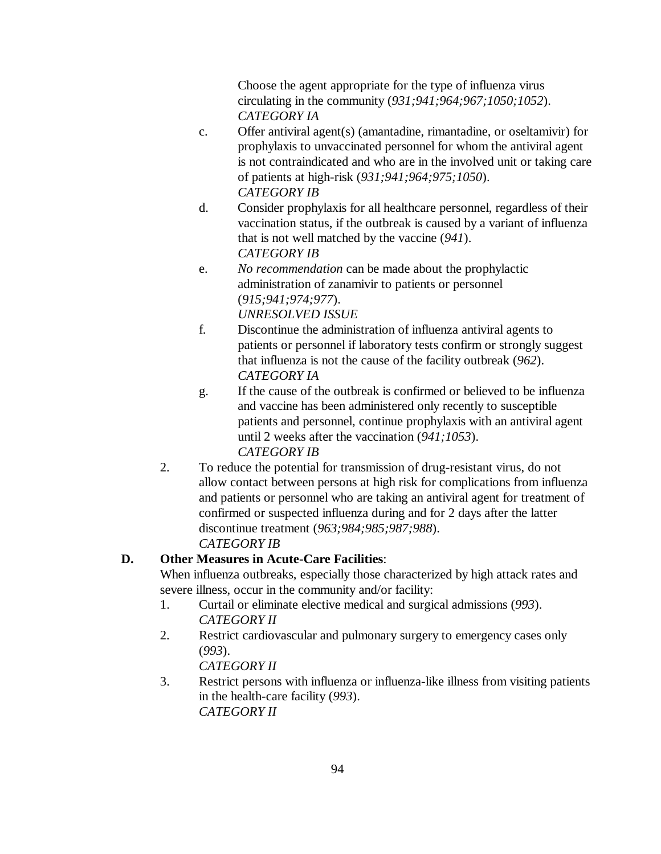Choose the agent appropriate for the type of influenza virus circulating in the community (*931;941;964;967;1050;1052*). *CATEGORY IA*

- c. Offer antiviral agent(s) (amantadine, rimantadine, or oseltamivir) for prophylaxis to unvaccinated personnel for whom the antiviral agent is not contraindicated and who are in the involved unit or taking care of patients at high-risk (*931;941;964;975;1050*). *CATEGORY IB*
- d. Consider prophylaxis for all healthcare personnel, regardless of their vaccination status, if the outbreak is caused by a variant of influenza that is not well matched by the vaccine (*941*). *CATEGORY IB*
- e. *No recommendation* can be made about the prophylactic administration of zanamivir to patients or personnel (*915;941;974;977*). *UNRESOLVED ISSUE*
- f. Discontinue the administration of influenza antiviral agents to patients or personnel if laboratory tests confirm or strongly suggest that influenza is not the cause of the facility outbreak (*962*). *CATEGORY IA*
- g. If the cause of the outbreak is confirmed or believed to be influenza and vaccine has been administered only recently to susceptible patients and personnel, continue prophylaxis with an antiviral agent until 2 weeks after the vaccination (*941;1053*). *CATEGORY IB*
- 2. To reduce the potential for transmission of drug-resistant virus, do not allow contact between persons at high risk for complications from influenza and patients or personnel who are taking an antiviral agent for treatment of confirmed or suspected influenza during and for 2 days after the latter discontinue treatment (*963;984;985;987;988*). *CATEGORY IB*

# **D. Other Measures in Acute-Care Facilities**:

When influenza outbreaks, especially those characterized by high attack rates and severe illness, occur in the community and/or facility:

- 1. Curtail or eliminate elective medical and surgical admissions (*993*). *CATEGORY II*
- 2. Restrict cardiovascular and pulmonary surgery to emergency cases only (*993*).

*CATEGORY II* 

3. Restrict persons with influenza or influenza-like illness from visiting patients in the health-care facility (*993*). *CATEGORY II*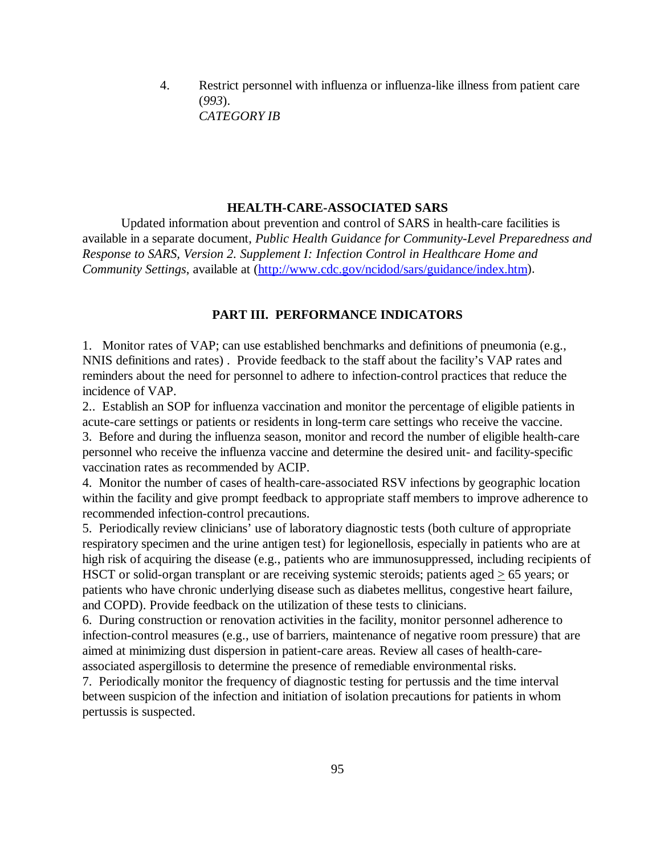4. Restrict personnel with influenza or influenza-like illness from patient care (*993*). *CATEGORY IB* 

#### **HEALTH-CARE-ASSOCIATED SARS**

Updated information about prevention and control of SARS in health-care facilities is available in a separate document, *Public Health Guidance for Community-Level Preparedness and Response to SARS, Version 2. Supplement I: Infection Control in Healthcare Home and Community Settings*, available at (http://www.cdc.gov/ncidod/sars/guidance/index.htm).

#### **PART III. PERFORMANCE INDICATORS**

1. Monitor rates of VAP; can use established benchmarks and definitions of pneumonia (e.g., NNIS definitions and rates) . Provide feedback to the staff about the facility's VAP rates and reminders about the need for personnel to adhere to infection-control practices that reduce the incidence of VAP.

2.. Establish an SOP for influenza vaccination and monitor the percentage of eligible patients in acute-care settings or patients or residents in long-term care settings who receive the vaccine.

3. Before and during the influenza season, monitor and record the number of eligible health-care personnel who receive the influenza vaccine and determine the desired unit- and facility-specific vaccination rates as recommended by ACIP.

4. Monitor the number of cases of health-care-associated RSV infections by geographic location within the facility and give prompt feedback to appropriate staff members to improve adherence to recommended infection-control precautions.

5. Periodically review clinicians' use of laboratory diagnostic tests (both culture of appropriate respiratory specimen and the urine antigen test) for legionellosis, especially in patients who are at high risk of acquiring the disease (e.g., patients who are immunosuppressed, including recipients of HSCT or solid-organ transplant or are receiving systemic steroids; patients aged > 65 years; or patients who have chronic underlying disease such as diabetes mellitus, congestive heart failure, and COPD). Provide feedback on the utilization of these tests to clinicians.

6. During construction or renovation activities in the facility, monitor personnel adherence to infection-control measures (e.g., use of barriers, maintenance of negative room pressure) that are aimed at minimizing dust dispersion in patient-care areas. Review all cases of health-careassociated aspergillosis to determine the presence of remediable environmental risks.

7. Periodically monitor the frequency of diagnostic testing for pertussis and the time interval between suspicion of the infection and initiation of isolation precautions for patients in whom pertussis is suspected.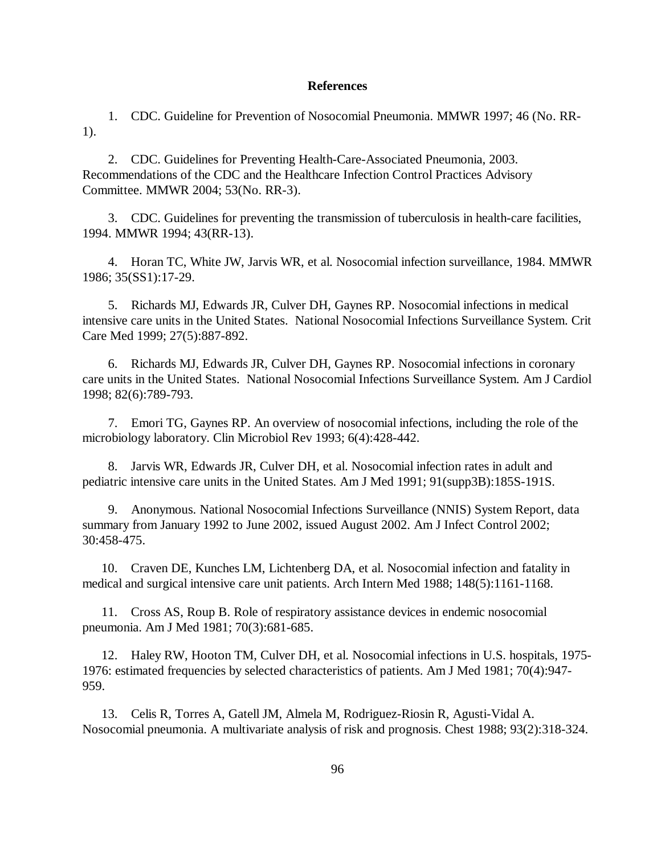#### **References**

1. CDC. Guideline for Prevention of Nosocomial Pneumonia. MMWR 1997; 46 (No. RR-1).

2. CDC. Guidelines for Preventing Health-Care-Associated Pneumonia, 2003. Recommendations of the CDC and the Healthcare Infection Control Practices Advisory Committee. MMWR 2004; 53(No. RR-3).

3. CDC. Guidelines for preventing the transmission of tuberculosis in health-care facilities, 1994. MMWR 1994; 43(RR-13).

4. Horan TC, White JW, Jarvis WR, et al. Nosocomial infection surveillance, 1984. MMWR 1986; 35(SS1):17-29.

5. Richards MJ, Edwards JR, Culver DH, Gaynes RP. Nosocomial infections in medical intensive care units in the United States. National Nosocomial Infections Surveillance System. Crit Care Med 1999; 27(5):887-892.

6. Richards MJ, Edwards JR, Culver DH, Gaynes RP. Nosocomial infections in coronary care units in the United States. National Nosocomial Infections Surveillance System. Am J Cardiol 1998; 82(6):789-793.

7. Emori TG, Gaynes RP. An overview of nosocomial infections, including the role of the microbiology laboratory. Clin Microbiol Rev 1993; 6(4):428-442.

8. Jarvis WR, Edwards JR, Culver DH, et al. Nosocomial infection rates in adult and pediatric intensive care units in the United States. Am J Med 1991; 91(supp3B):185S-191S.

9. Anonymous. National Nosocomial Infections Surveillance (NNIS) System Report, data summary from January 1992 to June 2002, issued August 2002. Am J Infect Control 2002; 30:458-475.

10. Craven DE, Kunches LM, Lichtenberg DA, et al. Nosocomial infection and fatality in medical and surgical intensive care unit patients. Arch Intern Med 1988; 148(5):1161-1168.

11. Cross AS, Roup B. Role of respiratory assistance devices in endemic nosocomial pneumonia. Am J Med 1981; 70(3):681-685.

12. Haley RW, Hooton TM, Culver DH, et al. Nosocomial infections in U.S. hospitals, 1975- 1976: estimated frequencies by selected characteristics of patients. Am J Med 1981; 70(4):947- 959.

13. Celis R, Torres A, Gatell JM, Almela M, Rodriguez-Riosin R, Agusti-Vidal A. Nosocomial pneumonia. A multivariate analysis of risk and prognosis. Chest 1988; 93(2):318-324.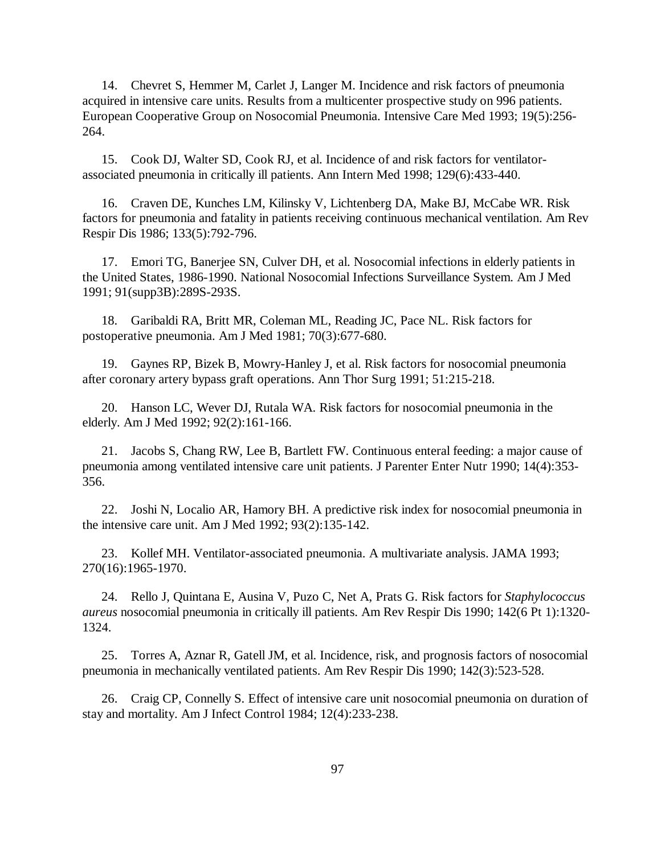14. Chevret S, Hemmer M, Carlet J, Langer M. Incidence and risk factors of pneumonia acquired in intensive care units. Results from a multicenter prospective study on 996 patients. European Cooperative Group on Nosocomial Pneumonia. Intensive Care Med 1993; 19(5):256- 264.

15. Cook DJ, Walter SD, Cook RJ, et al. Incidence of and risk factors for ventilatorassociated pneumonia in critically ill patients. Ann Intern Med 1998; 129(6):433-440.

16. Craven DE, Kunches LM, Kilinsky V, Lichtenberg DA, Make BJ, McCabe WR. Risk factors for pneumonia and fatality in patients receiving continuous mechanical ventilation. Am Rev Respir Dis 1986; 133(5):792-796.

17. Emori TG, Banerjee SN, Culver DH, et al. Nosocomial infections in elderly patients in the United States, 1986-1990. National Nosocomial Infections Surveillance System. Am J Med 1991; 91(supp3B):289S-293S.

18. Garibaldi RA, Britt MR, Coleman ML, Reading JC, Pace NL. Risk factors for postoperative pneumonia. Am J Med 1981; 70(3):677-680.

19. Gaynes RP, Bizek B, Mowry-Hanley J, et al. Risk factors for nosocomial pneumonia after coronary artery bypass graft operations. Ann Thor Surg 1991; 51:215-218.

20. Hanson LC, Wever DJ, Rutala WA. Risk factors for nosocomial pneumonia in the elderly. Am J Med 1992; 92(2):161-166.

21. Jacobs S, Chang RW, Lee B, Bartlett FW. Continuous enteral feeding: a major cause of pneumonia among ventilated intensive care unit patients. J Parenter Enter Nutr 1990; 14(4):353- 356.

22. Joshi N, Localio AR, Hamory BH. A predictive risk index for nosocomial pneumonia in the intensive care unit. Am J Med 1992; 93(2):135-142.

23. Kollef MH. Ventilator-associated pneumonia. A multivariate analysis. JAMA 1993; 270(16):1965-1970.

24. Rello J, Quintana E, Ausina V, Puzo C, Net A, Prats G. Risk factors for *Staphylococcus aureus* nosocomial pneumonia in critically ill patients. Am Rev Respir Dis 1990; 142(6 Pt 1):1320- 1324.

25. Torres A, Aznar R, Gatell JM, et al. Incidence, risk, and prognosis factors of nosocomial pneumonia in mechanically ventilated patients. Am Rev Respir Dis 1990; 142(3):523-528.

26. Craig CP, Connelly S. Effect of intensive care unit nosocomial pneumonia on duration of stay and mortality. Am J Infect Control 1984; 12(4):233-238.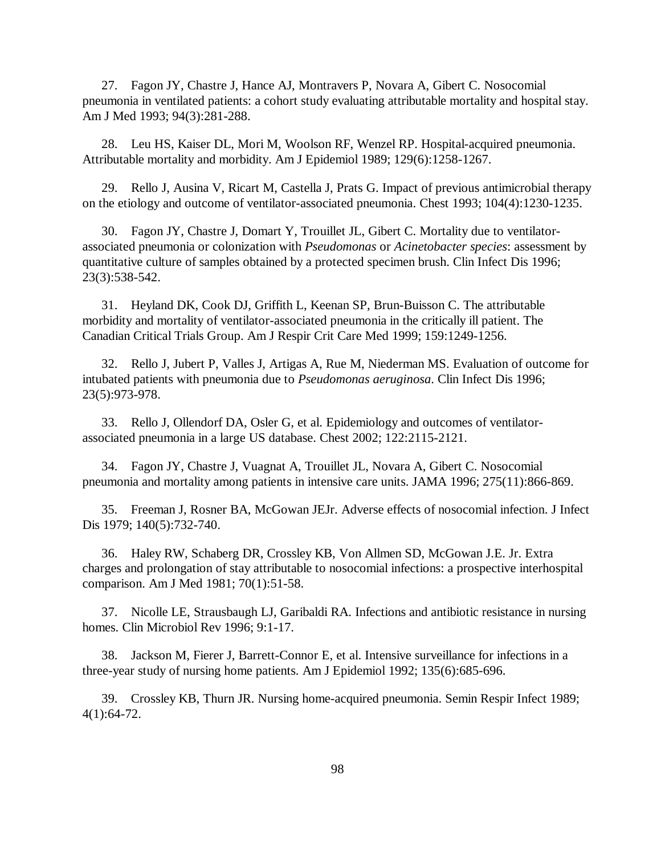27. Fagon JY, Chastre J, Hance AJ, Montravers P, Novara A, Gibert C. Nosocomial pneumonia in ventilated patients: a cohort study evaluating attributable mortality and hospital stay. Am J Med 1993; 94(3):281-288.

28. Leu HS, Kaiser DL, Mori M, Woolson RF, Wenzel RP. Hospital-acquired pneumonia. Attributable mortality and morbidity. Am J Epidemiol 1989; 129(6):1258-1267.

29. Rello J, Ausina V, Ricart M, Castella J, Prats G. Impact of previous antimicrobial therapy on the etiology and outcome of ventilator-associated pneumonia. Chest 1993; 104(4):1230-1235.

30. Fagon JY, Chastre J, Domart Y, Trouillet JL, Gibert C. Mortality due to ventilatorassociated pneumonia or colonization with *Pseudomonas* or *Acinetobacter species*: assessment by quantitative culture of samples obtained by a protected specimen brush. Clin Infect Dis 1996; 23(3):538-542.

31. Heyland DK, Cook DJ, Griffith L, Keenan SP, Brun-Buisson C. The attributable morbidity and mortality of ventilator-associated pneumonia in the critically ill patient. The Canadian Critical Trials Group. Am J Respir Crit Care Med 1999; 159:1249-1256.

32. Rello J, Jubert P, Valles J, Artigas A, Rue M, Niederman MS. Evaluation of outcome for intubated patients with pneumonia due to *Pseudomonas aeruginosa*. Clin Infect Dis 1996; 23(5):973-978.

33. Rello J, Ollendorf DA, Osler G, et al. Epidemiology and outcomes of ventilatorassociated pneumonia in a large US database. Chest 2002; 122:2115-2121.

34. Fagon JY, Chastre J, Vuagnat A, Trouillet JL, Novara A, Gibert C. Nosocomial pneumonia and mortality among patients in intensive care units. JAMA 1996; 275(11):866-869.

35. Freeman J, Rosner BA, McGowan JEJr. Adverse effects of nosocomial infection. J Infect Dis 1979; 140(5):732-740.

36. Haley RW, Schaberg DR, Crossley KB, Von Allmen SD, McGowan J.E. Jr. Extra charges and prolongation of stay attributable to nosocomial infections: a prospective interhospital comparison. Am J Med 1981; 70(1):51-58.

37. Nicolle LE, Strausbaugh LJ, Garibaldi RA. Infections and antibiotic resistance in nursing homes. Clin Microbiol Rev 1996; 9:1-17.

38. Jackson M, Fierer J, Barrett-Connor E, et al. Intensive surveillance for infections in a three-year study of nursing home patients. Am J Epidemiol 1992; 135(6):685-696.

39. Crossley KB, Thurn JR. Nursing home-acquired pneumonia. Semin Respir Infect 1989; 4(1):64-72.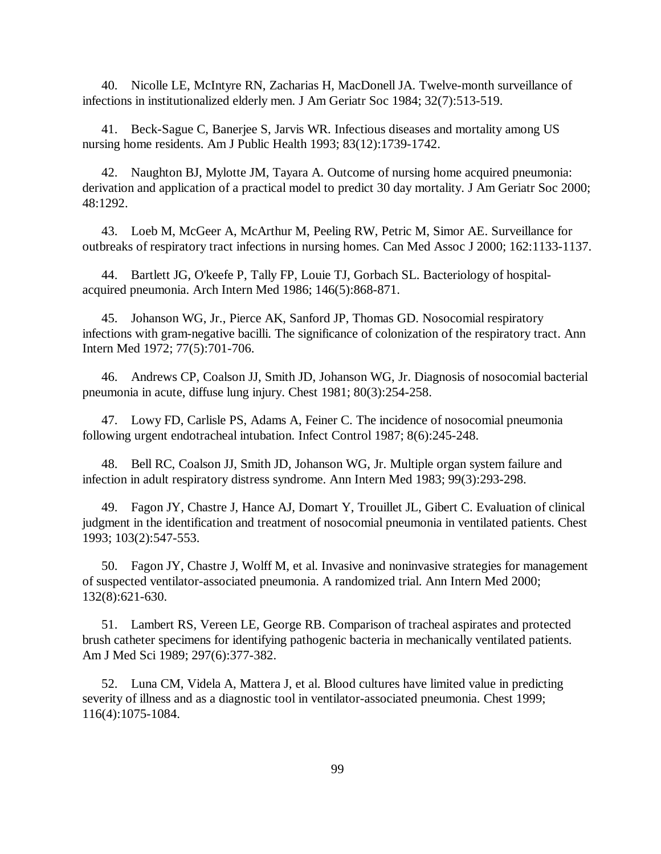40. Nicolle LE, McIntyre RN, Zacharias H, MacDonell JA. Twelve-month surveillance of infections in institutionalized elderly men. J Am Geriatr Soc 1984; 32(7):513-519.

41. Beck-Sague C, Banerjee S, Jarvis WR. Infectious diseases and mortality among US nursing home residents. Am J Public Health 1993; 83(12):1739-1742.

42. Naughton BJ, Mylotte JM, Tayara A. Outcome of nursing home acquired pneumonia: derivation and application of a practical model to predict 30 day mortality. J Am Geriatr Soc 2000; 48:1292.

43. Loeb M, McGeer A, McArthur M, Peeling RW, Petric M, Simor AE. Surveillance for outbreaks of respiratory tract infections in nursing homes. Can Med Assoc J 2000; 162:1133-1137.

44. Bartlett JG, O'keefe P, Tally FP, Louie TJ, Gorbach SL. Bacteriology of hospitalacquired pneumonia. Arch Intern Med 1986; 146(5):868-871.

45. Johanson WG, Jr., Pierce AK, Sanford JP, Thomas GD. Nosocomial respiratory infections with gram-negative bacilli. The significance of colonization of the respiratory tract. Ann Intern Med 1972; 77(5):701-706.

46. Andrews CP, Coalson JJ, Smith JD, Johanson WG, Jr. Diagnosis of nosocomial bacterial pneumonia in acute, diffuse lung injury. Chest 1981; 80(3):254-258.

47. Lowy FD, Carlisle PS, Adams A, Feiner C. The incidence of nosocomial pneumonia following urgent endotracheal intubation. Infect Control 1987; 8(6):245-248.

48. Bell RC, Coalson JJ, Smith JD, Johanson WG, Jr. Multiple organ system failure and infection in adult respiratory distress syndrome. Ann Intern Med 1983; 99(3):293-298.

49. Fagon JY, Chastre J, Hance AJ, Domart Y, Trouillet JL, Gibert C. Evaluation of clinical judgment in the identification and treatment of nosocomial pneumonia in ventilated patients. Chest 1993; 103(2):547-553.

50. Fagon JY, Chastre J, Wolff M, et al. Invasive and noninvasive strategies for management of suspected ventilator-associated pneumonia. A randomized trial. Ann Intern Med 2000; 132(8):621-630.

51. Lambert RS, Vereen LE, George RB. Comparison of tracheal aspirates and protected brush catheter specimens for identifying pathogenic bacteria in mechanically ventilated patients. Am J Med Sci 1989; 297(6):377-382.

52. Luna CM, Videla A, Mattera J, et al. Blood cultures have limited value in predicting severity of illness and as a diagnostic tool in ventilator-associated pneumonia. Chest 1999; 116(4):1075-1084.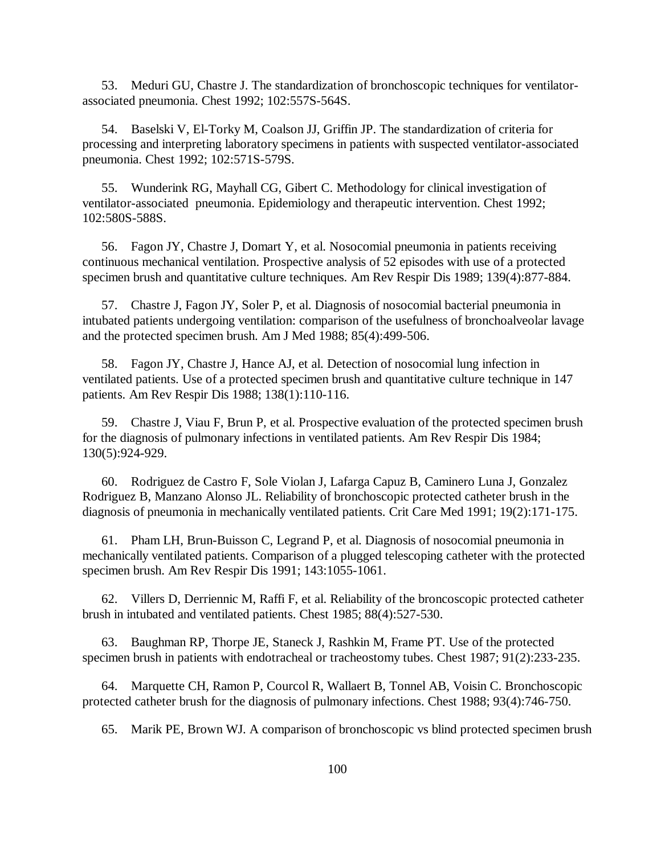53. Meduri GU, Chastre J. The standardization of bronchoscopic techniques for ventilatorassociated pneumonia. Chest 1992; 102:557S-564S.

54. Baselski V, El-Torky M, Coalson JJ, Griffin JP. The standardization of criteria for processing and interpreting laboratory specimens in patients with suspected ventilator-associated pneumonia. Chest 1992; 102:571S-579S.

55. Wunderink RG, Mayhall CG, Gibert C. Methodology for clinical investigation of ventilator-associated pneumonia. Epidemiology and therapeutic intervention. Chest 1992; 102:580S-588S.

56. Fagon JY, Chastre J, Domart Y, et al. Nosocomial pneumonia in patients receiving continuous mechanical ventilation. Prospective analysis of 52 episodes with use of a protected specimen brush and quantitative culture techniques. Am Rev Respir Dis 1989; 139(4):877-884.

57. Chastre J, Fagon JY, Soler P, et al. Diagnosis of nosocomial bacterial pneumonia in intubated patients undergoing ventilation: comparison of the usefulness of bronchoalveolar lavage and the protected specimen brush. Am J Med 1988; 85(4):499-506.

58. Fagon JY, Chastre J, Hance AJ, et al. Detection of nosocomial lung infection in ventilated patients. Use of a protected specimen brush and quantitative culture technique in 147 patients. Am Rev Respir Dis 1988; 138(1):110-116.

59. Chastre J, Viau F, Brun P, et al. Prospective evaluation of the protected specimen brush for the diagnosis of pulmonary infections in ventilated patients. Am Rev Respir Dis 1984; 130(5):924-929.

60. Rodriguez de Castro F, Sole Violan J, Lafarga Capuz B, Caminero Luna J, Gonzalez Rodriguez B, Manzano Alonso JL. Reliability of bronchoscopic protected catheter brush in the diagnosis of pneumonia in mechanically ventilated patients. Crit Care Med 1991; 19(2):171-175.

61. Pham LH, Brun-Buisson C, Legrand P, et al. Diagnosis of nosocomial pneumonia in mechanically ventilated patients. Comparison of a plugged telescoping catheter with the protected specimen brush. Am Rev Respir Dis 1991; 143:1055-1061.

62. Villers D, Derriennic M, Raffi F, et al. Reliability of the broncoscopic protected catheter brush in intubated and ventilated patients. Chest 1985; 88(4):527-530.

63. Baughman RP, Thorpe JE, Staneck J, Rashkin M, Frame PT. Use of the protected specimen brush in patients with endotracheal or tracheostomy tubes. Chest 1987; 91(2):233-235.

64. Marquette CH, Ramon P, Courcol R, Wallaert B, Tonnel AB, Voisin C. Bronchoscopic protected catheter brush for the diagnosis of pulmonary infections. Chest 1988; 93(4):746-750.

65. Marik PE, Brown WJ. A comparison of bronchoscopic vs blind protected specimen brush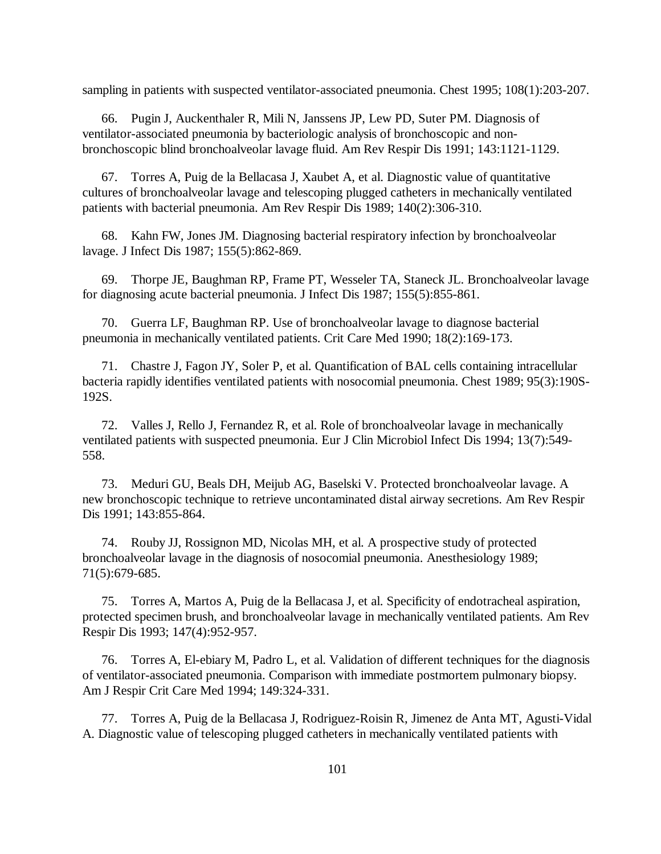sampling in patients with suspected ventilator-associated pneumonia. Chest 1995; 108(1):203-207.

66. Pugin J, Auckenthaler R, Mili N, Janssens JP, Lew PD, Suter PM. Diagnosis of ventilator-associated pneumonia by bacteriologic analysis of bronchoscopic and nonbronchoscopic blind bronchoalveolar lavage fluid. Am Rev Respir Dis 1991; 143:1121-1129.

67. Torres A, Puig de la Bellacasa J, Xaubet A, et al. Diagnostic value of quantitative cultures of bronchoalveolar lavage and telescoping plugged catheters in mechanically ventilated patients with bacterial pneumonia. Am Rev Respir Dis 1989; 140(2):306-310.

68. Kahn FW, Jones JM. Diagnosing bacterial respiratory infection by bronchoalveolar lavage. J Infect Dis 1987; 155(5):862-869.

69. Thorpe JE, Baughman RP, Frame PT, Wesseler TA, Staneck JL. Bronchoalveolar lavage for diagnosing acute bacterial pneumonia. J Infect Dis 1987; 155(5):855-861.

70. Guerra LF, Baughman RP. Use of bronchoalveolar lavage to diagnose bacterial pneumonia in mechanically ventilated patients. Crit Care Med 1990; 18(2):169-173.

71. Chastre J, Fagon JY, Soler P, et al. Quantification of BAL cells containing intracellular bacteria rapidly identifies ventilated patients with nosocomial pneumonia. Chest 1989; 95(3):190S-192S.

72. Valles J, Rello J, Fernandez R, et al. Role of bronchoalveolar lavage in mechanically ventilated patients with suspected pneumonia. Eur J Clin Microbiol Infect Dis 1994; 13(7):549- 558.

73. Meduri GU, Beals DH, Meijub AG, Baselski V. Protected bronchoalveolar lavage. A new bronchoscopic technique to retrieve uncontaminated distal airway secretions. Am Rev Respir Dis 1991; 143:855-864.

74. Rouby JJ, Rossignon MD, Nicolas MH, et al. A prospective study of protected bronchoalveolar lavage in the diagnosis of nosocomial pneumonia. Anesthesiology 1989; 71(5):679-685.

75. Torres A, Martos A, Puig de la Bellacasa J, et al. Specificity of endotracheal aspiration, protected specimen brush, and bronchoalveolar lavage in mechanically ventilated patients. Am Rev Respir Dis 1993; 147(4):952-957.

76. Torres A, El-ebiary M, Padro L, et al. Validation of different techniques for the diagnosis of ventilator-associated pneumonia. Comparison with immediate postmortem pulmonary biopsy. Am J Respir Crit Care Med 1994; 149:324-331.

77. Torres A, Puig de la Bellacasa J, Rodriguez-Roisin R, Jimenez de Anta MT, Agusti-Vidal A. Diagnostic value of telescoping plugged catheters in mechanically ventilated patients with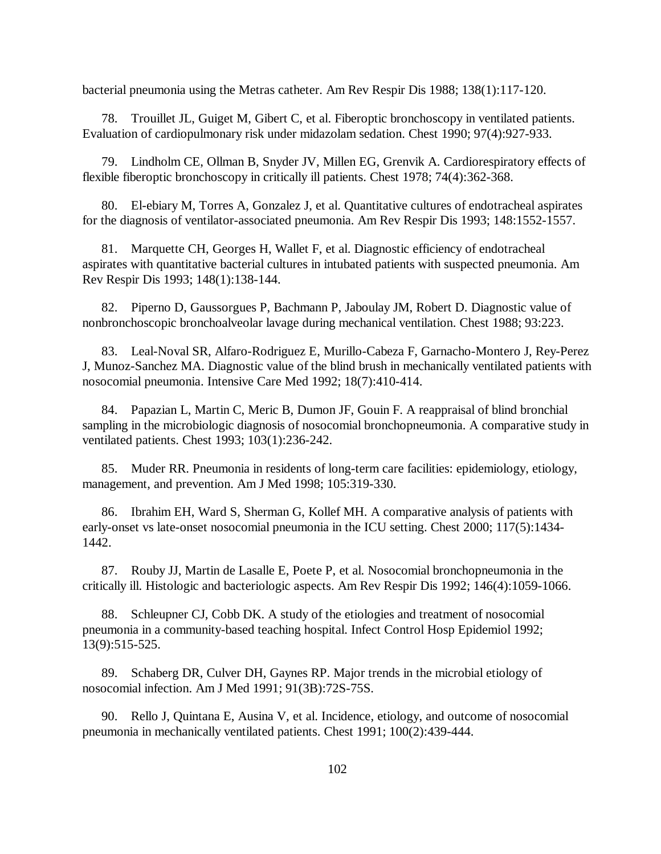bacterial pneumonia using the Metras catheter. Am Rev Respir Dis 1988; 138(1):117-120.

78. Trouillet JL, Guiget M, Gibert C, et al. Fiberoptic bronchoscopy in ventilated patients. Evaluation of cardiopulmonary risk under midazolam sedation. Chest 1990; 97(4):927-933.

79. Lindholm CE, Ollman B, Snyder JV, Millen EG, Grenvik A. Cardiorespiratory effects of flexible fiberoptic bronchoscopy in critically ill patients. Chest 1978; 74(4):362-368.

80. El-ebiary M, Torres A, Gonzalez J, et al. Quantitative cultures of endotracheal aspirates for the diagnosis of ventilator-associated pneumonia. Am Rev Respir Dis 1993; 148:1552-1557.

81. Marquette CH, Georges H, Wallet F, et al. Diagnostic efficiency of endotracheal aspirates with quantitative bacterial cultures in intubated patients with suspected pneumonia. Am Rev Respir Dis 1993; 148(1):138-144.

82. Piperno D, Gaussorgues P, Bachmann P, Jaboulay JM, Robert D. Diagnostic value of nonbronchoscopic bronchoalveolar lavage during mechanical ventilation. Chest 1988; 93:223.

83. Leal-Noval SR, Alfaro-Rodriguez E, Murillo-Cabeza F, Garnacho-Montero J, Rey-Perez J, Munoz-Sanchez MA. Diagnostic value of the blind brush in mechanically ventilated patients with nosocomial pneumonia. Intensive Care Med 1992; 18(7):410-414.

84. Papazian L, Martin C, Meric B, Dumon JF, Gouin F. A reappraisal of blind bronchial sampling in the microbiologic diagnosis of nosocomial bronchopneumonia. A comparative study in ventilated patients. Chest 1993; 103(1):236-242.

85. Muder RR. Pneumonia in residents of long-term care facilities: epidemiology, etiology, management, and prevention. Am J Med 1998; 105:319-330.

86. Ibrahim EH, Ward S, Sherman G, Kollef MH. A comparative analysis of patients with early-onset vs late-onset nosocomial pneumonia in the ICU setting. Chest 2000; 117(5):1434- 1442.

87. Rouby JJ, Martin de Lasalle E, Poete P, et al. Nosocomial bronchopneumonia in the critically ill. Histologic and bacteriologic aspects. Am Rev Respir Dis 1992; 146(4):1059-1066.

88. Schleupner CJ, Cobb DK. A study of the etiologies and treatment of nosocomial pneumonia in a community-based teaching hospital. Infect Control Hosp Epidemiol 1992; 13(9):515-525.

89. Schaberg DR, Culver DH, Gaynes RP. Major trends in the microbial etiology of nosocomial infection. Am J Med 1991; 91(3B):72S-75S.

90. Rello J, Quintana E, Ausina V, et al. Incidence, etiology, and outcome of nosocomial pneumonia in mechanically ventilated patients. Chest 1991; 100(2):439-444.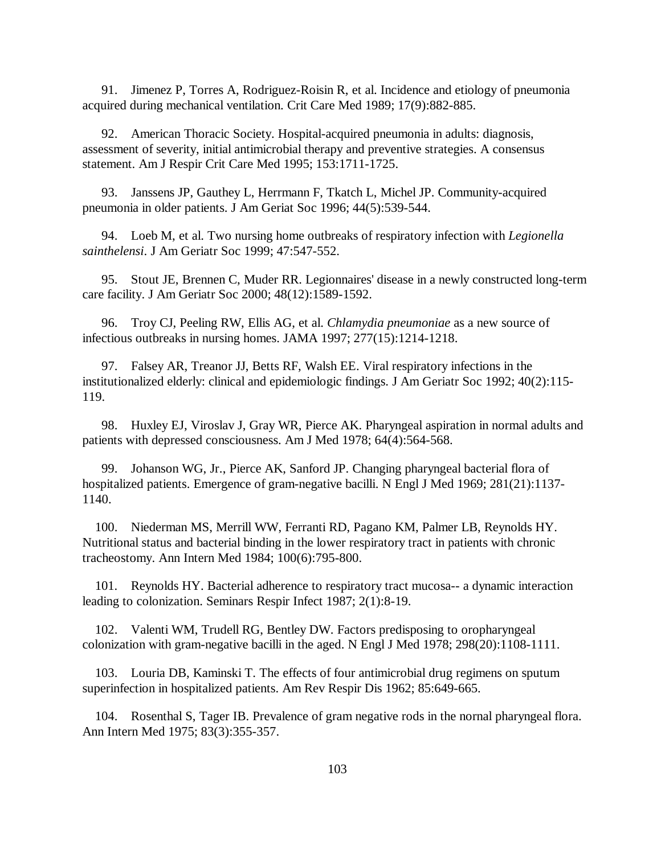91. Jimenez P, Torres A, Rodriguez-Roisin R, et al. Incidence and etiology of pneumonia acquired during mechanical ventilation. Crit Care Med 1989; 17(9):882-885.

92. American Thoracic Society. Hospital-acquired pneumonia in adults: diagnosis, assessment of severity, initial antimicrobial therapy and preventive strategies. A consensus statement. Am J Respir Crit Care Med 1995; 153:1711-1725.

93. Janssens JP, Gauthey L, Herrmann F, Tkatch L, Michel JP. Community-acquired pneumonia in older patients. J Am Geriat Soc 1996; 44(5):539-544.

94. Loeb M, et al. Two nursing home outbreaks of respiratory infection with *Legionella sainthelensi*. J Am Geriatr Soc 1999; 47:547-552.

95. Stout JE, Brennen C, Muder RR. Legionnaires' disease in a newly constructed long-term care facility. J Am Geriatr Soc 2000; 48(12):1589-1592.

96. Troy CJ, Peeling RW, Ellis AG, et al. *Chlamydia pneumoniae* as a new source of infectious outbreaks in nursing homes. JAMA 1997; 277(15):1214-1218.

97. Falsey AR, Treanor JJ, Betts RF, Walsh EE. Viral respiratory infections in the institutionalized elderly: clinical and epidemiologic findings. J Am Geriatr Soc 1992; 40(2):115- 119.

98. Huxley EJ, Viroslav J, Gray WR, Pierce AK. Pharyngeal aspiration in normal adults and patients with depressed consciousness. Am J Med 1978; 64(4):564-568.

99. Johanson WG, Jr., Pierce AK, Sanford JP. Changing pharyngeal bacterial flora of hospitalized patients. Emergence of gram-negative bacilli. N Engl J Med 1969; 281(21):1137- 1140.

100. Niederman MS, Merrill WW, Ferranti RD, Pagano KM, Palmer LB, Reynolds HY. Nutritional status and bacterial binding in the lower respiratory tract in patients with chronic tracheostomy. Ann Intern Med 1984; 100(6):795-800.

101. Reynolds HY. Bacterial adherence to respiratory tract mucosa-- a dynamic interaction leading to colonization. Seminars Respir Infect 1987; 2(1):8-19.

102. Valenti WM, Trudell RG, Bentley DW. Factors predisposing to oropharyngeal colonization with gram-negative bacilli in the aged. N Engl J Med 1978; 298(20):1108-1111.

103. Louria DB, Kaminski T. The effects of four antimicrobial drug regimens on sputum superinfection in hospitalized patients. Am Rev Respir Dis 1962; 85:649-665.

104. Rosenthal S, Tager IB. Prevalence of gram negative rods in the nornal pharyngeal flora. Ann Intern Med 1975; 83(3):355-357.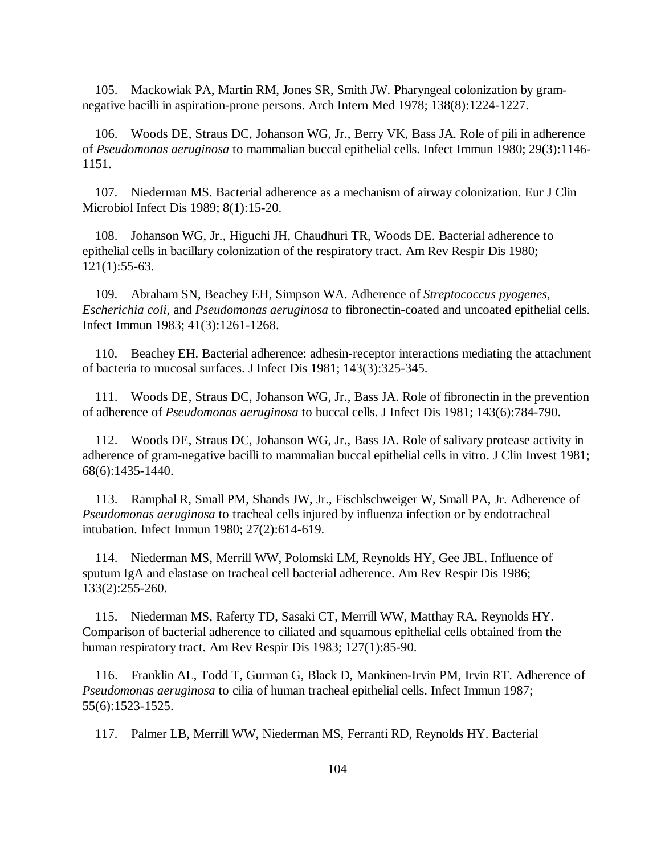105. Mackowiak PA, Martin RM, Jones SR, Smith JW. Pharyngeal colonization by gramnegative bacilli in aspiration-prone persons. Arch Intern Med 1978; 138(8):1224-1227.

106. Woods DE, Straus DC, Johanson WG, Jr., Berry VK, Bass JA. Role of pili in adherence of *Pseudomonas aeruginosa* to mammalian buccal epithelial cells. Infect Immun 1980; 29(3):1146- 1151.

107. Niederman MS. Bacterial adherence as a mechanism of airway colonization. Eur J Clin Microbiol Infect Dis 1989; 8(1):15-20.

108. Johanson WG, Jr., Higuchi JH, Chaudhuri TR, Woods DE. Bacterial adherence to epithelial cells in bacillary colonization of the respiratory tract. Am Rev Respir Dis 1980; 121(1):55-63.

109. Abraham SN, Beachey EH, Simpson WA. Adherence of *Streptococcus pyogenes*, *Escherichia coli*, and *Pseudomonas aeruginosa* to fibronectin-coated and uncoated epithelial cells. Infect Immun 1983; 41(3):1261-1268.

110. Beachey EH. Bacterial adherence: adhesin-receptor interactions mediating the attachment of bacteria to mucosal surfaces. J Infect Dis 1981; 143(3):325-345.

111. Woods DE, Straus DC, Johanson WG, Jr., Bass JA. Role of fibronectin in the prevention of adherence of *Pseudomonas aeruginosa* to buccal cells. J Infect Dis 1981; 143(6):784-790.

112. Woods DE, Straus DC, Johanson WG, Jr., Bass JA. Role of salivary protease activity in adherence of gram-negative bacilli to mammalian buccal epithelial cells in vitro. J Clin Invest 1981; 68(6):1435-1440.

113. Ramphal R, Small PM, Shands JW, Jr., Fischlschweiger W, Small PA, Jr. Adherence of *Pseudomonas aeruginosa* to tracheal cells injured by influenza infection or by endotracheal intubation. Infect Immun 1980; 27(2):614-619.

114. Niederman MS, Merrill WW, Polomski LM, Reynolds HY, Gee JBL. Influence of sputum IgA and elastase on tracheal cell bacterial adherence. Am Rev Respir Dis 1986; 133(2):255-260.

115. Niederman MS, Raferty TD, Sasaki CT, Merrill WW, Matthay RA, Reynolds HY. Comparison of bacterial adherence to ciliated and squamous epithelial cells obtained from the human respiratory tract. Am Rev Respir Dis 1983; 127(1):85-90.

116. Franklin AL, Todd T, Gurman G, Black D, Mankinen-Irvin PM, Irvin RT. Adherence of *Pseudomonas aeruginosa* to cilia of human tracheal epithelial cells. Infect Immun 1987; 55(6):1523-1525.

117. Palmer LB, Merrill WW, Niederman MS, Ferranti RD, Reynolds HY. Bacterial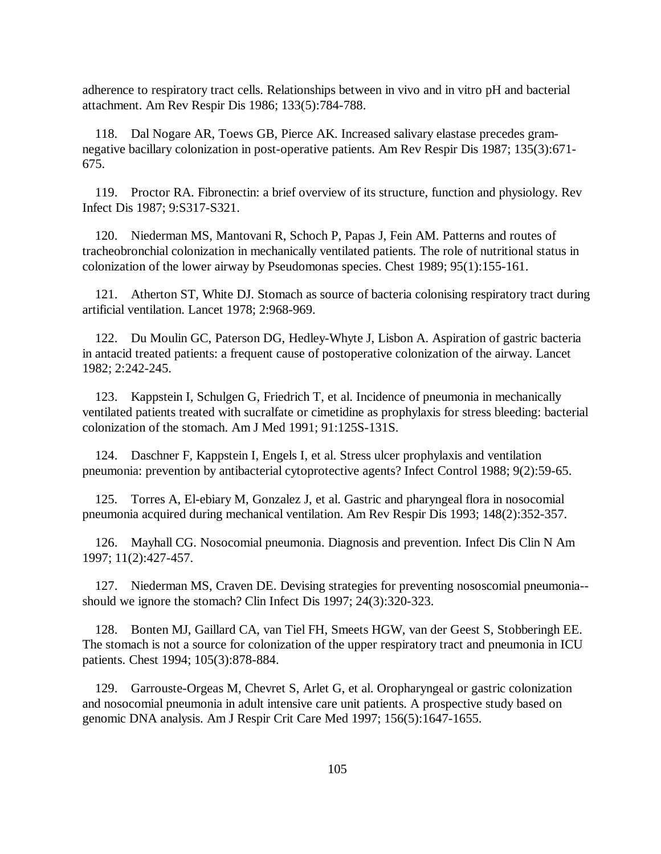adherence to respiratory tract cells. Relationships between in vivo and in vitro pH and bacterial attachment. Am Rev Respir Dis 1986; 133(5):784-788.

118. Dal Nogare AR, Toews GB, Pierce AK. Increased salivary elastase precedes gramnegative bacillary colonization in post-operative patients. Am Rev Respir Dis 1987; 135(3):671- 675.

119. Proctor RA. Fibronectin: a brief overview of its structure, function and physiology. Rev Infect Dis 1987; 9:S317-S321.

120. Niederman MS, Mantovani R, Schoch P, Papas J, Fein AM. Patterns and routes of tracheobronchial colonization in mechanically ventilated patients. The role of nutritional status in colonization of the lower airway by Pseudomonas species. Chest 1989; 95(1):155-161.

121. Atherton ST, White DJ. Stomach as source of bacteria colonising respiratory tract during artificial ventilation. Lancet 1978; 2:968-969.

122. Du Moulin GC, Paterson DG, Hedley-Whyte J, Lisbon A. Aspiration of gastric bacteria in antacid treated patients: a frequent cause of postoperative colonization of the airway. Lancet 1982; 2:242-245.

123. Kappstein I, Schulgen G, Friedrich T, et al. Incidence of pneumonia in mechanically ventilated patients treated with sucralfate or cimetidine as prophylaxis for stress bleeding: bacterial colonization of the stomach. Am J Med 1991; 91:125S-131S.

124. Daschner F, Kappstein I, Engels I, et al. Stress ulcer prophylaxis and ventilation pneumonia: prevention by antibacterial cytoprotective agents? Infect Control 1988; 9(2):59-65.

125. Torres A, El-ebiary M, Gonzalez J, et al. Gastric and pharyngeal flora in nosocomial pneumonia acquired during mechanical ventilation. Am Rev Respir Dis 1993; 148(2):352-357.

126. Mayhall CG. Nosocomial pneumonia. Diagnosis and prevention. Infect Dis Clin N Am 1997; 11(2):427-457.

127. Niederman MS, Craven DE. Devising strategies for preventing nososcomial pneumonia- should we ignore the stomach? Clin Infect Dis 1997; 24(3):320-323.

128. Bonten MJ, Gaillard CA, van Tiel FH, Smeets HGW, van der Geest S, Stobberingh EE. The stomach is not a source for colonization of the upper respiratory tract and pneumonia in ICU patients. Chest 1994; 105(3):878-884.

129. Garrouste-Orgeas M, Chevret S, Arlet G, et al. Oropharyngeal or gastric colonization and nosocomial pneumonia in adult intensive care unit patients. A prospective study based on genomic DNA analysis. Am J Respir Crit Care Med 1997; 156(5):1647-1655.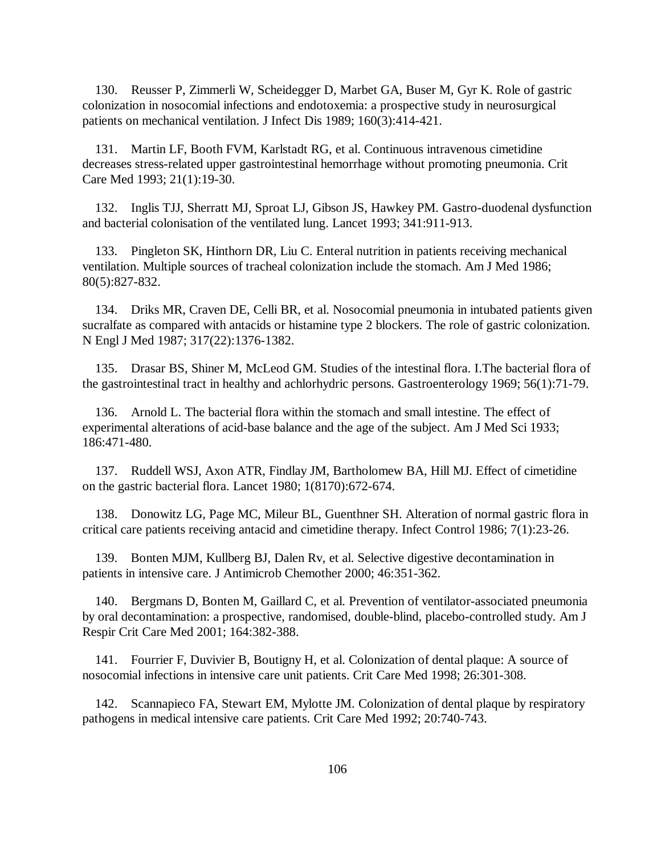130. Reusser P, Zimmerli W, Scheidegger D, Marbet GA, Buser M, Gyr K. Role of gastric colonization in nosocomial infections and endotoxemia: a prospective study in neurosurgical patients on mechanical ventilation. J Infect Dis 1989; 160(3):414-421.

131. Martin LF, Booth FVM, Karlstadt RG, et al. Continuous intravenous cimetidine decreases stress-related upper gastrointestinal hemorrhage without promoting pneumonia. Crit Care Med 1993; 21(1):19-30.

132. Inglis TJJ, Sherratt MJ, Sproat LJ, Gibson JS, Hawkey PM. Gastro-duodenal dysfunction and bacterial colonisation of the ventilated lung. Lancet 1993; 341:911-913.

133. Pingleton SK, Hinthorn DR, Liu C. Enteral nutrition in patients receiving mechanical ventilation. Multiple sources of tracheal colonization include the stomach. Am J Med 1986; 80(5):827-832.

134. Driks MR, Craven DE, Celli BR, et al. Nosocomial pneumonia in intubated patients given sucralfate as compared with antacids or histamine type 2 blockers. The role of gastric colonization. N Engl J Med 1987; 317(22):1376-1382.

135. Drasar BS, Shiner M, McLeod GM. Studies of the intestinal flora. I.The bacterial flora of the gastrointestinal tract in healthy and achlorhydric persons. Gastroenterology 1969; 56(1):71-79.

136. Arnold L. The bacterial flora within the stomach and small intestine. The effect of experimental alterations of acid-base balance and the age of the subject. Am J Med Sci 1933; 186:471-480.

137. Ruddell WSJ, Axon ATR, Findlay JM, Bartholomew BA, Hill MJ. Effect of cimetidine on the gastric bacterial flora. Lancet 1980; 1(8170):672-674.

138. Donowitz LG, Page MC, Mileur BL, Guenthner SH. Alteration of normal gastric flora in critical care patients receiving antacid and cimetidine therapy. Infect Control 1986; 7(1):23-26.

139. Bonten MJM, Kullberg BJ, Dalen Rv, et al. Selective digestive decontamination in patients in intensive care. J Antimicrob Chemother 2000; 46:351-362.

140. Bergmans D, Bonten M, Gaillard C, et al. Prevention of ventilator-associated pneumonia by oral decontamination: a prospective, randomised, double-blind, placebo-controlled study. Am J Respir Crit Care Med 2001; 164:382-388.

141. Fourrier F, Duvivier B, Boutigny H, et al. Colonization of dental plaque: A source of nosocomial infections in intensive care unit patients. Crit Care Med 1998; 26:301-308.

142. Scannapieco FA, Stewart EM, Mylotte JM. Colonization of dental plaque by respiratory pathogens in medical intensive care patients. Crit Care Med 1992; 20:740-743.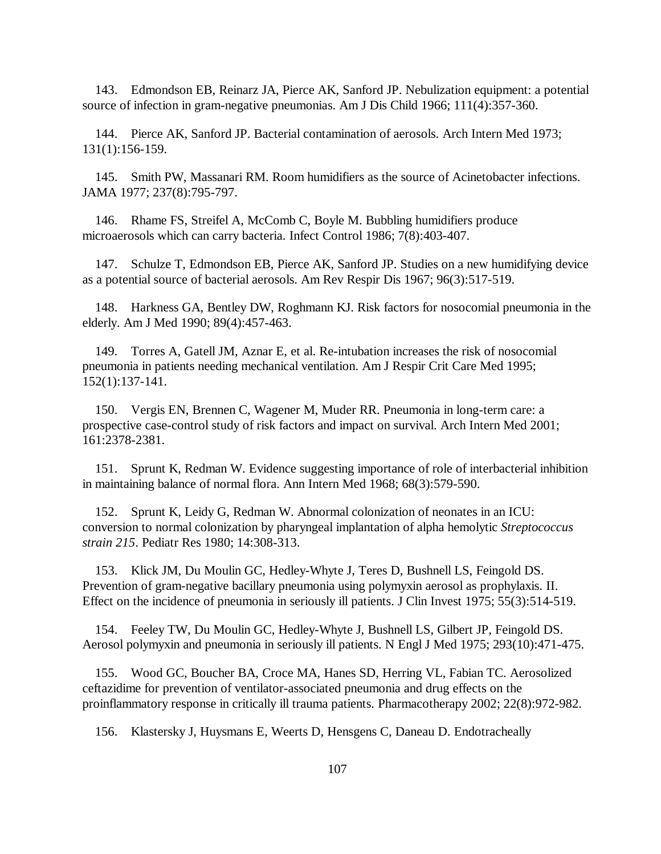143. Edmondson EB, Reinarz JA, Pierce AK, Sanford JP. Nebulization equipment: a potential source of infection in gram-negative pneumonias. Am J Dis Child 1966; 111(4):357-360.

144. Pierce AK, Sanford JP. Bacterial contamination of aerosols. Arch Intern Med 1973; 131(1):156-159.

145. Smith PW, Massanari RM. Room humidifiers as the source of Acinetobacter infections. JAMA 1977; 237(8):795-797.

146. Rhame FS, Streifel A, McComb C, Boyle M. Bubbling humidifiers produce microaerosols which can carry bacteria. Infect Control 1986; 7(8):403-407.

147. Schulze T, Edmondson EB, Pierce AK, Sanford JP. Studies on a new humidifying device as a potential source of bacterial aerosols. Am Rev Respir Dis 1967; 96(3):517-519.

148. Harkness GA, Bentley DW, Roghmann KJ. Risk factors for nosocomial pneumonia in the elderly. Am J Med 1990; 89(4):457-463.

149. Torres A, Gatell JM, Aznar E, et al. Re-intubation increases the risk of nosocomial pneumonia in patients needing mechanical ventilation. Am J Respir Crit Care Med 1995; 152(1):137-141.

150. Vergis EN, Brennen C, Wagener M, Muder RR. Pneumonia in long-term care: a prospective case-control study of risk factors and impact on survival. Arch Intern Med 2001; 161:2378-2381.

151. Sprunt K, Redman W. Evidence suggesting importance of role of interbacterial inhibition in maintaining balance of normal flora. Ann Intern Med 1968; 68(3):579-590.

152. Sprunt K, Leidy G, Redman W. Abnormal colonization of neonates in an ICU: conversion to normal colonization by pharyngeal implantation of alpha hemolytic *Streptococcus strain 215*. Pediatr Res 1980; 14:308-313.

153. Klick JM, Du Moulin GC, Hedley-Whyte J, Teres D, Bushnell LS, Feingold DS. Prevention of gram-negative bacillary pneumonia using polymyxin aerosol as prophylaxis. II. Effect on the incidence of pneumonia in seriously ill patients. J Clin Invest 1975; 55(3):514-519.

154. Feeley TW, Du Moulin GC, Hedley-Whyte J, Bushnell LS, Gilbert JP, Feingold DS. Aerosol polymyxin and pneumonia in seriously ill patients. N Engl J Med 1975; 293(10):471-475.

155. Wood GC, Boucher BA, Croce MA, Hanes SD, Herring VL, Fabian TC. Aerosolized ceftazidime for prevention of ventilator-associated pneumonia and drug effects on the proinflammatory response in critically ill trauma patients. Pharmacotherapy 2002; 22(8):972-982.

156. Klastersky J, Huysmans E, Weerts D, Hensgens C, Daneau D. Endotracheally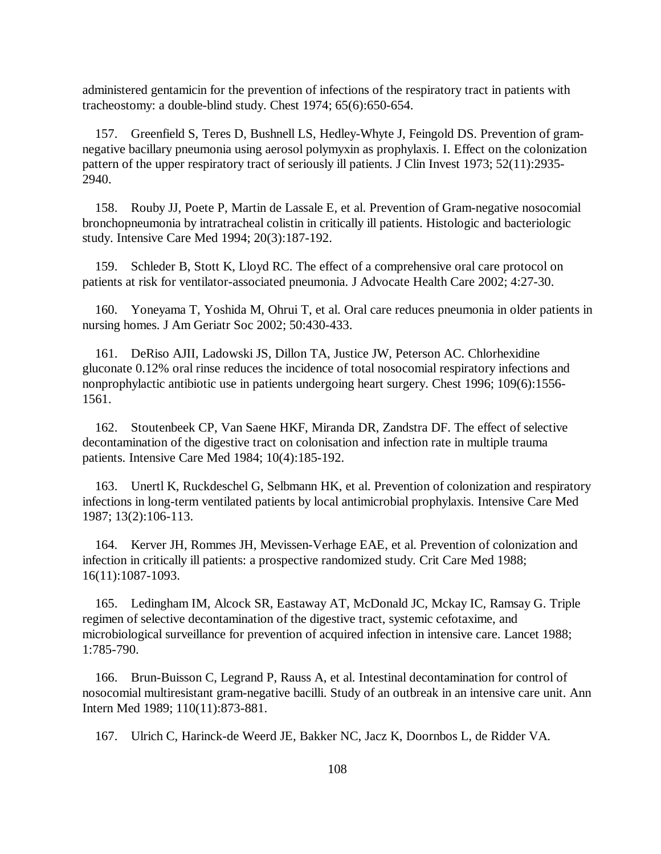administered gentamicin for the prevention of infections of the respiratory tract in patients with tracheostomy: a double-blind study. Chest 1974; 65(6):650-654.

157. Greenfield S, Teres D, Bushnell LS, Hedley-Whyte J, Feingold DS. Prevention of gramnegative bacillary pneumonia using aerosol polymyxin as prophylaxis. I. Effect on the colonization pattern of the upper respiratory tract of seriously ill patients. J Clin Invest 1973; 52(11):2935- 2940.

158. Rouby JJ, Poete P, Martin de Lassale E, et al. Prevention of Gram-negative nosocomial bronchopneumonia by intratracheal colistin in critically ill patients. Histologic and bacteriologic study. Intensive Care Med 1994; 20(3):187-192.

159. Schleder B, Stott K, Lloyd RC. The effect of a comprehensive oral care protocol on patients at risk for ventilator-associated pneumonia. J Advocate Health Care 2002; 4:27-30.

160. Yoneyama T, Yoshida M, Ohrui T, et al. Oral care reduces pneumonia in older patients in nursing homes. J Am Geriatr Soc 2002; 50:430-433.

161. DeRiso AJII, Ladowski JS, Dillon TA, Justice JW, Peterson AC. Chlorhexidine gluconate 0.12% oral rinse reduces the incidence of total nosocomial respiratory infections and nonprophylactic antibiotic use in patients undergoing heart surgery. Chest 1996; 109(6):1556- 1561.

162. Stoutenbeek CP, Van Saene HKF, Miranda DR, Zandstra DF. The effect of selective decontamination of the digestive tract on colonisation and infection rate in multiple trauma patients. Intensive Care Med 1984; 10(4):185-192.

163. Unertl K, Ruckdeschel G, Selbmann HK, et al. Prevention of colonization and respiratory infections in long-term ventilated patients by local antimicrobial prophylaxis. Intensive Care Med 1987; 13(2):106-113.

164. Kerver JH, Rommes JH, Mevissen-Verhage EAE, et al. Prevention of colonization and infection in critically ill patients: a prospective randomized study. Crit Care Med 1988; 16(11):1087-1093.

165. Ledingham IM, Alcock SR, Eastaway AT, McDonald JC, Mckay IC, Ramsay G. Triple regimen of selective decontamination of the digestive tract, systemic cefotaxime, and microbiological surveillance for prevention of acquired infection in intensive care. Lancet 1988; 1:785-790.

166. Brun-Buisson C, Legrand P, Rauss A, et al. Intestinal decontamination for control of nosocomial multiresistant gram-negative bacilli. Study of an outbreak in an intensive care unit. Ann Intern Med 1989; 110(11):873-881.

167. Ulrich C, Harinck-de Weerd JE, Bakker NC, Jacz K, Doornbos L, de Ridder VA.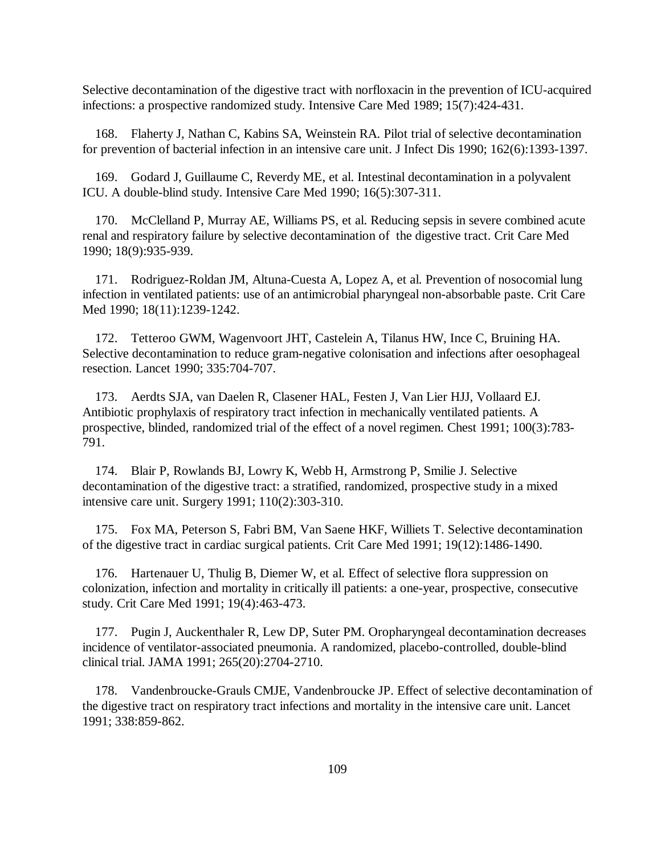Selective decontamination of the digestive tract with norfloxacin in the prevention of ICU-acquired infections: a prospective randomized study. Intensive Care Med 1989; 15(7):424-431.

168. Flaherty J, Nathan C, Kabins SA, Weinstein RA. Pilot trial of selective decontamination for prevention of bacterial infection in an intensive care unit. J Infect Dis 1990; 162(6):1393-1397.

169. Godard J, Guillaume C, Reverdy ME, et al. Intestinal decontamination in a polyvalent ICU. A double-blind study. Intensive Care Med 1990; 16(5):307-311.

170. McClelland P, Murray AE, Williams PS, et al. Reducing sepsis in severe combined acute renal and respiratory failure by selective decontamination of the digestive tract. Crit Care Med 1990; 18(9):935-939.

171. Rodriguez-Roldan JM, Altuna-Cuesta A, Lopez A, et al. Prevention of nosocomial lung infection in ventilated patients: use of an antimicrobial pharyngeal non-absorbable paste. Crit Care Med 1990; 18(11):1239-1242.

172. Tetteroo GWM, Wagenvoort JHT, Castelein A, Tilanus HW, Ince C, Bruining HA. Selective decontamination to reduce gram-negative colonisation and infections after oesophageal resection. Lancet 1990; 335:704-707.

173. Aerdts SJA, van Daelen R, Clasener HAL, Festen J, Van Lier HJJ, Vollaard EJ. Antibiotic prophylaxis of respiratory tract infection in mechanically ventilated patients. A prospective, blinded, randomized trial of the effect of a novel regimen. Chest 1991; 100(3):783- 791.

174. Blair P, Rowlands BJ, Lowry K, Webb H, Armstrong P, Smilie J. Selective decontamination of the digestive tract: a stratified, randomized, prospective study in a mixed intensive care unit. Surgery 1991; 110(2):303-310.

175. Fox MA, Peterson S, Fabri BM, Van Saene HKF, Williets T. Selective decontamination of the digestive tract in cardiac surgical patients. Crit Care Med 1991; 19(12):1486-1490.

176. Hartenauer U, Thulig B, Diemer W, et al. Effect of selective flora suppression on colonization, infection and mortality in critically ill patients: a one-year, prospective, consecutive study. Crit Care Med 1991; 19(4):463-473.

177. Pugin J, Auckenthaler R, Lew DP, Suter PM. Oropharyngeal decontamination decreases incidence of ventilator-associated pneumonia. A randomized, placebo-controlled, double-blind clinical trial. JAMA 1991; 265(20):2704-2710.

178. Vandenbroucke-Grauls CMJE, Vandenbroucke JP. Effect of selective decontamination of the digestive tract on respiratory tract infections and mortality in the intensive care unit. Lancet 1991; 338:859-862.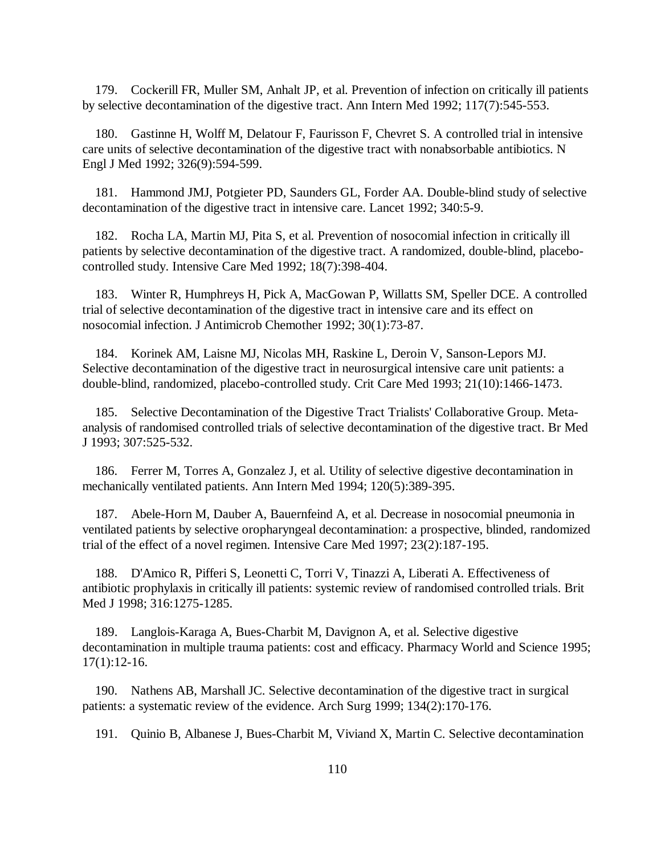179. Cockerill FR, Muller SM, Anhalt JP, et al. Prevention of infection on critically ill patients by selective decontamination of the digestive tract. Ann Intern Med 1992; 117(7):545-553.

180. Gastinne H, Wolff M, Delatour F, Faurisson F, Chevret S. A controlled trial in intensive care units of selective decontamination of the digestive tract with nonabsorbable antibiotics. N Engl J Med 1992; 326(9):594-599.

181. Hammond JMJ, Potgieter PD, Saunders GL, Forder AA. Double-blind study of selective decontamination of the digestive tract in intensive care. Lancet 1992; 340:5-9.

182. Rocha LA, Martin MJ, Pita S, et al. Prevention of nosocomial infection in critically ill patients by selective decontamination of the digestive tract. A randomized, double-blind, placebocontrolled study. Intensive Care Med 1992; 18(7):398-404.

183. Winter R, Humphreys H, Pick A, MacGowan P, Willatts SM, Speller DCE. A controlled trial of selective decontamination of the digestive tract in intensive care and its effect on nosocomial infection. J Antimicrob Chemother 1992; 30(1):73-87.

184. Korinek AM, Laisne MJ, Nicolas MH, Raskine L, Deroin V, Sanson-Lepors MJ. Selective decontamination of the digestive tract in neurosurgical intensive care unit patients: a double-blind, randomized, placebo-controlled study. Crit Care Med 1993; 21(10):1466-1473.

185. Selective Decontamination of the Digestive Tract Trialists' Collaborative Group. Metaanalysis of randomised controlled trials of selective decontamination of the digestive tract. Br Med J 1993; 307:525-532.

186. Ferrer M, Torres A, Gonzalez J, et al. Utility of selective digestive decontamination in mechanically ventilated patients. Ann Intern Med 1994; 120(5):389-395.

187. Abele-Horn M, Dauber A, Bauernfeind A, et al. Decrease in nosocomial pneumonia in ventilated patients by selective oropharyngeal decontamination: a prospective, blinded, randomized trial of the effect of a novel regimen. Intensive Care Med 1997; 23(2):187-195.

188. D'Amico R, Pifferi S, Leonetti C, Torri V, Tinazzi A, Liberati A. Effectiveness of antibiotic prophylaxis in critically ill patients: systemic review of randomised controlled trials. Brit Med J 1998; 316:1275-1285.

189. Langlois-Karaga A, Bues-Charbit M, Davignon A, et al. Selective digestive decontamination in multiple trauma patients: cost and efficacy. Pharmacy World and Science 1995; 17(1):12-16.

190. Nathens AB, Marshall JC. Selective decontamination of the digestive tract in surgical patients: a systematic review of the evidence. Arch Surg 1999; 134(2):170-176.

191. Quinio B, Albanese J, Bues-Charbit M, Viviand X, Martin C. Selective decontamination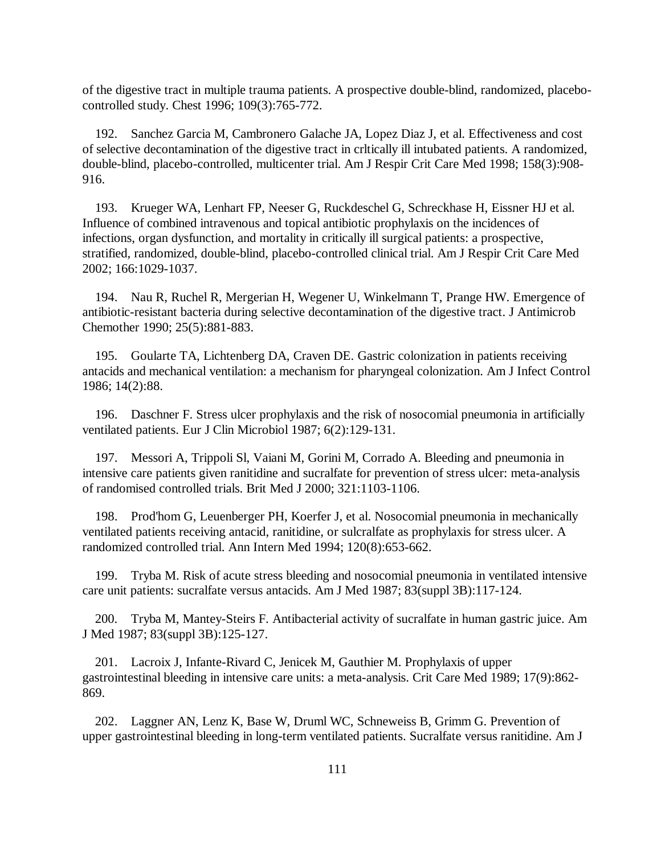of the digestive tract in multiple trauma patients. A prospective double-blind, randomized, placebocontrolled study. Chest 1996; 109(3):765-772.

192. Sanchez Garcia M, Cambronero Galache JA, Lopez Diaz J, et al. Effectiveness and cost of selective decontamination of the digestive tract in crltically ill intubated patients. A randomized, double-blind, placebo-controlled, multicenter trial. Am J Respir Crit Care Med 1998; 158(3):908- 916.

193. Krueger WA, Lenhart FP, Neeser G, Ruckdeschel G, Schreckhase H, Eissner HJ et al. Influence of combined intravenous and topical antibiotic prophylaxis on the incidences of infections, organ dysfunction, and mortality in critically ill surgical patients: a prospective, stratified, randomized, double-blind, placebo-controlled clinical trial. Am J Respir Crit Care Med 2002; 166:1029-1037.

194. Nau R, Ruchel R, Mergerian H, Wegener U, Winkelmann T, Prange HW. Emergence of antibiotic-resistant bacteria during selective decontamination of the digestive tract. J Antimicrob Chemother 1990; 25(5):881-883.

195. Goularte TA, Lichtenberg DA, Craven DE. Gastric colonization in patients receiving antacids and mechanical ventilation: a mechanism for pharyngeal colonization. Am J Infect Control 1986; 14(2):88.

196. Daschner F. Stress ulcer prophylaxis and the risk of nosocomial pneumonia in artificially ventilated patients. Eur J Clin Microbiol 1987; 6(2):129-131.

197. Messori A, Trippoli Sl, Vaiani M, Gorini M, Corrado A. Bleeding and pneumonia in intensive care patients given ranitidine and sucralfate for prevention of stress ulcer: meta-analysis of randomised controlled trials. Brit Med J 2000; 321:1103-1106.

198. Prod'hom G, Leuenberger PH, Koerfer J, et al. Nosocomial pneumonia in mechanically ventilated patients receiving antacid, ranitidine, or sulcralfate as prophylaxis for stress ulcer. A randomized controlled trial. Ann Intern Med 1994; 120(8):653-662.

199. Tryba M. Risk of acute stress bleeding and nosocomial pneumonia in ventilated intensive care unit patients: sucralfate versus antacids. Am J Med 1987; 83(suppl 3B):117-124.

200. Tryba M, Mantey-Steirs F. Antibacterial activity of sucralfate in human gastric juice. Am J Med 1987; 83(suppl 3B):125-127.

201. Lacroix J, Infante-Rivard C, Jenicek M, Gauthier M. Prophylaxis of upper gastrointestinal bleeding in intensive care units: a meta-analysis. Crit Care Med 1989; 17(9):862- 869.

202. Laggner AN, Lenz K, Base W, Druml WC, Schneweiss B, Grimm G. Prevention of upper gastrointestinal bleeding in long-term ventilated patients. Sucralfate versus ranitidine. Am J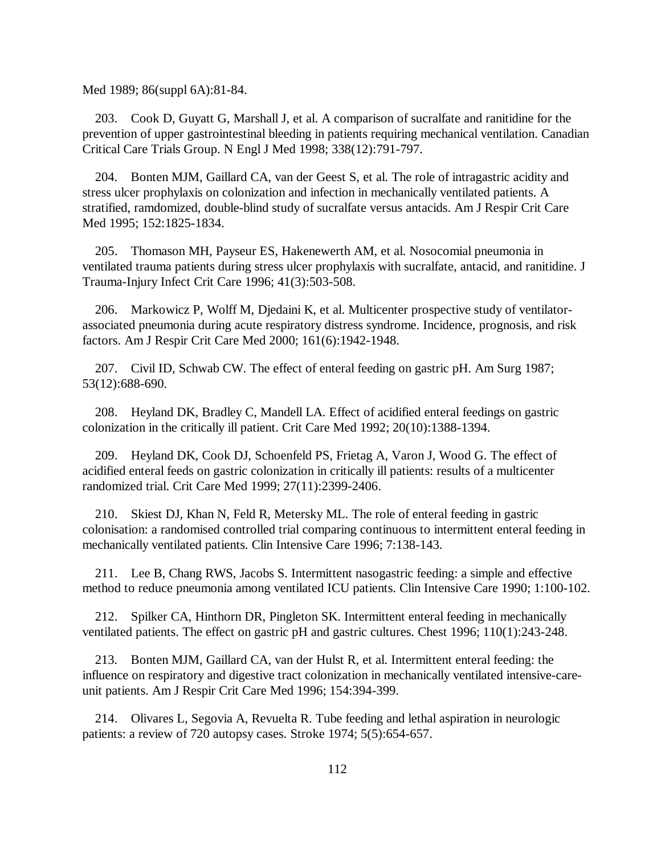Med 1989; 86(suppl 6A):81-84.

203. Cook D, Guyatt G, Marshall J, et al. A comparison of sucralfate and ranitidine for the prevention of upper gastrointestinal bleeding in patients requiring mechanical ventilation. Canadian Critical Care Trials Group. N Engl J Med 1998; 338(12):791-797.

204. Bonten MJM, Gaillard CA, van der Geest S, et al. The role of intragastric acidity and stress ulcer prophylaxis on colonization and infection in mechanically ventilated patients. A stratified, ramdomized, double-blind study of sucralfate versus antacids. Am J Respir Crit Care Med 1995; 152:1825-1834.

205. Thomason MH, Payseur ES, Hakenewerth AM, et al. Nosocomial pneumonia in ventilated trauma patients during stress ulcer prophylaxis with sucralfate, antacid, and ranitidine. J Trauma-Injury Infect Crit Care 1996; 41(3):503-508.

206. Markowicz P, Wolff M, Djedaini K, et al. Multicenter prospective study of ventilatorassociated pneumonia during acute respiratory distress syndrome. Incidence, prognosis, and risk factors. Am J Respir Crit Care Med 2000; 161(6):1942-1948.

207. Civil ID, Schwab CW. The effect of enteral feeding on gastric pH. Am Surg 1987; 53(12):688-690.

208. Heyland DK, Bradley C, Mandell LA. Effect of acidified enteral feedings on gastric colonization in the critically ill patient. Crit Care Med 1992; 20(10):1388-1394.

209. Heyland DK, Cook DJ, Schoenfeld PS, Frietag A, Varon J, Wood G. The effect of acidified enteral feeds on gastric colonization in critically ill patients: results of a multicenter randomized trial. Crit Care Med 1999; 27(11):2399-2406.

210. Skiest DJ, Khan N, Feld R, Metersky ML. The role of enteral feeding in gastric colonisation: a randomised controlled trial comparing continuous to intermittent enteral feeding in mechanically ventilated patients. Clin Intensive Care 1996; 7:138-143.

211. Lee B, Chang RWS, Jacobs S. Intermittent nasogastric feeding: a simple and effective method to reduce pneumonia among ventilated ICU patients. Clin Intensive Care 1990; 1:100-102.

212. Spilker CA, Hinthorn DR, Pingleton SK. Intermittent enteral feeding in mechanically ventilated patients. The effect on gastric pH and gastric cultures. Chest 1996; 110(1):243-248.

213. Bonten MJM, Gaillard CA, van der Hulst R, et al. Intermittent enteral feeding: the influence on respiratory and digestive tract colonization in mechanically ventilated intensive-careunit patients. Am J Respir Crit Care Med 1996; 154:394-399.

214. Olivares L, Segovia A, Revuelta R. Tube feeding and lethal aspiration in neurologic patients: a review of 720 autopsy cases. Stroke 1974; 5(5):654-657.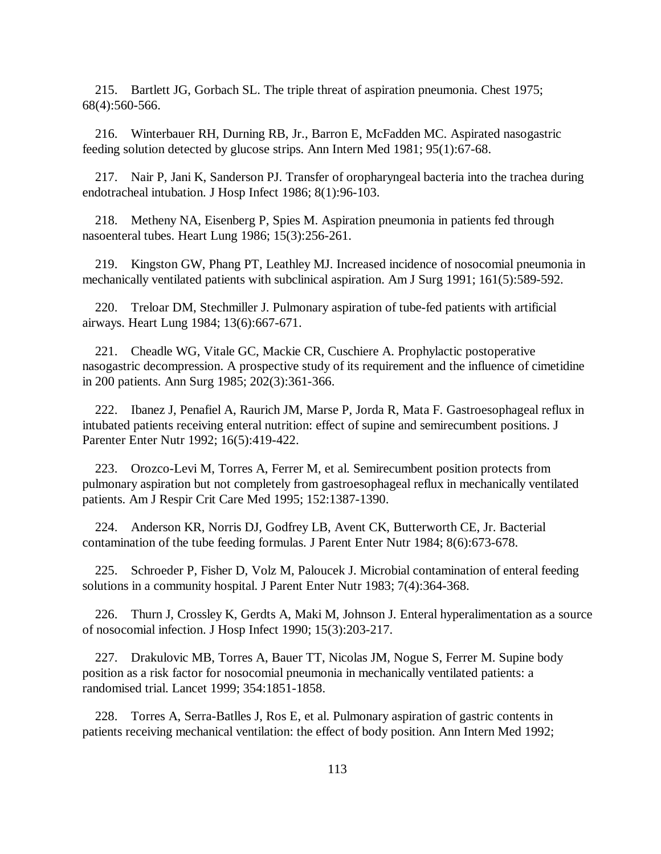215. Bartlett JG, Gorbach SL. The triple threat of aspiration pneumonia. Chest 1975; 68(4):560-566.

216. Winterbauer RH, Durning RB, Jr., Barron E, McFadden MC. Aspirated nasogastric feeding solution detected by glucose strips. Ann Intern Med 1981; 95(1):67-68.

217. Nair P, Jani K, Sanderson PJ. Transfer of oropharyngeal bacteria into the trachea during endotracheal intubation. J Hosp Infect 1986; 8(1):96-103.

218. Metheny NA, Eisenberg P, Spies M. Aspiration pneumonia in patients fed through nasoenteral tubes. Heart Lung 1986; 15(3):256-261.

219. Kingston GW, Phang PT, Leathley MJ. Increased incidence of nosocomial pneumonia in mechanically ventilated patients with subclinical aspiration. Am J Surg 1991; 161(5):589-592.

220. Treloar DM, Stechmiller J. Pulmonary aspiration of tube-fed patients with artificial airways. Heart Lung 1984; 13(6):667-671.

221. Cheadle WG, Vitale GC, Mackie CR, Cuschiere A. Prophylactic postoperative nasogastric decompression. A prospective study of its requirement and the influence of cimetidine in 200 patients. Ann Surg 1985; 202(3):361-366.

222. Ibanez J, Penafiel A, Raurich JM, Marse P, Jorda R, Mata F. Gastroesophageal reflux in intubated patients receiving enteral nutrition: effect of supine and semirecumbent positions. J Parenter Enter Nutr 1992; 16(5):419-422.

223. Orozco-Levi M, Torres A, Ferrer M, et al. Semirecumbent position protects from pulmonary aspiration but not completely from gastroesophageal reflux in mechanically ventilated patients. Am J Respir Crit Care Med 1995; 152:1387-1390.

224. Anderson KR, Norris DJ, Godfrey LB, Avent CK, Butterworth CE, Jr. Bacterial contamination of the tube feeding formulas. J Parent Enter Nutr 1984; 8(6):673-678.

225. Schroeder P, Fisher D, Volz M, Paloucek J. Microbial contamination of enteral feeding solutions in a community hospital. J Parent Enter Nutr 1983; 7(4):364-368.

226. Thurn J, Crossley K, Gerdts A, Maki M, Johnson J. Enteral hyperalimentation as a source of nosocomial infection. J Hosp Infect 1990; 15(3):203-217.

227. Drakulovic MB, Torres A, Bauer TT, Nicolas JM, Nogue S, Ferrer M. Supine body position as a risk factor for nosocomial pneumonia in mechanically ventilated patients: a randomised trial. Lancet 1999; 354:1851-1858.

228. Torres A, Serra-Batlles J, Ros E, et al. Pulmonary aspiration of gastric contents in patients receiving mechanical ventilation: the effect of body position. Ann Intern Med 1992;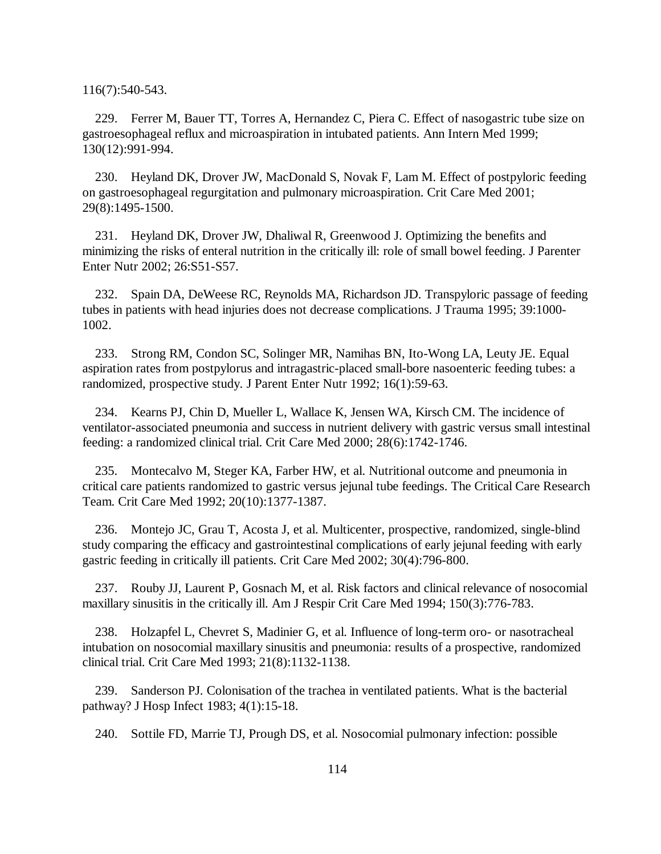116(7):540-543.

229. Ferrer M, Bauer TT, Torres A, Hernandez C, Piera C. Effect of nasogastric tube size on gastroesophageal reflux and microaspiration in intubated patients. Ann Intern Med 1999; 130(12):991-994.

230. Heyland DK, Drover JW, MacDonald S, Novak F, Lam M. Effect of postpyloric feeding on gastroesophageal regurgitation and pulmonary microaspiration. Crit Care Med 2001; 29(8):1495-1500.

231. Heyland DK, Drover JW, Dhaliwal R, Greenwood J. Optimizing the benefits and minimizing the risks of enteral nutrition in the critically ill: role of small bowel feeding. J Parenter Enter Nutr 2002; 26:S51-S57.

232. Spain DA, DeWeese RC, Reynolds MA, Richardson JD. Transpyloric passage of feeding tubes in patients with head injuries does not decrease complications. J Trauma 1995; 39:1000- 1002.

233. Strong RM, Condon SC, Solinger MR, Namihas BN, Ito-Wong LA, Leuty JE. Equal aspiration rates from postpylorus and intragastric-placed small-bore nasoenteric feeding tubes: a randomized, prospective study. J Parent Enter Nutr 1992; 16(1):59-63.

234. Kearns PJ, Chin D, Mueller L, Wallace K, Jensen WA, Kirsch CM. The incidence of ventilator-associated pneumonia and success in nutrient delivery with gastric versus small intestinal feeding: a randomized clinical trial. Crit Care Med 2000; 28(6):1742-1746.

235. Montecalvo M, Steger KA, Farber HW, et al. Nutritional outcome and pneumonia in critical care patients randomized to gastric versus jejunal tube feedings. The Critical Care Research Team. Crit Care Med 1992; 20(10):1377-1387.

236. Montejo JC, Grau T, Acosta J, et al. Multicenter, prospective, randomized, single-blind study comparing the efficacy and gastrointestinal complications of early jejunal feeding with early gastric feeding in critically ill patients. Crit Care Med 2002; 30(4):796-800.

237. Rouby JJ, Laurent P, Gosnach M, et al. Risk factors and clinical relevance of nosocomial maxillary sinusitis in the critically ill. Am J Respir Crit Care Med 1994; 150(3):776-783.

238. Holzapfel L, Chevret S, Madinier G, et al. Influence of long-term oro- or nasotracheal intubation on nosocomial maxillary sinusitis and pneumonia: results of a prospective, randomized clinical trial. Crit Care Med 1993; 21(8):1132-1138.

239. Sanderson PJ. Colonisation of the trachea in ventilated patients. What is the bacterial pathway? J Hosp Infect 1983; 4(1):15-18.

240. Sottile FD, Marrie TJ, Prough DS, et al. Nosocomial pulmonary infection: possible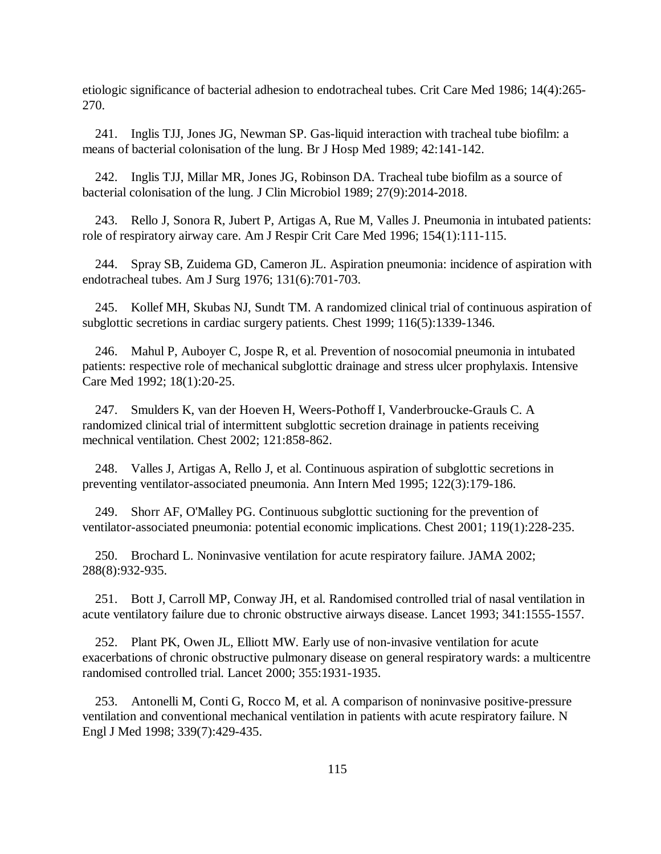etiologic significance of bacterial adhesion to endotracheal tubes. Crit Care Med 1986; 14(4):265- 270.

241. Inglis TJJ, Jones JG, Newman SP. Gas-liquid interaction with tracheal tube biofilm: a means of bacterial colonisation of the lung. Br J Hosp Med 1989; 42:141-142.

242. Inglis TJJ, Millar MR, Jones JG, Robinson DA. Tracheal tube biofilm as a source of bacterial colonisation of the lung. J Clin Microbiol 1989; 27(9):2014-2018.

243. Rello J, Sonora R, Jubert P, Artigas A, Rue M, Valles J. Pneumonia in intubated patients: role of respiratory airway care. Am J Respir Crit Care Med 1996; 154(1):111-115.

244. Spray SB, Zuidema GD, Cameron JL. Aspiration pneumonia: incidence of aspiration with endotracheal tubes. Am J Surg 1976; 131(6):701-703.

245. Kollef MH, Skubas NJ, Sundt TM. A randomized clinical trial of continuous aspiration of subglottic secretions in cardiac surgery patients. Chest 1999; 116(5):1339-1346.

246. Mahul P, Auboyer C, Jospe R, et al. Prevention of nosocomial pneumonia in intubated patients: respective role of mechanical subglottic drainage and stress ulcer prophylaxis. Intensive Care Med 1992; 18(1):20-25.

247. Smulders K, van der Hoeven H, Weers-Pothoff I, Vanderbroucke-Grauls C. A randomized clinical trial of intermittent subglottic secretion drainage in patients receiving mechnical ventilation. Chest 2002; 121:858-862.

248. Valles J, Artigas A, Rello J, et al. Continuous aspiration of subglottic secretions in preventing ventilator-associated pneumonia. Ann Intern Med 1995; 122(3):179-186.

249. Shorr AF, O'Malley PG. Continuous subglottic suctioning for the prevention of ventilator-associated pneumonia: potential economic implications. Chest 2001; 119(1):228-235.

250. Brochard L. Noninvasive ventilation for acute respiratory failure. JAMA 2002; 288(8):932-935.

251. Bott J, Carroll MP, Conway JH, et al. Randomised controlled trial of nasal ventilation in acute ventilatory failure due to chronic obstructive airways disease. Lancet 1993; 341:1555-1557.

252. Plant PK, Owen JL, Elliott MW. Early use of non-invasive ventilation for acute exacerbations of chronic obstructive pulmonary disease on general respiratory wards: a multicentre randomised controlled trial. Lancet 2000; 355:1931-1935.

253. Antonelli M, Conti G, Rocco M, et al. A comparison of noninvasive positive-pressure ventilation and conventional mechanical ventilation in patients with acute respiratory failure. N Engl J Med 1998; 339(7):429-435.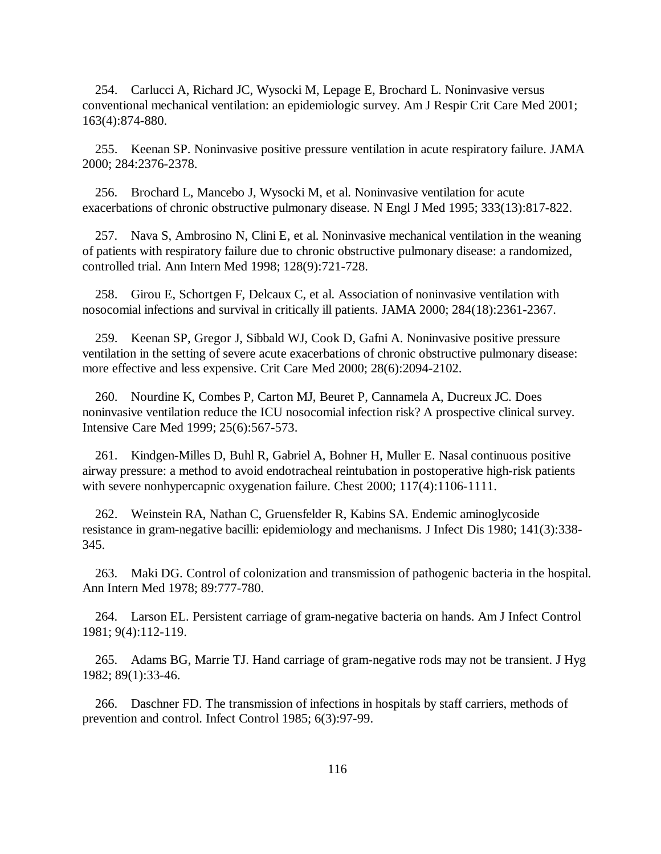254. Carlucci A, Richard JC, Wysocki M, Lepage E, Brochard L. Noninvasive versus conventional mechanical ventilation: an epidemiologic survey. Am J Respir Crit Care Med 2001; 163(4):874-880.

255. Keenan SP. Noninvasive positive pressure ventilation in acute respiratory failure. JAMA 2000; 284:2376-2378.

256. Brochard L, Mancebo J, Wysocki M, et al. Noninvasive ventilation for acute exacerbations of chronic obstructive pulmonary disease. N Engl J Med 1995; 333(13):817-822.

257. Nava S, Ambrosino N, Clini E, et al. Noninvasive mechanical ventilation in the weaning of patients with respiratory failure due to chronic obstructive pulmonary disease: a randomized, controlled trial. Ann Intern Med 1998; 128(9):721-728.

258. Girou E, Schortgen F, Delcaux C, et al. Association of noninvasive ventilation with nosocomial infections and survival in critically ill patients. JAMA 2000; 284(18):2361-2367.

259. Keenan SP, Gregor J, Sibbald WJ, Cook D, Gafni A. Noninvasive positive pressure ventilation in the setting of severe acute exacerbations of chronic obstructive pulmonary disease: more effective and less expensive. Crit Care Med 2000; 28(6):2094-2102.

260. Nourdine K, Combes P, Carton MJ, Beuret P, Cannamela A, Ducreux JC. Does noninvasive ventilation reduce the ICU nosocomial infection risk? A prospective clinical survey. Intensive Care Med 1999; 25(6):567-573.

261. Kindgen-Milles D, Buhl R, Gabriel A, Bohner H, Muller E. Nasal continuous positive airway pressure: a method to avoid endotracheal reintubation in postoperative high-risk patients with severe nonhypercapnic oxygenation failure. Chest 2000; 117(4):1106-1111.

262. Weinstein RA, Nathan C, Gruensfelder R, Kabins SA. Endemic aminoglycoside resistance in gram-negative bacilli: epidemiology and mechanisms. J Infect Dis 1980; 141(3):338- 345.

263. Maki DG. Control of colonization and transmission of pathogenic bacteria in the hospital. Ann Intern Med 1978; 89:777-780.

264. Larson EL. Persistent carriage of gram-negative bacteria on hands. Am J Infect Control 1981; 9(4):112-119.

265. Adams BG, Marrie TJ. Hand carriage of gram-negative rods may not be transient. J Hyg 1982; 89(1):33-46.

266. Daschner FD. The transmission of infections in hospitals by staff carriers, methods of prevention and control. Infect Control 1985; 6(3):97-99.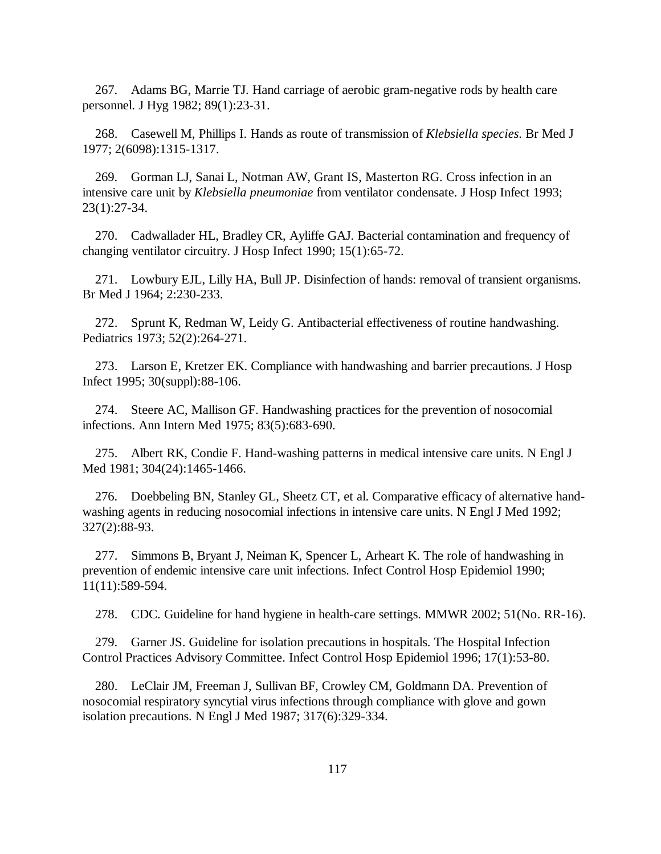267. Adams BG, Marrie TJ. Hand carriage of aerobic gram-negative rods by health care personnel. J Hyg 1982; 89(1):23-31.

268. Casewell M, Phillips I. Hands as route of transmission of *Klebsiella species*. Br Med J 1977; 2(6098):1315-1317.

269. Gorman LJ, Sanai L, Notman AW, Grant IS, Masterton RG. Cross infection in an intensive care unit by *Klebsiella pneumoniae* from ventilator condensate. J Hosp Infect 1993; 23(1):27-34.

270. Cadwallader HL, Bradley CR, Ayliffe GAJ. Bacterial contamination and frequency of changing ventilator circuitry. J Hosp Infect 1990; 15(1):65-72.

271. Lowbury EJL, Lilly HA, Bull JP. Disinfection of hands: removal of transient organisms. Br Med J 1964; 2:230-233.

272. Sprunt K, Redman W, Leidy G. Antibacterial effectiveness of routine handwashing. Pediatrics 1973; 52(2):264-271.

273. Larson E, Kretzer EK. Compliance with handwashing and barrier precautions. J Hosp Infect 1995; 30(suppl):88-106.

274. Steere AC, Mallison GF. Handwashing practices for the prevention of nosocomial infections. Ann Intern Med 1975; 83(5):683-690.

275. Albert RK, Condie F. Hand-washing patterns in medical intensive care units. N Engl J Med 1981; 304(24):1465-1466.

276. Doebbeling BN, Stanley GL, Sheetz CT, et al. Comparative efficacy of alternative handwashing agents in reducing nosocomial infections in intensive care units. N Engl J Med 1992; 327(2):88-93.

277. Simmons B, Bryant J, Neiman K, Spencer L, Arheart K. The role of handwashing in prevention of endemic intensive care unit infections. Infect Control Hosp Epidemiol 1990; 11(11):589-594.

278. CDC. Guideline for hand hygiene in health-care settings. MMWR 2002; 51(No. RR-16).

279. Garner JS. Guideline for isolation precautions in hospitals. The Hospital Infection Control Practices Advisory Committee. Infect Control Hosp Epidemiol 1996; 17(1):53-80.

280. LeClair JM, Freeman J, Sullivan BF, Crowley CM, Goldmann DA. Prevention of nosocomial respiratory syncytial virus infections through compliance with glove and gown isolation precautions. N Engl J Med 1987; 317(6):329-334.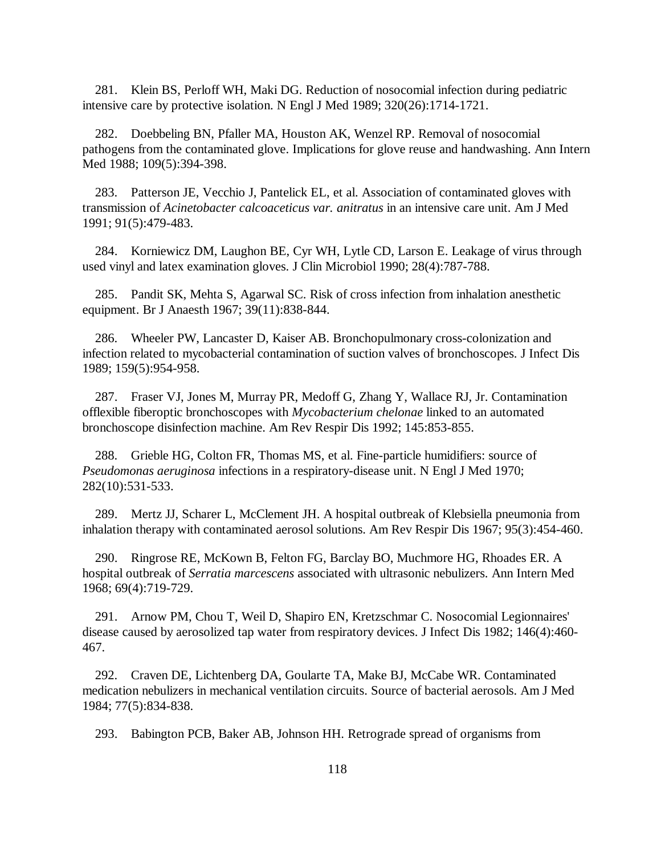281. Klein BS, Perloff WH, Maki DG. Reduction of nosocomial infection during pediatric intensive care by protective isolation. N Engl J Med 1989; 320(26):1714-1721.

282. Doebbeling BN, Pfaller MA, Houston AK, Wenzel RP. Removal of nosocomial pathogens from the contaminated glove. Implications for glove reuse and handwashing. Ann Intern Med 1988; 109(5):394-398.

283. Patterson JE, Vecchio J, Pantelick EL, et al. Association of contaminated gloves with transmission of *Acinetobacter calcoaceticus var. anitratus* in an intensive care unit. Am J Med 1991; 91(5):479-483.

284. Korniewicz DM, Laughon BE, Cyr WH, Lytle CD, Larson E. Leakage of virus through used vinyl and latex examination gloves. J Clin Microbiol 1990; 28(4):787-788.

285. Pandit SK, Mehta S, Agarwal SC. Risk of cross infection from inhalation anesthetic equipment. Br J Anaesth 1967; 39(11):838-844.

286. Wheeler PW, Lancaster D, Kaiser AB. Bronchopulmonary cross-colonization and infection related to mycobacterial contamination of suction valves of bronchoscopes. J Infect Dis 1989; 159(5):954-958.

287. Fraser VJ, Jones M, Murray PR, Medoff G, Zhang Y, Wallace RJ, Jr. Contamination offlexible fiberoptic bronchoscopes with *Mycobacterium chelonae* linked to an automated bronchoscope disinfection machine. Am Rev Respir Dis 1992; 145:853-855.

288. Grieble HG, Colton FR, Thomas MS, et al. Fine-particle humidifiers: source of *Pseudomonas aeruginosa* infections in a respiratory-disease unit. N Engl J Med 1970; 282(10):531-533.

289. Mertz JJ, Scharer L, McClement JH. A hospital outbreak of Klebsiella pneumonia from inhalation therapy with contaminated aerosol solutions. Am Rev Respir Dis 1967; 95(3):454-460.

290. Ringrose RE, McKown B, Felton FG, Barclay BO, Muchmore HG, Rhoades ER. A hospital outbreak of *Serratia marcescens* associated with ultrasonic nebulizers. Ann Intern Med 1968; 69(4):719-729.

291. Arnow PM, Chou T, Weil D, Shapiro EN, Kretzschmar C. Nosocomial Legionnaires' disease caused by aerosolized tap water from respiratory devices. J Infect Dis 1982; 146(4):460- 467.

292. Craven DE, Lichtenberg DA, Goularte TA, Make BJ, McCabe WR. Contaminated medication nebulizers in mechanical ventilation circuits. Source of bacterial aerosols. Am J Med 1984; 77(5):834-838.

293. Babington PCB, Baker AB, Johnson HH. Retrograde spread of organisms from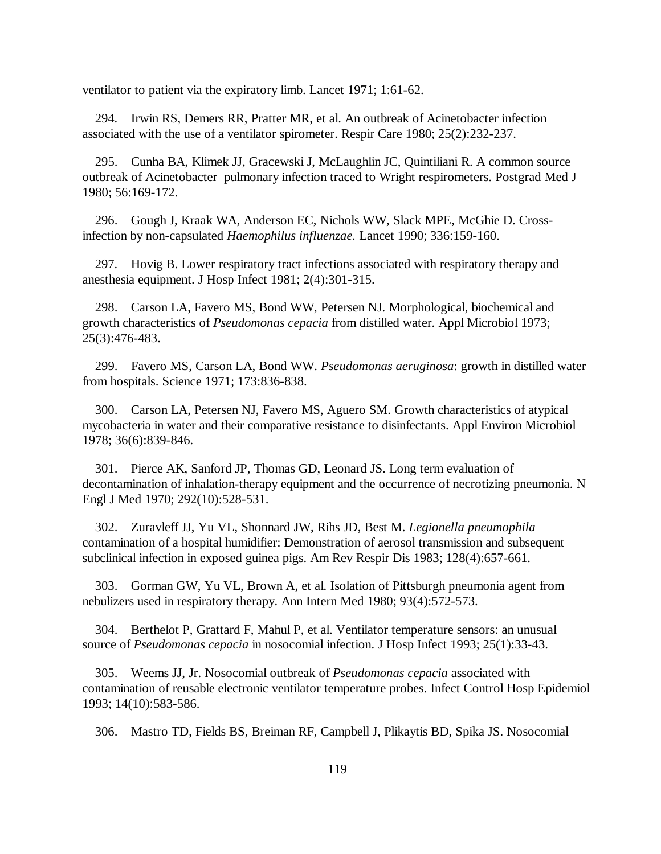ventilator to patient via the expiratory limb. Lancet 1971; 1:61-62.

294. Irwin RS, Demers RR, Pratter MR, et al. An outbreak of Acinetobacter infection associated with the use of a ventilator spirometer. Respir Care 1980; 25(2):232-237.

295. Cunha BA, Klimek JJ, Gracewski J, McLaughlin JC, Quintiliani R. A common source outbreak of Acinetobacter pulmonary infection traced to Wright respirometers. Postgrad Med J 1980; 56:169-172.

296. Gough J, Kraak WA, Anderson EC, Nichols WW, Slack MPE, McGhie D. Crossinfection by non-capsulated *Haemophilus influenzae.* Lancet 1990; 336:159-160.

297. Hovig B. Lower respiratory tract infections associated with respiratory therapy and anesthesia equipment. J Hosp Infect 1981; 2(4):301-315.

298. Carson LA, Favero MS, Bond WW, Petersen NJ. Morphological, biochemical and growth characteristics of *Pseudomonas cepacia* from distilled water. Appl Microbiol 1973; 25(3):476-483.

299. Favero MS, Carson LA, Bond WW. *Pseudomonas aeruginosa*: growth in distilled water from hospitals. Science 1971; 173:836-838.

300. Carson LA, Petersen NJ, Favero MS, Aguero SM. Growth characteristics of atypical mycobacteria in water and their comparative resistance to disinfectants. Appl Environ Microbiol 1978; 36(6):839-846.

301. Pierce AK, Sanford JP, Thomas GD, Leonard JS. Long term evaluation of decontamination of inhalation-therapy equipment and the occurrence of necrotizing pneumonia. N Engl J Med 1970; 292(10):528-531.

302. Zuravleff JJ, Yu VL, Shonnard JW, Rihs JD, Best M. *Legionella pneumophila* contamination of a hospital humidifier: Demonstration of aerosol transmission and subsequent subclinical infection in exposed guinea pigs. Am Rev Respir Dis 1983; 128(4):657-661.

303. Gorman GW, Yu VL, Brown A, et al. Isolation of Pittsburgh pneumonia agent from nebulizers used in respiratory therapy. Ann Intern Med 1980; 93(4):572-573.

304. Berthelot P, Grattard F, Mahul P, et al. Ventilator temperature sensors: an unusual source of *Pseudomonas cepacia* in nosocomial infection. J Hosp Infect 1993; 25(1):33-43.

305. Weems JJ, Jr. Nosocomial outbreak of *Pseudomonas cepacia* associated with contamination of reusable electronic ventilator temperature probes. Infect Control Hosp Epidemiol 1993; 14(10):583-586.

306. Mastro TD, Fields BS, Breiman RF, Campbell J, Plikaytis BD, Spika JS. Nosocomial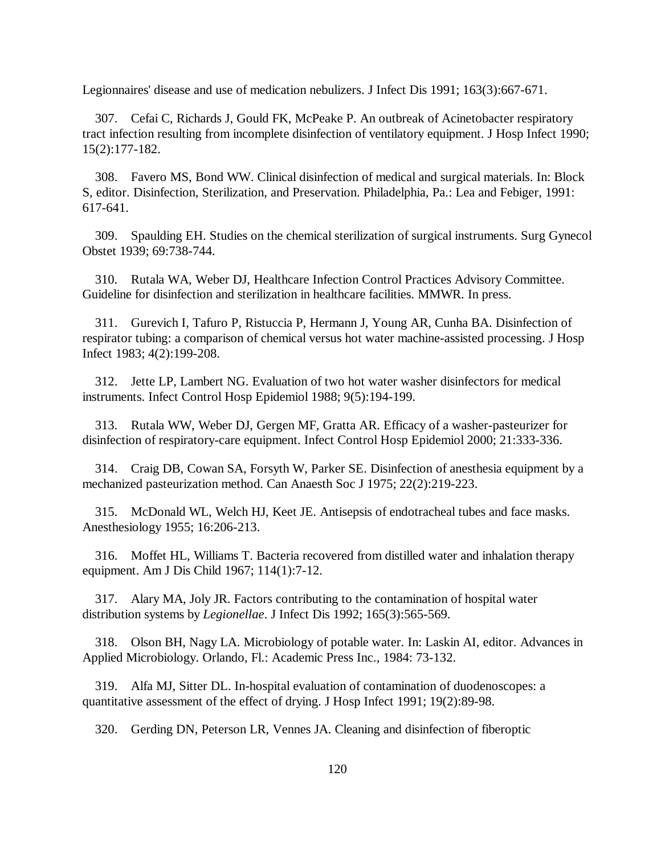Legionnaires' disease and use of medication nebulizers. J Infect Dis 1991; 163(3):667-671.

307. Cefai C, Richards J, Gould FK, McPeake P. An outbreak of Acinetobacter respiratory tract infection resulting from incomplete disinfection of ventilatory equipment. J Hosp Infect 1990; 15(2):177-182.

308. Favero MS, Bond WW. Clinical disinfection of medical and surgical materials. In: Block S, editor. Disinfection, Sterilization, and Preservation. Philadelphia, Pa.: Lea and Febiger, 1991: 617-641.

309. Spaulding EH. Studies on the chemical sterilization of surgical instruments. Surg Gynecol Obstet 1939; 69:738-744.

310. Rutala WA, Weber DJ, Healthcare Infection Control Practices Advisory Committee. Guideline for disinfection and sterilization in healthcare facilities. MMWR. In press.

311. Gurevich I, Tafuro P, Ristuccia P, Hermann J, Young AR, Cunha BA. Disinfection of respirator tubing: a comparison of chemical versus hot water machine-assisted processing. J Hosp Infect 1983; 4(2):199-208.

312. Jette LP, Lambert NG. Evaluation of two hot water washer disinfectors for medical instruments. Infect Control Hosp Epidemiol 1988; 9(5):194-199.

313. Rutala WW, Weber DJ, Gergen MF, Gratta AR. Efficacy of a washer-pasteurizer for disinfection of respiratory-care equipment. Infect Control Hosp Epidemiol 2000; 21:333-336.

314. Craig DB, Cowan SA, Forsyth W, Parker SE. Disinfection of anesthesia equipment by a mechanized pasteurization method. Can Anaesth Soc J 1975; 22(2):219-223.

315. McDonald WL, Welch HJ, Keet JE. Antisepsis of endotracheal tubes and face masks. Anesthesiology 1955; 16:206-213.

316. Moffet HL, Williams T. Bacteria recovered from distilled water and inhalation therapy equipment. Am J Dis Child 1967; 114(1):7-12.

317. Alary MA, Joly JR. Factors contributing to the contamination of hospital water distribution systems by *Legionellae*. J Infect Dis 1992; 165(3):565-569.

318. Olson BH, Nagy LA. Microbiology of potable water. In: Laskin AI, editor. Advances in Applied Microbiology. Orlando, Fl.: Academic Press Inc., 1984: 73-132.

319. Alfa MJ, Sitter DL. In-hospital evaluation of contamination of duodenoscopes: a quantitative assessment of the effect of drying. J Hosp Infect 1991; 19(2):89-98.

320. Gerding DN, Peterson LR, Vennes JA. Cleaning and disinfection of fiberoptic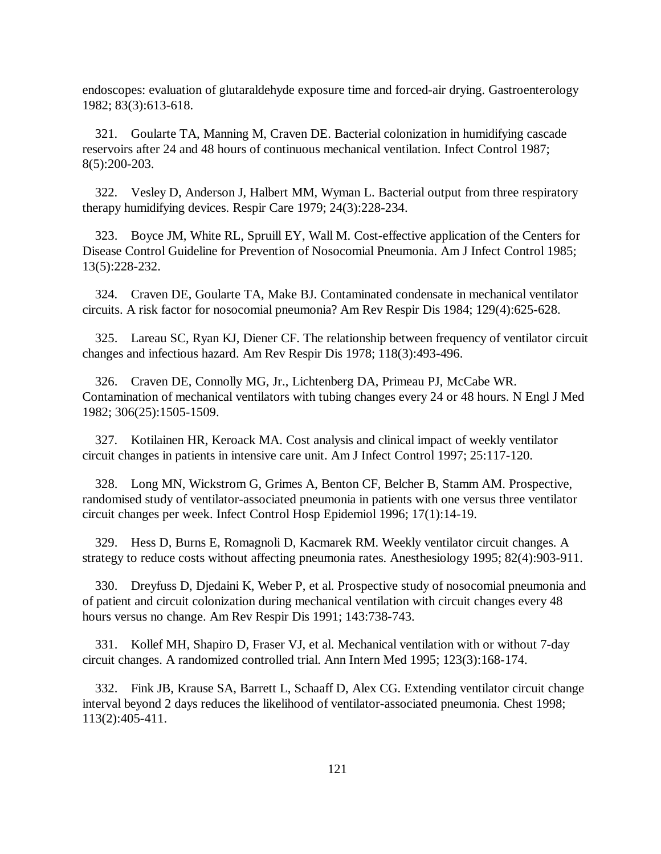endoscopes: evaluation of glutaraldehyde exposure time and forced-air drying. Gastroenterology 1982; 83(3):613-618.

321. Goularte TA, Manning M, Craven DE. Bacterial colonization in humidifying cascade reservoirs after 24 and 48 hours of continuous mechanical ventilation. Infect Control 1987; 8(5):200-203.

322. Vesley D, Anderson J, Halbert MM, Wyman L. Bacterial output from three respiratory therapy humidifying devices. Respir Care 1979; 24(3):228-234.

323. Boyce JM, White RL, Spruill EY, Wall M. Cost-effective application of the Centers for Disease Control Guideline for Prevention of Nosocomial Pneumonia. Am J Infect Control 1985; 13(5):228-232.

324. Craven DE, Goularte TA, Make BJ. Contaminated condensate in mechanical ventilator circuits. A risk factor for nosocomial pneumonia? Am Rev Respir Dis 1984; 129(4):625-628.

325. Lareau SC, Ryan KJ, Diener CF. The relationship between frequency of ventilator circuit changes and infectious hazard. Am Rev Respir Dis 1978; 118(3):493-496.

326. Craven DE, Connolly MG, Jr., Lichtenberg DA, Primeau PJ, McCabe WR. Contamination of mechanical ventilators with tubing changes every 24 or 48 hours. N Engl J Med 1982; 306(25):1505-1509.

327. Kotilainen HR, Keroack MA. Cost analysis and clinical impact of weekly ventilator circuit changes in patients in intensive care unit. Am J Infect Control 1997; 25:117-120.

328. Long MN, Wickstrom G, Grimes A, Benton CF, Belcher B, Stamm AM. Prospective, randomised study of ventilator-associated pneumonia in patients with one versus three ventilator circuit changes per week. Infect Control Hosp Epidemiol 1996; 17(1):14-19.

329. Hess D, Burns E, Romagnoli D, Kacmarek RM. Weekly ventilator circuit changes. A strategy to reduce costs without affecting pneumonia rates. Anesthesiology 1995; 82(4):903-911.

330. Dreyfuss D, Djedaini K, Weber P, et al. Prospective study of nosocomial pneumonia and of patient and circuit colonization during mechanical ventilation with circuit changes every 48 hours versus no change. Am Rev Respir Dis 1991; 143:738-743.

331. Kollef MH, Shapiro D, Fraser VJ, et al. Mechanical ventilation with or without 7-day circuit changes. A randomized controlled trial. Ann Intern Med 1995; 123(3):168-174.

332. Fink JB, Krause SA, Barrett L, Schaaff D, Alex CG. Extending ventilator circuit change interval beyond 2 days reduces the likelihood of ventilator-associated pneumonia. Chest 1998; 113(2):405-411.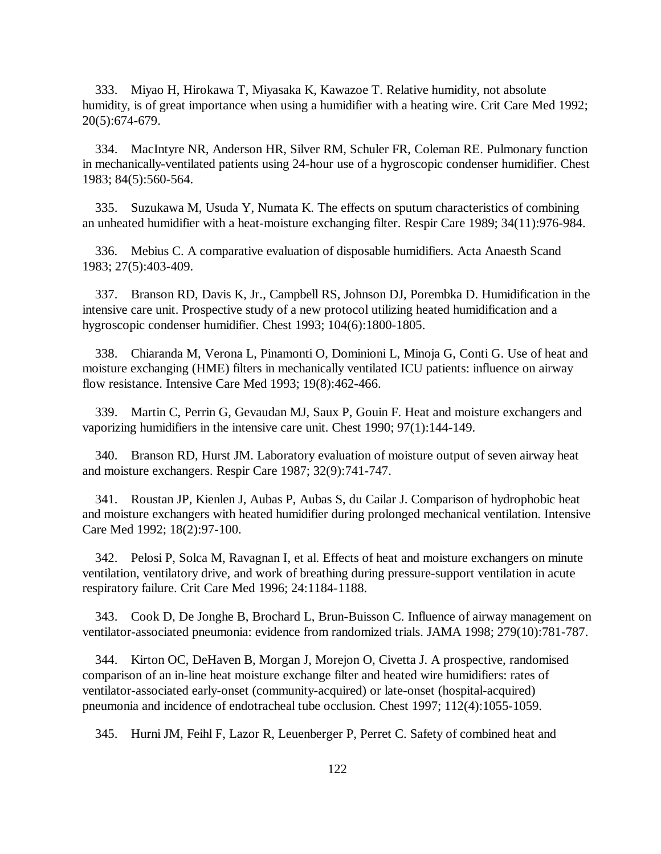333. Miyao H, Hirokawa T, Miyasaka K, Kawazoe T. Relative humidity, not absolute humidity, is of great importance when using a humidifier with a heating wire. Crit Care Med 1992; 20(5):674-679.

334. MacIntyre NR, Anderson HR, Silver RM, Schuler FR, Coleman RE. Pulmonary function in mechanically-ventilated patients using 24-hour use of a hygroscopic condenser humidifier. Chest 1983; 84(5):560-564.

335. Suzukawa M, Usuda Y, Numata K. The effects on sputum characteristics of combining an unheated humidifier with a heat-moisture exchanging filter. Respir Care 1989; 34(11):976-984.

336. Mebius C. A comparative evaluation of disposable humidifiers. Acta Anaesth Scand 1983; 27(5):403-409.

337. Branson RD, Davis K, Jr., Campbell RS, Johnson DJ, Porembka D. Humidification in the intensive care unit. Prospective study of a new protocol utilizing heated humidification and a hygroscopic condenser humidifier. Chest 1993; 104(6):1800-1805.

338. Chiaranda M, Verona L, Pinamonti O, Dominioni L, Minoja G, Conti G. Use of heat and moisture exchanging (HME) filters in mechanically ventilated ICU patients: influence on airway flow resistance. Intensive Care Med 1993; 19(8):462-466.

339. Martin C, Perrin G, Gevaudan MJ, Saux P, Gouin F. Heat and moisture exchangers and vaporizing humidifiers in the intensive care unit. Chest 1990; 97(1):144-149.

340. Branson RD, Hurst JM. Laboratory evaluation of moisture output of seven airway heat and moisture exchangers. Respir Care 1987; 32(9):741-747.

341. Roustan JP, Kienlen J, Aubas P, Aubas S, du Cailar J. Comparison of hydrophobic heat and moisture exchangers with heated humidifier during prolonged mechanical ventilation. Intensive Care Med 1992; 18(2):97-100.

342. Pelosi P, Solca M, Ravagnan I, et al. Effects of heat and moisture exchangers on minute ventilation, ventilatory drive, and work of breathing during pressure-support ventilation in acute respiratory failure. Crit Care Med 1996; 24:1184-1188.

343. Cook D, De Jonghe B, Brochard L, Brun-Buisson C. Influence of airway management on ventilator-associated pneumonia: evidence from randomized trials. JAMA 1998; 279(10):781-787.

344. Kirton OC, DeHaven B, Morgan J, Morejon O, Civetta J. A prospective, randomised comparison of an in-line heat moisture exchange filter and heated wire humidifiers: rates of ventilator-associated early-onset (community-acquired) or late-onset (hospital-acquired) pneumonia and incidence of endotracheal tube occlusion. Chest 1997; 112(4):1055-1059.

345. Hurni JM, Feihl F, Lazor R, Leuenberger P, Perret C. Safety of combined heat and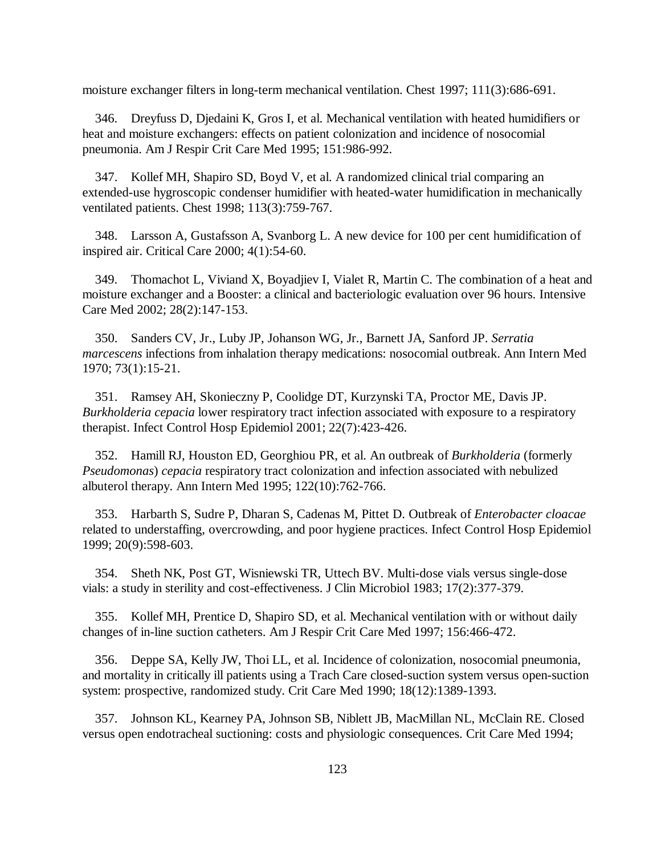moisture exchanger filters in long-term mechanical ventilation. Chest 1997; 111(3):686-691.

346. Dreyfuss D, Djedaini K, Gros I, et al. Mechanical ventilation with heated humidifiers or heat and moisture exchangers: effects on patient colonization and incidence of nosocomial pneumonia. Am J Respir Crit Care Med 1995; 151:986-992.

347. Kollef MH, Shapiro SD, Boyd V, et al. A randomized clinical trial comparing an extended-use hygroscopic condenser humidifier with heated-water humidification in mechanically ventilated patients. Chest 1998; 113(3):759-767.

348. Larsson A, Gustafsson A, Svanborg L. A new device for 100 per cent humidification of inspired air. Critical Care 2000; 4(1):54-60.

349. Thomachot L, Viviand X, Boyadjiev I, Vialet R, Martin C. The combination of a heat and moisture exchanger and a Booster: a clinical and bacteriologic evaluation over 96 hours. Intensive Care Med 2002; 28(2):147-153.

350. Sanders CV, Jr., Luby JP, Johanson WG, Jr., Barnett JA, Sanford JP. *Serratia marcescens* infections from inhalation therapy medications: nosocomial outbreak. Ann Intern Med 1970; 73(1):15-21.

351. Ramsey AH, Skonieczny P, Coolidge DT, Kurzynski TA, Proctor ME, Davis JP. *Burkholderia cepacia* lower respiratory tract infection associated with exposure to a respiratory therapist. Infect Control Hosp Epidemiol 2001; 22(7):423-426.

352. Hamill RJ, Houston ED, Georghiou PR, et al. An outbreak of *Burkholderia* (formerly *Pseudomonas*) *cepacia* respiratory tract colonization and infection associated with nebulized albuterol therapy. Ann Intern Med 1995; 122(10):762-766.

353. Harbarth S, Sudre P, Dharan S, Cadenas M, Pittet D. Outbreak of *Enterobacter cloacae* related to understaffing, overcrowding, and poor hygiene practices. Infect Control Hosp Epidemiol 1999; 20(9):598-603.

354. Sheth NK, Post GT, Wisniewski TR, Uttech BV. Multi-dose vials versus single-dose vials: a study in sterility and cost-effectiveness. J Clin Microbiol 1983; 17(2):377-379.

355. Kollef MH, Prentice D, Shapiro SD, et al. Mechanical ventilation with or without daily changes of in-line suction catheters. Am J Respir Crit Care Med 1997; 156:466-472.

356. Deppe SA, Kelly JW, Thoi LL, et al. Incidence of colonization, nosocomial pneumonia, and mortality in critically ill patients using a Trach Care closed-suction system versus open-suction system: prospective, randomized study. Crit Care Med 1990; 18(12):1389-1393.

357. Johnson KL, Kearney PA, Johnson SB, Niblett JB, MacMillan NL, McClain RE. Closed versus open endotracheal suctioning: costs and physiologic consequences. Crit Care Med 1994;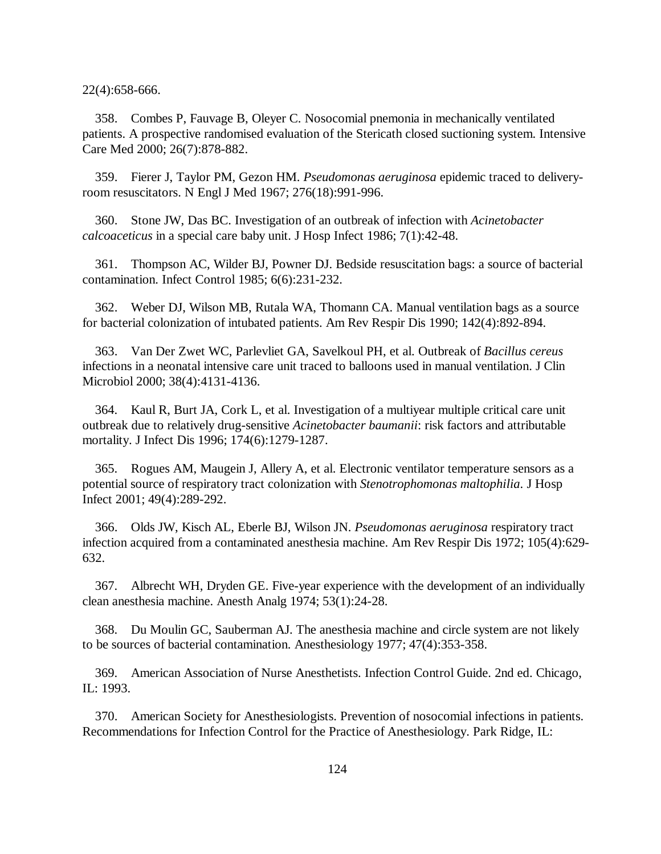22(4):658-666.

358. Combes P, Fauvage B, Oleyer C. Nosocomial pnemonia in mechanically ventilated patients. A prospective randomised evaluation of the Stericath closed suctioning system. Intensive Care Med 2000; 26(7):878-882.

359. Fierer J, Taylor PM, Gezon HM. *Pseudomonas aeruginosa* epidemic traced to deliveryroom resuscitators. N Engl J Med 1967; 276(18):991-996.

360. Stone JW, Das BC. Investigation of an outbreak of infection with *Acinetobacter calcoaceticus* in a special care baby unit. J Hosp Infect 1986; 7(1):42-48.

361. Thompson AC, Wilder BJ, Powner DJ. Bedside resuscitation bags: a source of bacterial contamination. Infect Control 1985; 6(6):231-232.

362. Weber DJ, Wilson MB, Rutala WA, Thomann CA. Manual ventilation bags as a source for bacterial colonization of intubated patients. Am Rev Respir Dis 1990; 142(4):892-894.

363. Van Der Zwet WC, Parlevliet GA, Savelkoul PH, et al. Outbreak of *Bacillus cereus* infections in a neonatal intensive care unit traced to balloons used in manual ventilation. J Clin Microbiol 2000; 38(4):4131-4136.

364. Kaul R, Burt JA, Cork L, et al. Investigation of a multiyear multiple critical care unit outbreak due to relatively drug-sensitive *Acinetobacter baumanii*: risk factors and attributable mortality. J Infect Dis 1996; 174(6):1279-1287.

365. Rogues AM, Maugein J, Allery A, et al. Electronic ventilator temperature sensors as a potential source of respiratory tract colonization with *Stenotrophomonas maltophilia*. J Hosp Infect 2001; 49(4):289-292.

366. Olds JW, Kisch AL, Eberle BJ, Wilson JN. *Pseudomonas aeruginosa* respiratory tract infection acquired from a contaminated anesthesia machine. Am Rev Respir Dis 1972; 105(4):629- 632.

367. Albrecht WH, Dryden GE. Five-year experience with the development of an individually clean anesthesia machine. Anesth Analg 1974; 53(1):24-28.

368. Du Moulin GC, Sauberman AJ. The anesthesia machine and circle system are not likely to be sources of bacterial contamination. Anesthesiology 1977; 47(4):353-358.

369. American Association of Nurse Anesthetists. Infection Control Guide. 2nd ed. Chicago, IL: 1993.

370. American Society for Anesthesiologists. Prevention of nosocomial infections in patients. Recommendations for Infection Control for the Practice of Anesthesiology. Park Ridge, IL: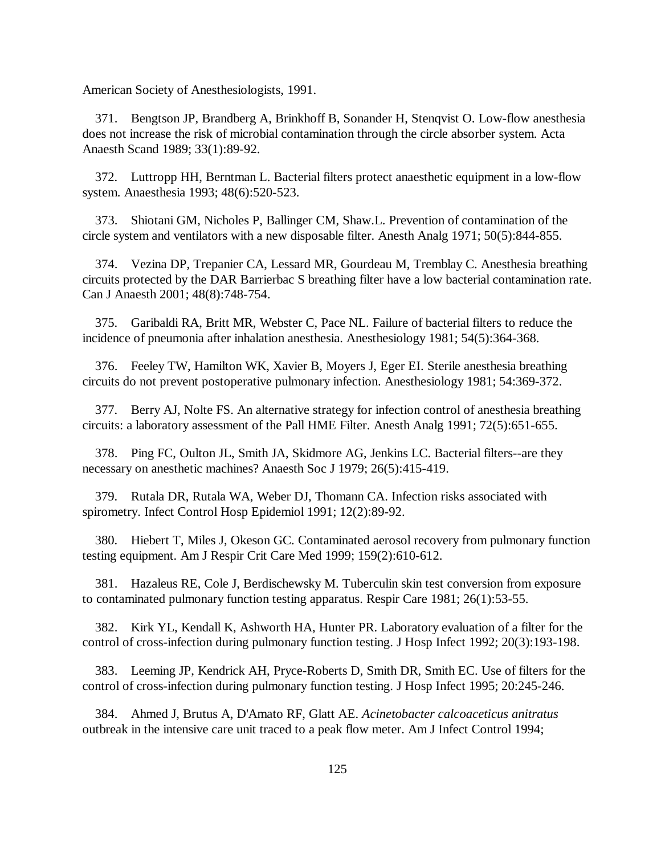American Society of Anesthesiologists, 1991.

371. Bengtson JP, Brandberg A, Brinkhoff B, Sonander H, Stenqvist O. Low-flow anesthesia does not increase the risk of microbial contamination through the circle absorber system. Acta Anaesth Scand 1989; 33(1):89-92.

372. Luttropp HH, Berntman L. Bacterial filters protect anaesthetic equipment in a low-flow system. Anaesthesia 1993; 48(6):520-523.

373. Shiotani GM, Nicholes P, Ballinger CM, Shaw.L. Prevention of contamination of the circle system and ventilators with a new disposable filter. Anesth Analg 1971; 50(5):844-855.

374. Vezina DP, Trepanier CA, Lessard MR, Gourdeau M, Tremblay C. Anesthesia breathing circuits protected by the DAR Barrierbac S breathing filter have a low bacterial contamination rate. Can J Anaesth 2001; 48(8):748-754.

375. Garibaldi RA, Britt MR, Webster C, Pace NL. Failure of bacterial filters to reduce the incidence of pneumonia after inhalation anesthesia. Anesthesiology 1981; 54(5):364-368.

376. Feeley TW, Hamilton WK, Xavier B, Moyers J, Eger EI. Sterile anesthesia breathing circuits do not prevent postoperative pulmonary infection. Anesthesiology 1981; 54:369-372.

377. Berry AJ, Nolte FS. An alternative strategy for infection control of anesthesia breathing circuits: a laboratory assessment of the Pall HME Filter. Anesth Analg 1991; 72(5):651-655.

378. Ping FC, Oulton JL, Smith JA, Skidmore AG, Jenkins LC. Bacterial filters--are they necessary on anesthetic machines? Anaesth Soc J 1979; 26(5):415-419.

379. Rutala DR, Rutala WA, Weber DJ, Thomann CA. Infection risks associated with spirometry. Infect Control Hosp Epidemiol 1991; 12(2):89-92.

380. Hiebert T, Miles J, Okeson GC. Contaminated aerosol recovery from pulmonary function testing equipment. Am J Respir Crit Care Med 1999; 159(2):610-612.

381. Hazaleus RE, Cole J, Berdischewsky M. Tuberculin skin test conversion from exposure to contaminated pulmonary function testing apparatus. Respir Care 1981; 26(1):53-55.

382. Kirk YL, Kendall K, Ashworth HA, Hunter PR. Laboratory evaluation of a filter for the control of cross-infection during pulmonary function testing. J Hosp Infect 1992; 20(3):193-198.

383. Leeming JP, Kendrick AH, Pryce-Roberts D, Smith DR, Smith EC. Use of filters for the control of cross-infection during pulmonary function testing. J Hosp Infect 1995; 20:245-246.

384. Ahmed J, Brutus A, D'Amato RF, Glatt AE. *Acinetobacter calcoaceticus anitratus* outbreak in the intensive care unit traced to a peak flow meter. Am J Infect Control 1994;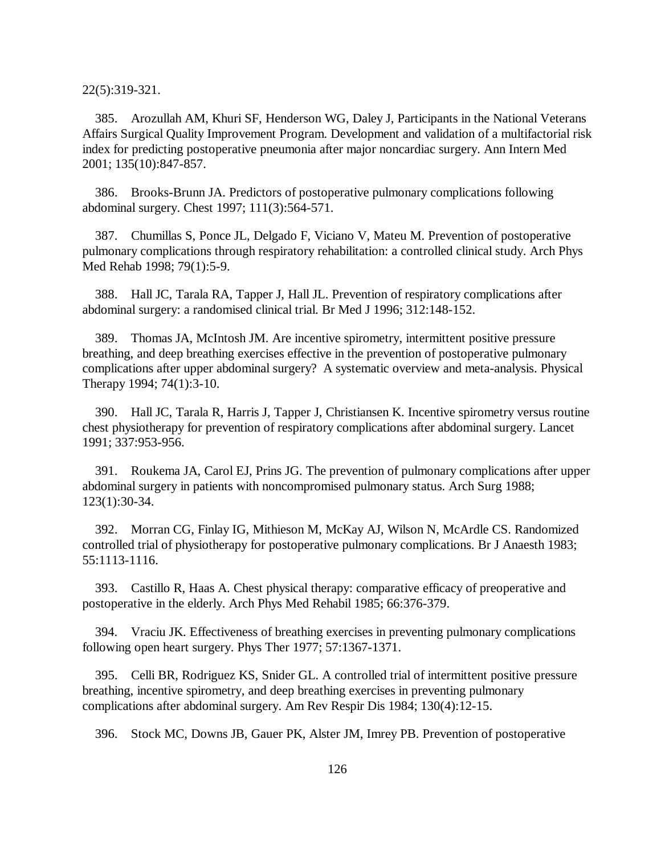22(5):319-321.

385. Arozullah AM, Khuri SF, Henderson WG, Daley J, Participants in the National Veterans Affairs Surgical Quality Improvement Program. Development and validation of a multifactorial risk index for predicting postoperative pneumonia after major noncardiac surgery. Ann Intern Med 2001; 135(10):847-857.

386. Brooks-Brunn JA. Predictors of postoperative pulmonary complications following abdominal surgery. Chest 1997; 111(3):564-571.

387. Chumillas S, Ponce JL, Delgado F, Viciano V, Mateu M. Prevention of postoperative pulmonary complications through respiratory rehabilitation: a controlled clinical study. Arch Phys Med Rehab 1998; 79(1):5-9.

388. Hall JC, Tarala RA, Tapper J, Hall JL. Prevention of respiratory complications after abdominal surgery: a randomised clinical trial. Br Med J 1996; 312:148-152.

389. Thomas JA, McIntosh JM. Are incentive spirometry, intermittent positive pressure breathing, and deep breathing exercises effective in the prevention of postoperative pulmonary complications after upper abdominal surgery? A systematic overview and meta-analysis. Physical Therapy 1994; 74(1):3-10.

390. Hall JC, Tarala R, Harris J, Tapper J, Christiansen K. Incentive spirometry versus routine chest physiotherapy for prevention of respiratory complications after abdominal surgery. Lancet 1991; 337:953-956.

391. Roukema JA, Carol EJ, Prins JG. The prevention of pulmonary complications after upper abdominal surgery in patients with noncompromised pulmonary status. Arch Surg 1988; 123(1):30-34.

392. Morran CG, Finlay IG, Mithieson M, McKay AJ, Wilson N, McArdle CS. Randomized controlled trial of physiotherapy for postoperative pulmonary complications. Br J Anaesth 1983; 55:1113-1116.

393. Castillo R, Haas A. Chest physical therapy: comparative efficacy of preoperative and postoperative in the elderly. Arch Phys Med Rehabil 1985; 66:376-379.

394. Vraciu JK. Effectiveness of breathing exercises in preventing pulmonary complications following open heart surgery. Phys Ther 1977; 57:1367-1371.

395. Celli BR, Rodriguez KS, Snider GL. A controlled trial of intermittent positive pressure breathing, incentive spirometry, and deep breathing exercises in preventing pulmonary complications after abdominal surgery. Am Rev Respir Dis 1984; 130(4):12-15.

396. Stock MC, Downs JB, Gauer PK, Alster JM, Imrey PB. Prevention of postoperative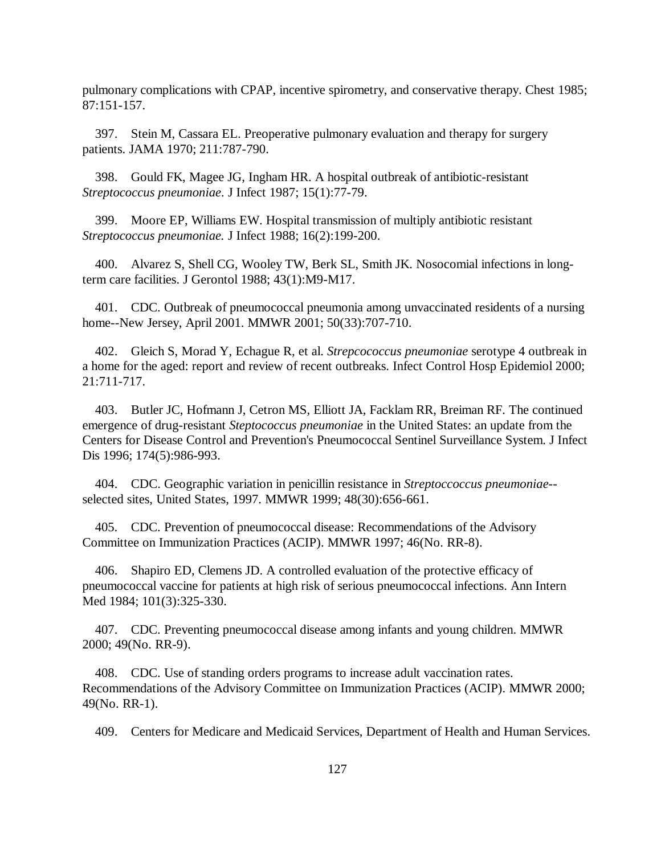pulmonary complications with CPAP, incentive spirometry, and conservative therapy. Chest 1985; 87:151-157.

397. Stein M, Cassara EL. Preoperative pulmonary evaluation and therapy for surgery patients. JAMA 1970; 211:787-790.

398. Gould FK, Magee JG, Ingham HR. A hospital outbreak of antibiotic-resistant *Streptococcus pneumoniae*. J Infect 1987; 15(1):77-79.

399. Moore EP, Williams EW. Hospital transmission of multiply antibiotic resistant *Streptococcus pneumoniae.* J Infect 1988; 16(2):199-200.

400. Alvarez S, Shell CG, Wooley TW, Berk SL, Smith JK. Nosocomial infections in longterm care facilities. J Gerontol 1988; 43(1):M9-M17.

401. CDC. Outbreak of pneumococcal pneumonia among unvaccinated residents of a nursing home--New Jersey, April 2001. MMWR 2001; 50(33):707-710.

402. Gleich S, Morad Y, Echague R, et al. *Strepcococcus pneumoniae* serotype 4 outbreak in a home for the aged: report and review of recent outbreaks. Infect Control Hosp Epidemiol 2000; 21:711-717.

403. Butler JC, Hofmann J, Cetron MS, Elliott JA, Facklam RR, Breiman RF. The continued emergence of drug-resistant *Steptococcus pneumoniae* in the United States: an update from the Centers for Disease Control and Prevention's Pneumococcal Sentinel Surveillance System. J Infect Dis 1996; 174(5):986-993.

404. CDC. Geographic variation in penicillin resistance in *Streptoccoccus pneumoniae*- selected sites, United States, 1997. MMWR 1999; 48(30):656-661.

405. CDC. Prevention of pneumococcal disease: Recommendations of the Advisory Committee on Immunization Practices (ACIP). MMWR 1997; 46(No. RR-8).

406. Shapiro ED, Clemens JD. A controlled evaluation of the protective efficacy of pneumococcal vaccine for patients at high risk of serious pneumococcal infections. Ann Intern Med 1984; 101(3):325-330.

407. CDC. Preventing pneumococcal disease among infants and young children. MMWR 2000; 49(No. RR-9).

408. CDC. Use of standing orders programs to increase adult vaccination rates. Recommendations of the Advisory Committee on Immunization Practices (ACIP). MMWR 2000; 49(No. RR-1).

409. Centers for Medicare and Medicaid Services, Department of Health and Human Services.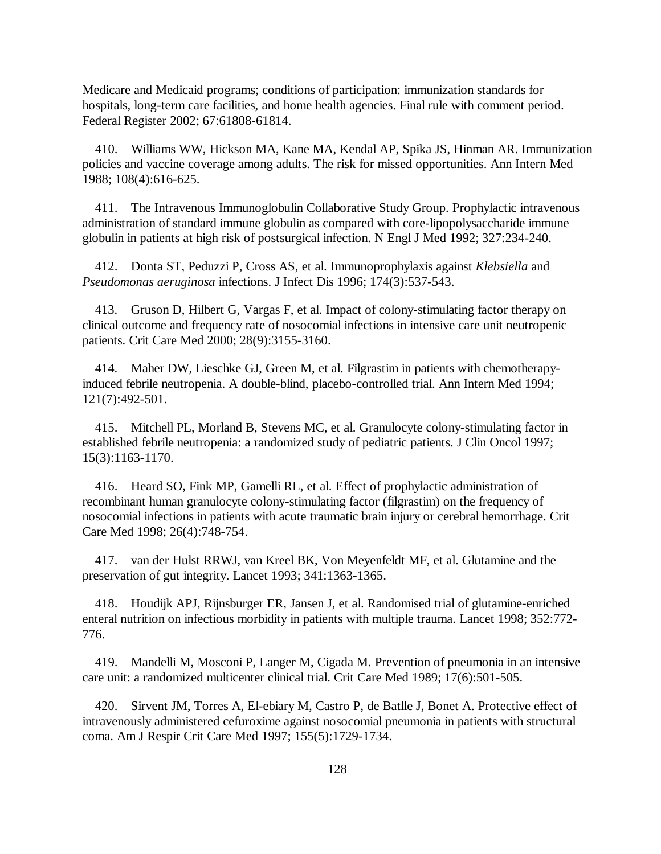Medicare and Medicaid programs; conditions of participation: immunization standards for hospitals, long-term care facilities, and home health agencies. Final rule with comment period. Federal Register 2002; 67:61808-61814.

410. Williams WW, Hickson MA, Kane MA, Kendal AP, Spika JS, Hinman AR. Immunization policies and vaccine coverage among adults. The risk for missed opportunities. Ann Intern Med 1988; 108(4):616-625.

411. The Intravenous Immunoglobulin Collaborative Study Group. Prophylactic intravenous administration of standard immune globulin as compared with core-lipopolysaccharide immune globulin in patients at high risk of postsurgical infection. N Engl J Med 1992; 327:234-240.

412. Donta ST, Peduzzi P, Cross AS, et al. Immunoprophylaxis against *Klebsiella* and *Pseudomonas aeruginosa* infections. J Infect Dis 1996; 174(3):537-543.

413. Gruson D, Hilbert G, Vargas F, et al. Impact of colony-stimulating factor therapy on clinical outcome and frequency rate of nosocomial infections in intensive care unit neutropenic patients. Crit Care Med 2000; 28(9):3155-3160.

414. Maher DW, Lieschke GJ, Green M, et al. Filgrastim in patients with chemotherapyinduced febrile neutropenia. A double-blind, placebo-controlled trial. Ann Intern Med 1994; 121(7):492-501.

415. Mitchell PL, Morland B, Stevens MC, et al. Granulocyte colony-stimulating factor in established febrile neutropenia: a randomized study of pediatric patients. J Clin Oncol 1997; 15(3):1163-1170.

416. Heard SO, Fink MP, Gamelli RL, et al. Effect of prophylactic administration of recombinant human granulocyte colony-stimulating factor (filgrastim) on the frequency of nosocomial infections in patients with acute traumatic brain injury or cerebral hemorrhage. Crit Care Med 1998; 26(4):748-754.

417. van der Hulst RRWJ, van Kreel BK, Von Meyenfeldt MF, et al. Glutamine and the preservation of gut integrity. Lancet 1993; 341:1363-1365.

418. Houdijk APJ, Rijnsburger ER, Jansen J, et al. Randomised trial of glutamine-enriched enteral nutrition on infectious morbidity in patients with multiple trauma. Lancet 1998; 352:772- 776.

419. Mandelli M, Mosconi P, Langer M, Cigada M. Prevention of pneumonia in an intensive care unit: a randomized multicenter clinical trial. Crit Care Med 1989; 17(6):501-505.

420. Sirvent JM, Torres A, El-ebiary M, Castro P, de Batlle J, Bonet A. Protective effect of intravenously administered cefuroxime against nosocomial pneumonia in patients with structural coma. Am J Respir Crit Care Med 1997; 155(5):1729-1734.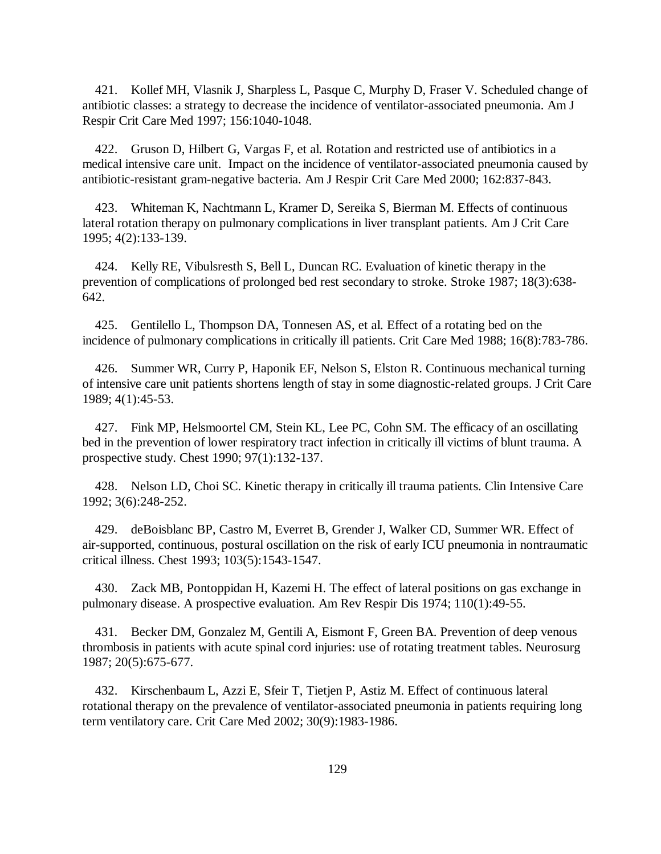421. Kollef MH, Vlasnik J, Sharpless L, Pasque C, Murphy D, Fraser V. Scheduled change of antibiotic classes: a strategy to decrease the incidence of ventilator-associated pneumonia. Am J Respir Crit Care Med 1997; 156:1040-1048.

422. Gruson D, Hilbert G, Vargas F, et al. Rotation and restricted use of antibiotics in a medical intensive care unit. Impact on the incidence of ventilator-associated pneumonia caused by antibiotic-resistant gram-negative bacteria. Am J Respir Crit Care Med 2000; 162:837-843.

423. Whiteman K, Nachtmann L, Kramer D, Sereika S, Bierman M. Effects of continuous lateral rotation therapy on pulmonary complications in liver transplant patients. Am J Crit Care 1995; 4(2):133-139.

424. Kelly RE, Vibulsresth S, Bell L, Duncan RC. Evaluation of kinetic therapy in the prevention of complications of prolonged bed rest secondary to stroke. Stroke 1987; 18(3):638- 642.

425. Gentilello L, Thompson DA, Tonnesen AS, et al. Effect of a rotating bed on the incidence of pulmonary complications in critically ill patients. Crit Care Med 1988; 16(8):783-786.

426. Summer WR, Curry P, Haponik EF, Nelson S, Elston R. Continuous mechanical turning of intensive care unit patients shortens length of stay in some diagnostic-related groups. J Crit Care 1989; 4(1):45-53.

427. Fink MP, Helsmoortel CM, Stein KL, Lee PC, Cohn SM. The efficacy of an oscillating bed in the prevention of lower respiratory tract infection in critically ill victims of blunt trauma. A prospective study. Chest 1990; 97(1):132-137.

428. Nelson LD, Choi SC. Kinetic therapy in critically ill trauma patients. Clin Intensive Care 1992; 3(6):248-252.

429. deBoisblanc BP, Castro M, Everret B, Grender J, Walker CD, Summer WR. Effect of air-supported, continuous, postural oscillation on the risk of early ICU pneumonia in nontraumatic critical illness. Chest 1993; 103(5):1543-1547.

Zack MB, Pontoppidan H, Kazemi H. The effect of lateral positions on gas exchange in pulmonary disease. A prospective evaluation. Am Rev Respir Dis 1974; 110(1):49-55.

431. Becker DM, Gonzalez M, Gentili A, Eismont F, Green BA. Prevention of deep venous thrombosis in patients with acute spinal cord injuries: use of rotating treatment tables. Neurosurg 1987; 20(5):675-677.

432. Kirschenbaum L, Azzi E, Sfeir T, Tietjen P, Astiz M. Effect of continuous lateral rotational therapy on the prevalence of ventilator-associated pneumonia in patients requiring long term ventilatory care. Crit Care Med 2002; 30(9):1983-1986.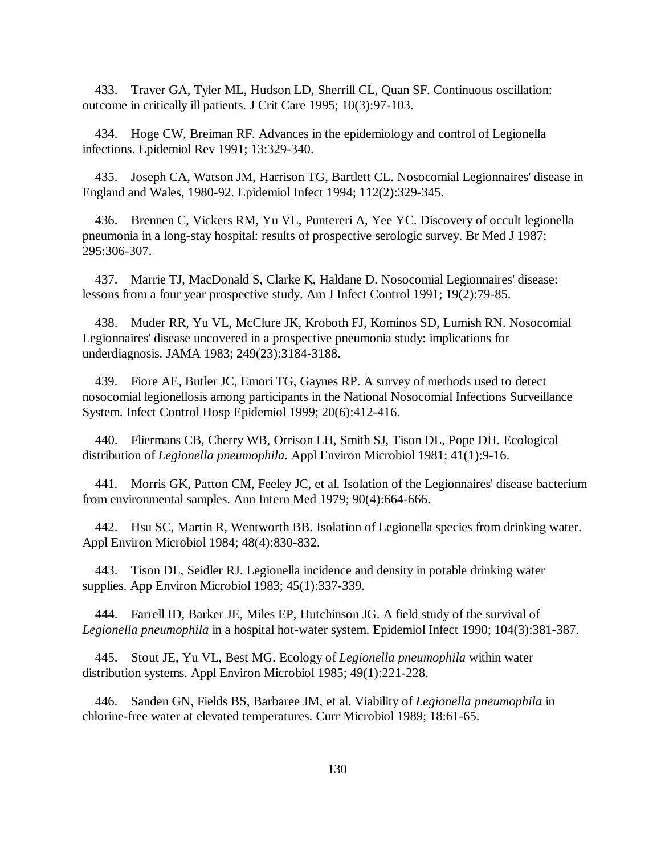433. Traver GA, Tyler ML, Hudson LD, Sherrill CL, Quan SF. Continuous oscillation: outcome in critically ill patients. J Crit Care 1995; 10(3):97-103.

434. Hoge CW, Breiman RF. Advances in the epidemiology and control of Legionella infections. Epidemiol Rev 1991; 13:329-340.

435. Joseph CA, Watson JM, Harrison TG, Bartlett CL. Nosocomial Legionnaires' disease in England and Wales, 1980-92. Epidemiol Infect 1994; 112(2):329-345.

436. Brennen C, Vickers RM, Yu VL, Puntereri A, Yee YC. Discovery of occult legionella pneumonia in a long-stay hospital: results of prospective serologic survey. Br Med J 1987; 295:306-307.

437. Marrie TJ, MacDonald S, Clarke K, Haldane D. Nosocomial Legionnaires' disease: lessons from a four year prospective study. Am J Infect Control 1991; 19(2):79-85.

438. Muder RR, Yu VL, McClure JK, Kroboth FJ, Kominos SD, Lumish RN. Nosocomial Legionnaires' disease uncovered in a prospective pneumonia study: implications for underdiagnosis. JAMA 1983; 249(23):3184-3188.

439. Fiore AE, Butler JC, Emori TG, Gaynes RP. A survey of methods used to detect nosocomial legionellosis among participants in the National Nosocomial Infections Surveillance System. Infect Control Hosp Epidemiol 1999; 20(6):412-416.

440. Fliermans CB, Cherry WB, Orrison LH, Smith SJ, Tison DL, Pope DH. Ecological distribution of *Legionella pneumophila.* Appl Environ Microbiol 1981; 41(1):9-16.

441. Morris GK, Patton CM, Feeley JC, et al. Isolation of the Legionnaires' disease bacterium from environmental samples. Ann Intern Med 1979; 90(4):664-666.

442. Hsu SC, Martin R, Wentworth BB. Isolation of Legionella species from drinking water. Appl Environ Microbiol 1984; 48(4):830-832.

443. Tison DL, Seidler RJ. Legionella incidence and density in potable drinking water supplies. App Environ Microbiol 1983; 45(1):337-339.

444. Farrell ID, Barker JE, Miles EP, Hutchinson JG. A field study of the survival of *Legionella pneumophila* in a hospital hot-water system. Epidemiol Infect 1990; 104(3):381-387.

445. Stout JE, Yu VL, Best MG. Ecology of *Legionella pneumophila* within water distribution systems. Appl Environ Microbiol 1985; 49(1):221-228.

446. Sanden GN, Fields BS, Barbaree JM, et al. Viability of *Legionella pneumophila* in chlorine-free water at elevated temperatures. Curr Microbiol 1989; 18:61-65.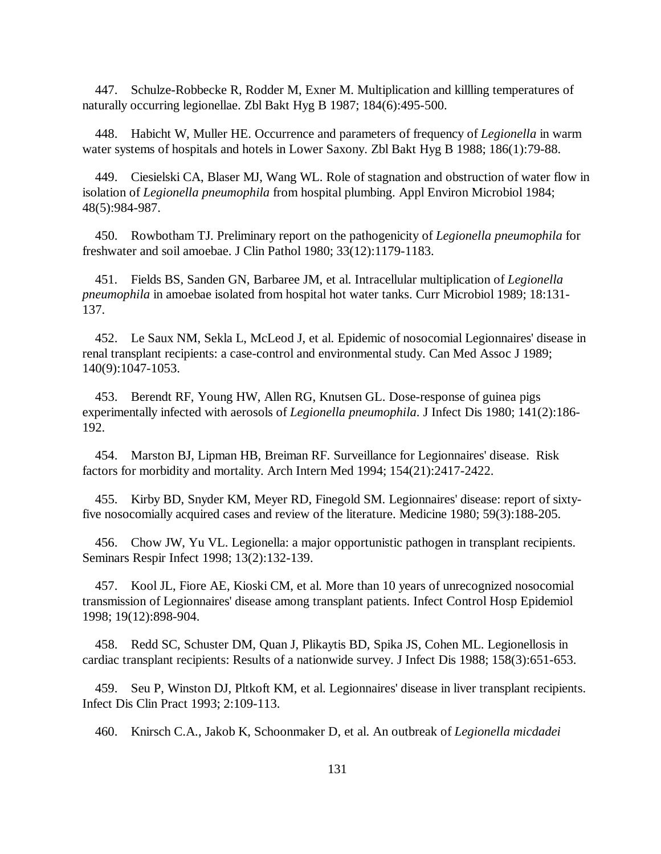447. Schulze-Robbecke R, Rodder M, Exner M. Multiplication and killling temperatures of naturally occurring legionellae. Zbl Bakt Hyg B 1987; 184(6):495-500.

448. Habicht W, Muller HE. Occurrence and parameters of frequency of *Legionella* in warm water systems of hospitals and hotels in Lower Saxony. Zbl Bakt Hyg B 1988; 186(1):79-88.

449. Ciesielski CA, Blaser MJ, Wang WL. Role of stagnation and obstruction of water flow in isolation of *Legionella pneumophila* from hospital plumbing. Appl Environ Microbiol 1984; 48(5):984-987.

450. Rowbotham TJ. Preliminary report on the pathogenicity of *Legionella pneumophila* for freshwater and soil amoebae. J Clin Pathol 1980; 33(12):1179-1183.

451. Fields BS, Sanden GN, Barbaree JM, et al. Intracellular multiplication of *Legionella pneumophila* in amoebae isolated from hospital hot water tanks. Curr Microbiol 1989; 18:131- 137.

452. Le Saux NM, Sekla L, McLeod J, et al. Epidemic of nosocomial Legionnaires' disease in renal transplant recipients: a case-control and environmental study. Can Med Assoc J 1989; 140(9):1047-1053.

453. Berendt RF, Young HW, Allen RG, Knutsen GL. Dose-response of guinea pigs experimentally infected with aerosols of *Legionella pneumophila*. J Infect Dis 1980; 141(2):186- 192.

454. Marston BJ, Lipman HB, Breiman RF. Surveillance for Legionnaires' disease. Risk factors for morbidity and mortality. Arch Intern Med 1994; 154(21):2417-2422.

455. Kirby BD, Snyder KM, Meyer RD, Finegold SM. Legionnaires' disease: report of sixtyfive nosocomially acquired cases and review of the literature. Medicine 1980; 59(3):188-205.

456. Chow JW, Yu VL. Legionella: a major opportunistic pathogen in transplant recipients. Seminars Respir Infect 1998; 13(2):132-139.

457. Kool JL, Fiore AE, Kioski CM, et al. More than 10 years of unrecognized nosocomial transmission of Legionnaires' disease among transplant patients. Infect Control Hosp Epidemiol 1998; 19(12):898-904.

458. Redd SC, Schuster DM, Quan J, Plikaytis BD, Spika JS, Cohen ML. Legionellosis in cardiac transplant recipients: Results of a nationwide survey. J Infect Dis 1988; 158(3):651-653.

459. Seu P, Winston DJ, Pltkoft KM, et al. Legionnaires' disease in liver transplant recipients. Infect Dis Clin Pract 1993; 2:109-113.

460. Knirsch C.A., Jakob K, Schoonmaker D, et al. An outbreak of *Legionella micdadei*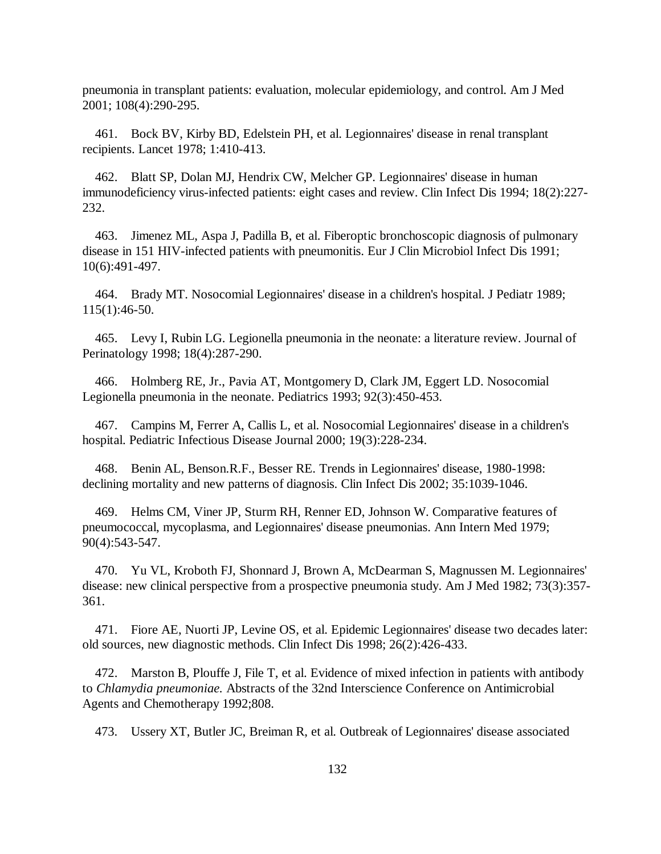pneumonia in transplant patients: evaluation, molecular epidemiology, and control. Am J Med 2001; 108(4):290-295.

461. Bock BV, Kirby BD, Edelstein PH, et al. Legionnaires' disease in renal transplant recipients. Lancet 1978; 1:410-413.

462. Blatt SP, Dolan MJ, Hendrix CW, Melcher GP. Legionnaires' disease in human immunodeficiency virus-infected patients: eight cases and review. Clin Infect Dis 1994; 18(2):227- 232.

463. Jimenez ML, Aspa J, Padilla B, et al. Fiberoptic bronchoscopic diagnosis of pulmonary disease in 151 HIV-infected patients with pneumonitis. Eur J Clin Microbiol Infect Dis 1991; 10(6):491-497.

464. Brady MT. Nosocomial Legionnaires' disease in a children's hospital. J Pediatr 1989; 115(1):46-50.

465. Levy I, Rubin LG. Legionella pneumonia in the neonate: a literature review. Journal of Perinatology 1998; 18(4):287-290.

466. Holmberg RE, Jr., Pavia AT, Montgomery D, Clark JM, Eggert LD. Nosocomial Legionella pneumonia in the neonate. Pediatrics 1993; 92(3):450-453.

467. Campins M, Ferrer A, Callis L, et al. Nosocomial Legionnaires' disease in a children's hospital. Pediatric Infectious Disease Journal 2000; 19(3):228-234.

468. Benin AL, Benson.R.F., Besser RE. Trends in Legionnaires' disease, 1980-1998: declining mortality and new patterns of diagnosis. Clin Infect Dis 2002; 35:1039-1046.

469. Helms CM, Viner JP, Sturm RH, Renner ED, Johnson W. Comparative features of pneumococcal, mycoplasma, and Legionnaires' disease pneumonias. Ann Intern Med 1979; 90(4):543-547.

470. Yu VL, Kroboth FJ, Shonnard J, Brown A, McDearman S, Magnussen M. Legionnaires' disease: new clinical perspective from a prospective pneumonia study. Am J Med 1982; 73(3):357- 361.

471. Fiore AE, Nuorti JP, Levine OS, et al. Epidemic Legionnaires' disease two decades later: old sources, new diagnostic methods. Clin Infect Dis 1998; 26(2):426-433.

472. Marston B, Plouffe J, File T, et al. Evidence of mixed infection in patients with antibody to *Chlamydia pneumoniae.* Abstracts of the 32nd Interscience Conference on Antimicrobial Agents and Chemotherapy 1992;808.

473. Ussery XT, Butler JC, Breiman R, et al. Outbreak of Legionnaires' disease associated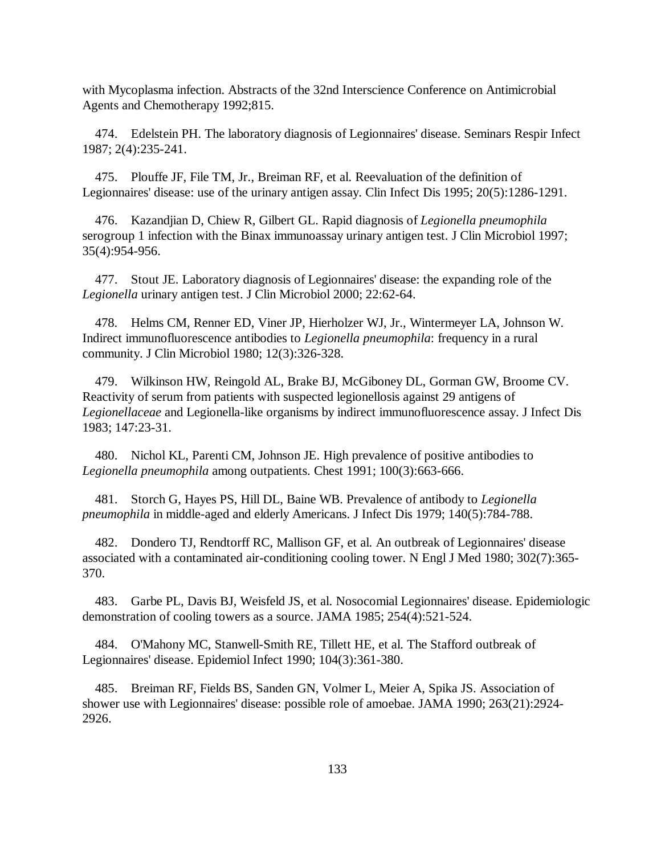with Mycoplasma infection. Abstracts of the 32nd Interscience Conference on Antimicrobial Agents and Chemotherapy 1992;815.

474. Edelstein PH. The laboratory diagnosis of Legionnaires' disease. Seminars Respir Infect 1987; 2(4):235-241.

475. Plouffe JF, File TM, Jr., Breiman RF, et al. Reevaluation of the definition of Legionnaires' disease: use of the urinary antigen assay. Clin Infect Dis 1995; 20(5):1286-1291.

476. Kazandjian D, Chiew R, Gilbert GL. Rapid diagnosis of *Legionella pneumophila* serogroup 1 infection with the Binax immunoassay urinary antigen test. J Clin Microbiol 1997; 35(4):954-956.

477. Stout JE. Laboratory diagnosis of Legionnaires' disease: the expanding role of the *Legionella* urinary antigen test. J Clin Microbiol 2000; 22:62-64.

478. Helms CM, Renner ED, Viner JP, Hierholzer WJ, Jr., Wintermeyer LA, Johnson W. Indirect immunofluorescence antibodies to *Legionella pneumophila*: frequency in a rural community. J Clin Microbiol 1980; 12(3):326-328.

479. Wilkinson HW, Reingold AL, Brake BJ, McGiboney DL, Gorman GW, Broome CV. Reactivity of serum from patients with suspected legionellosis against 29 antigens of *Legionellaceae* and Legionella-like organisms by indirect immunofluorescence assay. J Infect Dis 1983; 147:23-31.

480. Nichol KL, Parenti CM, Johnson JE. High prevalence of positive antibodies to *Legionella pneumophila* among outpatients. Chest 1991; 100(3):663-666.

481. Storch G, Hayes PS, Hill DL, Baine WB. Prevalence of antibody to *Legionella pneumophila* in middle-aged and elderly Americans. J Infect Dis 1979; 140(5):784-788.

482. Dondero TJ, Rendtorff RC, Mallison GF, et al. An outbreak of Legionnaires' disease associated with a contaminated air-conditioning cooling tower. N Engl J Med 1980; 302(7):365- 370.

483. Garbe PL, Davis BJ, Weisfeld JS, et al. Nosocomial Legionnaires' disease. Epidemiologic demonstration of cooling towers as a source. JAMA 1985; 254(4):521-524.

484. O'Mahony MC, Stanwell-Smith RE, Tillett HE, et al. The Stafford outbreak of Legionnaires' disease. Epidemiol Infect 1990; 104(3):361-380.

485. Breiman RF, Fields BS, Sanden GN, Volmer L, Meier A, Spika JS. Association of shower use with Legionnaires' disease: possible role of amoebae. JAMA 1990; 263(21):2924- 2926.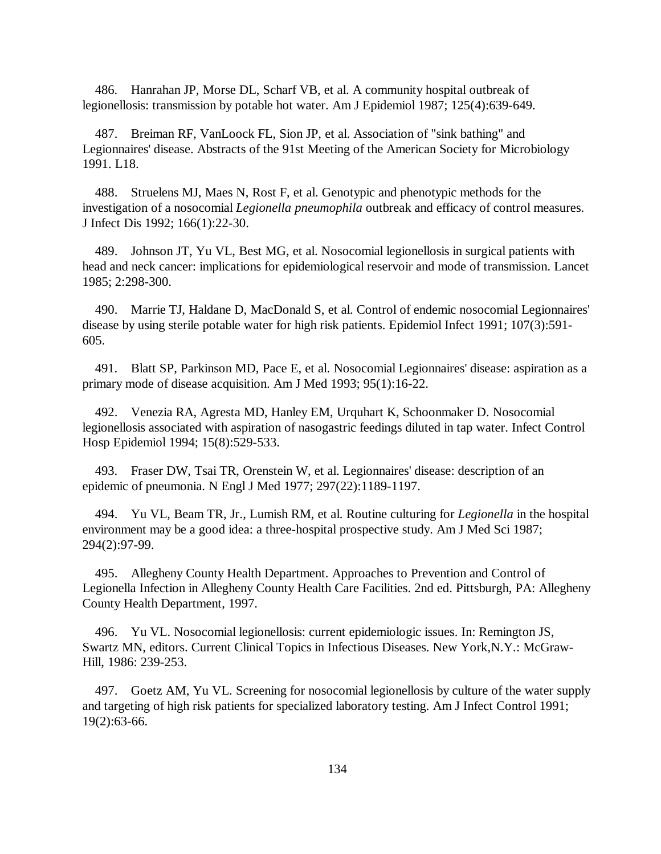486. Hanrahan JP, Morse DL, Scharf VB, et al. A community hospital outbreak of legionellosis: transmission by potable hot water. Am J Epidemiol 1987; 125(4):639-649.

487. Breiman RF, VanLoock FL, Sion JP, et al. Association of "sink bathing" and Legionnaires' disease. Abstracts of the 91st Meeting of the American Society for Microbiology 1991. L18.

488. Struelens MJ, Maes N, Rost F, et al. Genotypic and phenotypic methods for the investigation of a nosocomial *Legionella pneumophila* outbreak and efficacy of control measures. J Infect Dis 1992; 166(1):22-30.

489. Johnson JT, Yu VL, Best MG, et al. Nosocomial legionellosis in surgical patients with head and neck cancer: implications for epidemiological reservoir and mode of transmission. Lancet 1985; 2:298-300.

490. Marrie TJ, Haldane D, MacDonald S, et al. Control of endemic nosocomial Legionnaires' disease by using sterile potable water for high risk patients. Epidemiol Infect 1991; 107(3):591- 605.

491. Blatt SP, Parkinson MD, Pace E, et al. Nosocomial Legionnaires' disease: aspiration as a primary mode of disease acquisition. Am J Med 1993; 95(1):16-22.

492. Venezia RA, Agresta MD, Hanley EM, Urquhart K, Schoonmaker D. Nosocomial legionellosis associated with aspiration of nasogastric feedings diluted in tap water. Infect Control Hosp Epidemiol 1994; 15(8):529-533.

493. Fraser DW, Tsai TR, Orenstein W, et al. Legionnaires' disease: description of an epidemic of pneumonia. N Engl J Med 1977; 297(22):1189-1197.

494. Yu VL, Beam TR, Jr., Lumish RM, et al. Routine culturing for *Legionella* in the hospital environment may be a good idea: a three-hospital prospective study. Am J Med Sci 1987; 294(2):97-99.

495. Allegheny County Health Department. Approaches to Prevention and Control of Legionella Infection in Allegheny County Health Care Facilities. 2nd ed. Pittsburgh, PA: Allegheny County Health Department, 1997.

496. Yu VL. Nosocomial legionellosis: current epidemiologic issues. In: Remington JS, Swartz MN, editors. Current Clinical Topics in Infectious Diseases. New York,N.Y.: McGraw-Hill, 1986: 239-253.

497. Goetz AM, Yu VL. Screening for nosocomial legionellosis by culture of the water supply and targeting of high risk patients for specialized laboratory testing. Am J Infect Control 1991; 19(2):63-66.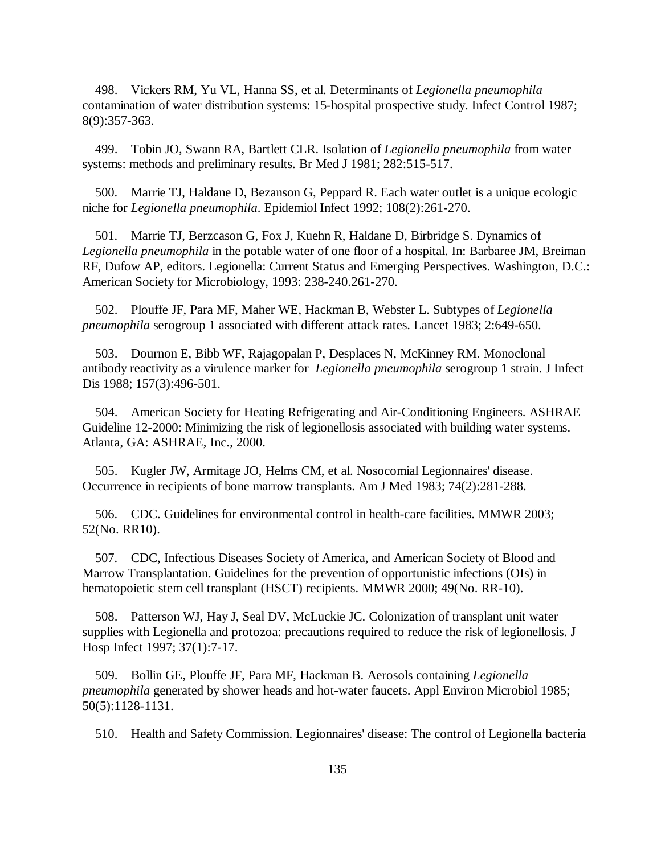498. Vickers RM, Yu VL, Hanna SS, et al. Determinants of *Legionella pneumophila* contamination of water distribution systems: 15-hospital prospective study. Infect Control 1987; 8(9):357-363.

499. Tobin JO, Swann RA, Bartlett CLR. Isolation of *Legionella pneumophila* from water systems: methods and preliminary results. Br Med J 1981; 282:515-517.

500. Marrie TJ, Haldane D, Bezanson G, Peppard R. Each water outlet is a unique ecologic niche for *Legionella pneumophila*. Epidemiol Infect 1992; 108(2):261-270.

501. Marrie TJ, Berzcason G, Fox J, Kuehn R, Haldane D, Birbridge S. Dynamics of *Legionella pneumophila* in the potable water of one floor of a hospital. In: Barbaree JM, Breiman RF, Dufow AP, editors. Legionella: Current Status and Emerging Perspectives. Washington, D.C.: American Society for Microbiology, 1993: 238-240.261-270.

502. Plouffe JF, Para MF, Maher WE, Hackman B, Webster L. Subtypes of *Legionella pneumophila* serogroup 1 associated with different attack rates. Lancet 1983; 2:649-650.

503. Dournon E, Bibb WF, Rajagopalan P, Desplaces N, McKinney RM. Monoclonal antibody reactivity as a virulence marker for *Legionella pneumophila* serogroup 1 strain. J Infect Dis 1988; 157(3):496-501.

504. American Society for Heating Refrigerating and Air-Conditioning Engineers. ASHRAE Guideline 12-2000: Minimizing the risk of legionellosis associated with building water systems. Atlanta, GA: ASHRAE, Inc., 2000.

505. Kugler JW, Armitage JO, Helms CM, et al. Nosocomial Legionnaires' disease. Occurrence in recipients of bone marrow transplants. Am J Med 1983; 74(2):281-288.

506. CDC. Guidelines for environmental control in health-care facilities. MMWR 2003; 52(No. RR10).

507. CDC, Infectious Diseases Society of America, and American Society of Blood and Marrow Transplantation. Guidelines for the prevention of opportunistic infections (OIs) in hematopoietic stem cell transplant (HSCT) recipients. MMWR 2000; 49(No. RR-10).

508. Patterson WJ, Hay J, Seal DV, McLuckie JC. Colonization of transplant unit water supplies with Legionella and protozoa: precautions required to reduce the risk of legionellosis. J Hosp Infect 1997; 37(1):7-17.

509. Bollin GE, Plouffe JF, Para MF, Hackman B. Aerosols containing *Legionella pneumophila* generated by shower heads and hot-water faucets. Appl Environ Microbiol 1985; 50(5):1128-1131.

510. Health and Safety Commission. Legionnaires' disease: The control of Legionella bacteria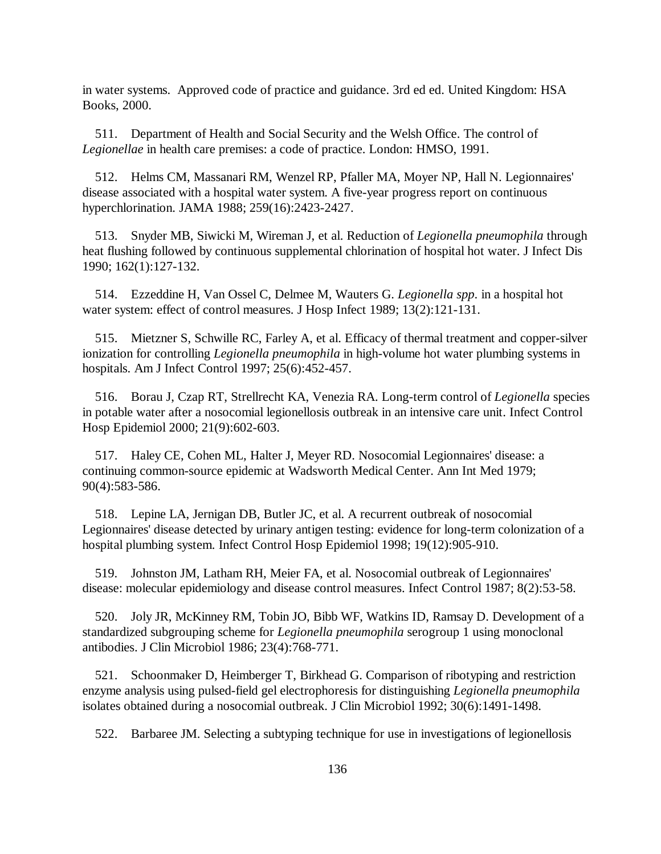in water systems. Approved code of practice and guidance. 3rd ed ed. United Kingdom: HSA Books, 2000.

511. Department of Health and Social Security and the Welsh Office. The control of *Legionellae* in health care premises: a code of practice. London: HMSO, 1991.

512. Helms CM, Massanari RM, Wenzel RP, Pfaller MA, Moyer NP, Hall N. Legionnaires' disease associated with a hospital water system. A five-year progress report on continuous hyperchlorination. JAMA 1988; 259(16):2423-2427.

513. Snyder MB, Siwicki M, Wireman J, et al. Reduction of *Legionella pneumophila* through heat flushing followed by continuous supplemental chlorination of hospital hot water. J Infect Dis 1990; 162(1):127-132.

514. Ezzeddine H, Van Ossel C, Delmee M, Wauters G. *Legionella spp*. in a hospital hot water system: effect of control measures. J Hosp Infect 1989; 13(2):121-131.

515. Mietzner S, Schwille RC, Farley A, et al. Efficacy of thermal treatment and copper-silver ionization for controlling *Legionella pneumophila* in high-volume hot water plumbing systems in hospitals. Am J Infect Control 1997; 25(6):452-457.

516. Borau J, Czap RT, Strellrecht KA, Venezia RA. Long-term control of *Legionella* species in potable water after a nosocomial legionellosis outbreak in an intensive care unit. Infect Control Hosp Epidemiol 2000; 21(9):602-603.

517. Haley CE, Cohen ML, Halter J, Meyer RD. Nosocomial Legionnaires' disease: a continuing common-source epidemic at Wadsworth Medical Center. Ann Int Med 1979; 90(4):583-586.

518. Lepine LA, Jernigan DB, Butler JC, et al. A recurrent outbreak of nosocomial Legionnaires' disease detected by urinary antigen testing: evidence for long-term colonization of a hospital plumbing system. Infect Control Hosp Epidemiol 1998; 19(12):905-910.

519. Johnston JM, Latham RH, Meier FA, et al. Nosocomial outbreak of Legionnaires' disease: molecular epidemiology and disease control measures. Infect Control 1987; 8(2):53-58.

520. Joly JR, McKinney RM, Tobin JO, Bibb WF, Watkins ID, Ramsay D. Development of a standardized subgrouping scheme for *Legionella pneumophila* serogroup 1 using monoclonal antibodies. J Clin Microbiol 1986; 23(4):768-771.

521. Schoonmaker D, Heimberger T, Birkhead G. Comparison of ribotyping and restriction enzyme analysis using pulsed-field gel electrophoresis for distinguishing *Legionella pneumophila* isolates obtained during a nosocomial outbreak. J Clin Microbiol 1992; 30(6):1491-1498.

522. Barbaree JM. Selecting a subtyping technique for use in investigations of legionellosis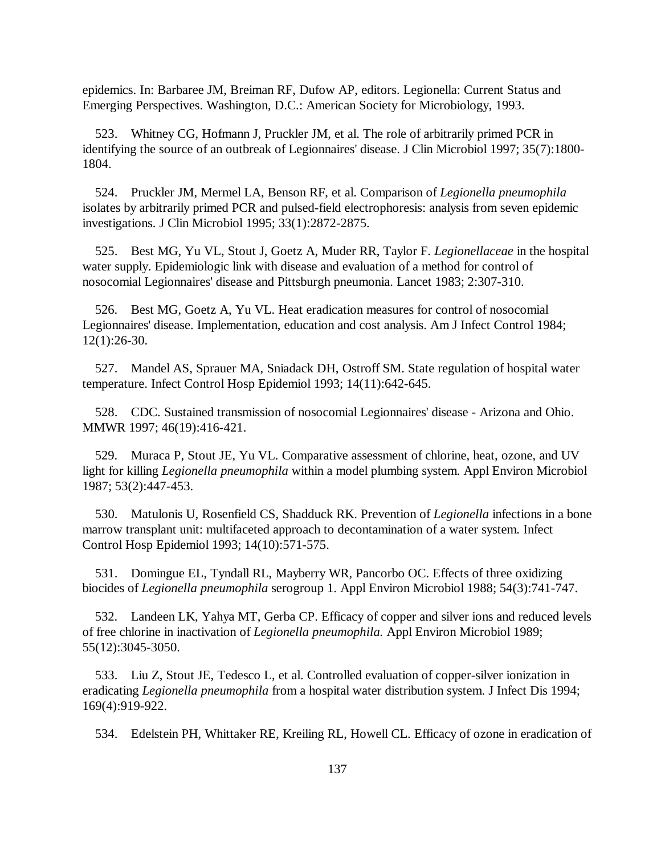epidemics. In: Barbaree JM, Breiman RF, Dufow AP, editors. Legionella: Current Status and Emerging Perspectives. Washington, D.C.: American Society for Microbiology, 1993.

523. Whitney CG, Hofmann J, Pruckler JM, et al. The role of arbitrarily primed PCR in identifying the source of an outbreak of Legionnaires' disease. J Clin Microbiol 1997; 35(7):1800- 1804.

524. Pruckler JM, Mermel LA, Benson RF, et al. Comparison of *Legionella pneumophila* isolates by arbitrarily primed PCR and pulsed-field electrophoresis: analysis from seven epidemic investigations. J Clin Microbiol 1995; 33(1):2872-2875.

525. Best MG, Yu VL, Stout J, Goetz A, Muder RR, Taylor F. *Legionellaceae* in the hospital water supply. Epidemiologic link with disease and evaluation of a method for control of nosocomial Legionnaires' disease and Pittsburgh pneumonia. Lancet 1983; 2:307-310.

526. Best MG, Goetz A, Yu VL. Heat eradication measures for control of nosocomial Legionnaires' disease. Implementation, education and cost analysis. Am J Infect Control 1984; 12(1):26-30.

527. Mandel AS, Sprauer MA, Sniadack DH, Ostroff SM. State regulation of hospital water temperature. Infect Control Hosp Epidemiol 1993; 14(11):642-645.

528. CDC. Sustained transmission of nosocomial Legionnaires' disease - Arizona and Ohio. MMWR 1997; 46(19):416-421.

529. Muraca P, Stout JE, Yu VL. Comparative assessment of chlorine, heat, ozone, and UV light for killing *Legionella pneumophila* within a model plumbing system. Appl Environ Microbiol 1987; 53(2):447-453.

530. Matulonis U, Rosenfield CS, Shadduck RK. Prevention of *Legionella* infections in a bone marrow transplant unit: multifaceted approach to decontamination of a water system. Infect Control Hosp Epidemiol 1993; 14(10):571-575.

531. Domingue EL, Tyndall RL, Mayberry WR, Pancorbo OC. Effects of three oxidizing biocides of *Legionella pneumophila* serogroup 1. Appl Environ Microbiol 1988; 54(3):741-747.

532. Landeen LK, Yahya MT, Gerba CP. Efficacy of copper and silver ions and reduced levels of free chlorine in inactivation of *Legionella pneumophila.* Appl Environ Microbiol 1989; 55(12):3045-3050.

533. Liu Z, Stout JE, Tedesco L, et al. Controlled evaluation of copper-silver ionization in eradicating *Legionella pneumophila* from a hospital water distribution system. J Infect Dis 1994; 169(4):919-922.

534. Edelstein PH, Whittaker RE, Kreiling RL, Howell CL. Efficacy of ozone in eradication of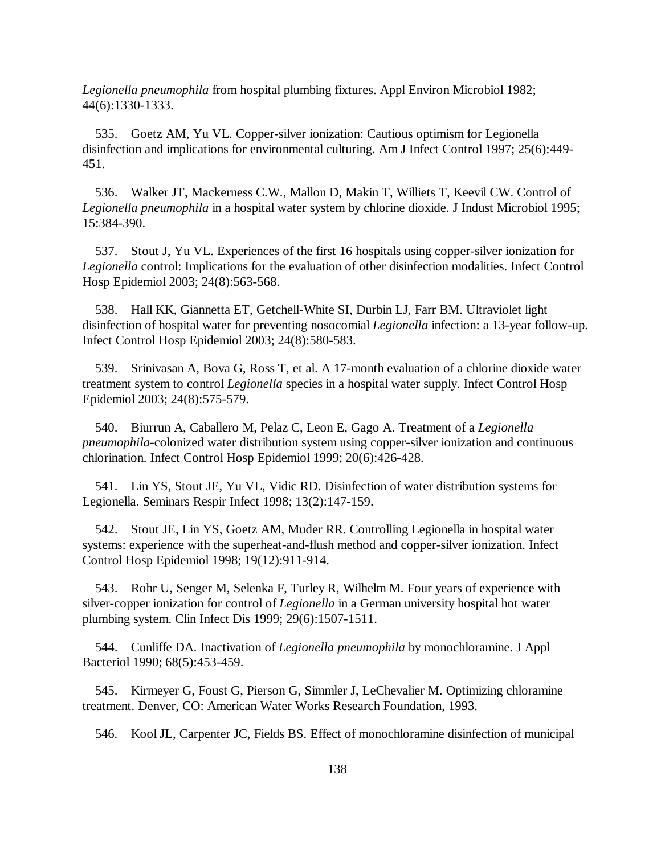*Legionella pneumophila* from hospital plumbing fixtures. Appl Environ Microbiol 1982; 44(6):1330-1333.

535. Goetz AM, Yu VL. Copper-silver ionization: Cautious optimism for Legionella disinfection and implications for environmental culturing. Am J Infect Control 1997; 25(6):449- 451.

536. Walker JT, Mackerness C.W., Mallon D, Makin T, Williets T, Keevil CW. Control of *Legionella pneumophila* in a hospital water system by chlorine dioxide. J Indust Microbiol 1995; 15:384-390.

537. Stout J, Yu VL. Experiences of the first 16 hospitals using copper-silver ionization for *Legionella* control: Implications for the evaluation of other disinfection modalities. Infect Control Hosp Epidemiol 2003; 24(8):563-568.

538. Hall KK, Giannetta ET, Getchell-White SI, Durbin LJ, Farr BM. Ultraviolet light disinfection of hospital water for preventing nosocomial *Legionella* infection: a 13-year follow-up. Infect Control Hosp Epidemiol 2003; 24(8):580-583.

539. Srinivasan A, Bova G, Ross T, et al. A 17-month evaluation of a chlorine dioxide water treatment system to control *Legionella* species in a hospital water supply. Infect Control Hosp Epidemiol 2003; 24(8):575-579.

540. Biurrun A, Caballero M, Pelaz C, Leon E, Gago A. Treatment of a *Legionella pneumophila*-colonized water distribution system using copper-silver ionization and continuous chlorination. Infect Control Hosp Epidemiol 1999; 20(6):426-428.

541. Lin YS, Stout JE, Yu VL, Vidic RD. Disinfection of water distribution systems for Legionella. Seminars Respir Infect 1998; 13(2):147-159.

542. Stout JE, Lin YS, Goetz AM, Muder RR. Controlling Legionella in hospital water systems: experience with the superheat-and-flush method and copper-silver ionization. Infect Control Hosp Epidemiol 1998; 19(12):911-914.

543. Rohr U, Senger M, Selenka F, Turley R, Wilhelm M. Four years of experience with silver-copper ionization for control of *Legionella* in a German university hospital hot water plumbing system. Clin Infect Dis 1999; 29(6):1507-1511.

544. Cunliffe DA. Inactivation of *Legionella pneumophila* by monochloramine. J Appl Bacteriol 1990; 68(5):453-459.

545. Kirmeyer G, Foust G, Pierson G, Simmler J, LeChevalier M. Optimizing chloramine treatment. Denver, CO: American Water Works Research Foundation, 1993.

546. Kool JL, Carpenter JC, Fields BS. Effect of monochloramine disinfection of municipal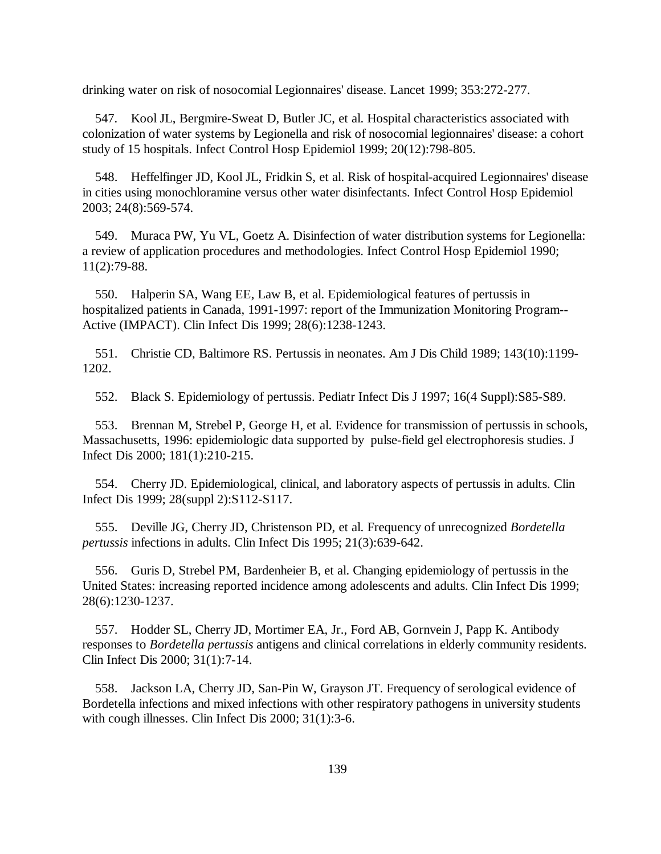drinking water on risk of nosocomial Legionnaires' disease. Lancet 1999; 353:272-277.

547. Kool JL, Bergmire-Sweat D, Butler JC, et al. Hospital characteristics associated with colonization of water systems by Legionella and risk of nosocomial legionnaires' disease: a cohort study of 15 hospitals. Infect Control Hosp Epidemiol 1999; 20(12):798-805.

548. Heffelfinger JD, Kool JL, Fridkin S, et al. Risk of hospital-acquired Legionnaires' disease in cities using monochloramine versus other water disinfectants. Infect Control Hosp Epidemiol 2003; 24(8):569-574.

549. Muraca PW, Yu VL, Goetz A. Disinfection of water distribution systems for Legionella: a review of application procedures and methodologies. Infect Control Hosp Epidemiol 1990; 11(2):79-88.

550. Halperin SA, Wang EE, Law B, et al. Epidemiological features of pertussis in hospitalized patients in Canada, 1991-1997: report of the Immunization Monitoring Program-- Active (IMPACT). Clin Infect Dis 1999; 28(6):1238-1243.

551. Christie CD, Baltimore RS. Pertussis in neonates. Am J Dis Child 1989; 143(10):1199- 1202.

552. Black S. Epidemiology of pertussis. Pediatr Infect Dis J 1997; 16(4 Suppl):S85-S89.

553. Brennan M, Strebel P, George H, et al. Evidence for transmission of pertussis in schools, Massachusetts, 1996: epidemiologic data supported by pulse-field gel electrophoresis studies. J Infect Dis 2000; 181(1):210-215.

554. Cherry JD. Epidemiological, clinical, and laboratory aspects of pertussis in adults. Clin Infect Dis 1999; 28(suppl 2):S112-S117.

555. Deville JG, Cherry JD, Christenson PD, et al. Frequency of unrecognized *Bordetella pertussis* infections in adults. Clin Infect Dis 1995; 21(3):639-642.

556. Guris D, Strebel PM, Bardenheier B, et al. Changing epidemiology of pertussis in the United States: increasing reported incidence among adolescents and adults. Clin Infect Dis 1999; 28(6):1230-1237.

557. Hodder SL, Cherry JD, Mortimer EA, Jr., Ford AB, Gornvein J, Papp K. Antibody responses to *Bordetella pertussis* antigens and clinical correlations in elderly community residents. Clin Infect Dis 2000; 31(1):7-14.

558. Jackson LA, Cherry JD, San-Pin W, Grayson JT. Frequency of serological evidence of Bordetella infections and mixed infections with other respiratory pathogens in university students with cough illnesses. Clin Infect Dis 2000; 31(1):3-6.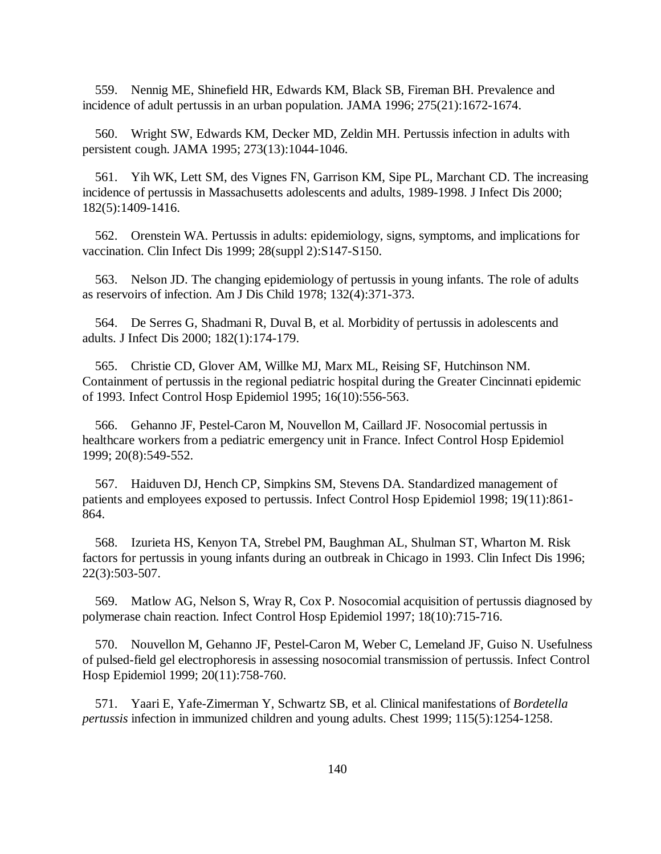559. Nennig ME, Shinefield HR, Edwards KM, Black SB, Fireman BH. Prevalence and incidence of adult pertussis in an urban population. JAMA 1996; 275(21):1672-1674.

560. Wright SW, Edwards KM, Decker MD, Zeldin MH. Pertussis infection in adults with persistent cough. JAMA 1995; 273(13):1044-1046.

561. Yih WK, Lett SM, des Vignes FN, Garrison KM, Sipe PL, Marchant CD. The increasing incidence of pertussis in Massachusetts adolescents and adults, 1989-1998. J Infect Dis 2000; 182(5):1409-1416.

562. Orenstein WA. Pertussis in adults: epidemiology, signs, symptoms, and implications for vaccination. Clin Infect Dis 1999; 28(suppl 2):S147-S150.

563. Nelson JD. The changing epidemiology of pertussis in young infants. The role of adults as reservoirs of infection. Am J Dis Child 1978; 132(4):371-373.

564. De Serres G, Shadmani R, Duval B, et al. Morbidity of pertussis in adolescents and adults. J Infect Dis 2000; 182(1):174-179.

565. Christie CD, Glover AM, Willke MJ, Marx ML, Reising SF, Hutchinson NM. Containment of pertussis in the regional pediatric hospital during the Greater Cincinnati epidemic of 1993. Infect Control Hosp Epidemiol 1995; 16(10):556-563.

566. Gehanno JF, Pestel-Caron M, Nouvellon M, Caillard JF. Nosocomial pertussis in healthcare workers from a pediatric emergency unit in France. Infect Control Hosp Epidemiol 1999; 20(8):549-552.

567. Haiduven DJ, Hench CP, Simpkins SM, Stevens DA. Standardized management of patients and employees exposed to pertussis. Infect Control Hosp Epidemiol 1998; 19(11):861- 864.

568. Izurieta HS, Kenyon TA, Strebel PM, Baughman AL, Shulman ST, Wharton M. Risk factors for pertussis in young infants during an outbreak in Chicago in 1993. Clin Infect Dis 1996; 22(3):503-507.

569. Matlow AG, Nelson S, Wray R, Cox P. Nosocomial acquisition of pertussis diagnosed by polymerase chain reaction. Infect Control Hosp Epidemiol 1997; 18(10):715-716.

570. Nouvellon M, Gehanno JF, Pestel-Caron M, Weber C, Lemeland JF, Guiso N. Usefulness of pulsed-field gel electrophoresis in assessing nosocomial transmission of pertussis. Infect Control Hosp Epidemiol 1999; 20(11):758-760.

571. Yaari E, Yafe-Zimerman Y, Schwartz SB, et al. Clinical manifestations of *Bordetella pertussis* infection in immunized children and young adults. Chest 1999; 115(5):1254-1258.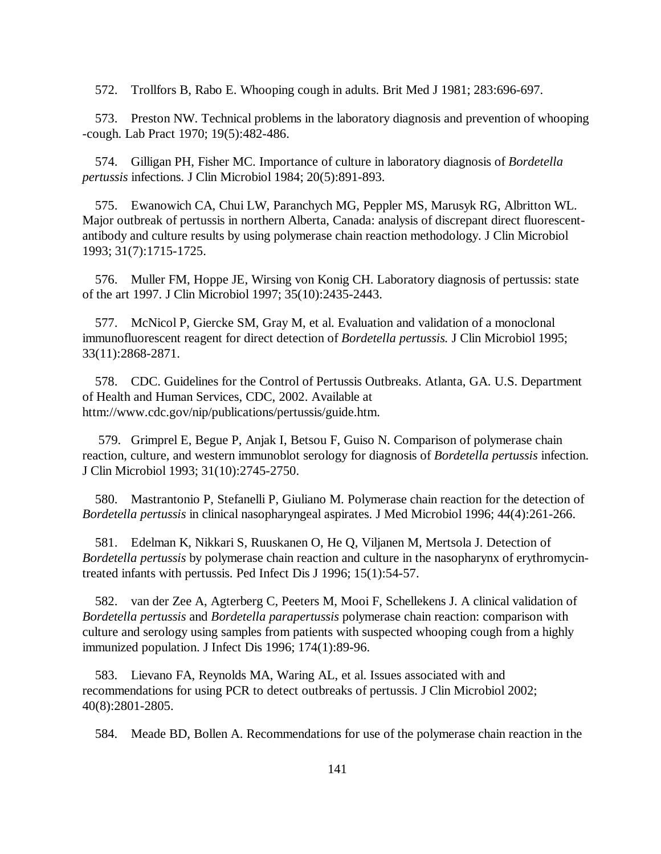572. Trollfors B, Rabo E. Whooping cough in adults. Brit Med J 1981; 283:696-697.

573. Preston NW. Technical problems in the laboratory diagnosis and prevention of whooping -cough. Lab Pract 1970; 19(5):482-486.

574. Gilligan PH, Fisher MC. Importance of culture in laboratory diagnosis of *Bordetella pertussis* infections. J Clin Microbiol 1984; 20(5):891-893.

575. Ewanowich CA, Chui LW, Paranchych MG, Peppler MS, Marusyk RG, Albritton WL. Major outbreak of pertussis in northern Alberta, Canada: analysis of discrepant direct fluorescentantibody and culture results by using polymerase chain reaction methodology. J Clin Microbiol 1993; 31(7):1715-1725.

576. Muller FM, Hoppe JE, Wirsing von Konig CH. Laboratory diagnosis of pertussis: state of the art 1997. J Clin Microbiol 1997; 35(10):2435-2443.

577. McNicol P, Giercke SM, Gray M, et al. Evaluation and validation of a monoclonal immunofluorescent reagent for direct detection of *Bordetella pertussis.* J Clin Microbiol 1995; 33(11):2868-2871.

578. CDC. Guidelines for the Control of Pertussis Outbreaks. Atlanta, GA. U.S. Department of Health and Human Services, CDC, 2002. Available at httm://www.cdc.gov/nip/publications/pertussis/guide.htm.

579. Grimprel E, Begue P, Anjak I, Betsou F, Guiso N. Comparison of polymerase chain reaction, culture, and western immunoblot serology for diagnosis of *Bordetella pertussis* infection. J Clin Microbiol 1993; 31(10):2745-2750.

580. Mastrantonio P, Stefanelli P, Giuliano M. Polymerase chain reaction for the detection of *Bordetella pertussis* in clinical nasopharyngeal aspirates. J Med Microbiol 1996; 44(4):261-266.

581. Edelman K, Nikkari S, Ruuskanen O, He Q, Viljanen M, Mertsola J. Detection of *Bordetella pertussis* by polymerase chain reaction and culture in the nasopharynx of erythromycintreated infants with pertussis. Ped Infect Dis J 1996; 15(1):54-57.

582. van der Zee A, Agterberg C, Peeters M, Mooi F, Schellekens J. A clinical validation of *Bordetella pertussis* and *Bordetella parapertussis* polymerase chain reaction: comparison with culture and serology using samples from patients with suspected whooping cough from a highly immunized population. J Infect Dis 1996; 174(1):89-96.

583. Lievano FA, Reynolds MA, Waring AL, et al. Issues associated with and recommendations for using PCR to detect outbreaks of pertussis. J Clin Microbiol 2002; 40(8):2801-2805.

584. Meade BD, Bollen A. Recommendations for use of the polymerase chain reaction in the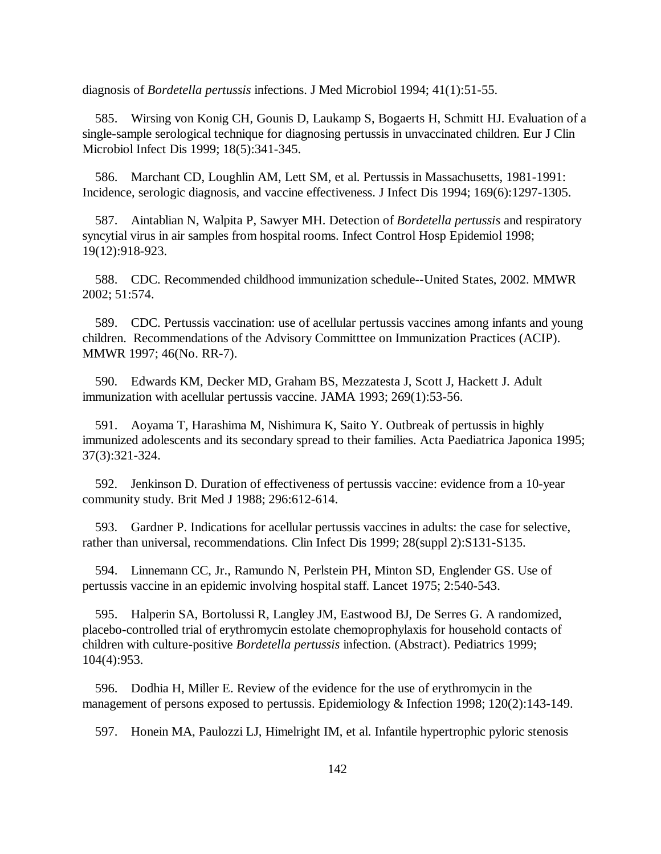diagnosis of *Bordetella pertussis* infections. J Med Microbiol 1994; 41(1):51-55.

585. Wirsing von Konig CH, Gounis D, Laukamp S, Bogaerts H, Schmitt HJ. Evaluation of a single-sample serological technique for diagnosing pertussis in unvaccinated children. Eur J Clin Microbiol Infect Dis 1999; 18(5):341-345.

586. Marchant CD, Loughlin AM, Lett SM, et al. Pertussis in Massachusetts, 1981-1991: Incidence, serologic diagnosis, and vaccine effectiveness. J Infect Dis 1994; 169(6):1297-1305.

587. Aintablian N, Walpita P, Sawyer MH. Detection of *Bordetella pertussis* and respiratory syncytial virus in air samples from hospital rooms. Infect Control Hosp Epidemiol 1998; 19(12):918-923.

588. CDC. Recommended childhood immunization schedule--United States, 2002. MMWR 2002; 51:574.

589. CDC. Pertussis vaccination: use of acellular pertussis vaccines among infants and young children. Recommendations of the Advisory Committtee on Immunization Practices (ACIP). MMWR 1997; 46(No. RR-7).

590. Edwards KM, Decker MD, Graham BS, Mezzatesta J, Scott J, Hackett J. Adult immunization with acellular pertussis vaccine. JAMA 1993; 269(1):53-56.

591. Aoyama T, Harashima M, Nishimura K, Saito Y. Outbreak of pertussis in highly immunized adolescents and its secondary spread to their families. Acta Paediatrica Japonica 1995; 37(3):321-324.

592. Jenkinson D. Duration of effectiveness of pertussis vaccine: evidence from a 10-year community study. Brit Med J 1988; 296:612-614.

593. Gardner P. Indications for acellular pertussis vaccines in adults: the case for selective, rather than universal, recommendations. Clin Infect Dis 1999; 28(suppl 2):S131-S135.

594. Linnemann CC, Jr., Ramundo N, Perlstein PH, Minton SD, Englender GS. Use of pertussis vaccine in an epidemic involving hospital staff. Lancet 1975; 2:540-543.

595. Halperin SA, Bortolussi R, Langley JM, Eastwood BJ, De Serres G. A randomized, placebo-controlled trial of erythromycin estolate chemoprophylaxis for household contacts of children with culture-positive *Bordetella pertussis* infection. (Abstract). Pediatrics 1999; 104(4):953.

596. Dodhia H, Miller E. Review of the evidence for the use of erythromycin in the management of persons exposed to pertussis. Epidemiology & Infection 1998; 120(2):143-149.

597. Honein MA, Paulozzi LJ, Himelright IM, et al. Infantile hypertrophic pyloric stenosis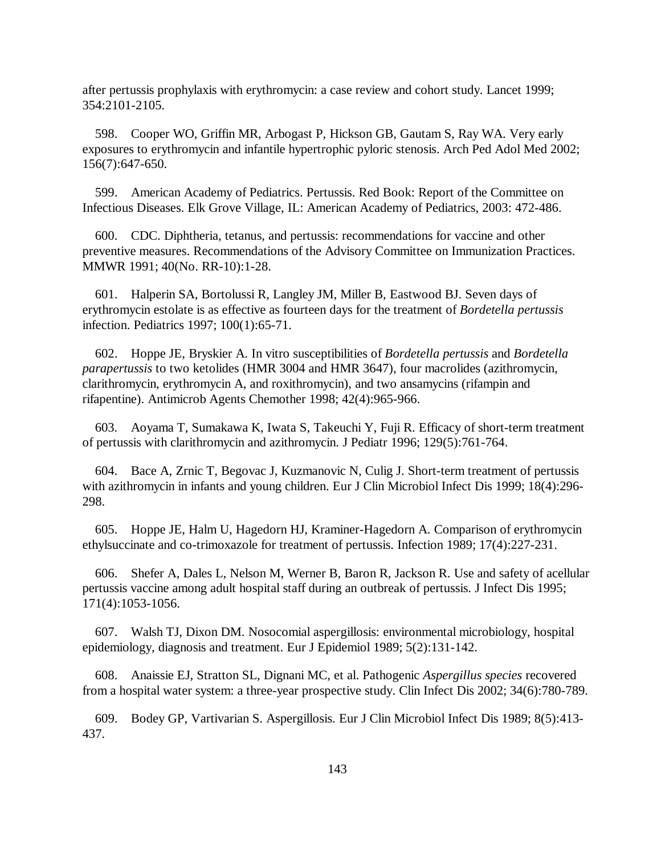after pertussis prophylaxis with erythromycin: a case review and cohort study. Lancet 1999; 354:2101-2105.

598. Cooper WO, Griffin MR, Arbogast P, Hickson GB, Gautam S, Ray WA. Very early exposures to erythromycin and infantile hypertrophic pyloric stenosis. Arch Ped Adol Med 2002; 156(7):647-650.

599. American Academy of Pediatrics. Pertussis. Red Book: Report of the Committee on Infectious Diseases. Elk Grove Village, IL: American Academy of Pediatrics, 2003: 472-486.

600. CDC. Diphtheria, tetanus, and pertussis: recommendations for vaccine and other preventive measures. Recommendations of the Advisory Committee on Immunization Practices. MMWR 1991; 40(No. RR-10):1-28.

601. Halperin SA, Bortolussi R, Langley JM, Miller B, Eastwood BJ. Seven days of erythromycin estolate is as effective as fourteen days for the treatment of *Bordetella pertussis* infection. Pediatrics 1997; 100(1):65-71.

602. Hoppe JE, Bryskier A. In vitro susceptibilities of *Bordetella pertussis* and *Bordetella parapertussis* to two ketolides (HMR 3004 and HMR 3647), four macrolides (azithromycin, clarithromycin, erythromycin A, and roxithromycin), and two ansamycins (rifampin and rifapentine). Antimicrob Agents Chemother 1998; 42(4):965-966.

603. Aoyama T, Sumakawa K, Iwata S, Takeuchi Y, Fuji R. Efficacy of short-term treatment of pertussis with clarithromycin and azithromycin. J Pediatr 1996; 129(5):761-764.

604. Bace A, Zrnic T, Begovac J, Kuzmanovic N, Culig J. Short-term treatment of pertussis with azithromycin in infants and young children. Eur J Clin Microbiol Infect Dis 1999; 18(4):296- 298.

605. Hoppe JE, Halm U, Hagedorn HJ, Kraminer-Hagedorn A. Comparison of erythromycin ethylsuccinate and co-trimoxazole for treatment of pertussis. Infection 1989; 17(4):227-231.

606. Shefer A, Dales L, Nelson M, Werner B, Baron R, Jackson R. Use and safety of acellular pertussis vaccine among adult hospital staff during an outbreak of pertussis. J Infect Dis 1995; 171(4):1053-1056.

607. Walsh TJ, Dixon DM. Nosocomial aspergillosis: environmental microbiology, hospital epidemiology, diagnosis and treatment. Eur J Epidemiol 1989; 5(2):131-142.

608. Anaissie EJ, Stratton SL, Dignani MC, et al. Pathogenic *Aspergillus species* recovered from a hospital water system: a three-year prospective study. Clin Infect Dis 2002; 34(6):780-789.

609. Bodey GP, Vartivarian S. Aspergillosis. Eur J Clin Microbiol Infect Dis 1989; 8(5):413- 437.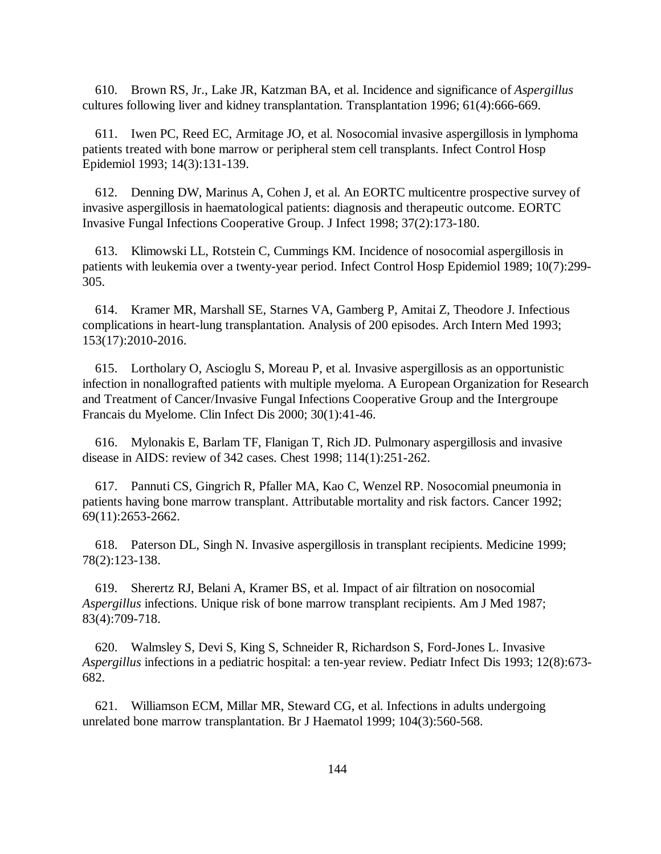610. Brown RS, Jr., Lake JR, Katzman BA, et al. Incidence and significance of *Aspergillus* cultures following liver and kidney transplantation. Transplantation 1996; 61(4):666-669.

611. Iwen PC, Reed EC, Armitage JO, et al. Nosocomial invasive aspergillosis in lymphoma patients treated with bone marrow or peripheral stem cell transplants. Infect Control Hosp Epidemiol 1993; 14(3):131-139.

612. Denning DW, Marinus A, Cohen J, et al. An EORTC multicentre prospective survey of invasive aspergillosis in haematological patients: diagnosis and therapeutic outcome. EORTC Invasive Fungal Infections Cooperative Group. J Infect 1998; 37(2):173-180.

613. Klimowski LL, Rotstein C, Cummings KM. Incidence of nosocomial aspergillosis in patients with leukemia over a twenty-year period. Infect Control Hosp Epidemiol 1989; 10(7):299- 305.

614. Kramer MR, Marshall SE, Starnes VA, Gamberg P, Amitai Z, Theodore J. Infectious complications in heart-lung transplantation. Analysis of 200 episodes. Arch Intern Med 1993; 153(17):2010-2016.

615. Lortholary O, Ascioglu S, Moreau P, et al. Invasive aspergillosis as an opportunistic infection in nonallografted patients with multiple myeloma. A European Organization for Research and Treatment of Cancer/Invasive Fungal Infections Cooperative Group and the Intergroupe Francais du Myelome. Clin Infect Dis 2000; 30(1):41-46.

616. Mylonakis E, Barlam TF, Flanigan T, Rich JD. Pulmonary aspergillosis and invasive disease in AIDS: review of 342 cases. Chest 1998; 114(1):251-262.

617. Pannuti CS, Gingrich R, Pfaller MA, Kao C, Wenzel RP. Nosocomial pneumonia in patients having bone marrow transplant. Attributable mortality and risk factors. Cancer 1992; 69(11):2653-2662.

618. Paterson DL, Singh N. Invasive aspergillosis in transplant recipients. Medicine 1999; 78(2):123-138.

619. Sherertz RJ, Belani A, Kramer BS, et al. Impact of air filtration on nosocomial *Aspergillus* infections. Unique risk of bone marrow transplant recipients. Am J Med 1987; 83(4):709-718.

620. Walmsley S, Devi S, King S, Schneider R, Richardson S, Ford-Jones L. Invasive *Aspergillus* infections in a pediatric hospital: a ten-year review. Pediatr Infect Dis 1993; 12(8):673- 682.

621. Williamson ECM, Millar MR, Steward CG, et al. Infections in adults undergoing unrelated bone marrow transplantation. Br J Haematol 1999; 104(3):560-568.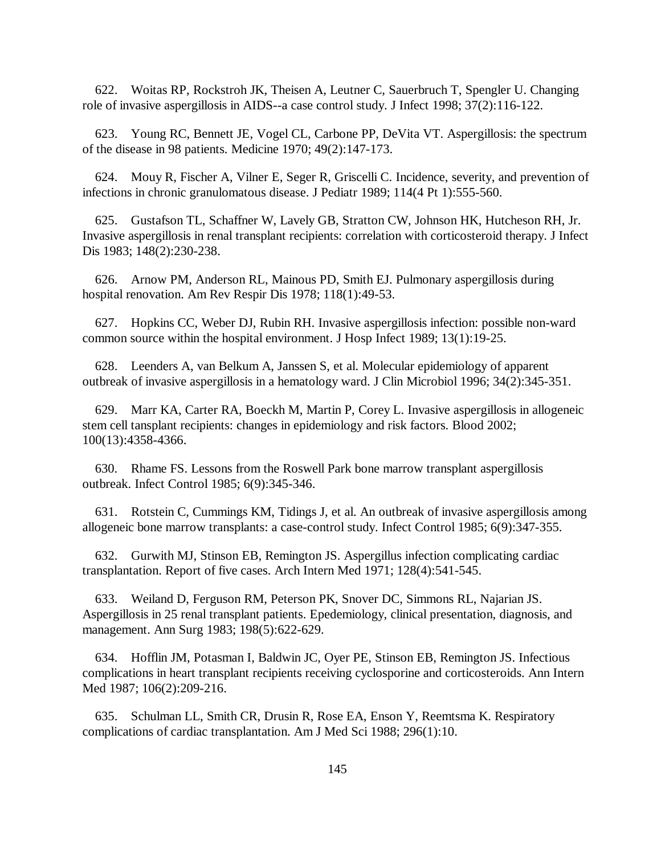622. Woitas RP, Rockstroh JK, Theisen A, Leutner C, Sauerbruch T, Spengler U. Changing role of invasive aspergillosis in AIDS--a case control study. J Infect 1998; 37(2):116-122.

623. Young RC, Bennett JE, Vogel CL, Carbone PP, DeVita VT. Aspergillosis: the spectrum of the disease in 98 patients. Medicine 1970; 49(2):147-173.

624. Mouy R, Fischer A, Vilner E, Seger R, Griscelli C. Incidence, severity, and prevention of infections in chronic granulomatous disease. J Pediatr 1989; 114(4 Pt 1):555-560.

625. Gustafson TL, Schaffner W, Lavely GB, Stratton CW, Johnson HK, Hutcheson RH, Jr. Invasive aspergillosis in renal transplant recipients: correlation with corticosteroid therapy. J Infect Dis 1983; 148(2):230-238.

626. Arnow PM, Anderson RL, Mainous PD, Smith EJ. Pulmonary aspergillosis during hospital renovation. Am Rev Respir Dis 1978; 118(1):49-53.

627. Hopkins CC, Weber DJ, Rubin RH. Invasive aspergillosis infection: possible non-ward common source within the hospital environment. J Hosp Infect 1989; 13(1):19-25.

628. Leenders A, van Belkum A, Janssen S, et al. Molecular epidemiology of apparent outbreak of invasive aspergillosis in a hematology ward. J Clin Microbiol 1996; 34(2):345-351.

629. Marr KA, Carter RA, Boeckh M, Martin P, Corey L. Invasive aspergillosis in allogeneic stem cell tansplant recipients: changes in epidemiology and risk factors. Blood 2002; 100(13):4358-4366.

630. Rhame FS. Lessons from the Roswell Park bone marrow transplant aspergillosis outbreak. Infect Control 1985; 6(9):345-346.

631. Rotstein C, Cummings KM, Tidings J, et al. An outbreak of invasive aspergillosis among allogeneic bone marrow transplants: a case-control study. Infect Control 1985; 6(9):347-355.

632. Gurwith MJ, Stinson EB, Remington JS. Aspergillus infection complicating cardiac transplantation. Report of five cases. Arch Intern Med 1971; 128(4):541-545.

633. Weiland D, Ferguson RM, Peterson PK, Snover DC, Simmons RL, Najarian JS. Aspergillosis in 25 renal transplant patients. Epedemiology, clinical presentation, diagnosis, and management. Ann Surg 1983; 198(5):622-629.

634. Hofflin JM, Potasman I, Baldwin JC, Oyer PE, Stinson EB, Remington JS. Infectious complications in heart transplant recipients receiving cyclosporine and corticosteroids. Ann Intern Med 1987; 106(2):209-216.

635. Schulman LL, Smith CR, Drusin R, Rose EA, Enson Y, Reemtsma K. Respiratory complications of cardiac transplantation. Am J Med Sci 1988; 296(1):10.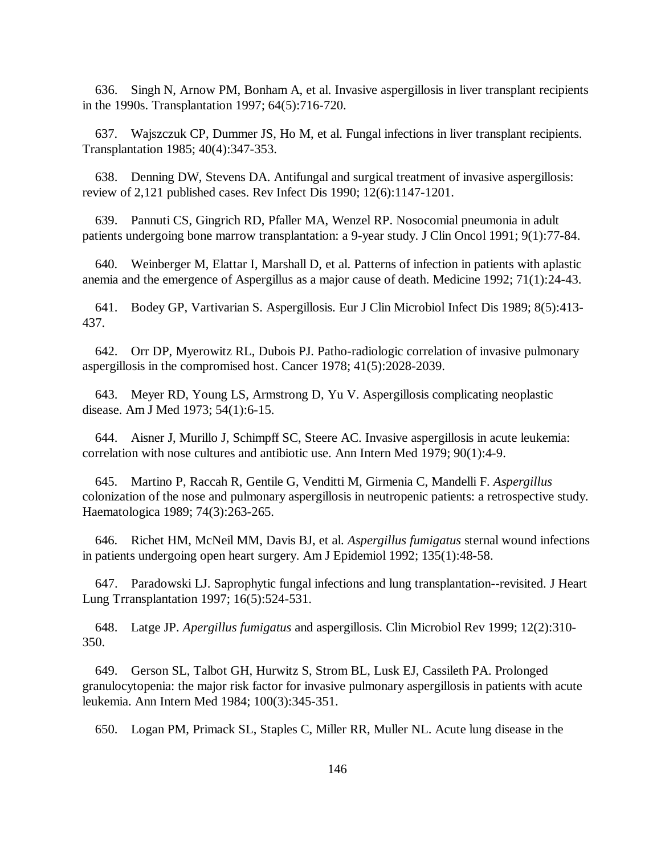636. Singh N, Arnow PM, Bonham A, et al. Invasive aspergillosis in liver transplant recipients in the 1990s. Transplantation 1997; 64(5):716-720.

637. Wajszczuk CP, Dummer JS, Ho M, et al. Fungal infections in liver transplant recipients. Transplantation 1985; 40(4):347-353.

638. Denning DW, Stevens DA. Antifungal and surgical treatment of invasive aspergillosis: review of 2,121 published cases. Rev Infect Dis 1990; 12(6):1147-1201.

639. Pannuti CS, Gingrich RD, Pfaller MA, Wenzel RP. Nosocomial pneumonia in adult patients undergoing bone marrow transplantation: a 9-year study. J Clin Oncol 1991; 9(1):77-84.

640. Weinberger M, Elattar I, Marshall D, et al. Patterns of infection in patients with aplastic anemia and the emergence of Aspergillus as a major cause of death. Medicine 1992; 71(1):24-43.

641. Bodey GP, Vartivarian S. Aspergillosis. Eur J Clin Microbiol Infect Dis 1989; 8(5):413- 437.

642. Orr DP, Myerowitz RL, Dubois PJ. Patho-radiologic correlation of invasive pulmonary aspergillosis in the compromised host. Cancer 1978; 41(5):2028-2039.

643. Meyer RD, Young LS, Armstrong D, Yu V. Aspergillosis complicating neoplastic disease. Am J Med 1973; 54(1):6-15.

644. Aisner J, Murillo J, Schimpff SC, Steere AC. Invasive aspergillosis in acute leukemia: correlation with nose cultures and antibiotic use. Ann Intern Med 1979; 90(1):4-9.

645. Martino P, Raccah R, Gentile G, Venditti M, Girmenia C, Mandelli F. *Aspergillus* colonization of the nose and pulmonary aspergillosis in neutropenic patients: a retrospective study. Haematologica 1989; 74(3):263-265.

646. Richet HM, McNeil MM, Davis BJ, et al. *Aspergillus fumigatus* sternal wound infections in patients undergoing open heart surgery. Am J Epidemiol 1992; 135(1):48-58.

647. Paradowski LJ. Saprophytic fungal infections and lung transplantation--revisited. J Heart Lung Trransplantation 1997; 16(5):524-531.

648. Latge JP. *Apergillus fumigatus* and aspergillosis. Clin Microbiol Rev 1999; 12(2):310- 350.

649. Gerson SL, Talbot GH, Hurwitz S, Strom BL, Lusk EJ, Cassileth PA. Prolonged granulocytopenia: the major risk factor for invasive pulmonary aspergillosis in patients with acute leukemia. Ann Intern Med 1984; 100(3):345-351.

650. Logan PM, Primack SL, Staples C, Miller RR, Muller NL. Acute lung disease in the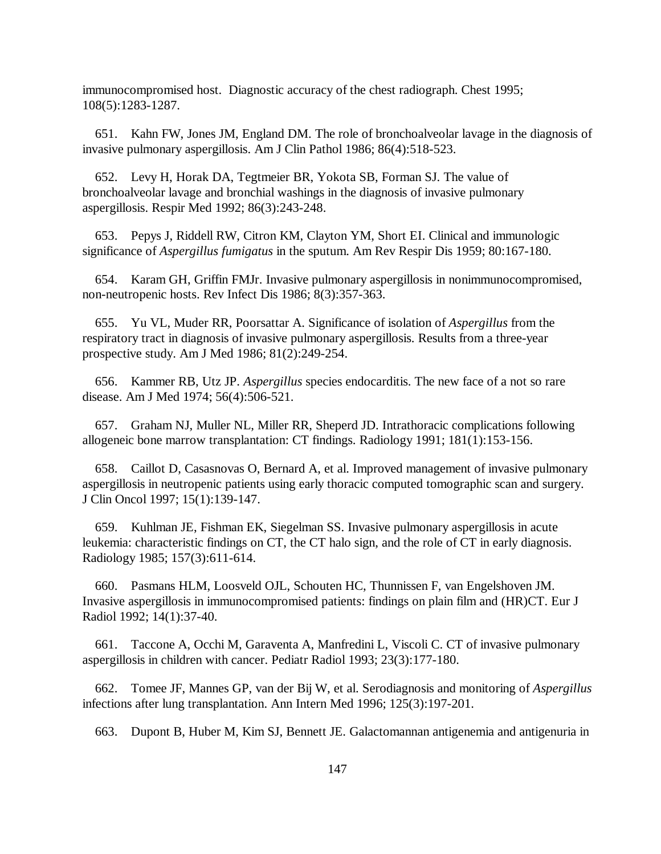immunocompromised host. Diagnostic accuracy of the chest radiograph. Chest 1995; 108(5):1283-1287.

651. Kahn FW, Jones JM, England DM. The role of bronchoalveolar lavage in the diagnosis of invasive pulmonary aspergillosis. Am J Clin Pathol 1986; 86(4):518-523.

652. Levy H, Horak DA, Tegtmeier BR, Yokota SB, Forman SJ. The value of bronchoalveolar lavage and bronchial washings in the diagnosis of invasive pulmonary aspergillosis. Respir Med 1992; 86(3):243-248.

653. Pepys J, Riddell RW, Citron KM, Clayton YM, Short EI. Clinical and immunologic significance of *Aspergillus fumigatus* in the sputum. Am Rev Respir Dis 1959; 80:167-180.

654. Karam GH, Griffin FMJr. Invasive pulmonary aspergillosis in nonimmunocompromised, non-neutropenic hosts. Rev Infect Dis 1986; 8(3):357-363.

655. Yu VL, Muder RR, Poorsattar A. Significance of isolation of *Aspergillus* from the respiratory tract in diagnosis of invasive pulmonary aspergillosis. Results from a three-year prospective study. Am J Med 1986; 81(2):249-254.

656. Kammer RB, Utz JP. *Aspergillus* species endocarditis. The new face of a not so rare disease. Am J Med 1974; 56(4):506-521.

657. Graham NJ, Muller NL, Miller RR, Sheperd JD. Intrathoracic complications following allogeneic bone marrow transplantation: CT findings. Radiology 1991; 181(1):153-156.

658. Caillot D, Casasnovas O, Bernard A, et al. Improved management of invasive pulmonary aspergillosis in neutropenic patients using early thoracic computed tomographic scan and surgery. J Clin Oncol 1997; 15(1):139-147.

659. Kuhlman JE, Fishman EK, Siegelman SS. Invasive pulmonary aspergillosis in acute leukemia: characteristic findings on CT, the CT halo sign, and the role of CT in early diagnosis. Radiology 1985; 157(3):611-614.

660. Pasmans HLM, Loosveld OJL, Schouten HC, Thunnissen F, van Engelshoven JM. Invasive aspergillosis in immunocompromised patients: findings on plain film and (HR)CT. Eur J Radiol 1992; 14(1):37-40.

661. Taccone A, Occhi M, Garaventa A, Manfredini L, Viscoli C. CT of invasive pulmonary aspergillosis in children with cancer. Pediatr Radiol 1993; 23(3):177-180.

662. Tomee JF, Mannes GP, van der Bij W, et al. Serodiagnosis and monitoring of *Aspergillus* infections after lung transplantation. Ann Intern Med 1996; 125(3):197-201.

663. Dupont B, Huber M, Kim SJ, Bennett JE. Galactomannan antigenemia and antigenuria in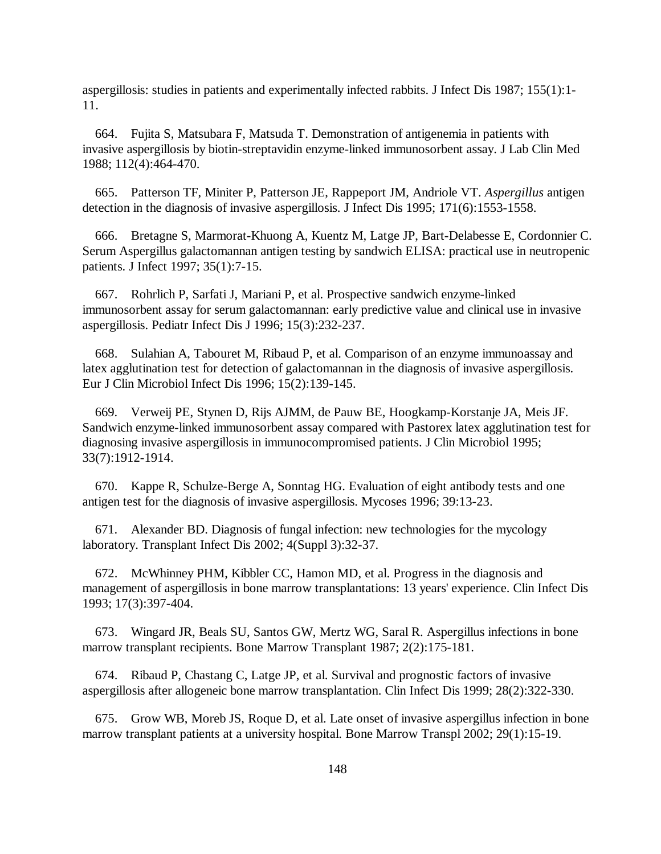aspergillosis: studies in patients and experimentally infected rabbits. J Infect Dis 1987; 155(1):1- 11.

664. Fujita S, Matsubara F, Matsuda T. Demonstration of antigenemia in patients with invasive aspergillosis by biotin-streptavidin enzyme-linked immunosorbent assay. J Lab Clin Med 1988; 112(4):464-470.

665. Patterson TF, Miniter P, Patterson JE, Rappeport JM, Andriole VT. *Aspergillus* antigen detection in the diagnosis of invasive aspergillosis. J Infect Dis 1995; 171(6):1553-1558.

666. Bretagne S, Marmorat-Khuong A, Kuentz M, Latge JP, Bart-Delabesse E, Cordonnier C. Serum Aspergillus galactomannan antigen testing by sandwich ELISA: practical use in neutropenic patients. J Infect 1997; 35(1):7-15.

667. Rohrlich P, Sarfati J, Mariani P, et al. Prospective sandwich enzyme-linked immunosorbent assay for serum galactomannan: early predictive value and clinical use in invasive aspergillosis. Pediatr Infect Dis J 1996; 15(3):232-237.

668. Sulahian A, Tabouret M, Ribaud P, et al. Comparison of an enzyme immunoassay and latex agglutination test for detection of galactomannan in the diagnosis of invasive aspergillosis. Eur J Clin Microbiol Infect Dis 1996; 15(2):139-145.

669. Verweij PE, Stynen D, Rijs AJMM, de Pauw BE, Hoogkamp-Korstanje JA, Meis JF. Sandwich enzyme-linked immunosorbent assay compared with Pastorex latex agglutination test for diagnosing invasive aspergillosis in immunocompromised patients. J Clin Microbiol 1995; 33(7):1912-1914.

670. Kappe R, Schulze-Berge A, Sonntag HG. Evaluation of eight antibody tests and one antigen test for the diagnosis of invasive aspergillosis. Mycoses 1996; 39:13-23.

671. Alexander BD. Diagnosis of fungal infection: new technologies for the mycology laboratory. Transplant Infect Dis 2002; 4(Suppl 3):32-37.

672. McWhinney PHM, Kibbler CC, Hamon MD, et al. Progress in the diagnosis and management of aspergillosis in bone marrow transplantations: 13 years' experience. Clin Infect Dis 1993; 17(3):397-404.

673. Wingard JR, Beals SU, Santos GW, Mertz WG, Saral R. Aspergillus infections in bone marrow transplant recipients. Bone Marrow Transplant 1987; 2(2):175-181.

674. Ribaud P, Chastang C, Latge JP, et al. Survival and prognostic factors of invasive aspergillosis after allogeneic bone marrow transplantation. Clin Infect Dis 1999; 28(2):322-330.

675. Grow WB, Moreb JS, Roque D, et al. Late onset of invasive aspergillus infection in bone marrow transplant patients at a university hospital. Bone Marrow Transpl 2002; 29(1):15-19.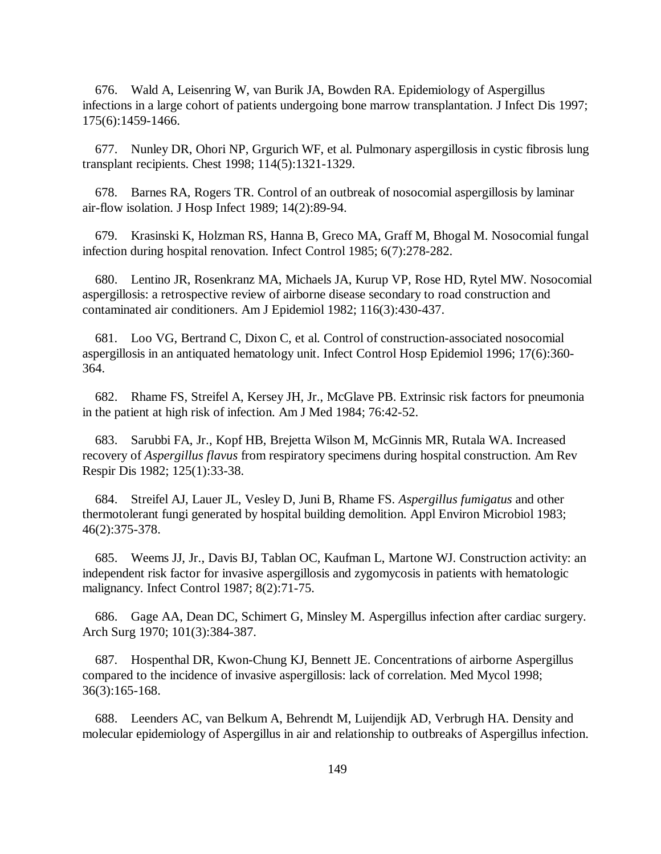676. Wald A, Leisenring W, van Burik JA, Bowden RA. Epidemiology of Aspergillus infections in a large cohort of patients undergoing bone marrow transplantation. J Infect Dis 1997; 175(6):1459-1466.

677. Nunley DR, Ohori NP, Grgurich WF, et al. Pulmonary aspergillosis in cystic fibrosis lung transplant recipients. Chest 1998; 114(5):1321-1329.

678. Barnes RA, Rogers TR. Control of an outbreak of nosocomial aspergillosis by laminar air-flow isolation. J Hosp Infect 1989; 14(2):89-94.

679. Krasinski K, Holzman RS, Hanna B, Greco MA, Graff M, Bhogal M. Nosocomial fungal infection during hospital renovation. Infect Control 1985; 6(7):278-282.

680. Lentino JR, Rosenkranz MA, Michaels JA, Kurup VP, Rose HD, Rytel MW. Nosocomial aspergillosis: a retrospective review of airborne disease secondary to road construction and contaminated air conditioners. Am J Epidemiol 1982; 116(3):430-437.

Loo VG, Bertrand C, Dixon C, et al. Control of construction-associated nosocomial aspergillosis in an antiquated hematology unit. Infect Control Hosp Epidemiol 1996; 17(6):360- 364.

682. Rhame FS, Streifel A, Kersey JH, Jr., McGlave PB. Extrinsic risk factors for pneumonia in the patient at high risk of infection. Am J Med 1984; 76:42-52.

683. Sarubbi FA, Jr., Kopf HB, Brejetta Wilson M, McGinnis MR, Rutala WA. Increased recovery of *Aspergillus flavus* from respiratory specimens during hospital construction. Am Rev Respir Dis 1982; 125(1):33-38.

684. Streifel AJ, Lauer JL, Vesley D, Juni B, Rhame FS. *Aspergillus fumigatus* and other thermotolerant fungi generated by hospital building demolition. Appl Environ Microbiol 1983; 46(2):375-378.

685. Weems JJ, Jr., Davis BJ, Tablan OC, Kaufman L, Martone WJ. Construction activity: an independent risk factor for invasive aspergillosis and zygomycosis in patients with hematologic malignancy. Infect Control 1987; 8(2):71-75.

686. Gage AA, Dean DC, Schimert G, Minsley M. Aspergillus infection after cardiac surgery. Arch Surg 1970; 101(3):384-387.

687. Hospenthal DR, Kwon-Chung KJ, Bennett JE. Concentrations of airborne Aspergillus compared to the incidence of invasive aspergillosis: lack of correlation. Med Mycol 1998; 36(3):165-168.

688. Leenders AC, van Belkum A, Behrendt M, Luijendijk AD, Verbrugh HA. Density and molecular epidemiology of Aspergillus in air and relationship to outbreaks of Aspergillus infection.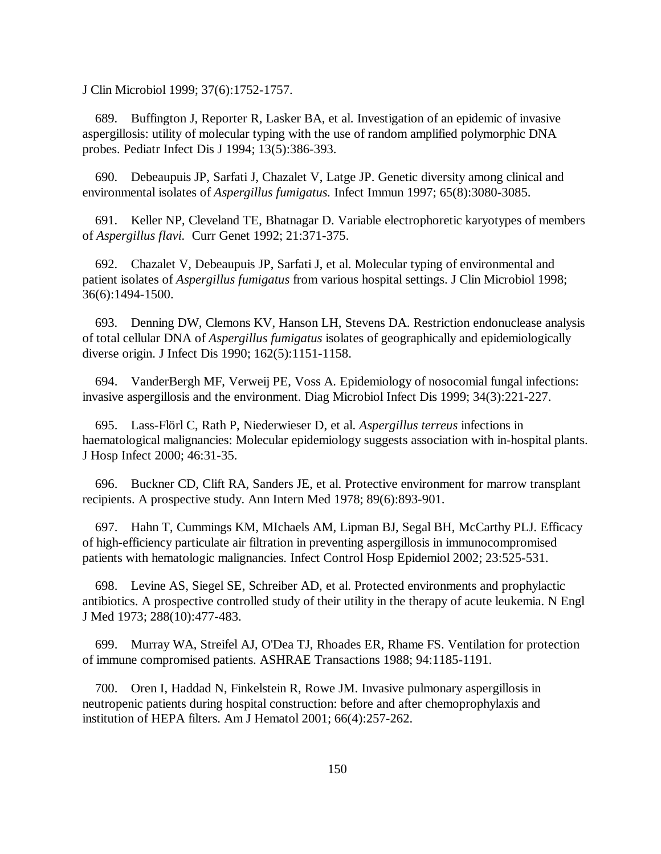J Clin Microbiol 1999; 37(6):1752-1757.

689. Buffington J, Reporter R, Lasker BA, et al. Investigation of an epidemic of invasive aspergillosis: utility of molecular typing with the use of random amplified polymorphic DNA probes. Pediatr Infect Dis J 1994; 13(5):386-393.

690. Debeaupuis JP, Sarfati J, Chazalet V, Latge JP. Genetic diversity among clinical and environmental isolates of *Aspergillus fumigatus.* Infect Immun 1997; 65(8):3080-3085.

691. Keller NP, Cleveland TE, Bhatnagar D. Variable electrophoretic karyotypes of members of *Aspergillus flavi.* Curr Genet 1992; 21:371-375.

692. Chazalet V, Debeaupuis JP, Sarfati J, et al. Molecular typing of environmental and patient isolates of *Aspergillus fumigatus* from various hospital settings. J Clin Microbiol 1998; 36(6):1494-1500.

693. Denning DW, Clemons KV, Hanson LH, Stevens DA. Restriction endonuclease analysis of total cellular DNA of *Aspergillus fumigatus* isolates of geographically and epidemiologically diverse origin. J Infect Dis 1990; 162(5):1151-1158.

694. VanderBergh MF, Verweij PE, Voss A. Epidemiology of nosocomial fungal infections: invasive aspergillosis and the environment. Diag Microbiol Infect Dis 1999; 34(3):221-227.

695. Lass-Flörl C, Rath P, Niederwieser D, et al. *Aspergillus terreus* infections in haematological malignancies: Molecular epidemiology suggests association with in-hospital plants. J Hosp Infect 2000; 46:31-35.

696. Buckner CD, Clift RA, Sanders JE, et al. Protective environment for marrow transplant recipients. A prospective study. Ann Intern Med 1978; 89(6):893-901.

697. Hahn T, Cummings KM, MIchaels AM, Lipman BJ, Segal BH, McCarthy PLJ. Efficacy of high-efficiency particulate air filtration in preventing aspergillosis in immunocompromised patients with hematologic malignancies. Infect Control Hosp Epidemiol 2002; 23:525-531.

698. Levine AS, Siegel SE, Schreiber AD, et al. Protected environments and prophylactic antibiotics. A prospective controlled study of their utility in the therapy of acute leukemia. N Engl J Med 1973; 288(10):477-483.

699. Murray WA, Streifel AJ, O'Dea TJ, Rhoades ER, Rhame FS. Ventilation for protection of immune compromised patients. ASHRAE Transactions 1988; 94:1185-1191.

700. Oren I, Haddad N, Finkelstein R, Rowe JM. Invasive pulmonary aspergillosis in neutropenic patients during hospital construction: before and after chemoprophylaxis and institution of HEPA filters. Am J Hematol 2001; 66(4):257-262.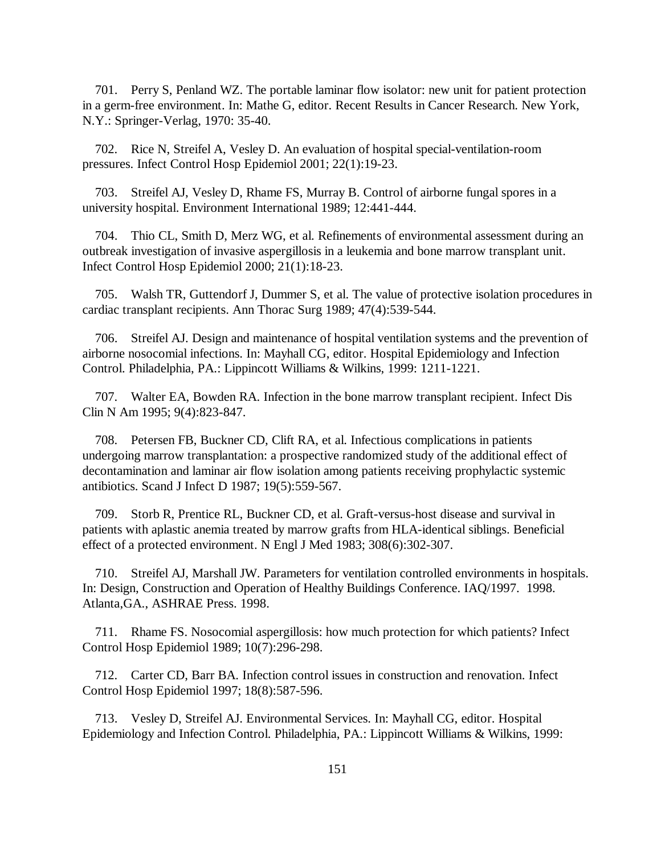701. Perry S, Penland WZ. The portable laminar flow isolator: new unit for patient protection in a germ-free environment. In: Mathe G, editor. Recent Results in Cancer Research. New York, N.Y.: Springer-Verlag, 1970: 35-40.

702. Rice N, Streifel A, Vesley D. An evaluation of hospital special-ventilation-room pressures. Infect Control Hosp Epidemiol 2001; 22(1):19-23.

703. Streifel AJ, Vesley D, Rhame FS, Murray B. Control of airborne fungal spores in a university hospital. Environment International 1989; 12:441-444.

704. Thio CL, Smith D, Merz WG, et al. Refinements of environmental assessment during an outbreak investigation of invasive aspergillosis in a leukemia and bone marrow transplant unit. Infect Control Hosp Epidemiol 2000; 21(1):18-23.

705. Walsh TR, Guttendorf J, Dummer S, et al. The value of protective isolation procedures in cardiac transplant recipients. Ann Thorac Surg 1989; 47(4):539-544.

706. Streifel AJ. Design and maintenance of hospital ventilation systems and the prevention of airborne nosocomial infections. In: Mayhall CG, editor. Hospital Epidemiology and Infection Control. Philadelphia, PA.: Lippincott Williams & Wilkins, 1999: 1211-1221.

707. Walter EA, Bowden RA. Infection in the bone marrow transplant recipient. Infect Dis Clin N Am 1995; 9(4):823-847.

708. Petersen FB, Buckner CD, Clift RA, et al. Infectious complications in patients undergoing marrow transplantation: a prospective randomized study of the additional effect of decontamination and laminar air flow isolation among patients receiving prophylactic systemic antibiotics. Scand J Infect D 1987; 19(5):559-567.

709. Storb R, Prentice RL, Buckner CD, et al. Graft-versus-host disease and survival in patients with aplastic anemia treated by marrow grafts from HLA-identical siblings. Beneficial effect of a protected environment. N Engl J Med 1983; 308(6):302-307.

710. Streifel AJ, Marshall JW. Parameters for ventilation controlled environments in hospitals. In: Design, Construction and Operation of Healthy Buildings Conference. IAQ/1997. 1998. Atlanta,GA., ASHRAE Press. 1998.

711. Rhame FS. Nosocomial aspergillosis: how much protection for which patients? Infect Control Hosp Epidemiol 1989; 10(7):296-298.

712. Carter CD, Barr BA. Infection control issues in construction and renovation. Infect Control Hosp Epidemiol 1997; 18(8):587-596.

713. Vesley D, Streifel AJ. Environmental Services. In: Mayhall CG, editor. Hospital Epidemiology and Infection Control. Philadelphia, PA.: Lippincott Williams & Wilkins, 1999: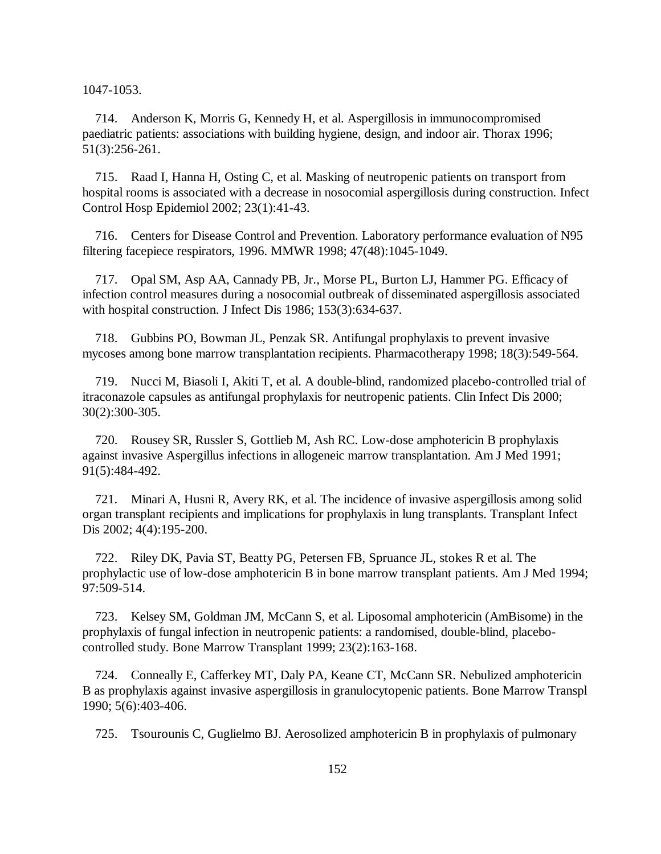1047-1053.

714. Anderson K, Morris G, Kennedy H, et al. Aspergillosis in immunocompromised paediatric patients: associations with building hygiene, design, and indoor air. Thorax 1996; 51(3):256-261.

715. Raad I, Hanna H, Osting C, et al. Masking of neutropenic patients on transport from hospital rooms is associated with a decrease in nosocomial aspergillosis during construction. Infect Control Hosp Epidemiol 2002; 23(1):41-43.

716. Centers for Disease Control and Prevention. Laboratory performance evaluation of N95 filtering facepiece respirators, 1996. MMWR 1998; 47(48):1045-1049.

717. Opal SM, Asp AA, Cannady PB, Jr., Morse PL, Burton LJ, Hammer PG. Efficacy of infection control measures during a nosocomial outbreak of disseminated aspergillosis associated with hospital construction. J Infect Dis 1986; 153(3):634-637.

718. Gubbins PO, Bowman JL, Penzak SR. Antifungal prophylaxis to prevent invasive mycoses among bone marrow transplantation recipients. Pharmacotherapy 1998; 18(3):549-564.

719. Nucci M, Biasoli I, Akiti T, et al. A double-blind, randomized placebo-controlled trial of itraconazole capsules as antifungal prophylaxis for neutropenic patients. Clin Infect Dis 2000; 30(2):300-305.

720. Rousey SR, Russler S, Gottlieb M, Ash RC. Low-dose amphotericin B prophylaxis against invasive Aspergillus infections in allogeneic marrow transplantation. Am J Med 1991; 91(5):484-492.

721. Minari A, Husni R, Avery RK, et al. The incidence of invasive aspergillosis among solid organ transplant recipients and implications for prophylaxis in lung transplants. Transplant Infect Dis 2002; 4(4):195-200.

722. Riley DK, Pavia ST, Beatty PG, Petersen FB, Spruance JL, stokes R et al. The prophylactic use of low-dose amphotericin B in bone marrow transplant patients. Am J Med 1994; 97:509-514.

723. Kelsey SM, Goldman JM, McCann S, et al. Liposomal amphotericin (AmBisome) in the prophylaxis of fungal infection in neutropenic patients: a randomised, double-blind, placebocontrolled study. Bone Marrow Transplant 1999; 23(2):163-168.

724. Conneally E, Cafferkey MT, Daly PA, Keane CT, McCann SR. Nebulized amphotericin B as prophylaxis against invasive aspergillosis in granulocytopenic patients. Bone Marrow Transpl 1990; 5(6):403-406.

725. Tsourounis C, Guglielmo BJ. Aerosolized amphotericin B in prophylaxis of pulmonary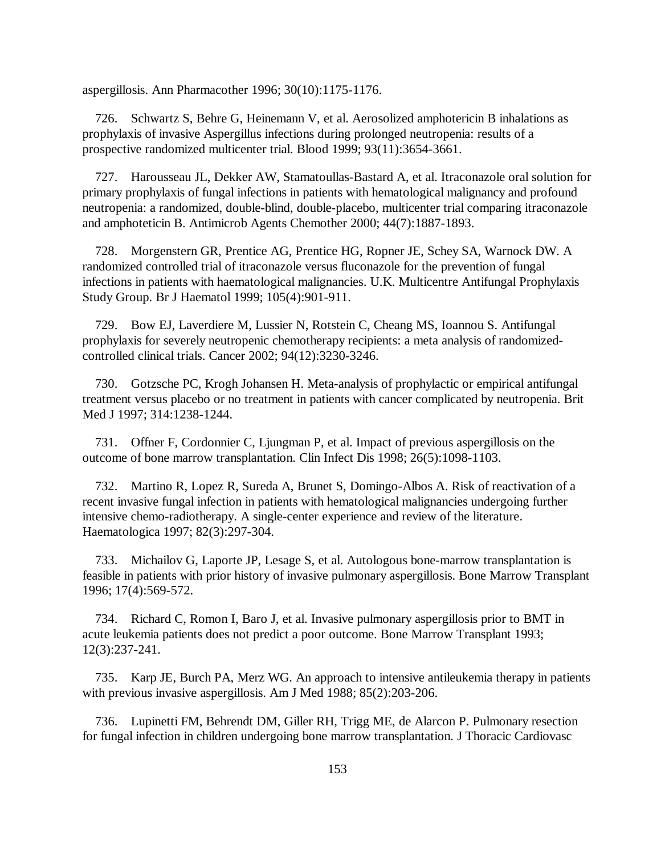aspergillosis. Ann Pharmacother 1996; 30(10):1175-1176.

726. Schwartz S, Behre G, Heinemann V, et al. Aerosolized amphotericin B inhalations as prophylaxis of invasive Aspergillus infections during prolonged neutropenia: results of a prospective randomized multicenter trial. Blood 1999; 93(11):3654-3661.

727. Harousseau JL, Dekker AW, Stamatoullas-Bastard A, et al. Itraconazole oral solution for primary prophylaxis of fungal infections in patients with hematological malignancy and profound neutropenia: a randomized, double-blind, double-placebo, multicenter trial comparing itraconazole and amphoteticin B. Antimicrob Agents Chemother 2000; 44(7):1887-1893.

728. Morgenstern GR, Prentice AG, Prentice HG, Ropner JE, Schey SA, Warnock DW. A randomized controlled trial of itraconazole versus fluconazole for the prevention of fungal infections in patients with haematological malignancies. U.K. Multicentre Antifungal Prophylaxis Study Group. Br J Haematol 1999; 105(4):901-911.

729. Bow EJ, Laverdiere M, Lussier N, Rotstein C, Cheang MS, Ioannou S. Antifungal prophylaxis for severely neutropenic chemotherapy recipients: a meta analysis of randomizedcontrolled clinical trials. Cancer 2002; 94(12):3230-3246.

730. Gotzsche PC, Krogh Johansen H. Meta-analysis of prophylactic or empirical antifungal treatment versus placebo or no treatment in patients with cancer complicated by neutropenia. Brit Med J 1997; 314:1238-1244.

731. Offner F, Cordonnier C, Ljungman P, et al. Impact of previous aspergillosis on the outcome of bone marrow transplantation. Clin Infect Dis 1998; 26(5):1098-1103.

732. Martino R, Lopez R, Sureda A, Brunet S, Domingo-Albos A. Risk of reactivation of a recent invasive fungal infection in patients with hematological malignancies undergoing further intensive chemo-radiotherapy. A single-center experience and review of the literature. Haematologica 1997; 82(3):297-304.

733. Michailov G, Laporte JP, Lesage S, et al. Autologous bone-marrow transplantation is feasible in patients with prior history of invasive pulmonary aspergillosis. Bone Marrow Transplant 1996; 17(4):569-572.

734. Richard C, Romon I, Baro J, et al. Invasive pulmonary aspergillosis prior to BMT in acute leukemia patients does not predict a poor outcome. Bone Marrow Transplant 1993; 12(3):237-241.

735. Karp JE, Burch PA, Merz WG. An approach to intensive antileukemia therapy in patients with previous invasive aspergillosis. Am J Med 1988; 85(2):203-206.

736. Lupinetti FM, Behrendt DM, Giller RH, Trigg ME, de Alarcon P. Pulmonary resection for fungal infection in children undergoing bone marrow transplantation. J Thoracic Cardiovasc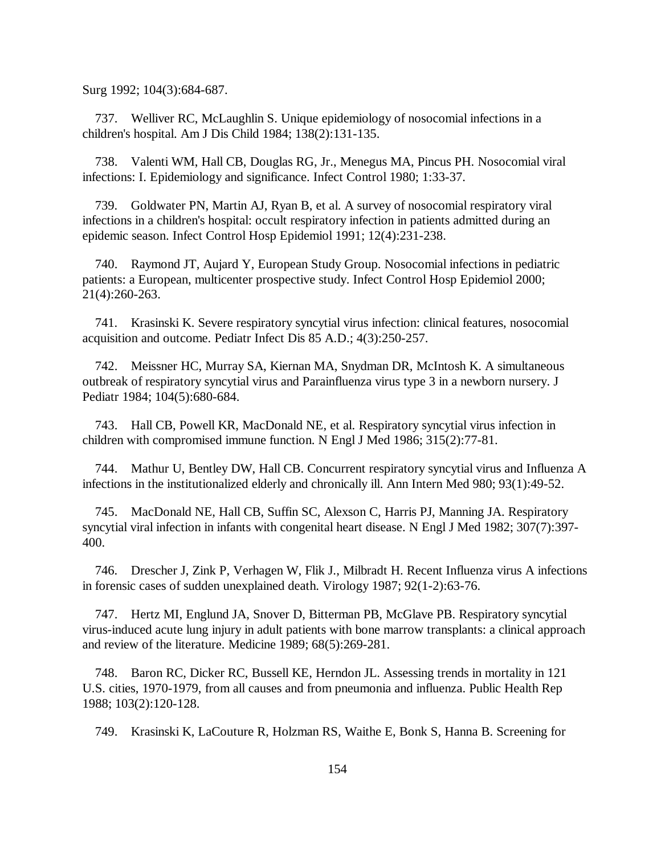Surg 1992; 104(3):684-687.

737. Welliver RC, McLaughlin S. Unique epidemiology of nosocomial infections in a children's hospital. Am J Dis Child 1984; 138(2):131-135.

738. Valenti WM, Hall CB, Douglas RG, Jr., Menegus MA, Pincus PH. Nosocomial viral infections: I. Epidemiology and significance. Infect Control 1980; 1:33-37.

739. Goldwater PN, Martin AJ, Ryan B, et al. A survey of nosocomial respiratory viral infections in a children's hospital: occult respiratory infection in patients admitted during an epidemic season. Infect Control Hosp Epidemiol 1991; 12(4):231-238.

740. Raymond JT, Aujard Y, European Study Group. Nosocomial infections in pediatric patients: a European, multicenter prospective study. Infect Control Hosp Epidemiol 2000; 21(4):260-263.

741. Krasinski K. Severe respiratory syncytial virus infection: clinical features, nosocomial acquisition and outcome. Pediatr Infect Dis 85 A.D.; 4(3):250-257.

742. Meissner HC, Murray SA, Kiernan MA, Snydman DR, McIntosh K. A simultaneous outbreak of respiratory syncytial virus and Parainfluenza virus type 3 in a newborn nursery. J Pediatr 1984; 104(5):680-684.

743. Hall CB, Powell KR, MacDonald NE, et al. Respiratory syncytial virus infection in children with compromised immune function. N Engl J Med 1986; 315(2):77-81.

744. Mathur U, Bentley DW, Hall CB. Concurrent respiratory syncytial virus and Influenza A infections in the institutionalized elderly and chronically ill. Ann Intern Med 980; 93(1):49-52.

745. MacDonald NE, Hall CB, Suffin SC, Alexson C, Harris PJ, Manning JA. Respiratory syncytial viral infection in infants with congenital heart disease. N Engl J Med 1982; 307(7):397- 400.

746. Drescher J, Zink P, Verhagen W, Flik J., Milbradt H. Recent Influenza virus A infections in forensic cases of sudden unexplained death. Virology 1987; 92(1-2):63-76.

747. Hertz MI, Englund JA, Snover D, Bitterman PB, McGlave PB. Respiratory syncytial virus-induced acute lung injury in adult patients with bone marrow transplants: a clinical approach and review of the literature. Medicine 1989; 68(5):269-281.

748. Baron RC, Dicker RC, Bussell KE, Herndon JL. Assessing trends in mortality in 121 U.S. cities, 1970-1979, from all causes and from pneumonia and influenza. Public Health Rep 1988; 103(2):120-128.

749. Krasinski K, LaCouture R, Holzman RS, Waithe E, Bonk S, Hanna B. Screening for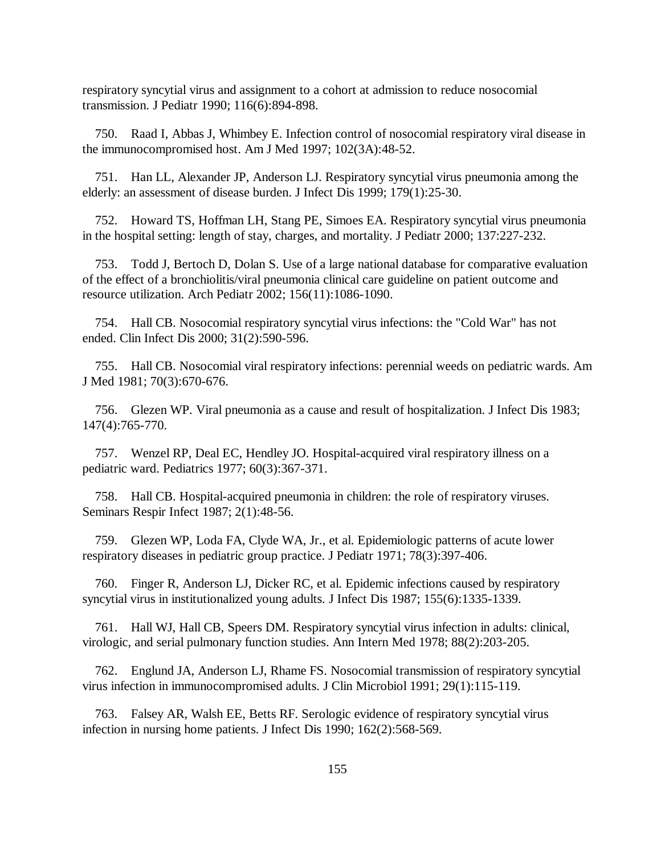respiratory syncytial virus and assignment to a cohort at admission to reduce nosocomial transmission. J Pediatr 1990; 116(6):894-898.

750. Raad I, Abbas J, Whimbey E. Infection control of nosocomial respiratory viral disease in the immunocompromised host. Am J Med 1997; 102(3A):48-52.

751. Han LL, Alexander JP, Anderson LJ. Respiratory syncytial virus pneumonia among the elderly: an assessment of disease burden. J Infect Dis 1999; 179(1):25-30.

752. Howard TS, Hoffman LH, Stang PE, Simoes EA. Respiratory syncytial virus pneumonia in the hospital setting: length of stay, charges, and mortality. J Pediatr 2000; 137:227-232.

753. Todd J, Bertoch D, Dolan S. Use of a large national database for comparative evaluation of the effect of a bronchiolitis/viral pneumonia clinical care guideline on patient outcome and resource utilization. Arch Pediatr 2002; 156(11):1086-1090.

754. Hall CB. Nosocomial respiratory syncytial virus infections: the "Cold War" has not ended. Clin Infect Dis 2000; 31(2):590-596.

755. Hall CB. Nosocomial viral respiratory infections: perennial weeds on pediatric wards. Am J Med 1981; 70(3):670-676.

756. Glezen WP. Viral pneumonia as a cause and result of hospitalization. J Infect Dis 1983; 147(4):765-770.

757. Wenzel RP, Deal EC, Hendley JO. Hospital-acquired viral respiratory illness on a pediatric ward. Pediatrics 1977; 60(3):367-371.

758. Hall CB. Hospital-acquired pneumonia in children: the role of respiratory viruses. Seminars Respir Infect 1987; 2(1):48-56.

759. Glezen WP, Loda FA, Clyde WA, Jr., et al. Epidemiologic patterns of acute lower respiratory diseases in pediatric group practice. J Pediatr 1971; 78(3):397-406.

760. Finger R, Anderson LJ, Dicker RC, et al. Epidemic infections caused by respiratory syncytial virus in institutionalized young adults. J Infect Dis 1987; 155(6):1335-1339.

761. Hall WJ, Hall CB, Speers DM. Respiratory syncytial virus infection in adults: clinical, virologic, and serial pulmonary function studies. Ann Intern Med 1978; 88(2):203-205.

762. Englund JA, Anderson LJ, Rhame FS. Nosocomial transmission of respiratory syncytial virus infection in immunocompromised adults. J Clin Microbiol 1991; 29(1):115-119.

763. Falsey AR, Walsh EE, Betts RF. Serologic evidence of respiratory syncytial virus infection in nursing home patients. J Infect Dis 1990; 162(2):568-569.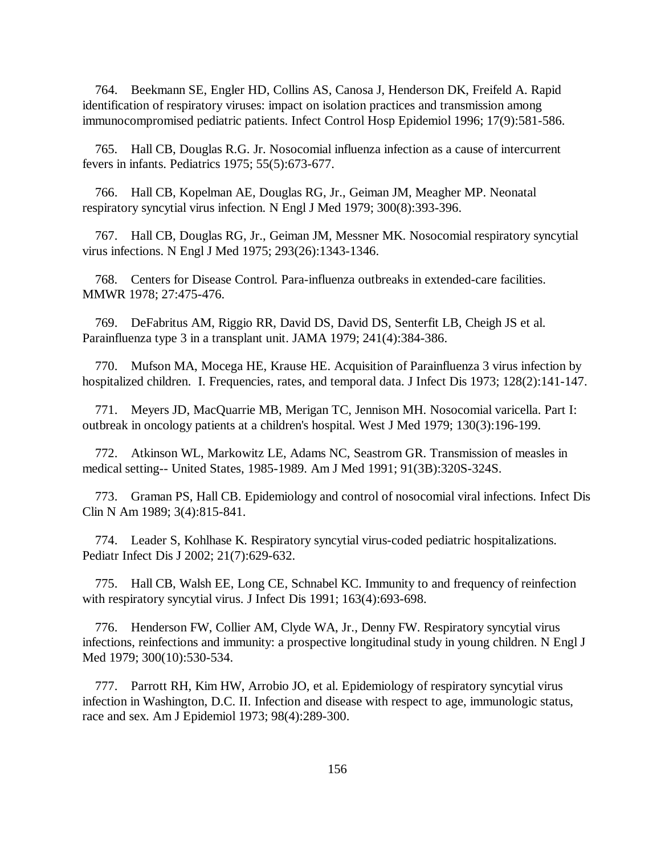764. Beekmann SE, Engler HD, Collins AS, Canosa J, Henderson DK, Freifeld A. Rapid identification of respiratory viruses: impact on isolation practices and transmission among immunocompromised pediatric patients. Infect Control Hosp Epidemiol 1996; 17(9):581-586.

765. Hall CB, Douglas R.G. Jr. Nosocomial influenza infection as a cause of intercurrent fevers in infants. Pediatrics 1975; 55(5):673-677.

766. Hall CB, Kopelman AE, Douglas RG, Jr., Geiman JM, Meagher MP. Neonatal respiratory syncytial virus infection. N Engl J Med 1979; 300(8):393-396.

767. Hall CB, Douglas RG, Jr., Geiman JM, Messner MK. Nosocomial respiratory syncytial virus infections. N Engl J Med 1975; 293(26):1343-1346.

768. Centers for Disease Control. Para-influenza outbreaks in extended-care facilities. MMWR 1978; 27:475-476.

769. DeFabritus AM, Riggio RR, David DS, David DS, Senterfit LB, Cheigh JS et al. Parainfluenza type 3 in a transplant unit. JAMA 1979; 241(4):384-386.

770. Mufson MA, Mocega HE, Krause HE. Acquisition of Parainfluenza 3 virus infection by hospitalized children. I. Frequencies, rates, and temporal data. J Infect Dis 1973; 128(2):141-147.

771. Meyers JD, MacQuarrie MB, Merigan TC, Jennison MH. Nosocomial varicella. Part I: outbreak in oncology patients at a children's hospital. West J Med 1979; 130(3):196-199.

772. Atkinson WL, Markowitz LE, Adams NC, Seastrom GR. Transmission of measles in medical setting-- United States, 1985-1989. Am J Med 1991; 91(3B):320S-324S.

773. Graman PS, Hall CB. Epidemiology and control of nosocomial viral infections. Infect Dis Clin N Am 1989; 3(4):815-841.

774. Leader S, Kohlhase K. Respiratory syncytial virus-coded pediatric hospitalizations. Pediatr Infect Dis J 2002; 21(7):629-632.

775. Hall CB, Walsh EE, Long CE, Schnabel KC. Immunity to and frequency of reinfection with respiratory syncytial virus. J Infect Dis 1991; 163(4):693-698.

776. Henderson FW, Collier AM, Clyde WA, Jr., Denny FW. Respiratory syncytial virus infections, reinfections and immunity: a prospective longitudinal study in young children. N Engl J Med 1979; 300(10):530-534.

777. Parrott RH, Kim HW, Arrobio JO, et al. Epidemiology of respiratory syncytial virus infection in Washington, D.C. II. Infection and disease with respect to age, immunologic status, race and sex. Am J Epidemiol 1973; 98(4):289-300.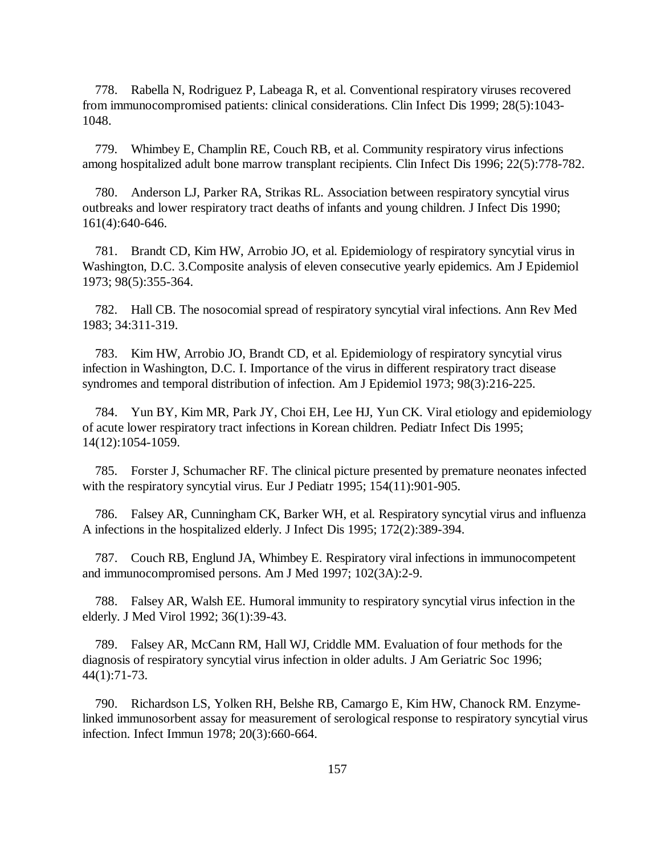778. Rabella N, Rodriguez P, Labeaga R, et al. Conventional respiratory viruses recovered from immunocompromised patients: clinical considerations. Clin Infect Dis 1999; 28(5):1043- 1048.

779. Whimbey E, Champlin RE, Couch RB, et al. Community respiratory virus infections among hospitalized adult bone marrow transplant recipients. Clin Infect Dis 1996; 22(5):778-782.

780. Anderson LJ, Parker RA, Strikas RL. Association between respiratory syncytial virus outbreaks and lower respiratory tract deaths of infants and young children. J Infect Dis 1990; 161(4):640-646.

781. Brandt CD, Kim HW, Arrobio JO, et al. Epidemiology of respiratory syncytial virus in Washington, D.C. 3.Composite analysis of eleven consecutive yearly epidemics. Am J Epidemiol 1973; 98(5):355-364.

782. Hall CB. The nosocomial spread of respiratory syncytial viral infections. Ann Rev Med 1983; 34:311-319.

783. Kim HW, Arrobio JO, Brandt CD, et al. Epidemiology of respiratory syncytial virus infection in Washington, D.C. I. Importance of the virus in different respiratory tract disease syndromes and temporal distribution of infection. Am J Epidemiol 1973; 98(3):216-225.

784. Yun BY, Kim MR, Park JY, Choi EH, Lee HJ, Yun CK. Viral etiology and epidemiology of acute lower respiratory tract infections in Korean children. Pediatr Infect Dis 1995; 14(12):1054-1059.

785. Forster J, Schumacher RF. The clinical picture presented by premature neonates infected with the respiratory syncytial virus. Eur J Pediatr 1995; 154(11):901-905.

786. Falsey AR, Cunningham CK, Barker WH, et al. Respiratory syncytial virus and influenza A infections in the hospitalized elderly. J Infect Dis 1995; 172(2):389-394.

787. Couch RB, Englund JA, Whimbey E. Respiratory viral infections in immunocompetent and immunocompromised persons. Am J Med 1997; 102(3A):2-9.

788. Falsey AR, Walsh EE. Humoral immunity to respiratory syncytial virus infection in the elderly. J Med Virol 1992; 36(1):39-43.

789. Falsey AR, McCann RM, Hall WJ, Criddle MM. Evaluation of four methods for the diagnosis of respiratory syncytial virus infection in older adults. J Am Geriatric Soc 1996; 44(1):71-73.

790. Richardson LS, Yolken RH, Belshe RB, Camargo E, Kim HW, Chanock RM. Enzymelinked immunosorbent assay for measurement of serological response to respiratory syncytial virus infection. Infect Immun 1978; 20(3):660-664.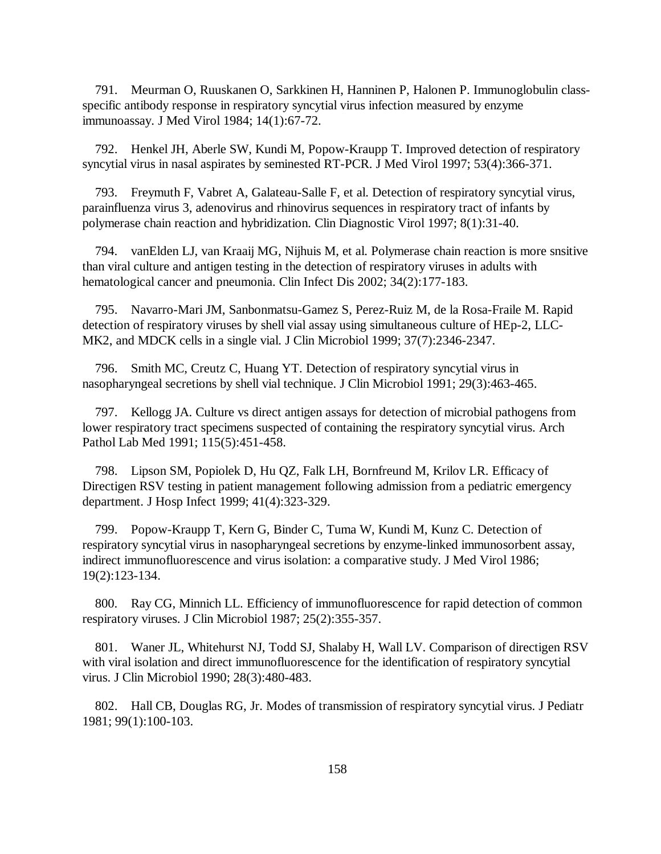791. Meurman O, Ruuskanen O, Sarkkinen H, Hanninen P, Halonen P. Immunoglobulin classspecific antibody response in respiratory syncytial virus infection measured by enzyme immunoassay. J Med Virol 1984; 14(1):67-72.

792. Henkel JH, Aberle SW, Kundi M, Popow-Kraupp T. Improved detection of respiratory syncytial virus in nasal aspirates by seminested RT-PCR. J Med Virol 1997; 53(4):366-371.

793. Freymuth F, Vabret A, Galateau-Salle F, et al. Detection of respiratory syncytial virus, parainfluenza virus 3, adenovirus and rhinovirus sequences in respiratory tract of infants by polymerase chain reaction and hybridization. Clin Diagnostic Virol 1997; 8(1):31-40.

794. vanElden LJ, van Kraaij MG, Nijhuis M, et al. Polymerase chain reaction is more snsitive than viral culture and antigen testing in the detection of respiratory viruses in adults with hematological cancer and pneumonia. Clin Infect Dis 2002; 34(2):177-183.

795. Navarro-Mari JM, Sanbonmatsu-Gamez S, Perez-Ruiz M, de la Rosa-Fraile M. Rapid detection of respiratory viruses by shell vial assay using simultaneous culture of HEp-2, LLC-MK2, and MDCK cells in a single vial. J Clin Microbiol 1999; 37(7):2346-2347.

796. Smith MC, Creutz C, Huang YT. Detection of respiratory syncytial virus in nasopharyngeal secretions by shell vial technique. J Clin Microbiol 1991; 29(3):463-465.

797. Kellogg JA. Culture vs direct antigen assays for detection of microbial pathogens from lower respiratory tract specimens suspected of containing the respiratory syncytial virus. Arch Pathol Lab Med 1991; 115(5):451-458.

798. Lipson SM, Popiolek D, Hu QZ, Falk LH, Bornfreund M, Krilov LR. Efficacy of Directigen RSV testing in patient management following admission from a pediatric emergency department. J Hosp Infect 1999; 41(4):323-329.

799. Popow-Kraupp T, Kern G, Binder C, Tuma W, Kundi M, Kunz C. Detection of respiratory syncytial virus in nasopharyngeal secretions by enzyme-linked immunosorbent assay, indirect immunofluorescence and virus isolation: a comparative study. J Med Virol 1986; 19(2):123-134.

800. Ray CG, Minnich LL. Efficiency of immunofluorescence for rapid detection of common respiratory viruses. J Clin Microbiol 1987; 25(2):355-357.

801. Waner JL, Whitehurst NJ, Todd SJ, Shalaby H, Wall LV. Comparison of directigen RSV with viral isolation and direct immunofluorescence for the identification of respiratory syncytial virus. J Clin Microbiol 1990; 28(3):480-483.

802. Hall CB, Douglas RG, Jr. Modes of transmission of respiratory syncytial virus. J Pediatr 1981; 99(1):100-103.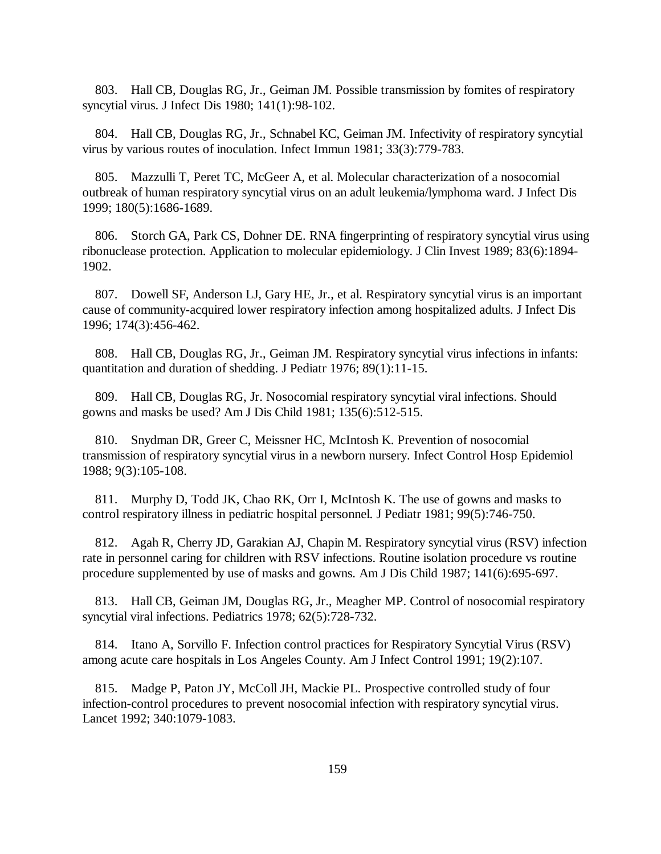803. Hall CB, Douglas RG, Jr., Geiman JM. Possible transmission by fomites of respiratory syncytial virus. J Infect Dis 1980; 141(1):98-102.

804. Hall CB, Douglas RG, Jr., Schnabel KC, Geiman JM. Infectivity of respiratory syncytial virus by various routes of inoculation. Infect Immun 1981; 33(3):779-783.

805. Mazzulli T, Peret TC, McGeer A, et al. Molecular characterization of a nosocomial outbreak of human respiratory syncytial virus on an adult leukemia/lymphoma ward. J Infect Dis 1999; 180(5):1686-1689.

806. Storch GA, Park CS, Dohner DE. RNA fingerprinting of respiratory syncytial virus using ribonuclease protection. Application to molecular epidemiology. J Clin Invest 1989; 83(6):1894- 1902.

807. Dowell SF, Anderson LJ, Gary HE, Jr., et al. Respiratory syncytial virus is an important cause of community-acquired lower respiratory infection among hospitalized adults. J Infect Dis 1996; 174(3):456-462.

808. Hall CB, Douglas RG, Jr., Geiman JM. Respiratory syncytial virus infections in infants: quantitation and duration of shedding. J Pediatr 1976; 89(1):11-15.

809. Hall CB, Douglas RG, Jr. Nosocomial respiratory syncytial viral infections. Should gowns and masks be used? Am J Dis Child 1981; 135(6):512-515.

810. Snydman DR, Greer C, Meissner HC, McIntosh K. Prevention of nosocomial transmission of respiratory syncytial virus in a newborn nursery. Infect Control Hosp Epidemiol 1988; 9(3):105-108.

811. Murphy D, Todd JK, Chao RK, Orr I, McIntosh K. The use of gowns and masks to control respiratory illness in pediatric hospital personnel. J Pediatr 1981; 99(5):746-750.

812. Agah R, Cherry JD, Garakian AJ, Chapin M. Respiratory syncytial virus (RSV) infection rate in personnel caring for children with RSV infections. Routine isolation procedure vs routine procedure supplemented by use of masks and gowns. Am J Dis Child 1987; 141(6):695-697.

813. Hall CB, Geiman JM, Douglas RG, Jr., Meagher MP. Control of nosocomial respiratory syncytial viral infections. Pediatrics 1978; 62(5):728-732.

814. Itano A, Sorvillo F. Infection control practices for Respiratory Syncytial Virus (RSV) among acute care hospitals in Los Angeles County. Am J Infect Control 1991; 19(2):107.

815. Madge P, Paton JY, McColl JH, Mackie PL. Prospective controlled study of four infection-control procedures to prevent nosocomial infection with respiratory syncytial virus. Lancet 1992; 340:1079-1083.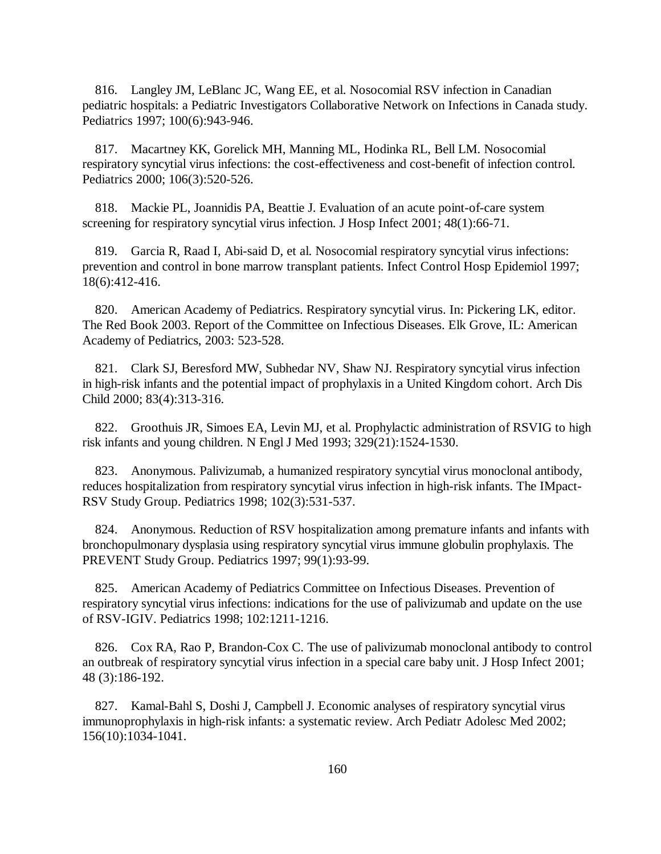816. Langley JM, LeBlanc JC, Wang EE, et al. Nosocomial RSV infection in Canadian pediatric hospitals: a Pediatric Investigators Collaborative Network on Infections in Canada study. Pediatrics 1997; 100(6):943-946.

817. Macartney KK, Gorelick MH, Manning ML, Hodinka RL, Bell LM. Nosocomial respiratory syncytial virus infections: the cost-effectiveness and cost-benefit of infection control. Pediatrics 2000; 106(3):520-526.

818. Mackie PL, Joannidis PA, Beattie J. Evaluation of an acute point-of-care system screening for respiratory syncytial virus infection. J Hosp Infect 2001; 48(1):66-71.

819. Garcia R, Raad I, Abi-said D, et al. Nosocomial respiratory syncytial virus infections: prevention and control in bone marrow transplant patients. Infect Control Hosp Epidemiol 1997; 18(6):412-416.

820. American Academy of Pediatrics. Respiratory syncytial virus. In: Pickering LK, editor. The Red Book 2003. Report of the Committee on Infectious Diseases. Elk Grove, IL: American Academy of Pediatrics, 2003: 523-528.

821. Clark SJ, Beresford MW, Subhedar NV, Shaw NJ. Respiratory syncytial virus infection in high-risk infants and the potential impact of prophylaxis in a United Kingdom cohort. Arch Dis Child 2000; 83(4):313-316.

822. Groothuis JR, Simoes EA, Levin MJ, et al. Prophylactic administration of RSVIG to high risk infants and young children. N Engl J Med 1993; 329(21):1524-1530.

823. Anonymous. Palivizumab, a humanized respiratory syncytial virus monoclonal antibody, reduces hospitalization from respiratory syncytial virus infection in high-risk infants. The IMpact-RSV Study Group. Pediatrics 1998; 102(3):531-537.

824. Anonymous. Reduction of RSV hospitalization among premature infants and infants with bronchopulmonary dysplasia using respiratory syncytial virus immune globulin prophylaxis. The PREVENT Study Group. Pediatrics 1997; 99(1):93-99.

825. American Academy of Pediatrics Committee on Infectious Diseases. Prevention of respiratory syncytial virus infections: indications for the use of palivizumab and update on the use of RSV-IGIV. Pediatrics 1998; 102:1211-1216.

826. Cox RA, Rao P, Brandon-Cox C. The use of palivizumab monoclonal antibody to control an outbreak of respiratory syncytial virus infection in a special care baby unit. J Hosp Infect 2001; 48 (3):186-192.

827. Kamal-Bahl S, Doshi J, Campbell J. Economic analyses of respiratory syncytial virus immunoprophylaxis in high-risk infants: a systematic review. Arch Pediatr Adolesc Med 2002; 156(10):1034-1041.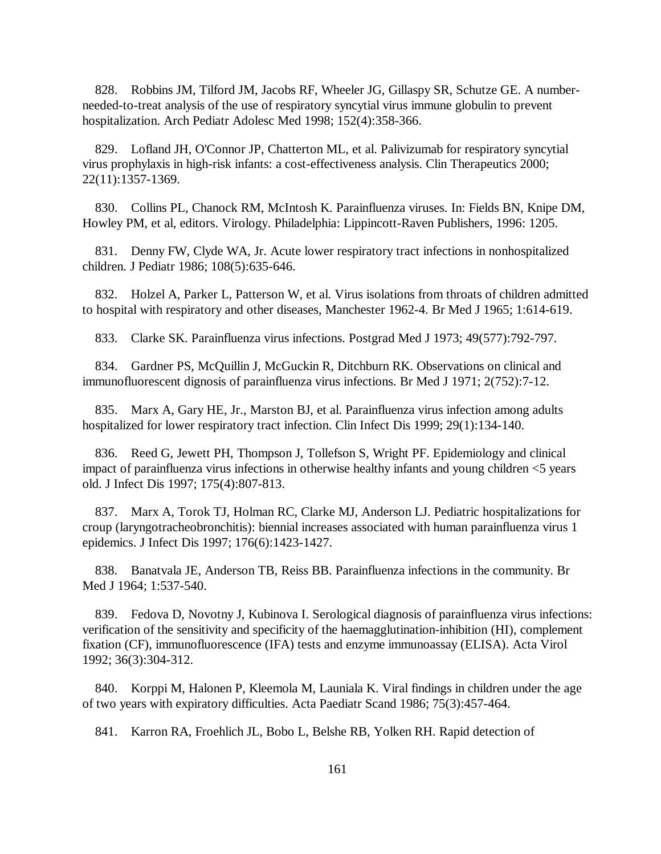828. Robbins JM, Tilford JM, Jacobs RF, Wheeler JG, Gillaspy SR, Schutze GE. A numberneeded-to-treat analysis of the use of respiratory syncytial virus immune globulin to prevent hospitalization. Arch Pediatr Adolesc Med 1998; 152(4):358-366.

829. Lofland JH, O'Connor JP, Chatterton ML, et al. Palivizumab for respiratory syncytial virus prophylaxis in high-risk infants: a cost-effectiveness analysis. Clin Therapeutics 2000; 22(11):1357-1369.

830. Collins PL, Chanock RM, McIntosh K. Parainfluenza viruses. In: Fields BN, Knipe DM, Howley PM, et al, editors. Virology. Philadelphia: Lippincott-Raven Publishers, 1996: 1205.

831. Denny FW, Clyde WA, Jr. Acute lower respiratory tract infections in nonhospitalized children. J Pediatr 1986; 108(5):635-646.

832. Holzel A, Parker L, Patterson W, et al. Virus isolations from throats of children admitted to hospital with respiratory and other diseases, Manchester 1962-4. Br Med J 1965; 1:614-619.

833. Clarke SK. Parainfluenza virus infections. Postgrad Med J 1973; 49(577):792-797.

834. Gardner PS, McQuillin J, McGuckin R, Ditchburn RK. Observations on clinical and immunofluorescent dignosis of parainfluenza virus infections. Br Med J 1971; 2(752):7-12.

835. Marx A, Gary HE, Jr., Marston BJ, et al. Parainfluenza virus infection among adults hospitalized for lower respiratory tract infection. Clin Infect Dis 1999; 29(1):134-140.

836. Reed G, Jewett PH, Thompson J, Tollefson S, Wright PF. Epidemiology and clinical impact of parainfluenza virus infections in otherwise healthy infants and young children <5 years old. J Infect Dis 1997; 175(4):807-813.

837. Marx A, Torok TJ, Holman RC, Clarke MJ, Anderson LJ. Pediatric hospitalizations for croup (laryngotracheobronchitis): biennial increases associated with human parainfluenza virus 1 epidemics. J Infect Dis 1997; 176(6):1423-1427.

838. Banatvala JE, Anderson TB, Reiss BB. Parainfluenza infections in the community. Br Med J 1964; 1:537-540.

839. Fedova D, Novotny J, Kubinova I. Serological diagnosis of parainfluenza virus infections: verification of the sensitivity and specificity of the haemagglutination-inhibition (HI), complement fixation (CF), immunofluorescence (IFA) tests and enzyme immunoassay (ELISA). Acta Virol 1992; 36(3):304-312.

840. Korppi M, Halonen P, Kleemola M, Launiala K. Viral findings in children under the age of two years with expiratory difficulties. Acta Paediatr Scand 1986; 75(3):457-464.

841. Karron RA, Froehlich JL, Bobo L, Belshe RB, Yolken RH. Rapid detection of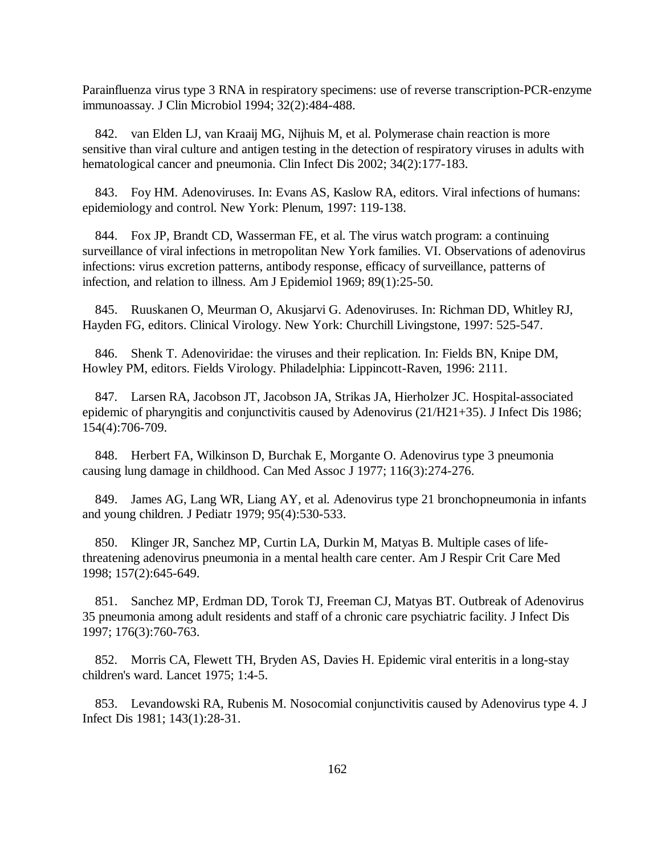Parainfluenza virus type 3 RNA in respiratory specimens: use of reverse transcription-PCR-enzyme immunoassay. J Clin Microbiol 1994; 32(2):484-488.

842. van Elden LJ, van Kraaij MG, Nijhuis M, et al. Polymerase chain reaction is more sensitive than viral culture and antigen testing in the detection of respiratory viruses in adults with hematological cancer and pneumonia. Clin Infect Dis 2002; 34(2):177-183.

843. Foy HM. Adenoviruses. In: Evans AS, Kaslow RA, editors. Viral infections of humans: epidemiology and control. New York: Plenum, 1997: 119-138.

844. Fox JP, Brandt CD, Wasserman FE, et al. The virus watch program: a continuing surveillance of viral infections in metropolitan New York families. VI. Observations of adenovirus infections: virus excretion patterns, antibody response, efficacy of surveillance, patterns of infection, and relation to illness. Am J Epidemiol 1969; 89(1):25-50.

845. Ruuskanen O, Meurman O, Akusjarvi G. Adenoviruses. In: Richman DD, Whitley RJ, Hayden FG, editors. Clinical Virology. New York: Churchill Livingstone, 1997: 525-547.

846. Shenk T. Adenoviridae: the viruses and their replication. In: Fields BN, Knipe DM, Howley PM, editors. Fields Virology. Philadelphia: Lippincott-Raven, 1996: 2111.

847. Larsen RA, Jacobson JT, Jacobson JA, Strikas JA, Hierholzer JC. Hospital-associated epidemic of pharyngitis and conjunctivitis caused by Adenovirus (21/H21+35). J Infect Dis 1986; 154(4):706-709.

848. Herbert FA, Wilkinson D, Burchak E, Morgante O. Adenovirus type 3 pneumonia causing lung damage in childhood. Can Med Assoc J 1977; 116(3):274-276.

849. James AG, Lang WR, Liang AY, et al. Adenovirus type 21 bronchopneumonia in infants and young children. J Pediatr 1979; 95(4):530-533.

850. Klinger JR, Sanchez MP, Curtin LA, Durkin M, Matyas B. Multiple cases of lifethreatening adenovirus pneumonia in a mental health care center. Am J Respir Crit Care Med 1998; 157(2):645-649.

851. Sanchez MP, Erdman DD, Torok TJ, Freeman CJ, Matyas BT. Outbreak of Adenovirus 35 pneumonia among adult residents and staff of a chronic care psychiatric facility. J Infect Dis 1997; 176(3):760-763.

852. Morris CA, Flewett TH, Bryden AS, Davies H. Epidemic viral enteritis in a long-stay children's ward. Lancet 1975; 1:4-5.

853. Levandowski RA, Rubenis M. Nosocomial conjunctivitis caused by Adenovirus type 4. J Infect Dis 1981; 143(1):28-31.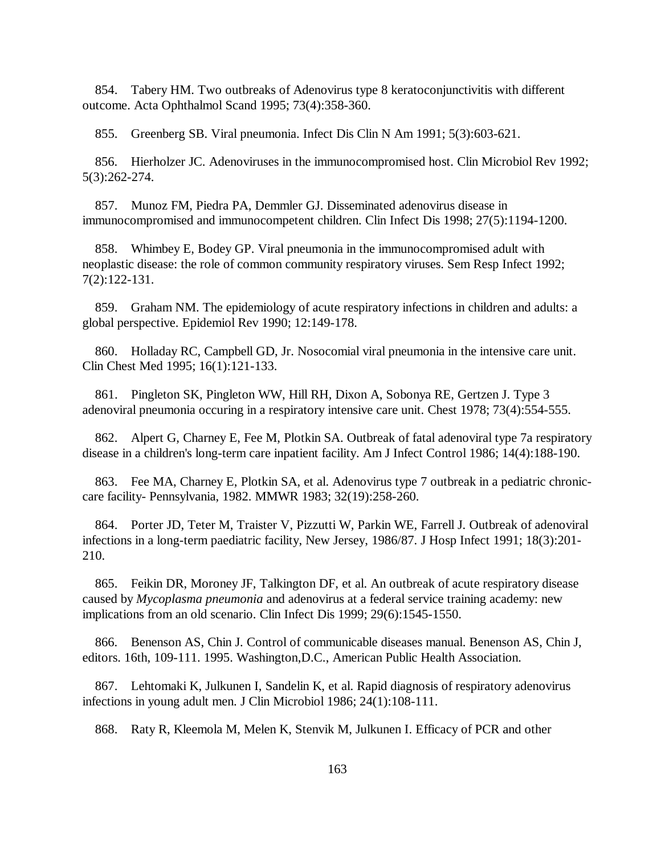854. Tabery HM. Two outbreaks of Adenovirus type 8 keratoconjunctivitis with different outcome. Acta Ophthalmol Scand 1995; 73(4):358-360.

855. Greenberg SB. Viral pneumonia. Infect Dis Clin N Am 1991; 5(3):603-621.

856. Hierholzer JC. Adenoviruses in the immunocompromised host. Clin Microbiol Rev 1992; 5(3):262-274.

857. Munoz FM, Piedra PA, Demmler GJ. Disseminated adenovirus disease in immunocompromised and immunocompetent children. Clin Infect Dis 1998; 27(5):1194-1200.

858. Whimbey E, Bodey GP. Viral pneumonia in the immunocompromised adult with neoplastic disease: the role of common community respiratory viruses. Sem Resp Infect 1992; 7(2):122-131.

859. Graham NM. The epidemiology of acute respiratory infections in children and adults: a global perspective. Epidemiol Rev 1990; 12:149-178.

860. Holladay RC, Campbell GD, Jr. Nosocomial viral pneumonia in the intensive care unit. Clin Chest Med 1995; 16(1):121-133.

861. Pingleton SK, Pingleton WW, Hill RH, Dixon A, Sobonya RE, Gertzen J. Type 3 adenoviral pneumonia occuring in a respiratory intensive care unit. Chest 1978; 73(4):554-555.

862. Alpert G, Charney E, Fee M, Plotkin SA. Outbreak of fatal adenoviral type 7a respiratory disease in a children's long-term care inpatient facility. Am J Infect Control 1986; 14(4):188-190.

863. Fee MA, Charney E, Plotkin SA, et al. Adenovirus type 7 outbreak in a pediatric chroniccare facility- Pennsylvania, 1982. MMWR 1983; 32(19):258-260.

864. Porter JD, Teter M, Traister V, Pizzutti W, Parkin WE, Farrell J. Outbreak of adenoviral infections in a long-term paediatric facility, New Jersey, 1986/87. J Hosp Infect 1991; 18(3):201- 210.

865. Feikin DR, Moroney JF, Talkington DF, et al. An outbreak of acute respiratory disease caused by *Mycoplasma pneumonia* and adenovirus at a federal service training academy: new implications from an old scenario. Clin Infect Dis 1999; 29(6):1545-1550.

866. Benenson AS, Chin J. Control of communicable diseases manual. Benenson AS, Chin J, editors. 16th, 109-111. 1995. Washington,D.C., American Public Health Association.

867. Lehtomaki K, Julkunen I, Sandelin K, et al. Rapid diagnosis of respiratory adenovirus infections in young adult men. J Clin Microbiol 1986; 24(1):108-111.

868. Raty R, Kleemola M, Melen K, Stenvik M, Julkunen I. Efficacy of PCR and other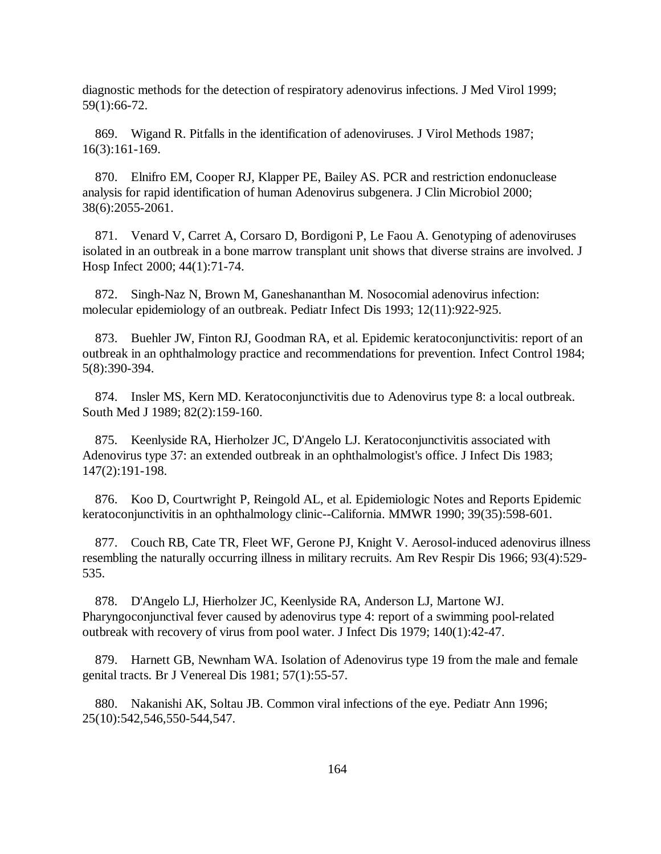diagnostic methods for the detection of respiratory adenovirus infections. J Med Virol 1999; 59(1):66-72.

869. Wigand R. Pitfalls in the identification of adenoviruses. J Virol Methods 1987; 16(3):161-169.

870. Elnifro EM, Cooper RJ, Klapper PE, Bailey AS. PCR and restriction endonuclease analysis for rapid identification of human Adenovirus subgenera. J Clin Microbiol 2000; 38(6):2055-2061.

871. Venard V, Carret A, Corsaro D, Bordigoni P, Le Faou A. Genotyping of adenoviruses isolated in an outbreak in a bone marrow transplant unit shows that diverse strains are involved. J Hosp Infect 2000; 44(1):71-74.

872. Singh-Naz N, Brown M, Ganeshananthan M. Nosocomial adenovirus infection: molecular epidemiology of an outbreak. Pediatr Infect Dis 1993; 12(11):922-925.

873. Buehler JW, Finton RJ, Goodman RA, et al. Epidemic keratoconjunctivitis: report of an outbreak in an ophthalmology practice and recommendations for prevention. Infect Control 1984; 5(8):390-394.

874. Insler MS, Kern MD. Keratoconjunctivitis due to Adenovirus type 8: a local outbreak. South Med J 1989; 82(2):159-160.

875. Keenlyside RA, Hierholzer JC, D'Angelo LJ. Keratoconjunctivitis associated with Adenovirus type 37: an extended outbreak in an ophthalmologist's office. J Infect Dis 1983; 147(2):191-198.

876. Koo D, Courtwright P, Reingold AL, et al. Epidemiologic Notes and Reports Epidemic keratoconjunctivitis in an ophthalmology clinic--California. MMWR 1990; 39(35):598-601.

877. Couch RB, Cate TR, Fleet WF, Gerone PJ, Knight V. Aerosol-induced adenovirus illness resembling the naturally occurring illness in military recruits. Am Rev Respir Dis 1966; 93(4):529- 535.

878. D'Angelo LJ, Hierholzer JC, Keenlyside RA, Anderson LJ, Martone WJ. Pharyngoconjunctival fever caused by adenovirus type 4: report of a swimming pool-related outbreak with recovery of virus from pool water. J Infect Dis 1979; 140(1):42-47.

879. Harnett GB, Newnham WA. Isolation of Adenovirus type 19 from the male and female genital tracts. Br J Venereal Dis 1981; 57(1):55-57.

880. Nakanishi AK, Soltau JB. Common viral infections of the eye. Pediatr Ann 1996; 25(10):542,546,550-544,547.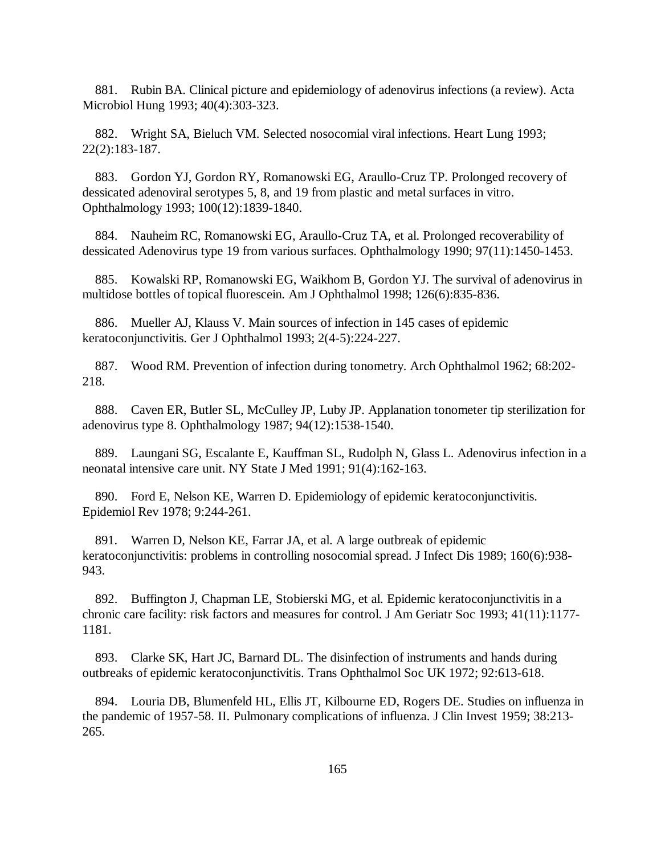881. Rubin BA. Clinical picture and epidemiology of adenovirus infections (a review). Acta Microbiol Hung 1993; 40(4):303-323.

882. Wright SA, Bieluch VM. Selected nosocomial viral infections. Heart Lung 1993; 22(2):183-187.

883. Gordon YJ, Gordon RY, Romanowski EG, Araullo-Cruz TP. Prolonged recovery of dessicated adenoviral serotypes 5, 8, and 19 from plastic and metal surfaces in vitro. Ophthalmology 1993; 100(12):1839-1840.

884. Nauheim RC, Romanowski EG, Araullo-Cruz TA, et al. Prolonged recoverability of dessicated Adenovirus type 19 from various surfaces. Ophthalmology 1990; 97(11):1450-1453.

885. Kowalski RP, Romanowski EG, Waikhom B, Gordon YJ. The survival of adenovirus in multidose bottles of topical fluorescein. Am J Ophthalmol 1998; 126(6):835-836.

886. Mueller AJ, Klauss V. Main sources of infection in 145 cases of epidemic keratoconjunctivitis. Ger J Ophthalmol 1993; 2(4-5):224-227.

887. Wood RM. Prevention of infection during tonometry. Arch Ophthalmol 1962; 68:202- 218.

888. Caven ER, Butler SL, McCulley JP, Luby JP. Applanation tonometer tip sterilization for adenovirus type 8. Ophthalmology 1987; 94(12):1538-1540.

889. Laungani SG, Escalante E, Kauffman SL, Rudolph N, Glass L. Adenovirus infection in a neonatal intensive care unit. NY State J Med 1991; 91(4):162-163.

890. Ford E, Nelson KE, Warren D. Epidemiology of epidemic keratoconjunctivitis. Epidemiol Rev 1978; 9:244-261.

891. Warren D, Nelson KE, Farrar JA, et al. A large outbreak of epidemic keratoconjunctivitis: problems in controlling nosocomial spread. J Infect Dis 1989; 160(6):938- 943.

892. Buffington J, Chapman LE, Stobierski MG, et al. Epidemic keratoconjunctivitis in a chronic care facility: risk factors and measures for control. J Am Geriatr Soc 1993; 41(11):1177- 1181.

893. Clarke SK, Hart JC, Barnard DL. The disinfection of instruments and hands during outbreaks of epidemic keratoconjunctivitis. Trans Ophthalmol Soc UK 1972; 92:613-618.

894. Louria DB, Blumenfeld HL, Ellis JT, Kilbourne ED, Rogers DE. Studies on influenza in the pandemic of 1957-58. II. Pulmonary complications of influenza. J Clin Invest 1959; 38:213- 265.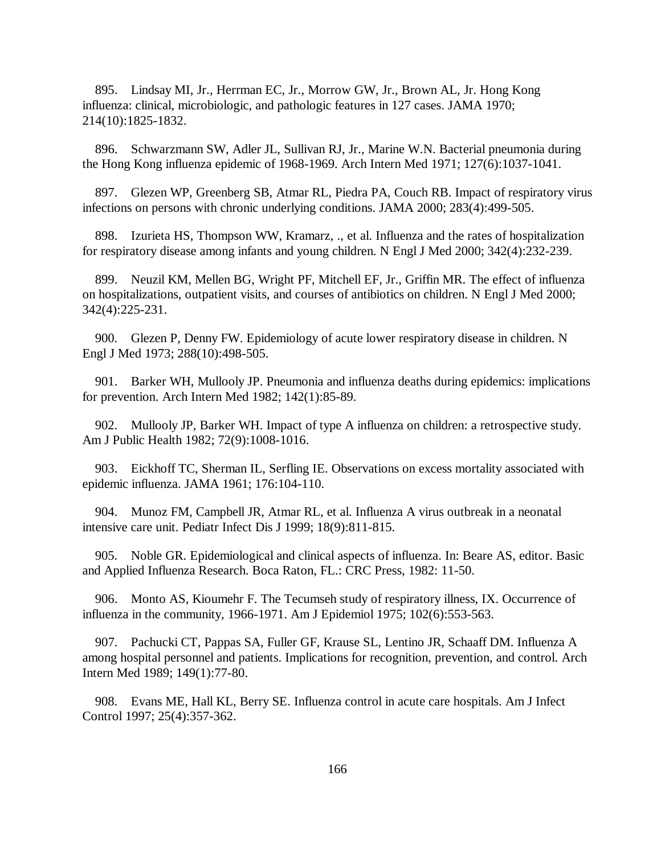895. Lindsay MI, Jr., Herrman EC, Jr., Morrow GW, Jr., Brown AL, Jr. Hong Kong influenza: clinical, microbiologic, and pathologic features in 127 cases. JAMA 1970; 214(10):1825-1832.

896. Schwarzmann SW, Adler JL, Sullivan RJ, Jr., Marine W.N. Bacterial pneumonia during the Hong Kong influenza epidemic of 1968-1969. Arch Intern Med 1971; 127(6):1037-1041.

897. Glezen WP, Greenberg SB, Atmar RL, Piedra PA, Couch RB. Impact of respiratory virus infections on persons with chronic underlying conditions. JAMA 2000; 283(4):499-505.

898. Izurieta HS, Thompson WW, Kramarz, ., et al. Influenza and the rates of hospitalization for respiratory disease among infants and young children. N Engl J Med 2000; 342(4):232-239.

899. Neuzil KM, Mellen BG, Wright PF, Mitchell EF, Jr., Griffin MR. The effect of influenza on hospitalizations, outpatient visits, and courses of antibiotics on children. N Engl J Med 2000; 342(4):225-231.

900. Glezen P, Denny FW. Epidemiology of acute lower respiratory disease in children. N Engl J Med 1973; 288(10):498-505.

901. Barker WH, Mullooly JP. Pneumonia and influenza deaths during epidemics: implications for prevention. Arch Intern Med 1982; 142(1):85-89.

902. Mullooly JP, Barker WH. Impact of type A influenza on children: a retrospective study. Am J Public Health 1982; 72(9):1008-1016.

903. Eickhoff TC, Sherman IL, Serfling IE. Observations on excess mortality associated with epidemic influenza. JAMA 1961; 176:104-110.

904. Munoz FM, Campbell JR, Atmar RL, et al. Influenza A virus outbreak in a neonatal intensive care unit. Pediatr Infect Dis J 1999; 18(9):811-815.

905. Noble GR. Epidemiological and clinical aspects of influenza. In: Beare AS, editor. Basic and Applied Influenza Research. Boca Raton, FL.: CRC Press, 1982: 11-50.

906. Monto AS, Kioumehr F. The Tecumseh study of respiratory illness, IX. Occurrence of influenza in the community, 1966-1971. Am J Epidemiol 1975; 102(6):553-563.

907. Pachucki CT, Pappas SA, Fuller GF, Krause SL, Lentino JR, Schaaff DM. Influenza A among hospital personnel and patients. Implications for recognition, prevention, and control. Arch Intern Med 1989; 149(1):77-80.

908. Evans ME, Hall KL, Berry SE. Influenza control in acute care hospitals. Am J Infect Control 1997; 25(4):357-362.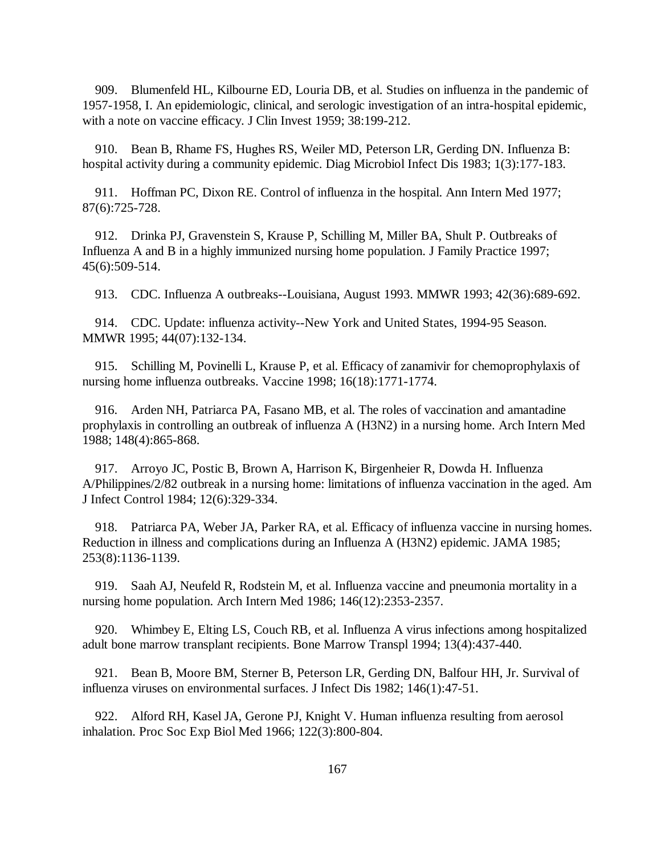909. Blumenfeld HL, Kilbourne ED, Louria DB, et al. Studies on influenza in the pandemic of 1957-1958, I. An epidemiologic, clinical, and serologic investigation of an intra-hospital epidemic, with a note on vaccine efficacy. J Clin Invest 1959; 38:199-212.

910. Bean B, Rhame FS, Hughes RS, Weiler MD, Peterson LR, Gerding DN. Influenza B: hospital activity during a community epidemic. Diag Microbiol Infect Dis 1983; 1(3):177-183.

911. Hoffman PC, Dixon RE. Control of influenza in the hospital. Ann Intern Med 1977; 87(6):725-728.

912. Drinka PJ, Gravenstein S, Krause P, Schilling M, Miller BA, Shult P. Outbreaks of Influenza A and B in a highly immunized nursing home population. J Family Practice 1997; 45(6):509-514.

913. CDC. Influenza A outbreaks--Louisiana, August 1993. MMWR 1993; 42(36):689-692.

914. CDC. Update: influenza activity--New York and United States, 1994-95 Season. MMWR 1995; 44(07):132-134.

915. Schilling M, Povinelli L, Krause P, et al. Efficacy of zanamivir for chemoprophylaxis of nursing home influenza outbreaks. Vaccine 1998; 16(18):1771-1774.

916. Arden NH, Patriarca PA, Fasano MB, et al. The roles of vaccination and amantadine prophylaxis in controlling an outbreak of influenza A (H3N2) in a nursing home. Arch Intern Med 1988; 148(4):865-868.

917. Arroyo JC, Postic B, Brown A, Harrison K, Birgenheier R, Dowda H. Influenza A/Philippines/2/82 outbreak in a nursing home: limitations of influenza vaccination in the aged. Am J Infect Control 1984; 12(6):329-334.

918. Patriarca PA, Weber JA, Parker RA, et al. Efficacy of influenza vaccine in nursing homes. Reduction in illness and complications during an Influenza A (H3N2) epidemic. JAMA 1985; 253(8):1136-1139.

919. Saah AJ, Neufeld R, Rodstein M, et al. Influenza vaccine and pneumonia mortality in a nursing home population. Arch Intern Med 1986; 146(12):2353-2357.

920. Whimbey E, Elting LS, Couch RB, et al. Influenza A virus infections among hospitalized adult bone marrow transplant recipients. Bone Marrow Transpl 1994; 13(4):437-440.

921. Bean B, Moore BM, Sterner B, Peterson LR, Gerding DN, Balfour HH, Jr. Survival of influenza viruses on environmental surfaces. J Infect Dis 1982; 146(1):47-51.

922. Alford RH, Kasel JA, Gerone PJ, Knight V. Human influenza resulting from aerosol inhalation. Proc Soc Exp Biol Med 1966; 122(3):800-804.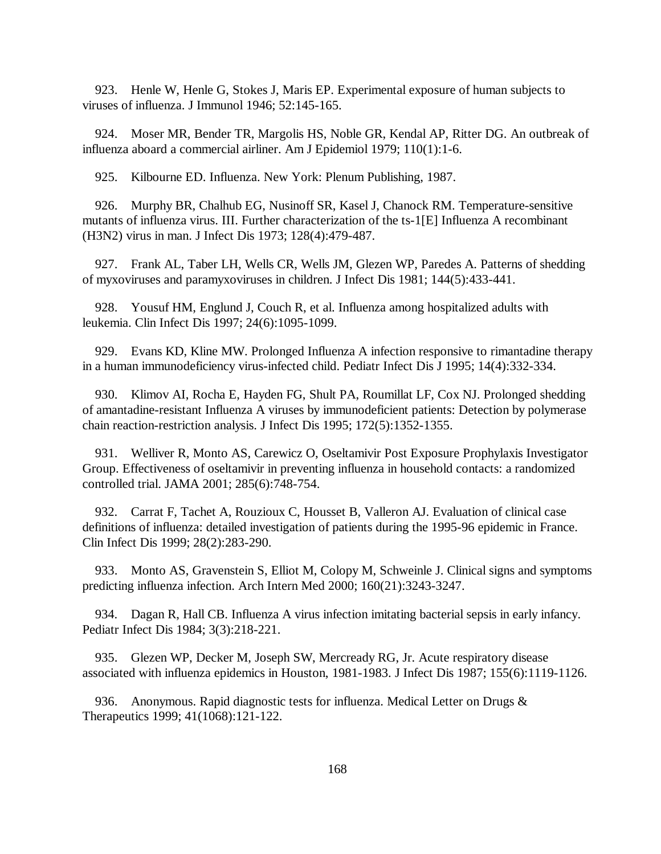923. Henle W, Henle G, Stokes J, Maris EP. Experimental exposure of human subjects to viruses of influenza. J Immunol 1946; 52:145-165.

924. Moser MR, Bender TR, Margolis HS, Noble GR, Kendal AP, Ritter DG. An outbreak of influenza aboard a commercial airliner. Am J Epidemiol 1979; 110(1):1-6.

925. Kilbourne ED. Influenza. New York: Plenum Publishing, 1987.

926. Murphy BR, Chalhub EG, Nusinoff SR, Kasel J, Chanock RM. Temperature-sensitive mutants of influenza virus. III. Further characterization of the ts-1[E] Influenza A recombinant (H3N2) virus in man. J Infect Dis 1973; 128(4):479-487.

927. Frank AL, Taber LH, Wells CR, Wells JM, Glezen WP, Paredes A. Patterns of shedding of myxoviruses and paramyxoviruses in children. J Infect Dis 1981; 144(5):433-441.

928. Yousuf HM, Englund J, Couch R, et al. Influenza among hospitalized adults with leukemia. Clin Infect Dis 1997; 24(6):1095-1099.

929. Evans KD, Kline MW. Prolonged Influenza A infection responsive to rimantadine therapy in a human immunodeficiency virus-infected child. Pediatr Infect Dis J 1995; 14(4):332-334.

930. Klimov AI, Rocha E, Hayden FG, Shult PA, Roumillat LF, Cox NJ. Prolonged shedding of amantadine-resistant Influenza A viruses by immunodeficient patients: Detection by polymerase chain reaction-restriction analysis. J Infect Dis 1995; 172(5):1352-1355.

931. Welliver R, Monto AS, Carewicz O, Oseltamivir Post Exposure Prophylaxis Investigator Group. Effectiveness of oseltamivir in preventing influenza in household contacts: a randomized controlled trial. JAMA 2001; 285(6):748-754.

932. Carrat F, Tachet A, Rouzioux C, Housset B, Valleron AJ. Evaluation of clinical case definitions of influenza: detailed investigation of patients during the 1995-96 epidemic in France. Clin Infect Dis 1999; 28(2):283-290.

933. Monto AS, Gravenstein S, Elliot M, Colopy M, Schweinle J. Clinical signs and symptoms predicting influenza infection. Arch Intern Med 2000; 160(21):3243-3247.

934. Dagan R, Hall CB. Influenza A virus infection imitating bacterial sepsis in early infancy. Pediatr Infect Dis 1984; 3(3):218-221.

935. Glezen WP, Decker M, Joseph SW, Mercready RG, Jr. Acute respiratory disease associated with influenza epidemics in Houston, 1981-1983. J Infect Dis 1987; 155(6):1119-1126.

936. Anonymous. Rapid diagnostic tests for influenza. Medical Letter on Drugs  $\&$ Therapeutics 1999; 41(1068):121-122.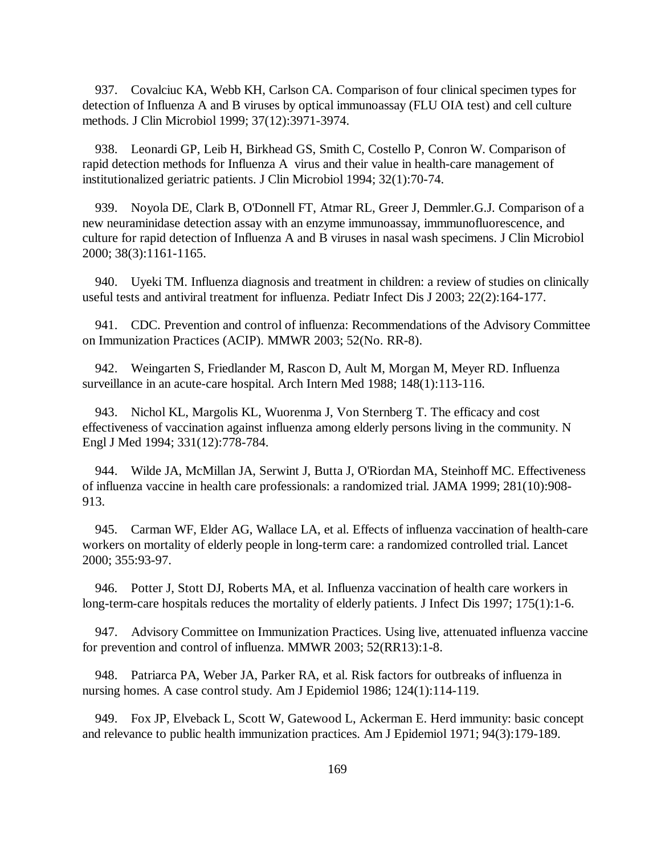937. Covalciuc KA, Webb KH, Carlson CA. Comparison of four clinical specimen types for detection of Influenza A and B viruses by optical immunoassay (FLU OIA test) and cell culture methods. J Clin Microbiol 1999; 37(12):3971-3974.

938. Leonardi GP, Leib H, Birkhead GS, Smith C, Costello P, Conron W. Comparison of rapid detection methods for Influenza Avirus and their value in health-care management of institutionalized geriatric patients. J Clin Microbiol 1994; 32(1):70-74.

939. Noyola DE, Clark B, O'Donnell FT, Atmar RL, Greer J, Demmler.G.J. Comparison of a new neuraminidase detection assay with an enzyme immunoassay, immmunofluorescence, and culture for rapid detection of Influenza A and B viruses in nasal wash specimens. J Clin Microbiol 2000; 38(3):1161-1165.

940. Uyeki TM. Influenza diagnosis and treatment in children: a review of studies on clinically useful tests and antiviral treatment for influenza. Pediatr Infect Dis J 2003; 22(2):164-177.

941. CDC. Prevention and control of influenza: Recommendations of the Advisory Committee on Immunization Practices (ACIP). MMWR 2003; 52(No. RR-8).

942. Weingarten S, Friedlander M, Rascon D, Ault M, Morgan M, Meyer RD. Influenza surveillance in an acute-care hospital. Arch Intern Med 1988; 148(1):113-116.

943. Nichol KL, Margolis KL, Wuorenma J, Von Sternberg T. The efficacy and cost effectiveness of vaccination against influenza among elderly persons living in the community. N Engl J Med 1994; 331(12):778-784.

944. Wilde JA, McMillan JA, Serwint J, Butta J, O'Riordan MA, Steinhoff MC. Effectiveness of influenza vaccine in health care professionals: a randomized trial. JAMA 1999; 281(10):908- 913.

945. Carman WF, Elder AG, Wallace LA, et al. Effects of influenza vaccination of health-care workers on mortality of elderly people in long-term care: a randomized controlled trial. Lancet 2000; 355:93-97.

946. Potter J, Stott DJ, Roberts MA, et al. Influenza vaccination of health care workers in long-term-care hospitals reduces the mortality of elderly patients. J Infect Dis 1997; 175(1):1-6.

947. Advisory Committee on Immunization Practices. Using live, attenuated influenza vaccine for prevention and control of influenza. MMWR 2003; 52(RR13):1-8.

948. Patriarca PA, Weber JA, Parker RA, et al. Risk factors for outbreaks of influenza in nursing homes. A case control study. Am J Epidemiol 1986; 124(1):114-119.

949. Fox JP, Elveback L, Scott W, Gatewood L, Ackerman E. Herd immunity: basic concept and relevance to public health immunization practices. Am J Epidemiol 1971; 94(3):179-189.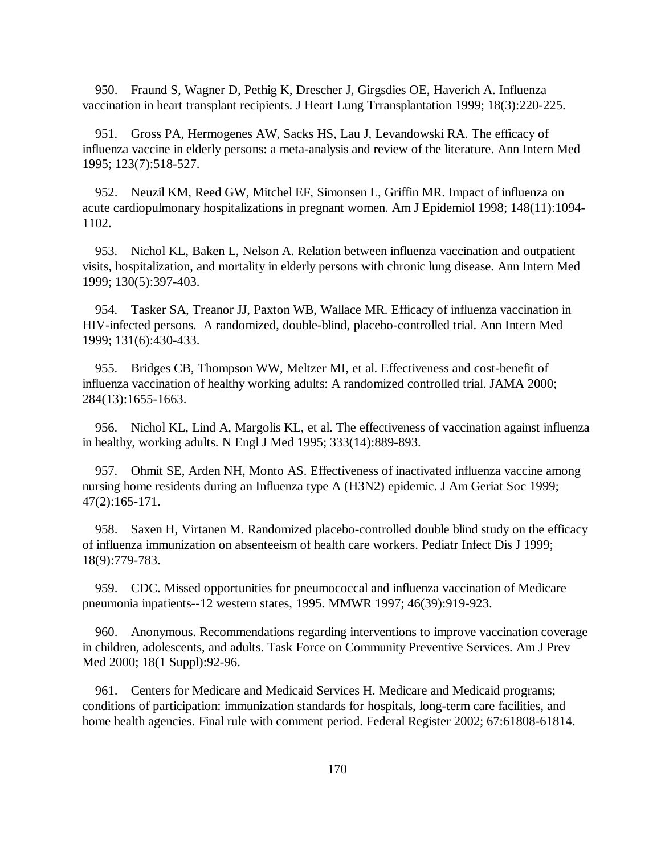950. Fraund S, Wagner D, Pethig K, Drescher J, Girgsdies OE, Haverich A. Influenza vaccination in heart transplant recipients. J Heart Lung Trransplantation 1999; 18(3):220-225.

951. Gross PA, Hermogenes AW, Sacks HS, Lau J, Levandowski RA. The efficacy of influenza vaccine in elderly persons: a meta-analysis and review of the literature. Ann Intern Med 1995; 123(7):518-527.

952. Neuzil KM, Reed GW, Mitchel EF, Simonsen L, Griffin MR. Impact of influenza on acute cardiopulmonary hospitalizations in pregnant women. Am J Epidemiol 1998; 148(11):1094- 1102.

953. Nichol KL, Baken L, Nelson A. Relation between influenza vaccination and outpatient visits, hospitalization, and mortality in elderly persons with chronic lung disease. Ann Intern Med 1999; 130(5):397-403.

954. Tasker SA, Treanor JJ, Paxton WB, Wallace MR. Efficacy of influenza vaccination in HIV-infected persons. A randomized, double-blind, placebo-controlled trial. Ann Intern Med 1999; 131(6):430-433.

955. Bridges CB, Thompson WW, Meltzer MI, et al. Effectiveness and cost-benefit of influenza vaccination of healthy working adults: A randomized controlled trial. JAMA 2000; 284(13):1655-1663.

956. Nichol KL, Lind A, Margolis KL, et al. The effectiveness of vaccination against influenza in healthy, working adults. N Engl J Med 1995; 333(14):889-893.

957. Ohmit SE, Arden NH, Monto AS. Effectiveness of inactivated influenza vaccine among nursing home residents during an Influenza type A (H3N2) epidemic. J Am Geriat Soc 1999; 47(2):165-171.

958. Saxen H, Virtanen M. Randomized placebo-controlled double blind study on the efficacy of influenza immunization on absenteeism of health care workers. Pediatr Infect Dis J 1999; 18(9):779-783.

959. CDC. Missed opportunities for pneumococcal and influenza vaccination of Medicare pneumonia inpatients--12 western states, 1995. MMWR 1997; 46(39):919-923.

960. Anonymous. Recommendations regarding interventions to improve vaccination coverage in children, adolescents, and adults. Task Force on Community Preventive Services. Am J Prev Med 2000; 18(1 Suppl):92-96.

961. Centers for Medicare and Medicaid Services H. Medicare and Medicaid programs; conditions of participation: immunization standards for hospitals, long-term care facilities, and home health agencies. Final rule with comment period. Federal Register 2002; 67:61808-61814.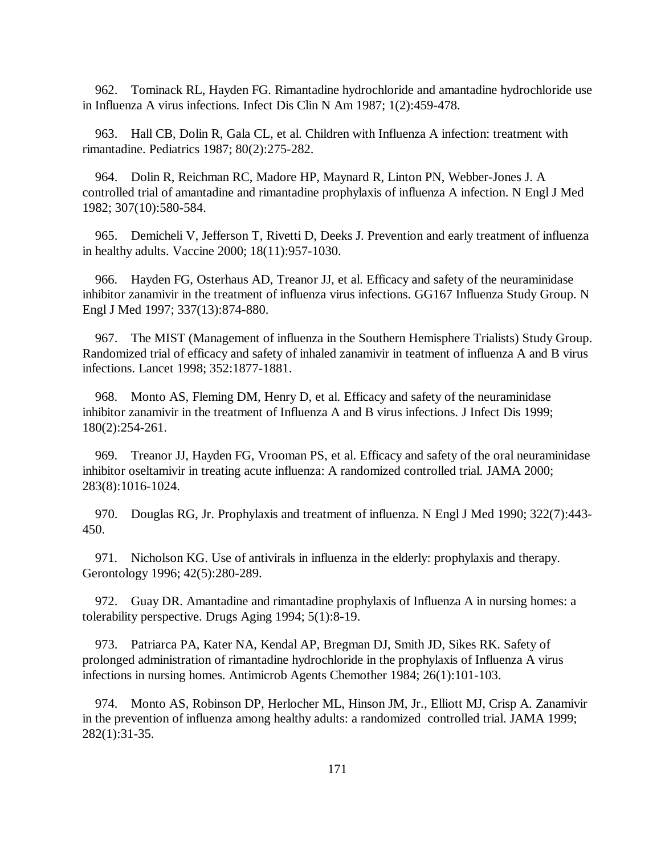962. Tominack RL, Hayden FG. Rimantadine hydrochloride and amantadine hydrochloride use in Influenza A virus infections. Infect Dis Clin N Am 1987; 1(2):459-478.

963. Hall CB, Dolin R, Gala CL, et al. Children with Influenza A infection: treatment with rimantadine. Pediatrics 1987; 80(2):275-282.

964. Dolin R, Reichman RC, Madore HP, Maynard R, Linton PN, Webber-Jones J. A controlled trial of amantadine and rimantadine prophylaxis of influenza A infection. N Engl J Med 1982; 307(10):580-584.

965. Demicheli V, Jefferson T, Rivetti D, Deeks J. Prevention and early treatment of influenza in healthy adults. Vaccine 2000; 18(11):957-1030.

966. Hayden FG, Osterhaus AD, Treanor JJ, et al. Efficacy and safety of the neuraminidase inhibitor zanamivir in the treatment of influenza virus infections. GG167 Influenza Study Group. N Engl J Med 1997; 337(13):874-880.

967. The MIST (Management of influenza in the Southern Hemisphere Trialists) Study Group. Randomized trial of efficacy and safety of inhaled zanamivir in teatment of influenza A and B virus infections. Lancet 1998; 352:1877-1881.

968. Monto AS, Fleming DM, Henry D, et al. Efficacy and safety of the neuraminidase inhibitor zanamivir in the treatment of Influenza A and B virus infections. J Infect Dis 1999; 180(2):254-261.

969. Treanor JJ, Hayden FG, Vrooman PS, et al. Efficacy and safety of the oral neuraminidase inhibitor oseltamivir in treating acute influenza: A randomized controlled trial. JAMA 2000; 283(8):1016-1024.

970. Douglas RG, Jr. Prophylaxis and treatment of influenza. N Engl J Med 1990; 322(7):443- 450.

971. Nicholson KG. Use of antivirals in influenza in the elderly: prophylaxis and therapy. Gerontology 1996; 42(5):280-289.

972. Guay DR. Amantadine and rimantadine prophylaxis of Influenza A in nursing homes: a tolerability perspective. Drugs Aging 1994; 5(1):8-19.

973. Patriarca PA, Kater NA, Kendal AP, Bregman DJ, Smith JD, Sikes RK. Safety of prolonged administration of rimantadine hydrochloride in the prophylaxis of Influenza A virus infections in nursing homes. Antimicrob Agents Chemother 1984; 26(1):101-103.

974. Monto AS, Robinson DP, Herlocher ML, Hinson JM, Jr., Elliott MJ, Crisp A. Zanamivir in the prevention of influenza among healthy adults: a randomized controlled trial. JAMA 1999; 282(1):31-35.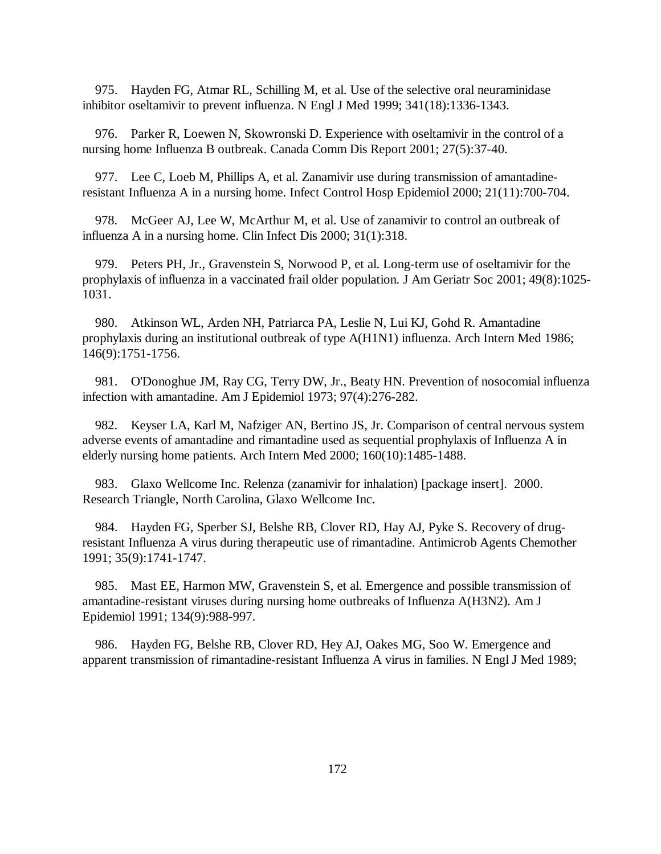975. Hayden FG, Atmar RL, Schilling M, et al. Use of the selective oral neuraminidase inhibitor oseltamivir to prevent influenza. N Engl J Med 1999; 341(18):1336-1343.

976. Parker R, Loewen N, Skowronski D. Experience with oseltamivir in the control of a nursing home Influenza B outbreak. Canada Comm Dis Report 2001; 27(5):37-40.

977. Lee C, Loeb M, Phillips A, et al. Zanamivir use during transmission of amantadineresistant Influenza A in a nursing home. Infect Control Hosp Epidemiol 2000; 21(11):700-704.

978. McGeer AJ, Lee W, McArthur M, et al. Use of zanamivir to control an outbreak of influenza A in a nursing home. Clin Infect Dis 2000; 31(1):318.

979. Peters PH, Jr., Gravenstein S, Norwood P, et al. Long-term use of oseltamivir for the prophylaxis of influenza in a vaccinated frail older population. J Am Geriatr Soc 2001; 49(8):1025- 1031.

980. Atkinson WL, Arden NH, Patriarca PA, Leslie N, Lui KJ, Gohd R. Amantadine prophylaxis during an institutional outbreak of type A(H1N1) influenza. Arch Intern Med 1986; 146(9):1751-1756.

981. O'Donoghue JM, Ray CG, Terry DW, Jr., Beaty HN. Prevention of nosocomial influenza infection with amantadine. Am J Epidemiol 1973; 97(4):276-282.

982. Keyser LA, Karl M, Nafziger AN, Bertino JS, Jr. Comparison of central nervous system adverse events of amantadine and rimantadine used as sequential prophylaxis of Influenza A in elderly nursing home patients. Arch Intern Med 2000; 160(10):1485-1488.

983. Glaxo Wellcome Inc. Relenza (zanamivir for inhalation) [package insert]. 2000. Research Triangle, North Carolina, Glaxo Wellcome Inc.

984. Hayden FG, Sperber SJ, Belshe RB, Clover RD, Hay AJ, Pyke S. Recovery of drugresistant Influenza A virus during therapeutic use of rimantadine. Antimicrob Agents Chemother 1991; 35(9):1741-1747.

985. Mast EE, Harmon MW, Gravenstein S, et al. Emergence and possible transmission of amantadine-resistant viruses during nursing home outbreaks of Influenza A(H3N2)*.* Am J Epidemiol 1991; 134(9):988-997.

986. Hayden FG, Belshe RB, Clover RD, Hey AJ, Oakes MG, Soo W. Emergence and apparent transmission of rimantadine-resistant Influenza A virus in families. N Engl J Med 1989;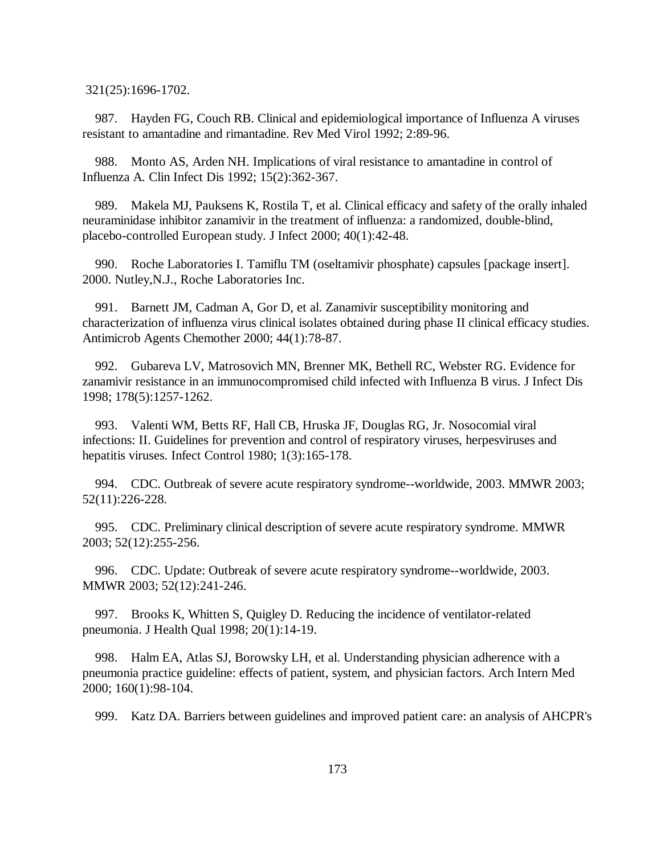321(25):1696-1702.

987. Hayden FG, Couch RB. Clinical and epidemiological importance of Influenza A viruses resistant to amantadine and rimantadine. Rev Med Virol 1992; 2:89-96.

988. Monto AS, Arden NH. Implications of viral resistance to amantadine in control of Influenza A*.* Clin Infect Dis 1992; 15(2):362-367.

989. Makela MJ, Pauksens K, Rostila T, et al. Clinical efficacy and safety of the orally inhaled neuraminidase inhibitor zanamivir in the treatment of influenza: a randomized, double-blind, placebo-controlled European study. J Infect 2000; 40(1):42-48.

990. Roche Laboratories I. Tamiflu TM (oseltamivir phosphate) capsules [package insert]. 2000. Nutley,N.J., Roche Laboratories Inc.

991. Barnett JM, Cadman A, Gor D, et al. Zanamivir susceptibility monitoring and characterization of influenza virus clinical isolates obtained during phase II clinical efficacy studies. Antimicrob Agents Chemother 2000; 44(1):78-87.

992. Gubareva LV, Matrosovich MN, Brenner MK, Bethell RC, Webster RG. Evidence for zanamivir resistance in an immunocompromised child infected with Influenza B virus. J Infect Dis 1998; 178(5):1257-1262.

993. Valenti WM, Betts RF, Hall CB, Hruska JF, Douglas RG, Jr. Nosocomial viral infections: II. Guidelines for prevention and control of respiratory viruses, herpesviruses and hepatitis viruses. Infect Control 1980; 1(3):165-178.

994. CDC. Outbreak of severe acute respiratory syndrome--worldwide, 2003. MMWR 2003; 52(11):226-228.

995. CDC. Preliminary clinical description of severe acute respiratory syndrome. MMWR 2003; 52(12):255-256.

996. CDC. Update: Outbreak of severe acute respiratory syndrome--worldwide, 2003. MMWR 2003; 52(12):241-246.

997. Brooks K, Whitten S, Quigley D. Reducing the incidence of ventilator-related pneumonia. J Health Qual 1998; 20(1):14-19.

998. Halm EA, Atlas SJ, Borowsky LH, et al. Understanding physician adherence with a pneumonia practice guideline: effects of patient, system, and physician factors. Arch Intern Med 2000; 160(1):98-104.

999. Katz DA. Barriers between guidelines and improved patient care: an analysis of AHCPR's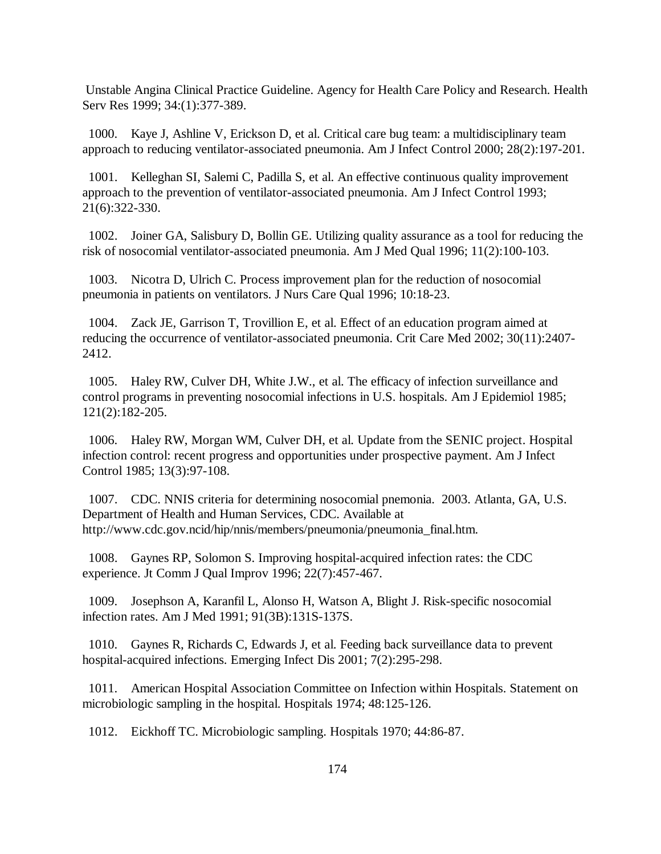Unstable Angina Clinical Practice Guideline. Agency for Health Care Policy and Research. Health Serv Res 1999; 34:(1):377-389.

1000. Kaye J, Ashline V, Erickson D, et al. Critical care bug team: a multidisciplinary team approach to reducing ventilator-associated pneumonia. Am J Infect Control 2000; 28(2):197-201.

1001. Kelleghan SI, Salemi C, Padilla S, et al. An effective continuous quality improvement approach to the prevention of ventilator-associated pneumonia. Am J Infect Control 1993; 21(6):322-330.

1002. Joiner GA, Salisbury D, Bollin GE. Utilizing quality assurance as a tool for reducing the risk of nosocomial ventilator-associated pneumonia. Am J Med Qual 1996; 11(2):100-103.

1003. Nicotra D, Ulrich C. Process improvement plan for the reduction of nosocomial pneumonia in patients on ventilators. J Nurs Care Qual 1996; 10:18-23.

1004. Zack JE, Garrison T, Trovillion E, et al. Effect of an education program aimed at reducing the occurrence of ventilator-associated pneumonia. Crit Care Med 2002; 30(11):2407- 2412.

1005. Haley RW, Culver DH, White J.W., et al. The efficacy of infection surveillance and control programs in preventing nosocomial infections in U.S. hospitals. Am J Epidemiol 1985; 121(2):182-205.

1006. Haley RW, Morgan WM, Culver DH, et al. Update from the SENIC project. Hospital infection control: recent progress and opportunities under prospective payment. Am J Infect Control 1985; 13(3):97-108.

1007. CDC. NNIS criteria for determining nosocomial pnemonia. 2003. Atlanta, GA, U.S. Department of Health and Human Services, CDC. Available at http://www.cdc.gov.ncid/hip/nnis/members/pneumonia/pneumonia\_final.htm.

1008. Gaynes RP, Solomon S. Improving hospital-acquired infection rates: the CDC experience. Jt Comm J Qual Improv 1996; 22(7):457-467.

1009. Josephson A, Karanfil L, Alonso H, Watson A, Blight J. Risk-specific nosocomial infection rates. Am J Med 1991; 91(3B):131S-137S.

1010. Gaynes R, Richards C, Edwards J, et al. Feeding back surveillance data to prevent hospital-acquired infections. Emerging Infect Dis 2001; 7(2):295-298.

1011. American Hospital Association Committee on Infection within Hospitals. Statement on microbiologic sampling in the hospital. Hospitals 1974; 48:125-126.

1012. Eickhoff TC. Microbiologic sampling. Hospitals 1970; 44:86-87.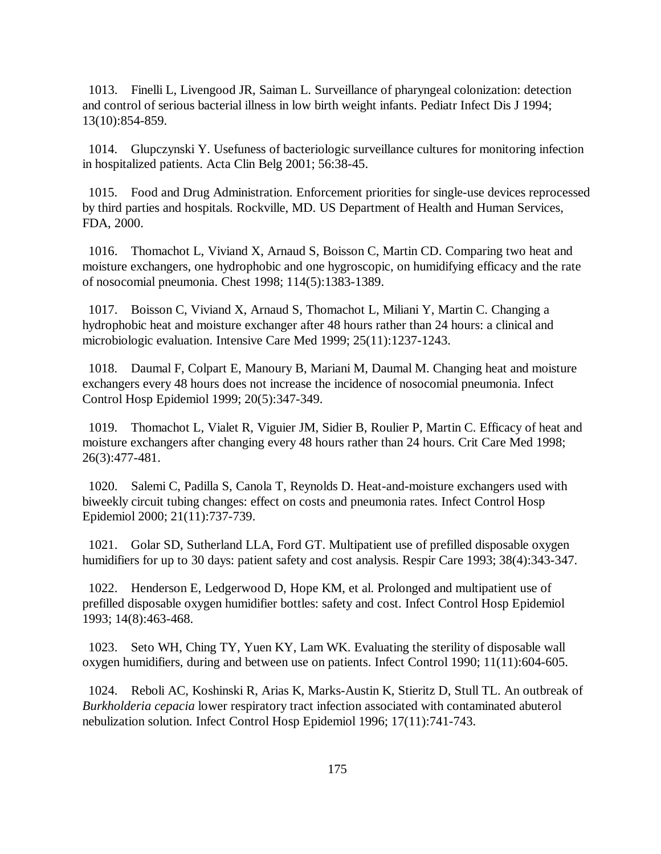1013. Finelli L, Livengood JR, Saiman L. Surveillance of pharyngeal colonization: detection and control of serious bacterial illness in low birth weight infants. Pediatr Infect Dis J 1994; 13(10):854-859.

1014. Glupczynski Y. Usefuness of bacteriologic surveillance cultures for monitoring infection in hospitalized patients. Acta Clin Belg 2001; 56:38-45.

1015. Food and Drug Administration. Enforcement priorities for single-use devices reprocessed by third parties and hospitals. Rockville, MD. US Department of Health and Human Services, FDA, 2000.

1016. Thomachot L, Viviand X, Arnaud S, Boisson C, Martin CD. Comparing two heat and moisture exchangers, one hydrophobic and one hygroscopic, on humidifying efficacy and the rate of nosocomial pneumonia. Chest 1998; 114(5):1383-1389.

1017. Boisson C, Viviand X, Arnaud S, Thomachot L, Miliani Y, Martin C. Changing a hydrophobic heat and moisture exchanger after 48 hours rather than 24 hours: a clinical and microbiologic evaluation. Intensive Care Med 1999; 25(11):1237-1243.

1018. Daumal F, Colpart E, Manoury B, Mariani M, Daumal M. Changing heat and moisture exchangers every 48 hours does not increase the incidence of nosocomial pneumonia. Infect Control Hosp Epidemiol 1999; 20(5):347-349.

1019. Thomachot L, Vialet R, Viguier JM, Sidier B, Roulier P, Martin C. Efficacy of heat and moisture exchangers after changing every 48 hours rather than 24 hours. Crit Care Med 1998; 26(3):477-481.

1020. Salemi C, Padilla S, Canola T, Reynolds D. Heat-and-moisture exchangers used with biweekly circuit tubing changes: effect on costs and pneumonia rates. Infect Control Hosp Epidemiol 2000; 21(11):737-739.

1021. Golar SD, Sutherland LLA, Ford GT. Multipatient use of prefilled disposable oxygen humidifiers for up to 30 days: patient safety and cost analysis. Respir Care 1993; 38(4):343-347.

1022. Henderson E, Ledgerwood D, Hope KM, et al. Prolonged and multipatient use of prefilled disposable oxygen humidifier bottles: safety and cost. Infect Control Hosp Epidemiol 1993; 14(8):463-468.

1023. Seto WH, Ching TY, Yuen KY, Lam WK. Evaluating the sterility of disposable wall oxygen humidifiers, during and between use on patients. Infect Control 1990; 11(11):604-605.

1024. Reboli AC, Koshinski R, Arias K, Marks-Austin K, Stieritz D, Stull TL. An outbreak of *Burkholderia cepacia* lower respiratory tract infection associated with contaminated abuterol nebulization solution. Infect Control Hosp Epidemiol 1996; 17(11):741-743.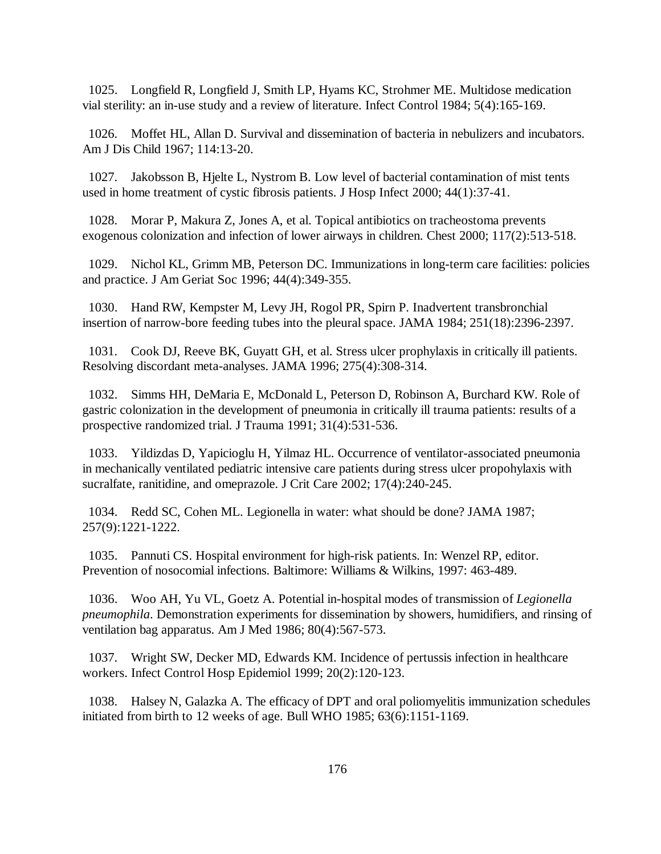1025. Longfield R, Longfield J, Smith LP, Hyams KC, Strohmer ME. Multidose medication vial sterility: an in-use study and a review of literature. Infect Control 1984; 5(4):165-169.

1026. Moffet HL, Allan D. Survival and dissemination of bacteria in nebulizers and incubators. Am J Dis Child 1967; 114:13-20.

1027. Jakobsson B, Hjelte L, Nystrom B. Low level of bacterial contamination of mist tents used in home treatment of cystic fibrosis patients. J Hosp Infect 2000; 44(1):37-41.

1028. Morar P, Makura Z, Jones A, et al. Topical antibiotics on tracheostoma prevents exogenous colonization and infection of lower airways in children. Chest 2000; 117(2):513-518.

1029. Nichol KL, Grimm MB, Peterson DC. Immunizations in long-term care facilities: policies and practice. J Am Geriat Soc 1996; 44(4):349-355.

1030. Hand RW, Kempster M, Levy JH, Rogol PR, Spirn P. Inadvertent transbronchial insertion of narrow-bore feeding tubes into the pleural space. JAMA 1984; 251(18):2396-2397.

1031. Cook DJ, Reeve BK, Guyatt GH, et al. Stress ulcer prophylaxis in critically ill patients. Resolving discordant meta-analyses. JAMA 1996; 275(4):308-314.

1032. Simms HH, DeMaria E, McDonald L, Peterson D, Robinson A, Burchard KW. Role of gastric colonization in the development of pneumonia in critically ill trauma patients: results of a prospective randomized trial. J Trauma 1991; 31(4):531-536.

1033. Yildizdas D, Yapicioglu H, Yilmaz HL. Occurrence of ventilator-associated pneumonia in mechanically ventilated pediatric intensive care patients during stress ulcer propohylaxis with sucralfate, ranitidine, and omeprazole. J Crit Care 2002; 17(4):240-245.

1034. Redd SC, Cohen ML. Legionella in water: what should be done? JAMA 1987; 257(9):1221-1222.

1035. Pannuti CS. Hospital environment for high-risk patients. In: Wenzel RP, editor. Prevention of nosocomial infections. Baltimore: Williams & Wilkins, 1997: 463-489.

1036. Woo AH, Yu VL, Goetz A. Potential in-hospital modes of transmission of *Legionella pneumophila*. Demonstration experiments for dissemination by showers, humidifiers, and rinsing of ventilation bag apparatus. Am J Med 1986; 80(4):567-573.

1037. Wright SW, Decker MD, Edwards KM. Incidence of pertussis infection in healthcare workers. Infect Control Hosp Epidemiol 1999; 20(2):120-123.

1038. Halsey N, Galazka A. The efficacy of DPT and oral poliomyelitis immunization schedules initiated from birth to 12 weeks of age. Bull WHO 1985; 63(6):1151-1169.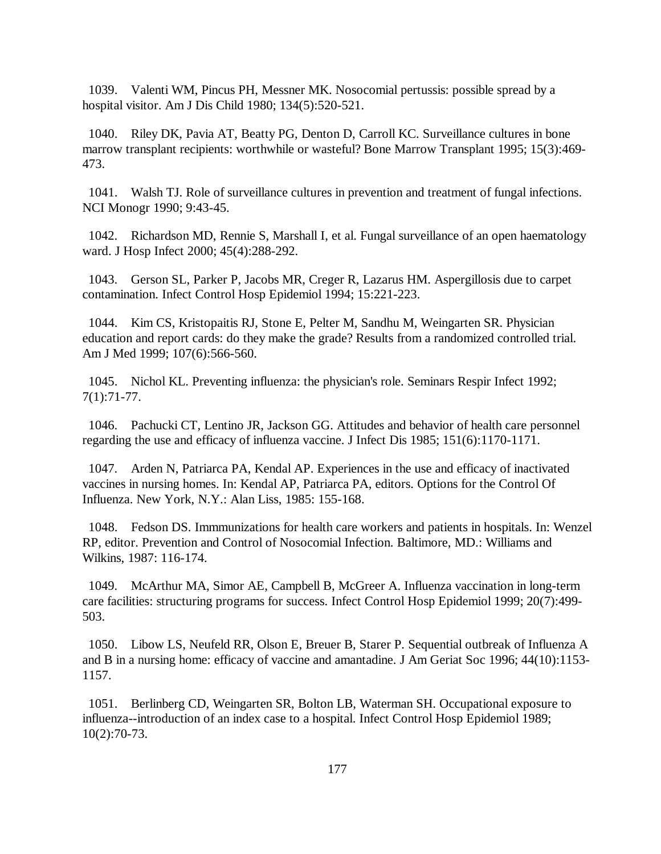1039. Valenti WM, Pincus PH, Messner MK. Nosocomial pertussis: possible spread by a hospital visitor. Am J Dis Child 1980; 134(5):520-521.

1040. Riley DK, Pavia AT, Beatty PG, Denton D, Carroll KC. Surveillance cultures in bone marrow transplant recipients: worthwhile or wasteful? Bone Marrow Transplant 1995; 15(3):469- 473.

1041. Walsh TJ. Role of surveillance cultures in prevention and treatment of fungal infections. NCI Monogr 1990; 9:43-45.

1042. Richardson MD, Rennie S, Marshall I, et al. Fungal surveillance of an open haematology ward. J Hosp Infect 2000; 45(4):288-292.

1043. Gerson SL, Parker P, Jacobs MR, Creger R, Lazarus HM. Aspergillosis due to carpet contamination. Infect Control Hosp Epidemiol 1994; 15:221-223.

1044. Kim CS, Kristopaitis RJ, Stone E, Pelter M, Sandhu M, Weingarten SR. Physician education and report cards: do they make the grade? Results from a randomized controlled trial. Am J Med 1999; 107(6):566-560.

1045. Nichol KL. Preventing influenza: the physician's role. Seminars Respir Infect 1992; 7(1):71-77.

1046. Pachucki CT, Lentino JR, Jackson GG. Attitudes and behavior of health care personnel regarding the use and efficacy of influenza vaccine. J Infect Dis 1985; 151(6):1170-1171.

1047. Arden N, Patriarca PA, Kendal AP. Experiences in the use and efficacy of inactivated vaccines in nursing homes. In: Kendal AP, Patriarca PA, editors. Options for the Control Of Influenza. New York, N.Y.: Alan Liss, 1985: 155-168.

1048. Fedson DS. Immmunizations for health care workers and patients in hospitals. In: Wenzel RP, editor. Prevention and Control of Nosocomial Infection. Baltimore, MD.: Williams and Wilkins, 1987: 116-174.

1049. McArthur MA, Simor AE, Campbell B, McGreer A. Influenza vaccination in long-term care facilities: structuring programs for success. Infect Control Hosp Epidemiol 1999; 20(7):499- 503.

1050. Libow LS, Neufeld RR, Olson E, Breuer B, Starer P. Sequential outbreak of Influenza A and B in a nursing home: efficacy of vaccine and amantadine. J Am Geriat Soc 1996; 44(10):1153- 1157.

1051. Berlinberg CD, Weingarten SR, Bolton LB, Waterman SH. Occupational exposure to influenza--introduction of an index case to a hospital. Infect Control Hosp Epidemiol 1989; 10(2):70-73.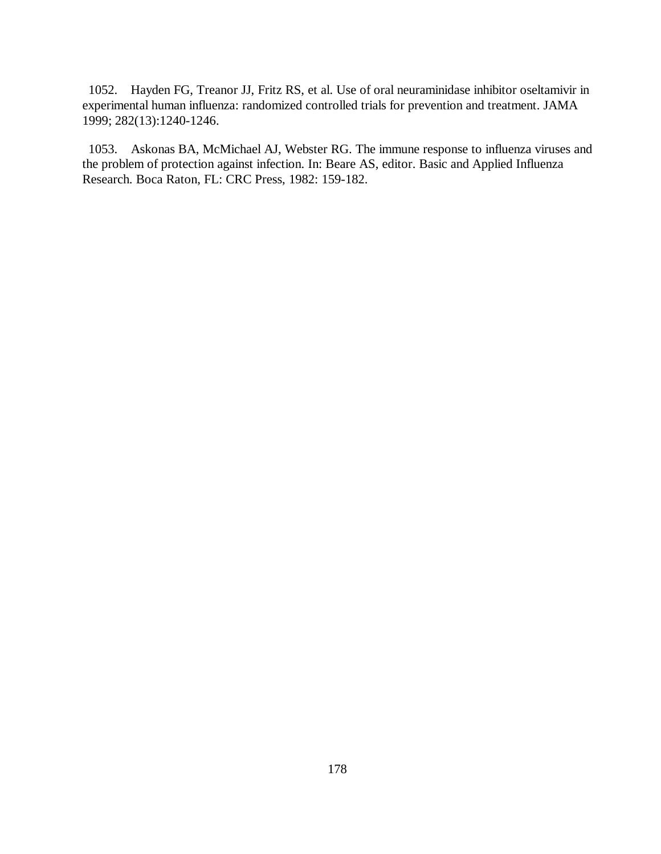1052. Hayden FG, Treanor JJ, Fritz RS, et al. Use of oral neuraminidase inhibitor oseltamivir in experimental human influenza: randomized controlled trials for prevention and treatment. JAMA 1999; 282(13):1240-1246.

1053. Askonas BA, McMichael AJ, Webster RG. The immune response to influenza viruses and the problem of protection against infection. In: Beare AS, editor. Basic and Applied Influenza Research. Boca Raton, FL: CRC Press, 1982: 159-182.